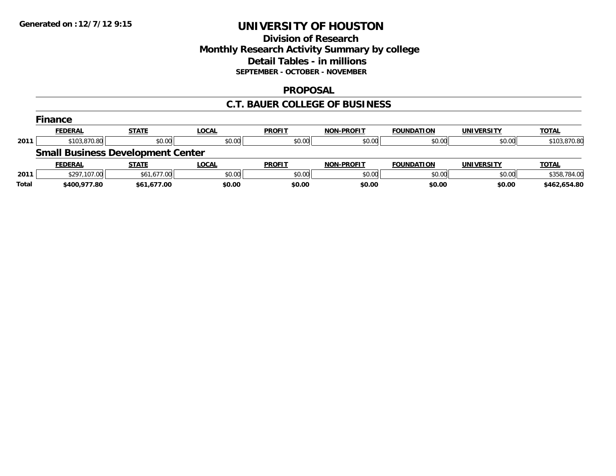## **Division of Research Monthly Research Activity Summary by college Detail Tables - in millions SEPTEMBER - OCTOBER - NOVEMBER**

### **PROPOSAL**

### **C.T. BAUER COLLEGE OF BUSINESS**

|       | Finance                                  |              |              |               |                   |                   |            |              |
|-------|------------------------------------------|--------------|--------------|---------------|-------------------|-------------------|------------|--------------|
|       | <b>FEDERAL</b>                           | <b>STATE</b> | <b>LOCAL</b> | <b>PROFIT</b> | <b>NON-PROFIT</b> | <b>FOUNDATION</b> | UNIVERSITY | <b>TOTAL</b> |
| 2011  | \$103,870.80                             | \$0.00       | \$0.00       | \$0.00        | \$0.00            | \$0.00            | \$0.00     | \$103,870.80 |
|       | <b>Small Business Development Center</b> |              |              |               |                   |                   |            |              |
|       | <b>FEDERAL</b>                           | <b>STATE</b> | <b>LOCAL</b> | <b>PROFIT</b> | <b>NON-PROFIT</b> | <b>FOUNDATION</b> | UNIVERSITY | <b>TOTAL</b> |
| 2011  | \$297,107.00                             | \$61,677.00  | \$0.00       | \$0.00        | \$0.00            | \$0.00            | \$0.00     | \$358,784.00 |
| Total | \$400,977.80                             | \$61,677.00  | \$0.00       | \$0.00        | \$0.00            | \$0.00            | \$0.00     | \$462.654.80 |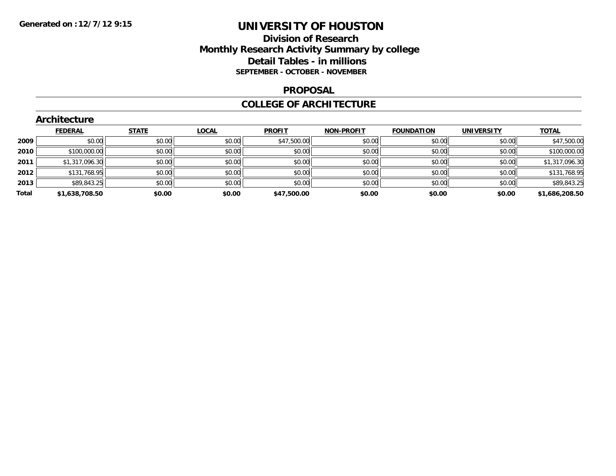## **Division of Research Monthly Research Activity Summary by college Detail Tables - in millions SEPTEMBER - OCTOBER - NOVEMBER**

#### **PROPOSAL**

#### **COLLEGE OF ARCHITECTURE**

|       | Architecture   |              |              |               |                   |                   |                   |                |
|-------|----------------|--------------|--------------|---------------|-------------------|-------------------|-------------------|----------------|
|       | <b>FEDERAL</b> | <b>STATE</b> | <b>LOCAL</b> | <b>PROFIT</b> | <b>NON-PROFIT</b> | <b>FOUNDATION</b> | <b>UNIVERSITY</b> | <b>TOTAL</b>   |
| 2009  | \$0.00         | \$0.00       | \$0.00       | \$47,500.00   | \$0.00            | \$0.00            | \$0.00            | \$47,500.00    |
| 2010  | \$100,000.00   | \$0.00       | \$0.00       | \$0.00        | \$0.00            | \$0.00            | \$0.00            | \$100,000.00   |
| 2011  | \$1,317,096.30 | \$0.00       | \$0.00       | \$0.00        | \$0.00            | \$0.00            | \$0.00            | \$1,317,096.30 |
| 2012  | \$131,768.95   | \$0.00       | \$0.00       | \$0.00        | \$0.00            | \$0.00            | \$0.00            | \$131,768.95   |
| 2013  | \$89,843.25    | \$0.00       | \$0.00       | \$0.00        | \$0.00            | \$0.00            | \$0.00            | \$89,843.25    |
| Total | \$1,638,708.50 | \$0.00       | \$0.00       | \$47,500.00   | \$0.00            | \$0.00            | \$0.00            | \$1,686,208.50 |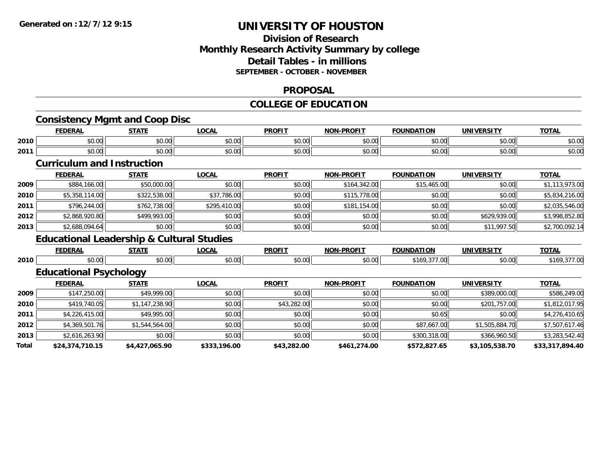## **Division of Research Monthly Research Activity Summary by college Detail Tables - in millions SEPTEMBER - OCTOBER - NOVEMBER**

#### **PROPOSAL**

#### **COLLEGE OF EDUCATION**

|       |                                   | <b>Consistency Mgmt and Coop Disc</b>                |              |               |                   |                   |                   |                 |
|-------|-----------------------------------|------------------------------------------------------|--------------|---------------|-------------------|-------------------|-------------------|-----------------|
|       | <b>FEDERAL</b>                    | <b>STATE</b>                                         | <b>LOCAL</b> | <b>PROFIT</b> | <b>NON-PROFIT</b> | <b>FOUNDATION</b> | <b>UNIVERSITY</b> | <b>TOTAL</b>    |
| 2010  | \$0.00                            | \$0.00                                               | \$0.00       | \$0.00        | \$0.00            | \$0.00            | \$0.00            | \$0.00          |
| 2011  | \$0.00                            | \$0.00                                               | \$0.00       | \$0.00        | \$0.00            | \$0.00            | \$0.00            | \$0.00          |
|       | <b>Curriculum and Instruction</b> |                                                      |              |               |                   |                   |                   |                 |
|       | <b>FEDERAL</b>                    | <b>STATE</b>                                         | <b>LOCAL</b> | <b>PROFIT</b> | <b>NON-PROFIT</b> | <b>FOUNDATION</b> | <b>UNIVERSITY</b> | <b>TOTAL</b>    |
| 2009  | \$884,166.00                      | \$50,000.00                                          | \$0.00       | \$0.00        | \$164,342.00      | \$15,465.00       | \$0.00            | \$1,113,973.00  |
| 2010  | \$5,358,114.00                    | \$322,538.00                                         | \$37,786.00  | \$0.00        | \$115,778.00      | \$0.00            | \$0.00            | \$5,834,216.00  |
| 2011  | \$796,244.00                      | \$762,738.00                                         | \$295,410.00 | \$0.00        | \$181,154.00      | \$0.00            | \$0.00            | \$2,035,546.00  |
| 2012  | \$2,868,920.80                    | \$499,993.00                                         | \$0.00       | \$0.00        | \$0.00            | \$0.00            | \$629,939.00      | \$3,998,852.80  |
| 2013  | \$2,688,094.64                    | \$0.00                                               | \$0.00       | \$0.00        | \$0.00            | \$0.00            | \$11,997.50       | \$2,700,092.14  |
|       |                                   | <b>Educational Leadership &amp; Cultural Studies</b> |              |               |                   |                   |                   |                 |
|       | <b>FEDERAL</b>                    | <b>STATE</b>                                         | <b>LOCAL</b> | <b>PROFIT</b> | <b>NON-PROFIT</b> | <b>FOUNDATION</b> | <b>UNIVERSITY</b> | <b>TOTAL</b>    |
| 2010  | \$0.00                            | \$0.00                                               | \$0.00       | \$0.00        | \$0.00            | \$169,377.00      | \$0.00            | \$169,377.00    |
|       | <b>Educational Psychology</b>     |                                                      |              |               |                   |                   |                   |                 |
|       | <b>FEDERAL</b>                    | <b>STATE</b>                                         | <b>LOCAL</b> | <b>PROFIT</b> | <b>NON-PROFIT</b> | <b>FOUNDATION</b> | <b>UNIVERSITY</b> | <b>TOTAL</b>    |
| 2009  | \$147,250.00                      | \$49,999.00                                          | \$0.00       | \$0.00        | \$0.00            | \$0.00            | \$389,000.00      | \$586,249.00    |
| 2010  | \$419,740.05                      | \$1,147,238.90                                       | \$0.00       | \$43,282.00   | \$0.00            | \$0.00            | \$201,757.00      | \$1,812,017.95  |
| 2011  | \$4,226,415.00                    | \$49,995.00                                          | \$0.00       | \$0.00        | \$0.00            | \$0.65            | \$0.00            | \$4,276,410.65  |
| 2012  | \$4,369,501.76                    | \$1,544,564.00                                       | \$0.00       | \$0.00        | \$0.00            | \$87,667.00       | \$1,505,884.70    | \$7,507,617.46  |
| 2013  | \$2,616,263.90                    | \$0.00                                               | \$0.00       | \$0.00        | \$0.00            | \$300,318.00      | \$366,960.50      | \$3,283,542.40  |
| Total | \$24,374,710.15                   | \$4,427,065.90                                       | \$333,196.00 | \$43,282.00   | \$461,274.00      | \$572,827.65      | \$3,105,538.70    | \$33,317,894.40 |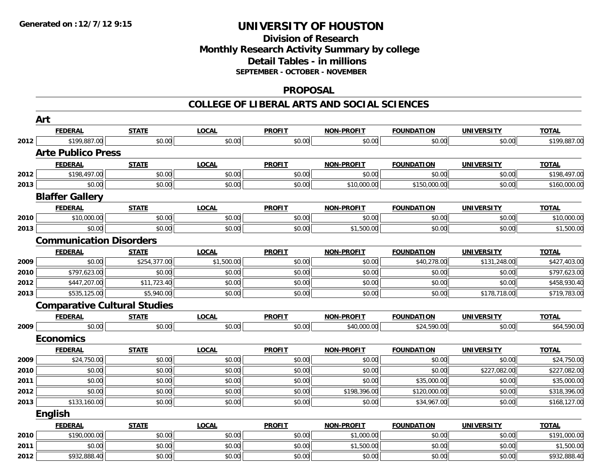## **Division of ResearchMonthly Research Activity Summary by college Detail Tables - in millions SEPTEMBER - OCTOBER - NOVEMBER**

#### **PROPOSAL**

|      | Art                                 |              |              |               |                   |                   |                   |              |
|------|-------------------------------------|--------------|--------------|---------------|-------------------|-------------------|-------------------|--------------|
|      | <b>FEDERAL</b>                      | <b>STATE</b> | <b>LOCAL</b> | <b>PROFIT</b> | <b>NON-PROFIT</b> | <b>FOUNDATION</b> | <b>UNIVERSITY</b> | <b>TOTAL</b> |
| 2012 | \$199,887.00                        | \$0.00       | \$0.00       | \$0.00        | \$0.00            | \$0.00            | \$0.00            | \$199,887.00 |
|      | <b>Arte Publico Press</b>           |              |              |               |                   |                   |                   |              |
|      | <b>FEDERAL</b>                      | <b>STATE</b> | <b>LOCAL</b> | <b>PROFIT</b> | NON-PROFIT        | <b>FOUNDATION</b> | <b>UNIVERSITY</b> | <b>TOTAL</b> |
| 2012 | \$198,497.00                        | \$0.00       | \$0.00       | \$0.00        | \$0.00            | \$0.00            | \$0.00            | \$198,497.00 |
| 2013 | \$0.00                              | \$0.00       | \$0.00       | \$0.00        | \$10,000.00       | \$150,000.00      | \$0.00            | \$160,000.00 |
|      | <b>Blaffer Gallery</b>              |              |              |               |                   |                   |                   |              |
|      | <b>FEDERAL</b>                      | <b>STATE</b> | <b>LOCAL</b> | <b>PROFIT</b> | <b>NON-PROFIT</b> | <b>FOUNDATION</b> | <b>UNIVERSITY</b> | <b>TOTAL</b> |
| 2010 | \$10,000.00                         | \$0.00       | \$0.00       | \$0.00        | \$0.00            | \$0.00            | \$0.00            | \$10,000.00  |
| 2013 | \$0.00                              | \$0.00       | \$0.00       | \$0.00        | \$1,500.00        | \$0.00            | \$0.00            | \$1,500.00   |
|      | <b>Communication Disorders</b>      |              |              |               |                   |                   |                   |              |
|      | <b>FEDERAL</b>                      | <b>STATE</b> | <b>LOCAL</b> | <b>PROFIT</b> | <b>NON-PROFIT</b> | <b>FOUNDATION</b> | <b>UNIVERSITY</b> | <b>TOTAL</b> |
| 2009 | \$0.00                              | \$254,377.00 | \$1,500.00   | \$0.00        | \$0.00            | \$40,278.00       | \$131,248.00      | \$427,403.00 |
| 2010 | \$797,623.00                        | \$0.00       | \$0.00       | \$0.00        | \$0.00            | \$0.00            | \$0.00            | \$797,623.00 |
| 2012 | \$447,207.00                        | \$11,723.40  | \$0.00       | \$0.00        | \$0.00            | \$0.00            | \$0.00            | \$458,930.40 |
| 2013 | \$535,125.00                        | \$5,940.00   | \$0.00       | \$0.00        | \$0.00            | \$0.00            | \$178,718.00      | \$719,783.00 |
|      | <b>Comparative Cultural Studies</b> |              |              |               |                   |                   |                   |              |
|      | <b>FEDERAL</b>                      | <b>STATE</b> | <b>LOCAL</b> | <b>PROFIT</b> | <b>NON-PROFIT</b> | <b>FOUNDATION</b> | <b>UNIVERSITY</b> | <b>TOTAL</b> |
| 2009 | \$0.00                              | \$0.00       | \$0.00       | \$0.00        | \$40,000.00       | \$24,590.00       | \$0.00            | \$64,590.00  |
|      | <b>Economics</b>                    |              |              |               |                   |                   |                   |              |
|      | <b>FEDERAL</b>                      | <b>STATE</b> | <b>LOCAL</b> | <b>PROFIT</b> | <b>NON-PROFIT</b> | <b>FOUNDATION</b> | <b>UNIVERSITY</b> | <b>TOTAL</b> |
| 2009 | \$24,750.00                         | \$0.00       | \$0.00       | \$0.00        | \$0.00            | \$0.00            | \$0.00            | \$24,750.00  |
| 2010 | \$0.00                              | \$0.00       | \$0.00       | \$0.00        | \$0.00            | \$0.00            | \$227,082.00      | \$227,082.00 |
| 2011 | \$0.00                              | \$0.00       | \$0.00       | \$0.00        | \$0.00            | \$35,000.00       | \$0.00            | \$35,000.00  |
| 2012 | \$0.00                              | \$0.00       | \$0.00       | \$0.00        | \$198,396.00      | \$120,000.00      | \$0.00            | \$318,396.00 |
| 2013 | \$133,160.00                        | \$0.00       | \$0.00       | \$0.00        | \$0.00            | \$34,967.00       | \$0.00            | \$168,127.00 |
|      | <b>English</b>                      |              |              |               |                   |                   |                   |              |
|      | <b>FEDERAL</b>                      | <b>STATE</b> | <b>LOCAL</b> | <b>PROFIT</b> | <b>NON-PROFIT</b> | <b>FOUNDATION</b> | <b>UNIVERSITY</b> | <b>TOTAL</b> |
| 2010 | \$190,000.00                        | \$0.00       | \$0.00       | \$0.00        | \$1,000.00        | \$0.00            | \$0.00            | \$191,000.00 |
| 2011 | \$0.00                              | \$0.00       | \$0.00       | \$0.00        | \$1,500.00        | \$0.00            | \$0.00            | \$1,500.00   |
| 2012 | $\overline{$932,888.40}$            | \$0.00       | \$0.00       | \$0.00        | \$0.00            | \$0.00            | \$0.00            | \$932,888.40 |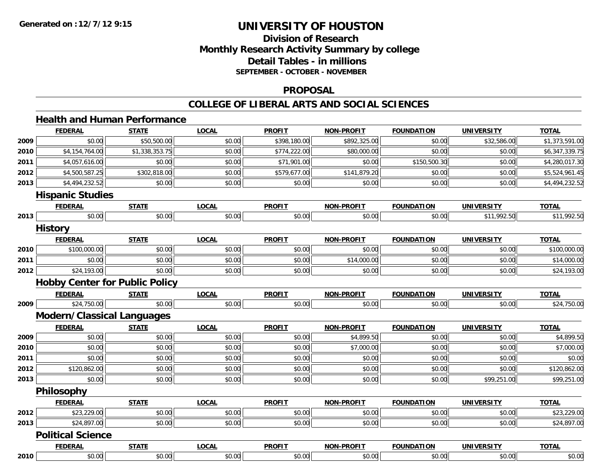# **Division of ResearchMonthly Research Activity Summary by college Detail Tables - in millions SEPTEMBER - OCTOBER - NOVEMBER**

#### **PROPOSAL**

#### **COLLEGE OF LIBERAL ARTS AND SOCIAL SCIENCES**

# **Health and Human Performance**

|      | <b>FEDERAL</b>           | <b>STATE</b>                          | <b>LOCAL</b> | <b>PROFIT</b> | <b>NON-PROFIT</b> | <b>FOUNDATION</b> | <b>UNIVERSITY</b> | <b>TOTAL</b>   |
|------|--------------------------|---------------------------------------|--------------|---------------|-------------------|-------------------|-------------------|----------------|
| 2009 | \$0.00                   | \$50,500.00                           | \$0.00       | \$398,180.00  | \$892,325.00      | \$0.00            | \$32,586.00       | \$1,373,591.00 |
| 2010 | \$4,154,764.00           | \$1,338,353.75                        | \$0.00       | \$774,222.00  | \$80,000.00       | \$0.00            | \$0.00            | \$6,347,339.75 |
| 2011 | \$4,057,616.00           | \$0.00                                | \$0.00       | \$71,901.00   | \$0.00            | \$150,500.30      | \$0.00            | \$4,280,017.30 |
| 2012 | \$4,500,587.25           | \$302,818.00                          | \$0.00       | \$579,677.00  | \$141,879.20      | \$0.00            | \$0.00            | \$5,524,961.45 |
| 2013 | \$4,494,232.52           | \$0.00                                | \$0.00       | \$0.00        | \$0.00            | \$0.00            | \$0.00            | \$4,494,232.52 |
|      | <b>Hispanic Studies</b>  |                                       |              |               |                   |                   |                   |                |
|      | <b>FEDERAL</b>           | <b>STATE</b>                          | <b>LOCAL</b> | <b>PROFIT</b> | <b>NON-PROFIT</b> | <b>FOUNDATION</b> | <b>UNIVERSITY</b> | <b>TOTAL</b>   |
| 2013 | \$0.00                   | \$0.00                                | \$0.00       | \$0.00        | \$0.00            | \$0.00            | \$11,992.50       | \$11,992.50    |
|      | <b>History</b>           |                                       |              |               |                   |                   |                   |                |
|      | <b>FEDERAL</b>           | <b>STATE</b>                          | <b>LOCAL</b> | <b>PROFIT</b> | <b>NON-PROFIT</b> | <b>FOUNDATION</b> | <b>UNIVERSITY</b> | <b>TOTAL</b>   |
| 2010 | \$100,000.00             | \$0.00                                | \$0.00       | \$0.00        | \$0.00            | \$0.00            | \$0.00            | \$100,000.00   |
| 2011 | \$0.00                   | \$0.00                                | \$0.00       | \$0.00        | \$14,000.00       | \$0.00            | \$0.00            | \$14,000.00    |
| 2012 | \$24,193.00              | \$0.00                                | \$0.00       | \$0.00        | \$0.00            | \$0.00            | \$0.00            | \$24,193.00    |
|      |                          | <b>Hobby Center for Public Policy</b> |              |               |                   |                   |                   |                |
|      | <b>FEDERAL</b>           | <b>STATE</b>                          | <b>LOCAL</b> | <b>PROFIT</b> | <b>NON-PROFIT</b> | <b>FOUNDATION</b> | <b>UNIVERSITY</b> | <b>TOTAL</b>   |
| 2009 | \$24,750.00              | \$0.00                                | \$0.00       | \$0.00        | \$0.00            | \$0.00            | \$0.00            | \$24,750.00    |
|      |                          | <b>Modern/Classical Languages</b>     |              |               |                   |                   |                   |                |
|      | <b>FEDERAL</b>           | <b>STATE</b>                          | <b>LOCAL</b> | <b>PROFIT</b> | <b>NON-PROFIT</b> | <b>FOUNDATION</b> | <b>UNIVERSITY</b> | <b>TOTAL</b>   |
| 2009 | \$0.00                   | \$0.00                                | \$0.00       | \$0.00        | \$4,899.50        | \$0.00            | \$0.00            | \$4,899.50     |
| 2010 | \$0.00                   | \$0.00                                | \$0.00       | \$0.00        | \$7,000.00        | \$0.00            | \$0.00            | \$7,000.00     |
| 2011 | \$0.00                   | \$0.00                                | \$0.00       | \$0.00        | \$0.00            | \$0.00            | \$0.00            | \$0.00         |
| 2012 | \$120,862.00             | \$0.00                                | \$0.00       | \$0.00        | \$0.00            | \$0.00            | \$0.00            | \$120,862.00   |
| 2013 | \$0.00                   | \$0.00                                | \$0.00       | \$0.00        | \$0.00            | \$0.00            | \$99,251.00       | \$99,251.00    |
|      | <b>Philosophy</b>        |                                       |              |               |                   |                   |                   |                |
|      | <b>FEDERAL</b>           | <b>STATE</b>                          | <b>LOCAL</b> | <b>PROFIT</b> | <b>NON-PROFIT</b> | <b>FOUNDATION</b> | <b>UNIVERSITY</b> | <b>TOTAL</b>   |
| 2012 | \$23,229.00              | \$0.00                                | \$0.00       | \$0.00        | \$0.00            | \$0.00            | \$0.00            | \$23,229.00    |
| 2013 | \$24,897.00              | \$0.00                                | \$0.00       | \$0.00        | \$0.00            | \$0.00            | \$0.00            | \$24,897.00    |
|      | <b>Political Science</b> |                                       |              |               |                   |                   |                   |                |
|      | <b>FEDERAL</b>           | <b>STATE</b>                          | <b>LOCAL</b> | <b>PROFIT</b> | <b>NON-PROFIT</b> | <b>FOUNDATION</b> | <b>UNIVERSITY</b> | <b>TOTAL</b>   |
| 2010 | \$0.00                   | \$0.00                                | \$0.00       | \$0.00        | \$0.00            | \$0.00            | \$0.00            | \$0.00         |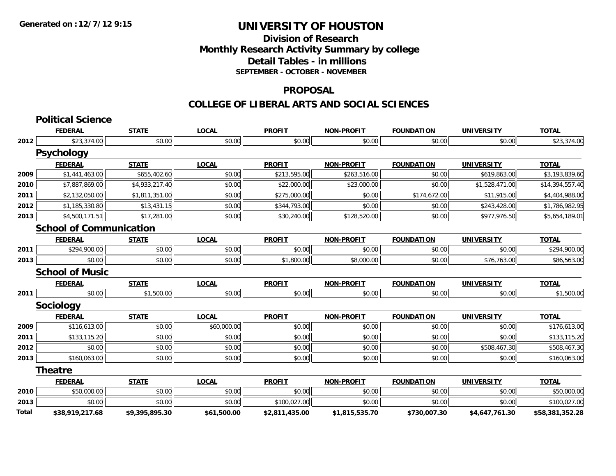## **Division of Research Monthly Research Activity Summary by college Detail Tables - in millions SEPTEMBER - OCTOBER - NOVEMBER**

#### **PROPOSAL**

|       | <b>Political Science</b>       |                |              |                |                   |                   |                   |                 |
|-------|--------------------------------|----------------|--------------|----------------|-------------------|-------------------|-------------------|-----------------|
|       | <b>FEDERAL</b>                 | <b>STATE</b>   | <b>LOCAL</b> | <b>PROFIT</b>  | <b>NON-PROFIT</b> | <b>FOUNDATION</b> | <b>UNIVERSITY</b> | <b>TOTAL</b>    |
| 2012  | \$23,374.00                    | \$0.00         | \$0.00       | \$0.00         | \$0.00            | \$0.00            | \$0.00            | \$23,374.00     |
|       | <b>Psychology</b>              |                |              |                |                   |                   |                   |                 |
|       | <b>FEDERAL</b>                 | <b>STATE</b>   | <b>LOCAL</b> | <b>PROFIT</b>  | <b>NON-PROFIT</b> | <b>FOUNDATION</b> | <b>UNIVERSITY</b> | <b>TOTAL</b>    |
| 2009  | \$1,441,463.00                 | \$655,402.60   | \$0.00       | \$213,595.00   | \$263,516.00      | \$0.00            | \$619,863.00      | \$3,193,839.60  |
| 2010  | \$7,887,869.00                 | \$4,933,217.40 | \$0.00       | \$22,000.00    | \$23,000.00       | \$0.00            | \$1,528,471.00    | \$14,394,557.40 |
| 2011  | \$2,132,050.00                 | \$1,811,351.00 | \$0.00       | \$275,000.00   | \$0.00            | \$174,672.00      | \$11,915.00       | \$4,404,988.00  |
| 2012  | \$1,185,330.80                 | \$13,431.15    | \$0.00       | \$344,793.00   | \$0.00            | \$0.00            | \$243,428.00      | \$1,786,982.95  |
| 2013  | \$4,500,171.51                 | \$17,281.00    | \$0.00       | \$30,240.00    | \$128,520.00      | \$0.00            | \$977,976.50      | \$5,654,189.01  |
|       | <b>School of Communication</b> |                |              |                |                   |                   |                   |                 |
|       | <b>FEDERAL</b>                 | <b>STATE</b>   | <b>LOCAL</b> | <b>PROFIT</b>  | <b>NON-PROFIT</b> | <b>FOUNDATION</b> | <b>UNIVERSITY</b> | <b>TOTAL</b>    |
| 2011  | \$294,900.00                   | \$0.00         | \$0.00       | \$0.00         | \$0.00            | \$0.00            | \$0.00            | \$294,900.00    |
| 2013  | \$0.00                         | \$0.00         | \$0.00       | \$1,800.00     | \$8,000.00        | \$0.00            | \$76,763.00       | \$86,563.00     |
|       | <b>School of Music</b>         |                |              |                |                   |                   |                   |                 |
|       | <b>FEDERAL</b>                 | <b>STATE</b>   | <b>LOCAL</b> | <b>PROFIT</b>  | <b>NON-PROFIT</b> | <b>FOUNDATION</b> | <b>UNIVERSITY</b> | <b>TOTAL</b>    |
| 2011  | \$0.00                         | \$1,500.00     | \$0.00       | \$0.00         | \$0.00            | \$0.00            | \$0.00            | \$1,500.00      |
|       | Sociology                      |                |              |                |                   |                   |                   |                 |
|       | <b>FEDERAL</b>                 | <b>STATE</b>   | <b>LOCAL</b> | <b>PROFIT</b>  | <b>NON-PROFIT</b> | <b>FOUNDATION</b> | <b>UNIVERSITY</b> | <b>TOTAL</b>    |
| 2009  | \$116,613.00                   | \$0.00         | \$60,000.00  | \$0.00         | \$0.00            | \$0.00            | \$0.00            | \$176,613.00    |
| 2011  | \$133,115.20                   | \$0.00         | \$0.00       | \$0.00         | \$0.00            | \$0.00            | \$0.00            | \$133,115.20    |
| 2012  | \$0.00                         | \$0.00         | \$0.00       | \$0.00         | \$0.00            | \$0.00            | \$508,467.30      | \$508,467.30    |
| 2013  | \$160,063.00                   | \$0.00         | \$0.00       | \$0.00         | \$0.00            | \$0.00            | \$0.00            | \$160,063.00    |
|       | <b>Theatre</b>                 |                |              |                |                   |                   |                   |                 |
|       | <b>FEDERAL</b>                 | <b>STATE</b>   | <b>LOCAL</b> | <b>PROFIT</b>  | <b>NON-PROFIT</b> | <b>FOUNDATION</b> | <b>UNIVERSITY</b> | <b>TOTAL</b>    |
| 2010  | \$50,000.00                    | \$0.00         | \$0.00       | \$0.00         | \$0.00            | \$0.00            | \$0.00            | \$50,000.00     |
| 2013  | \$0.00                         | \$0.00         | \$0.00       | \$100,027.00   | \$0.00            | \$0.00            | \$0.00            | \$100,027.00    |
| Total | \$38,919,217.68                | \$9,395,895.30 | \$61,500.00  | \$2,811,435.00 | \$1,815,535.70    | \$730,007.30      | \$4,647,761.30    | \$58,381,352.28 |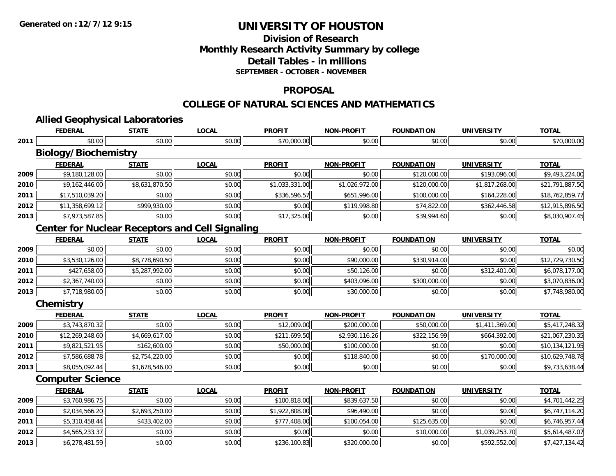**2013**

# **UNIVERSITY OF HOUSTON**

# **Division of ResearchMonthly Research Activity Summary by college Detail Tables - in millions SEPTEMBER - OCTOBER - NOVEMBER**

### **PROPOSAL**

### **COLLEGE OF NATURAL SCIENCES AND MATHEMATICS**

|      | <b>Allied Geophysical Laboratories</b>                 |                |              |                |                   |                   |                   |                 |
|------|--------------------------------------------------------|----------------|--------------|----------------|-------------------|-------------------|-------------------|-----------------|
|      | <b>FEDERAL</b>                                         | <b>STATE</b>   | <b>LOCAL</b> | <b>PROFIT</b>  | <b>NON-PROFIT</b> | <b>FOUNDATION</b> | <b>UNIVERSITY</b> | <b>TOTAL</b>    |
| 2011 | \$0.00                                                 | \$0.00         | \$0.00       | \$70,000.00    | \$0.00            | \$0.00            | \$0.00            | \$70,000.00     |
|      | <b>Biology/Biochemistry</b>                            |                |              |                |                   |                   |                   |                 |
|      | <b>FEDERAL</b>                                         | <b>STATE</b>   | <b>LOCAL</b> | <b>PROFIT</b>  | <b>NON-PROFIT</b> | <b>FOUNDATION</b> | <b>UNIVERSITY</b> | <b>TOTAL</b>    |
| 2009 | \$9,180,128.00                                         | \$0.00         | \$0.00       | \$0.00         | \$0.00            | \$120,000.00      | \$193,096.00      | \$9,493,224.00  |
| 2010 | \$9,162,446.00                                         | \$8,631,870.50 | \$0.00       | \$1,033,331.00 | \$1,026,972.00    | \$120,000.00      | \$1,817,268.00    | \$21,791,887.50 |
| 2011 | \$17,510,039.20                                        | \$0.00         | \$0.00       | \$336,596.57   | \$651,996.00      | \$100,000.00      | \$164,228.00      | \$18,762,859.77 |
| 2012 | \$11,358,699.12                                        | \$999,930.00   | \$0.00       | \$0.00         | \$119,998.80      | \$74,822.00       | \$362,446.58      | \$12,915,896.50 |
| 2013 | \$7,973,587.85                                         | \$0.00         | \$0.00       | \$17,325.00    | \$0.00            | \$39,994.60       | \$0.00            | \$8,030,907.45  |
|      | <b>Center for Nuclear Receptors and Cell Signaling</b> |                |              |                |                   |                   |                   |                 |
|      | <b>FEDERAL</b>                                         | <b>STATE</b>   | <b>LOCAL</b> | <b>PROFIT</b>  | <b>NON-PROFIT</b> | <b>FOUNDATION</b> | <b>UNIVERSITY</b> | <b>TOTAL</b>    |
| 2009 | \$0.00                                                 | \$0.00         | \$0.00       | \$0.00         | \$0.00            | \$0.00            | \$0.00            | \$0.00          |
| 2010 | \$3,530,126.00                                         | \$8,778,690.50 | \$0.00       | \$0.00         | \$90,000.00       | \$330,914.00      | \$0.00            | \$12,729,730.50 |
| 2011 | \$427,658.00                                           | \$5,287,992.00 | \$0.00       | \$0.00         | \$50,126.00       | \$0.00            | \$312,401.00      | \$6,078,177.00  |
| 2012 | \$2,367,740.00                                         | \$0.00         | \$0.00       | \$0.00         | \$403,096.00      | \$300,000.00      | \$0.00            | \$3,070,836.00  |
| 2013 | \$7,718,980.00                                         | \$0.00         | \$0.00       | \$0.00         | \$30,000.00       | \$0.00            | \$0.00            | \$7,748,980.00  |
|      | Chemistry                                              |                |              |                |                   |                   |                   |                 |
|      | <b>FEDERAL</b>                                         | <b>STATE</b>   | <b>LOCAL</b> | <b>PROFIT</b>  | <b>NON-PROFIT</b> | <b>FOUNDATION</b> | <b>UNIVERSITY</b> | <b>TOTAL</b>    |
| 2009 | \$3,743,870.32                                         | \$0.00         | \$0.00       | \$12,009.00    | \$200,000.00      | \$50,000.00       | \$1,411,369.00    | \$5,417,248.32  |
| 2010 | \$12,269,248.60                                        | \$4,669,617.00 | \$0.00       | \$211,699.50   | \$2,930,116.26    | \$322,156.99      | \$664,392.00      | \$21,067,230.35 |
| 2011 | \$9,821,521.95                                         | \$162,600.00   | \$0.00       | \$50,000.00    | \$100,000.00      | \$0.00            | \$0.00            | \$10,134,121.95 |
| 2012 | \$7,586,688.78                                         | \$2,754,220.00 | \$0.00       | \$0.00         | \$118,840.00      | \$0.00            | \$170,000.00      | \$10,629,748.78 |
| 2013 | \$8,055,092.44                                         | \$1,678,546.00 | \$0.00       | \$0.00         | \$0.00            | \$0.00            | \$0.00            | \$9,733,638.44  |
|      | <b>Computer Science</b>                                |                |              |                |                   |                   |                   |                 |
|      | <b>FEDERAL</b>                                         | <b>STATE</b>   | <b>LOCAL</b> | <b>PROFIT</b>  | <b>NON-PROFIT</b> | <b>FOUNDATION</b> | <b>UNIVERSITY</b> | <b>TOTAL</b>    |
| 2009 | \$3,760,986.75                                         | \$0.00         | \$0.00       | \$100,818.00   | \$839,637.50      | \$0.00            | \$0.00            | \$4,701,442.25  |
| 2010 | \$2,034,566.20                                         | \$2,693,250.00 | \$0.00       | \$1,922,808.00 | \$96,490.00       | \$0.00            | \$0.00            | \$6,747,114.20  |
| 2011 | \$5,310,458.44                                         | \$433,402.00   | \$0.00       | \$777,408.00   | \$100,054.00      | \$125,635.00      | \$0.00            | \$6,746,957.44  |
| 2012 | \$4,565,233.37                                         | \$0.00         | \$0.00       | \$0.00         | \$0.00            | \$10,000.00       | \$1,039,253.70    | \$5,614,487.07  |

3 \$6,278,481.59 \$0.00 \$0.00 \$0.00 \$0.00 \$0.00 \$1236,100.83 \$236,000.00 \$320,000.00 \$0.00 \$592,552.00 \$7,427,134.42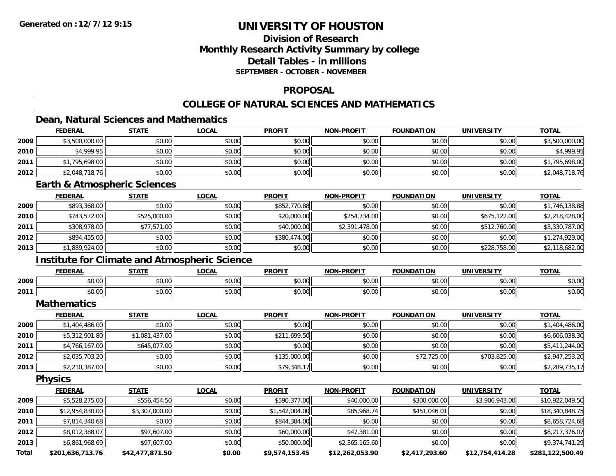# **Division of ResearchMonthly Research Activity Summary by college Detail Tables - in millions SEPTEMBER - OCTOBER - NOVEMBER**

## **PROPOSAL**

# **COLLEGE OF NATURAL SCIENCES AND MATHEMATICS**

## **Dean, Natural Sciences and Mathematics**

|       | <b>FEDERAL</b>                          | <b>STATE</b>                                         | <b>LOCAL</b> | <b>PROFIT</b>  | <b>NON-PROFIT</b> | <b>FOUNDATION</b> | <b>UNIVERSITY</b> | <b>TOTAL</b>     |
|-------|-----------------------------------------|------------------------------------------------------|--------------|----------------|-------------------|-------------------|-------------------|------------------|
| 2009  | \$3,500,000.00                          | \$0.00                                               | \$0.00       | \$0.00         | \$0.00            | \$0.00            | \$0.00            | \$3,500,000.00   |
| 2010  | \$4,999.95                              | \$0.00                                               | \$0.00       | \$0.00         | \$0.00            | \$0.00            | \$0.00            | \$4,999.95       |
| 2011  | \$1,795,698.00                          | \$0.00                                               | \$0.00       | \$0.00         | \$0.00            | \$0.00            | \$0.00            | \$1,795,698.00   |
| 2012  | \$2,048,718.76                          | \$0.00                                               | \$0.00       | \$0.00         | \$0.00            | \$0.00            | \$0.00            | \$2,048,718.76   |
|       | <b>Earth &amp; Atmospheric Sciences</b> |                                                      |              |                |                   |                   |                   |                  |
|       | <b>FEDERAL</b>                          | <b>STATE</b>                                         | <b>LOCAL</b> | <b>PROFIT</b>  | <b>NON-PROFIT</b> | <b>FOUNDATION</b> | <b>UNIVERSITY</b> | <b>TOTAL</b>     |
| 2009  | \$893,368.00                            | \$0.00                                               | \$0.00       | \$852,770.88   | \$0.00            | \$0.00            | \$0.00            | \$1,746,138.88   |
| 2010  | \$743,572.00                            | \$525,000.00                                         | \$0.00       | \$20,000.00    | \$254,734.00      | \$0.00            | \$675,122.00      | \$2,218,428.00   |
| 2011  | \$308,978.00                            | \$77,571.00                                          | \$0.00       | \$40,000.00    | \$2,391,478.00    | \$0.00            | \$512,760.00      | \$3,330,787.00   |
| 2012  | \$894,455.00                            | \$0.00                                               | \$0.00       | \$380,474.00   | \$0.00            | \$0.00            | \$0.00            | \$1,274,929.00   |
| 2013  | \$1,889,924.00                          | \$0.00                                               | \$0.00       | \$0.00         | \$0.00            | \$0.00            | \$228,758.00      | \$2,118,682.00   |
|       |                                         | <b>Institute for Climate and Atmospheric Science</b> |              |                |                   |                   |                   |                  |
|       | <b>FEDERAL</b>                          | <b>STATE</b>                                         | <b>LOCAL</b> | <b>PROFIT</b>  | <b>NON-PROFIT</b> | <b>FOUNDATION</b> | <b>UNIVERSITY</b> | <b>TOTAL</b>     |
| 2009  | \$0.00                                  | \$0.00                                               | \$0.00       | \$0.00         | \$0.00            | \$0.00            | \$0.00            | \$0.00           |
| 2011  | \$0.00                                  | \$0.00                                               | \$0.00       | \$0.00         | \$0.00            | \$0.00            | \$0.00            | \$0.00           |
|       | <b>Mathematics</b>                      |                                                      |              |                |                   |                   |                   |                  |
|       | <b>FEDERAL</b>                          | <b>STATE</b>                                         | <b>LOCAL</b> | <b>PROFIT</b>  | <b>NON-PROFIT</b> | <b>FOUNDATION</b> | <b>UNIVERSITY</b> | <b>TOTAL</b>     |
| 2009  | \$1,404,486.00                          | \$0.00                                               | \$0.00       | \$0.00         | \$0.00            | \$0.00            | \$0.00            | \$1,404,486.00   |
| 2010  | \$5,312,901.80                          | \$1,081,437.00                                       | \$0.00       | \$211,699.50   | \$0.00            | \$0.00            | \$0.00            | \$6,606,038.30   |
| 2011  | \$4,766,167.00                          | \$645,077.00                                         | \$0.00       | \$0.00         | \$0.00            | \$0.00            | \$0.00            | \$5,411,244.00   |
| 2012  | \$2,035,703.20                          | \$0.00                                               | \$0.00       | \$135,000.00   | \$0.00            | \$72,725.00       | \$703,825.00      | \$2,947,253.20   |
| 2013  | \$2,210,387.00                          | \$0.00                                               | \$0.00       | \$79,348.17    | \$0.00            | \$0.00            | \$0.00            | \$2,289,735.17   |
|       | <b>Physics</b>                          |                                                      |              |                |                   |                   |                   |                  |
|       | <b>FEDERAL</b>                          | <b>STATE</b>                                         | <b>LOCAL</b> | <b>PROFIT</b>  | <b>NON-PROFIT</b> | <b>FOUNDATION</b> | <b>UNIVERSITY</b> | <b>TOTAL</b>     |
| 2009  | \$5,528,275.00                          | \$556,454.50                                         | \$0.00       | \$590,377.00   | \$40,000.00       | \$300,000.00      | \$3,906,943.00    | \$10,922,049.50  |
| 2010  | \$12,954,830.00                         | \$3,307,000.00                                       | \$0.00       | \$1,542,004.00 | \$85,968.74       | \$451,046.01      | \$0.00            | \$18,340,848.75  |
| 2011  | \$7,814,340.68                          | \$0.00                                               | \$0.00       | \$844,384.00   | \$0.00            | \$0.00            | \$0.00            | \$8,658,724.68   |
| 2012  | \$8,012,388.07                          | \$97,607.00                                          | \$0.00       | \$60,000.00    | \$47,381.00       | \$0.00            | \$0.00            | \$8,217,376.07   |
| 2013  | \$6,861,968.69                          | \$97,607.00                                          | \$0.00       | \$50,000.00    | \$2,365,165.60    | \$0.00            | \$0.00            | \$9,374,741.29   |
| Total | \$201,636,713.76                        | \$42,477,871.50                                      | \$0.00       | \$9,574,153.45 | \$12,262,053.90   | \$2,417,293.60    | \$12,754,414.28   | \$281,122,500.49 |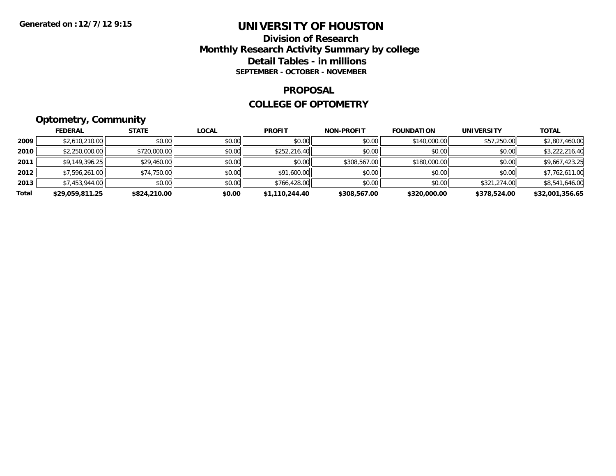## **Division of Research Monthly Research Activity Summary by college Detail Tables - in millions SEPTEMBER - OCTOBER - NOVEMBER**

#### **PROPOSAL**

### **COLLEGE OF OPTOMETRY**

# **Optometry, Community**

|       | <b>FEDERAL</b>  | <b>STATE</b> | <u>LOCAL</u> | <b>PROFIT</b>  | <b>NON-PROFIT</b> | <b>FOUNDATION</b> | <b>UNIVERSITY</b> | <u>TOTAL</u>    |
|-------|-----------------|--------------|--------------|----------------|-------------------|-------------------|-------------------|-----------------|
| 2009  | \$2,610,210.00  | \$0.00       | \$0.00       | \$0.00         | \$0.00            | \$140,000.00      | \$57,250.00       | \$2,807,460.00  |
| 2010  | \$2,250,000.00  | \$720,000.00 | \$0.00       | \$252,216.40   | \$0.00            | \$0.00            | \$0.00            | \$3,222,216.40  |
| 2011  | \$9,149,396.25  | \$29,460.00  | \$0.00       | \$0.00         | \$308,567.00      | \$180,000.00      | \$0.00            | \$9,667,423.25  |
| 2012  | \$7,596,261.00  | \$74,750.00  | \$0.00       | \$91,600.00    | \$0.00            | \$0.00            | \$0.00            | \$7,762,611.00  |
| 2013  | \$7,453,944.00  | \$0.00       | \$0.00       | \$766,428.00   | \$0.00            | \$0.00            | \$321,274.00      | \$8,541,646.00  |
| Total | \$29,059,811.25 | \$824,210.00 | \$0.00       | \$1,110,244.40 | \$308,567.00      | \$320,000.00      | \$378,524.00      | \$32,001,356.65 |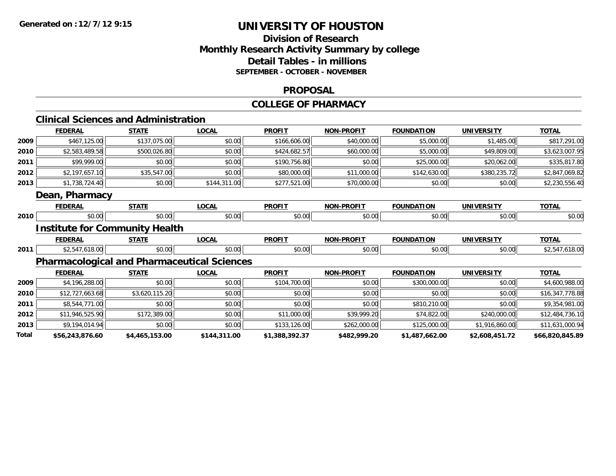## **Division of Research Monthly Research Activity Summary by college Detail Tables - in millions SEPTEMBER - OCTOBER - NOVEMBER**

#### **PROPOSAL**

#### **COLLEGE OF PHARMACY**

|       | <b>Clinical Sciences and Administration</b> |                |                                                    |                |                   |                   |                   |                 |
|-------|---------------------------------------------|----------------|----------------------------------------------------|----------------|-------------------|-------------------|-------------------|-----------------|
|       | <b>FEDERAL</b>                              | <b>STATE</b>   | <b>LOCAL</b>                                       | <b>PROFIT</b>  | <b>NON-PROFIT</b> | <b>FOUNDATION</b> | <b>UNIVERSITY</b> | <b>TOTAL</b>    |
| 2009  | \$467,125.00                                | \$137,075.00   | \$0.00                                             | \$166,606.00   | \$40,000.00       | \$5,000.00        | \$1,485.00        | \$817,291.00    |
| 2010  | \$2,583,489.58                              | \$500,026.80   | \$0.00                                             | \$424,682.57   | \$60,000.00       | \$5,000.00        | \$49,809.00       | \$3,623,007.95  |
| 2011  | \$99,999.00                                 | \$0.00         | \$0.00                                             | \$190,756.80   | \$0.00            | \$25,000.00       | \$20,062.00       | \$335,817.80    |
| 2012  | \$2,197,657.10                              | \$35,547.00    | \$0.00                                             | \$80,000.00    | \$11,000.00       | \$142,630.00      | \$380,235.72      | \$2,847,069.82  |
| 2013  | \$1,738,724.40                              | \$0.00         | \$144,311.00                                       | \$277,521.00   | \$70,000.00       | \$0.00            | \$0.00            | \$2,230,556.40  |
|       | Dean, Pharmacy                              |                |                                                    |                |                   |                   |                   |                 |
|       | <b>FEDERAL</b>                              | <b>STATE</b>   | <b>LOCAL</b>                                       | <b>PROFIT</b>  | <b>NON-PROFIT</b> | <b>FOUNDATION</b> | <b>UNIVERSITY</b> | <b>TOTAL</b>    |
| 2010  | \$0.00                                      | \$0.00         | \$0.00                                             | \$0.00         | \$0.00            | \$0.00            | \$0.00            | \$0.00          |
|       | <b>Institute for Community Health</b>       |                |                                                    |                |                   |                   |                   |                 |
|       | <b>FEDERAL</b>                              | <b>STATE</b>   | <b>LOCAL</b>                                       | <b>PROFIT</b>  | <b>NON-PROFIT</b> | <b>FOUNDATION</b> | <b>UNIVERSITY</b> | <b>TOTAL</b>    |
| 2011  | \$2,547,618.00                              | \$0.00         | \$0.00                                             | \$0.00         | \$0.00            | \$0.00            | \$0.00            | \$2,547,618.00  |
|       |                                             |                | <b>Pharmacological and Pharmaceutical Sciences</b> |                |                   |                   |                   |                 |
|       | <b>FEDERAL</b>                              | <b>STATE</b>   | <b>LOCAL</b>                                       | <b>PROFIT</b>  | <b>NON-PROFIT</b> | <b>FOUNDATION</b> | <b>UNIVERSITY</b> | <b>TOTAL</b>    |
| 2009  | \$4,196,288.00                              | \$0.00         | \$0.00                                             | \$104,700.00   | \$0.00            | \$300,000.00      | \$0.00            | \$4,600,988.00  |
| 2010  | \$12,727,663.68                             | \$3,620,115.20 | \$0.00                                             | \$0.00         | \$0.00            | \$0.00            | \$0.00            | \$16,347,778.88 |
| 2011  | \$8,544,771.00                              | \$0.00         | \$0.00                                             | \$0.00         | \$0.00            | \$810,210.00      | \$0.00            | \$9,354,981.00  |
| 2012  | \$11,946,525.90                             | \$172,389.00   | \$0.00                                             | \$11,000.00    | \$39,999.20       | \$74,822.00       | \$240,000.00      | \$12,484,736.10 |
| 2013  | \$9,194,014.94                              | \$0.00         | \$0.00                                             | \$133,126.00   | \$262,000.00      | \$125,000.00      | \$1,916,860.00    | \$11,631,000.94 |
| Total | \$56,243,876.60                             | \$4,465,153.00 | \$144,311.00                                       | \$1,388,392.37 | \$482,999.20      | \$1,487,662.00    | \$2,608,451.72    | \$66,820,845.89 |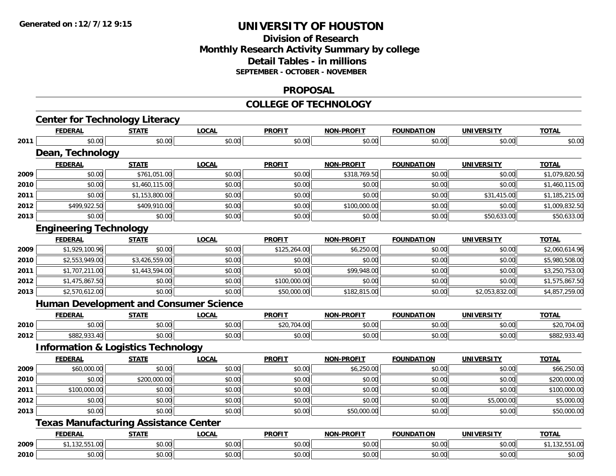# **Division of ResearchMonthly Research Activity Summary by college Detail Tables - in millions SEPTEMBER - OCTOBER - NOVEMBER**

#### **PROPOSAL**

#### **COLLEGE OF TECHNOLOGY**

|      | <b>FEDERAL</b>                                | <b>STATE</b>   | <b>LOCAL</b>                                  | <b>PROFIT</b> | <b>NON-PROFIT</b> | <b>FOUNDATION</b> | <b>UNIVERSITY</b> | <b>TOTAL</b>   |
|------|-----------------------------------------------|----------------|-----------------------------------------------|---------------|-------------------|-------------------|-------------------|----------------|
| 2011 | \$0.00                                        | \$0.00         | \$0.00                                        | \$0.00        | \$0.00            | \$0.00            | \$0.00            | \$0.00         |
|      | Dean, Technology                              |                |                                               |               |                   |                   |                   |                |
|      | <b>FEDERAL</b>                                | <b>STATE</b>   | <b>LOCAL</b>                                  | <b>PROFIT</b> | <b>NON-PROFIT</b> | <b>FOUNDATION</b> | <b>UNIVERSITY</b> | <b>TOTAL</b>   |
| 2009 | \$0.00                                        | \$761,051.00   | \$0.00                                        | \$0.00        | \$318,769.50      | \$0.00            | \$0.00            | \$1,079,820.50 |
| 2010 | \$0.00                                        | \$1,460,115.00 | \$0.00                                        | \$0.00        | \$0.00            | \$0.00            | \$0.00            | \$1,460,115.00 |
| 2011 | \$0.00                                        | \$1,153,800.00 | \$0.00                                        | \$0.00        | \$0.00            | \$0.00            | \$31,415.00       | \$1,185,215.00 |
| 2012 | \$499,922.50                                  | \$409,910.00   | \$0.00                                        | \$0.00        | \$100,000.00      | \$0.00            | \$0.00            | \$1,009,832.50 |
| 2013 | \$0.00                                        | \$0.00         | \$0.00                                        | \$0.00        | \$0.00            | \$0.00            | \$50,633.00       | \$50,633.00    |
|      | <b>Engineering Technology</b>                 |                |                                               |               |                   |                   |                   |                |
|      | <b>FEDERAL</b>                                | <b>STATE</b>   | <b>LOCAL</b>                                  | <b>PROFIT</b> | <b>NON-PROFIT</b> | <b>FOUNDATION</b> | <b>UNIVERSITY</b> | <b>TOTAL</b>   |
| 2009 | \$1,929,100.96                                | \$0.00         | \$0.00                                        | \$125,264.00  | \$6,250.00        | \$0.00            | \$0.00            | \$2,060,614.96 |
| 2010 | \$2,553,949.00                                | \$3,426,559.00 | \$0.00                                        | \$0.00        | \$0.00            | \$0.00            | \$0.00            | \$5,980,508.00 |
| 2011 | \$1,707,211.00                                | \$1,443,594.00 | \$0.00                                        | \$0.00        | \$99,948.00       | \$0.00            | \$0.00            | \$3,250,753.00 |
| 2012 | \$1,475,867.50                                | \$0.00         | \$0.00                                        | \$100,000.00  | \$0.00            | \$0.00            | \$0.00            | \$1,575,867.50 |
| 2013 | \$2,570,612.00                                | \$0.00         | \$0.00                                        | \$50,000.00   | \$182,815.00      | \$0.00            | \$2,053,832.00    | \$4,857,259.00 |
|      |                                               |                | <b>Human Development and Consumer Science</b> |               |                   |                   |                   |                |
|      | <b>FEDERAL</b>                                | <b>STATE</b>   | <b>LOCAL</b>                                  | <b>PROFIT</b> | <b>NON-PROFIT</b> | <b>FOUNDATION</b> | <b>UNIVERSITY</b> | <b>TOTAL</b>   |
| 2010 | \$0.00                                        | \$0.00         | \$0.00                                        | \$20,704.00   | \$0.00            | \$0.00            | \$0.00            | \$20,704.00    |
| 2012 | \$882,933.40                                  | \$0.00         | \$0.00                                        | \$0.00        | \$0.00            | \$0.00            | \$0.00            | \$882,933.40   |
|      | <b>Information &amp; Logistics Technology</b> |                |                                               |               |                   |                   |                   |                |
|      | <b>FEDERAL</b>                                | <b>STATE</b>   | <b>LOCAL</b>                                  | <b>PROFIT</b> | <b>NON-PROFIT</b> | <b>FOUNDATION</b> | <b>UNIVERSITY</b> | <b>TOTAL</b>   |
| 2009 | \$60,000.00                                   | \$0.00         | \$0.00                                        | \$0.00        | \$6,250.00        | \$0.00            | \$0.00            | \$66,250.00    |
| 2010 | \$0.00                                        | \$200,000.00   | \$0.00                                        | \$0.00        | \$0.00            | \$0.00            | \$0.00            | \$200,000.00   |
| 2011 | \$100,000.00                                  | \$0.00         | \$0.00                                        | \$0.00        | \$0.00            | \$0.00            | \$0.00            | \$100,000.00   |
| 2012 | \$0.00                                        | \$0.00         | \$0.00                                        | \$0.00        | \$0.00            | \$0.00            | \$5,000.00        | \$5,000.00     |
| 2013 | \$0.00                                        | \$0.00         | \$0.00                                        | \$0.00        | \$50,000.00       | \$0.00            | \$0.00            | \$50,000.00    |
|      | <b>Texas Manufacturing Assistance Center</b>  |                |                                               |               |                   |                   |                   |                |
|      | <b>FEDERAL</b>                                | <b>STATE</b>   | <b>LOCAL</b>                                  | <b>PROFIT</b> | <b>NON-PROFIT</b> | <b>FOUNDATION</b> | <b>UNIVERSITY</b> | <b>TOTAL</b>   |
| 2009 | \$1,132,551.00                                | \$0.00         | \$0.00                                        | \$0.00        | \$0.00            | \$0.00            | \$0.00            | \$1,132,551.00 |
| 2010 | \$0.00                                        | \$0.00         | \$0.00                                        | \$0.00        | \$0.00            | \$0.00            | \$0.00            | \$0.00         |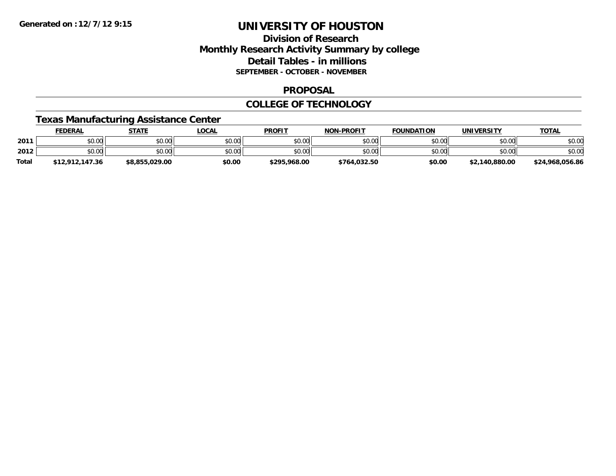## **Division of Research Monthly Research Activity Summary by college Detail Tables - in millions SEPTEMBER - OCTOBER - NOVEMBER**

### **PROPOSAL**

### **COLLEGE OF TECHNOLOGY**

## **Texas Manufacturing Assistance Center**

|              | FEDERAL         | <b>STATE</b>   | LOCAL  | <b>PROFIT</b> | <b>NON-PROFIT</b> | <b>FOUNDATION</b> | <b>UNIVERSITY</b> | <b>TOTAL</b>    |
|--------------|-----------------|----------------|--------|---------------|-------------------|-------------------|-------------------|-----------------|
| 2011         | \$0.00          | \$0.00         | \$0.00 | \$0.00        | \$0.00            | \$0.00            | \$0.00            | \$0.00          |
| 2012         | \$0.00          | \$0.00         | \$0.00 | \$0.00        | \$0.00            | \$0.00            | \$0.00            | \$0.00          |
| <b>Total</b> | \$12,912,147.36 | \$8,855,029.00 | \$0.00 | \$295,968.00  | \$764,032.50      | \$0.00            | \$2,140,880.00    | \$24,968,056.86 |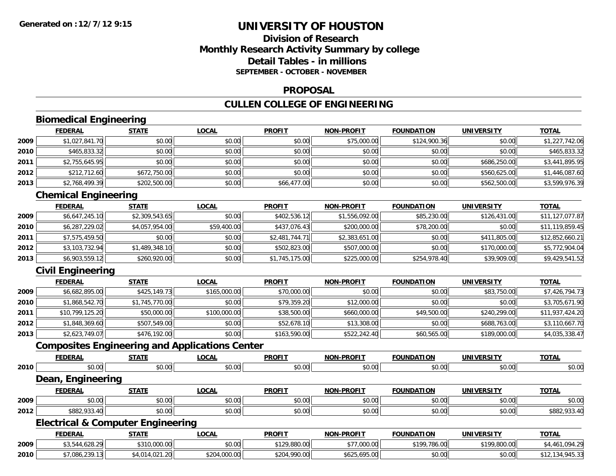## **Division of ResearchMonthly Research Activity Summary by college Detail Tables - in millionsSEPTEMBER - OCTOBER - NOVEMBER**

### **PROPOSAL**

# **CULLEN COLLEGE OF ENGINEERING**

# **Biomedical Engineering**

|      | <b>FEDERAL</b> | <b>STATE</b> | <u>LOCAL</u> | <b>PROFIT</b> | <b>NON-PROFIT</b> | <b>FOUNDATION</b> | <b>UNIVERSITY</b> | <b>TOTAL</b>   |
|------|----------------|--------------|--------------|---------------|-------------------|-------------------|-------------------|----------------|
| 2009 | \$1,027,841.70 | \$0.00       | \$0.00       | \$0.00        | \$75,000.00       | \$124,900.36      | \$0.00            | \$1,227,742.06 |
| 2010 | \$465,833.32   | \$0.00       | \$0.00       | \$0.00        | \$0.00            | \$0.00            | \$0.00            | \$465,833.32   |
| 2011 | \$2,755,645.95 | \$0.00       | \$0.00       | \$0.00        | \$0.00            | \$0.00            | \$686,250.00      | \$3,441,895.95 |
| 2012 | \$212,712.60   | \$672,750.00 | \$0.00       | \$0.00        | \$0.00            | \$0.00            | \$560,625,00      | \$1,446,087.60 |
| 2013 | \$2,768,499.39 | \$202,500.00 | \$0.00       | \$66,477.00   | \$0.00            | \$0.00            | \$562,500.00      | \$3,599,976.39 |

# **Chemical Engineering**

|      | <b>FEDERAL</b> | <b>STATE</b>   | <b>LOCAL</b> | <b>PROFIT</b>  | <b>NON-PROFIT</b> | <b>FOUNDATION</b> | <b>UNIVERSITY</b> | <b>TOTAL</b>    |
|------|----------------|----------------|--------------|----------------|-------------------|-------------------|-------------------|-----------------|
| 2009 | \$6,647,245.10 | \$2,309,543.65 | \$0.00       | \$402,536.12   | \$1,556,092.00    | \$85,230.00       | \$126,431.00      | \$11,127,077.87 |
| 2010 | \$6,287,229.02 | \$4,057,954.00 | \$59,400.00  | \$437,076.43   | \$200,000.00      | \$78,200.00       | \$0.00            | \$11,119,859.45 |
| 2011 | \$7,575,459.50 | \$0.00         | \$0.00       | \$2,481,744.71 | \$2,383,651.00    | \$0.00            | \$411,805.00      | \$12,852,660.21 |
| 2012 | \$3,103,732.94 | \$1,489,348.10 | \$0.00       | \$502,823.00   | \$507,000.00      | \$0.00            | \$170,000.00      | \$5,772,904.04  |
| 2013 | \$6,903,559.12 | \$260,920.00   | \$0.00       | \$1,745,175.00 | \$225,000.00      | \$254,978.40      | \$39,909.00       | \$9,429,541.52  |

## **Civil Engineering**

**2010**

|      | <b>FEDERAL</b>  | <u>STATE</u>   | <u>LOCAL</u> | <b>PROFIT</b> | <b>NON-PROFIT</b> | <b>FOUNDATION</b> | <b>UNIVERSITY</b> | <b>TOTAL</b>    |
|------|-----------------|----------------|--------------|---------------|-------------------|-------------------|-------------------|-----------------|
| 2009 | \$6,682,895.00  | \$425,149.73   | \$165,000.00 | \$70,000.00   | \$0.00            | \$0.00            | \$83,750.00       | \$7,426,794.73  |
| 2010 | \$1,868,542.70  | \$1,745,770.00 | \$0.00       | \$79,359.20   | \$12,000.00       | \$0.00            | \$0.00            | \$3,705,671.90  |
| 2011 | \$10,799,125.20 | \$50,000.00    | \$100,000.00 | \$38,500.00   | \$660,000.00      | \$49,500.00       | \$240,299.00      | \$11,937,424.20 |
| 2012 | \$1,848,369.60  | \$507,549.00   | \$0.00       | \$52,678.10   | \$13,308.00       | \$0.00            | \$688,763,00      | \$3,110,667.70  |
| 2013 | \$2,623,749.07  | \$476,192.00   | \$0.00       | \$163,590.00  | \$522,242.40      | \$60,565.00       | \$189,000.00      | \$4,035,338.47  |

## **Composites Engineering and Applications Center**

|      | <b>FEDERAL</b>                               | <b>STATE</b> | <b>LOCAL</b> | <b>PROFIT</b> | <b>NON-PROFIT</b> | <b>FOUNDATION</b> | <b>UNIVERSITY</b> | <b>TOTAL</b>   |
|------|----------------------------------------------|--------------|--------------|---------------|-------------------|-------------------|-------------------|----------------|
| 2010 | \$0.00                                       | \$0.00       | \$0.00       | \$0.00        | \$0.00            | \$0.00            | \$0.00            | \$0.00         |
|      | Dean, Engineering                            |              |              |               |                   |                   |                   |                |
|      | <b>FEDERAL</b>                               | <b>STATE</b> | <b>LOCAL</b> | <b>PROFIT</b> | <b>NON-PROFIT</b> | <b>FOUNDATION</b> | <b>UNIVERSITY</b> | <b>TOTAL</b>   |
| 2009 | \$0.00                                       | \$0.00       | \$0.00       | \$0.00        | \$0.00            | \$0.00            | \$0.00            | \$0.00         |
| 2012 | \$882,933.40                                 | \$0.00       | \$0.00       | \$0.00        | \$0.00            | \$0.00            | \$0.00            | \$882,933.40   |
|      | <b>Electrical &amp; Computer Engineering</b> |              |              |               |                   |                   |                   |                |
|      | <b>FEDERAL</b>                               | <b>STATE</b> | <b>LOCAL</b> | <b>PROFIT</b> | <b>NON-PROFIT</b> | <b>FOUNDATION</b> | <b>UNIVERSITY</b> | <b>TOTAL</b>   |
| 2009 | \$3,544,628.29                               | \$310,000.00 | \$0.00       | \$129,880.00  | \$77,000.00       | \$199,786.00      | \$199,800.00      | \$4,461,094.29 |

0 | \$7,086,239.13|| \$4,014,021.20| \$204,000.00|| \$204,090.00|| \$625,695.00|| \$0.00|| \$0.00|| \$12,134,945.33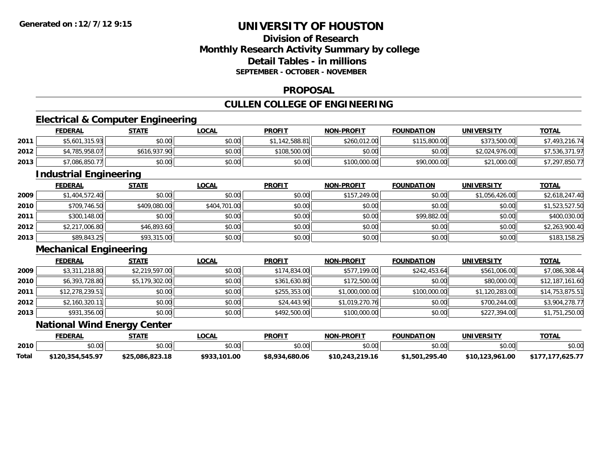## **Division of ResearchMonthly Research Activity Summary by college Detail Tables - in millionsSEPTEMBER - OCTOBER - NOVEMBER**

#### **PROPOSAL**

# **CULLEN COLLEGE OF ENGINEERING**

<u> 1989 - Johann Stoff, deutscher Stoff, der Stoff, der Stoff, der Stoff, der Stoff, der Stoff, der Stoff, der S</u>

# **Electrical & Computer Engineering**

|      | <b>FEDERAL</b>            | <b>STATE</b> | <b>LOCAL</b> | <b>PROFIT</b> | <b>NON-PROFIT</b> | <b>FOUNDATION</b> | <b>UNIVERSITY</b> | <b>TOTAL</b>   |
|------|---------------------------|--------------|--------------|---------------|-------------------|-------------------|-------------------|----------------|
| 2011 | \$5,601,315.93            | \$0.00       | \$0.00       | .142.588.81   | \$260,012,00      | \$115,800.00      | \$373,500.00      | 7,493,216.74   |
| 2012 | <sup>*</sup> 4,785,958.07 | \$616,937.90 | \$0.00       | \$108,500.00  | \$0.00            | \$0.00            | \$2,024,976.00    | \$7,536,371.97 |
| 2013 | \$7,086,850.77            | \$0.00       | \$0.00       | \$0.00        | \$100,000.00      | \$90,000.00       | \$21,000.00       | 7,297,850.77∡  |

<u> 1989 - Johann Stoff, deutscher Stoffen und der Stoffen und der Stoffen und der Stoffen und der Stoffen und der</u>

## **Industrial Engineering**

|      | <b>FEDERAL</b> | <u>STATE</u> | <u>LOCAL</u> | <b>PROFIT</b> | <b>NON-PROFIT</b> | <b>FOUNDATION</b> | <b>UNIVERSITY</b> | <b>TOTAL</b>   |
|------|----------------|--------------|--------------|---------------|-------------------|-------------------|-------------------|----------------|
| 2009 | \$1,404,572.40 | \$0.00       | \$0.00       | \$0.00        | \$157,249.00      | \$0.00            | \$1,056,426.00    | \$2,618,247.40 |
| 2010 | \$709,746.50   | \$409,080.00 | \$404,701.00 | \$0.00        | \$0.00            | \$0.00            | \$0.00            | \$1,523,527.50 |
| 2011 | \$300,148.00   | \$0.00       | \$0.00       | \$0.00        | \$0.00            | \$99,882.00       | \$0.00            | \$400,030.00   |
| 2012 | \$2,217,006.80 | \$46,893.60  | \$0.00       | \$0.00        | \$0.00            | \$0.00            | \$0.00            | \$2,263,900.40 |
| 2013 | \$89,843.25    | \$93,315.00  | \$0.00       | \$0.00        | \$0.00            | \$0.00            | \$0.00            | \$183,158.25   |

### **Mechanical Engineering**

|      | <b>FEDERAL</b>  | <u>STATE</u>   | <b>LOCAL</b> | <b>PROFIT</b> | <b>NON-PROFIT</b> | <b>FOUNDATION</b> | <b>UNIVERSITY</b> | <b>TOTAL</b>    |
|------|-----------------|----------------|--------------|---------------|-------------------|-------------------|-------------------|-----------------|
| 2009 | \$3,311,218.80  | \$2,219,597.00 | \$0.00       | \$174,834.00  | \$577,199.00      | \$242,453.64      | \$561,006.00      | \$7,086,308.44  |
| 2010 | \$6,393,728.80  | \$5,179,302.00 | \$0.00       | \$361,630.80  | \$172,500.00      | \$0.00            | \$80,000.00       | \$12,187,161.60 |
| 2011 | \$12,278,239.51 | \$0.00         | \$0.00       | \$255,353.00  | \$1,000,000.00    | \$100,000.00      | \$1,120,283.00    | \$14,753,875.51 |
| 2012 | \$2,160,320.11  | \$0.00         | \$0.00       | \$24,443.90   | \$1,019,270.76    | \$0.00            | \$700,244.00      | \$3,904,278.77  |
| 2013 | \$931,356.00    | \$0.00         | \$0.00       | \$492,500.00  | \$100,000.00      | \$0.00            | \$227,394.00      | \$1,751,250.00  |

### **National Wind Energy Center**

|       | <b>FEDERAL</b>   | STATE           | _OCAL        | <b>PROFIT</b>  | <b>NON-PROFIT</b> | <b>FOUNDATION</b> | UNIVERSITY      | <b>TOTAL</b>      |
|-------|------------------|-----------------|--------------|----------------|-------------------|-------------------|-----------------|-------------------|
| 2010  | ሰሰ ሰሰ<br>pv.uu   | \$0.00          | vv.vv        | \$0.00         | \$0.00            | \$0.00            | \$0.00          | \$0.00            |
| Total | \$120,354,545.97 | \$25.086.823.18 | \$933,101.00 | \$8.934.680.06 | \$10,243,219.16   | \$1,501,295.40    | \$10,123,961.00 | 0.625.77<br>\$177 |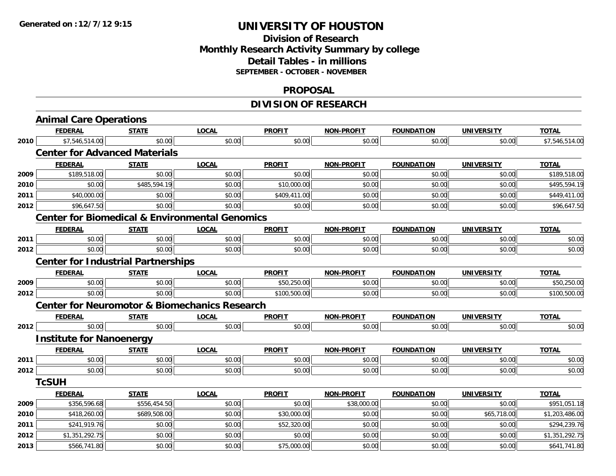# **Division of ResearchMonthly Research Activity Summary by college Detail Tables - in millions SEPTEMBER - OCTOBER - NOVEMBER**

#### **PROPOSAL**

# **DIVISION OF RESEARCH**

|      | <b>Animal Care Operations</b>                             |              |              |               |                   |                   |                   |                |
|------|-----------------------------------------------------------|--------------|--------------|---------------|-------------------|-------------------|-------------------|----------------|
|      | <b>FEDERAL</b>                                            | <b>STATE</b> | <b>LOCAL</b> | <b>PROFIT</b> | <b>NON-PROFIT</b> | <b>FOUNDATION</b> | <b>UNIVERSITY</b> | <b>TOTAL</b>   |
| 2010 | \$7,546,514.00                                            | \$0.00       | \$0.00       | \$0.00        | \$0.00            | \$0.00            | \$0.00            | \$7,546,514.00 |
|      | <b>Center for Advanced Materials</b>                      |              |              |               |                   |                   |                   |                |
|      | <b>FEDERAL</b>                                            | <b>STATE</b> | <b>LOCAL</b> | <b>PROFIT</b> | <b>NON-PROFIT</b> | <b>FOUNDATION</b> | <b>UNIVERSITY</b> | <b>TOTAL</b>   |
| 2009 | \$189,518.00                                              | \$0.00       | \$0.00       | \$0.00        | \$0.00            | \$0.00            | \$0.00            | \$189,518.00   |
| 2010 | \$0.00                                                    | \$485,594.19 | \$0.00       | \$10,000.00   | \$0.00            | \$0.00            | \$0.00            | \$495,594.19   |
| 2011 | \$40,000.00                                               | \$0.00       | \$0.00       | \$409,411.00  | \$0.00            | \$0.00            | \$0.00            | \$449,411.00   |
| 2012 | \$96,647.50                                               | \$0.00       | \$0.00       | \$0.00        | \$0.00            | \$0.00            | \$0.00            | \$96,647.50    |
|      | <b>Center for Biomedical &amp; Environmental Genomics</b> |              |              |               |                   |                   |                   |                |
|      | <b>FEDERAL</b>                                            | <b>STATE</b> | <b>LOCAL</b> | <b>PROFIT</b> | <b>NON-PROFIT</b> | <b>FOUNDATION</b> | <b>UNIVERSITY</b> | <b>TOTAL</b>   |
| 2011 | \$0.00                                                    | \$0.00       | \$0.00       | \$0.00        | \$0.00            | \$0.00            | \$0.00            | \$0.00         |
| 2012 | \$0.00                                                    | \$0.00       | \$0.00       | \$0.00        | \$0.00            | \$0.00            | \$0.00            | \$0.00         |
|      | <b>Center for Industrial Partnerships</b>                 |              |              |               |                   |                   |                   |                |
|      | <b>FEDERAL</b>                                            | <b>STATE</b> | <b>LOCAL</b> | <b>PROFIT</b> | <b>NON-PROFIT</b> | <b>FOUNDATION</b> | <b>UNIVERSITY</b> | <b>TOTAL</b>   |
| 2009 | \$0.00                                                    | \$0.00       | \$0.00       | \$50,250.00   | \$0.00            | \$0.00            | \$0.00            | \$50,250.00    |
| 2012 | \$0.00                                                    | \$0.00       | \$0.00       | \$100,500.00  | \$0.00            | \$0.00            | \$0.00            | \$100,500.00   |
|      | <b>Center for Neuromotor &amp; Biomechanics Research</b>  |              |              |               |                   |                   |                   |                |
|      | <b>FEDERAL</b>                                            | <b>STATE</b> | <b>LOCAL</b> | <b>PROFIT</b> | <b>NON-PROFIT</b> | <b>FOUNDATION</b> | <b>UNIVERSITY</b> | <b>TOTAL</b>   |
| 2012 | \$0.00                                                    | \$0.00       | \$0.00       | \$0.00        | \$0.00            | \$0.00            | \$0.00            | \$0.00         |
|      | <b>Institute for Nanoenergy</b>                           |              |              |               |                   |                   |                   |                |
|      | <b>FEDERAL</b>                                            | <b>STATE</b> | <b>LOCAL</b> | <b>PROFIT</b> | <b>NON-PROFIT</b> | <b>FOUNDATION</b> | <b>UNIVERSITY</b> | <b>TOTAL</b>   |
| 2011 | \$0.00                                                    | \$0.00       | \$0.00       | \$0.00        | \$0.00            | \$0.00            | \$0.00            | \$0.00         |
| 2012 | \$0.00                                                    | \$0.00       | \$0.00       | \$0.00        | \$0.00            | \$0.00            | \$0.00            | \$0.00         |
|      | <b>TcSUH</b>                                              |              |              |               |                   |                   |                   |                |
|      | <b>FEDERAL</b>                                            | <b>STATE</b> | <b>LOCAL</b> | <b>PROFIT</b> | <b>NON-PROFIT</b> | <b>FOUNDATION</b> | <b>UNIVERSITY</b> | <b>TOTAL</b>   |
| 2009 | \$356,596.68                                              | \$556,454.50 | \$0.00       | \$0.00        | \$38,000.00       | \$0.00            | \$0.00            | \$951,051.18   |
| 2010 | \$418,260.00                                              | \$689,508.00 | \$0.00       | \$30,000.00   | \$0.00            | \$0.00            | \$65,718.00       | \$1,203,486.00 |
| 2011 | \$241,919.76                                              | \$0.00       | \$0.00       | \$52,320.00   | \$0.00            | \$0.00            | \$0.00            | \$294,239.76   |
| 2012 | \$1,351,292.75                                            | \$0.00       | \$0.00       | \$0.00        | \$0.00            | \$0.00            | \$0.00            | \$1,351,292.75 |
| 2013 | \$566,741.80                                              | \$0.00       | \$0.00       | \$75,000.00   | \$0.00            | \$0.00            | \$0.00            | \$641,741.80   |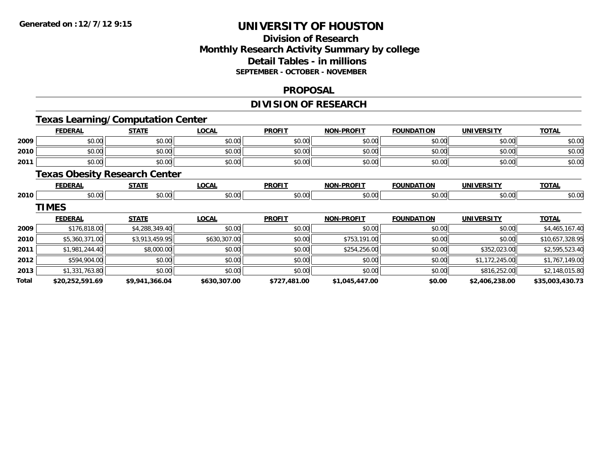## **Division of Research Monthly Research Activity Summary by college Detail Tables - in millions SEPTEMBER - OCTOBER - NOVEMBER**

#### **PROPOSAL**

# **DIVISION OF RESEARCH**

# **Texas Learning/Computation Center**

|       | <b>FEDERAL</b>  | <b>STATE</b>                         | <b>LOCAL</b> | <b>PROFIT</b> | <b>NON-PROFIT</b> | <b>FOUNDATION</b> | <b>UNIVERSITY</b> | <b>TOTAL</b>    |
|-------|-----------------|--------------------------------------|--------------|---------------|-------------------|-------------------|-------------------|-----------------|
| 2009  | \$0.00          | \$0.00                               | \$0.00       | \$0.00        | \$0.00            | \$0.00            | \$0.00            | \$0.00          |
| 2010  | \$0.00          | \$0.00                               | \$0.00       | \$0.00        | \$0.00            | \$0.00            | \$0.00            | \$0.00          |
| 2011  | \$0.00          | \$0.00                               | \$0.00       | \$0.00        | \$0.00            | \$0.00            | \$0.00            | \$0.00          |
|       |                 | <b>Texas Obesity Research Center</b> |              |               |                   |                   |                   |                 |
|       | <b>FEDERAL</b>  | <b>STATE</b>                         | <b>LOCAL</b> | <b>PROFIT</b> | <b>NON-PROFIT</b> | <b>FOUNDATION</b> | <b>UNIVERSITY</b> | <b>TOTAL</b>    |
| 2010  | \$0.00          | \$0.00                               | \$0.00       | \$0.00        | \$0.00            | \$0.00            | \$0.00            | \$0.00          |
|       | <b>TIMES</b>    |                                      |              |               |                   |                   |                   |                 |
|       | <b>FEDERAL</b>  | <b>STATE</b>                         | <b>LOCAL</b> | <b>PROFIT</b> | <b>NON-PROFIT</b> | <b>FOUNDATION</b> | <b>UNIVERSITY</b> | <b>TOTAL</b>    |
| 2009  | \$176,818.00    | \$4,288,349.40                       | \$0.00       | \$0.00        | \$0.00            | \$0.00            | \$0.00            | \$4,465,167.40  |
| 2010  | \$5,360,371.00  | \$3,913,459.95                       | \$630,307.00 | \$0.00        | \$753,191.00      | \$0.00            | \$0.00            | \$10,657,328.95 |
| 2011  | \$1,981,244.40  | \$8,000.00                           | \$0.00       | \$0.00        | \$254,256.00      | \$0.00            | \$352,023.00      | \$2,595,523.40  |
| 2012  | \$594,904.00    | \$0.00                               | \$0.00       | \$0.00        | \$0.00            | \$0.00            | \$1,172,245.00    | \$1,767,149.00  |
| 2013  | \$1,331,763.80  | \$0.00                               | \$0.00       | \$0.00        | \$0.00            | \$0.00            | \$816,252.00      | \$2,148,015.80  |
| Total | \$20,252,591.69 | \$9,941,366.04                       | \$630,307.00 | \$727,481.00  | \$1,045,447.00    | \$0.00            | \$2,406,238.00    | \$35,003,430.73 |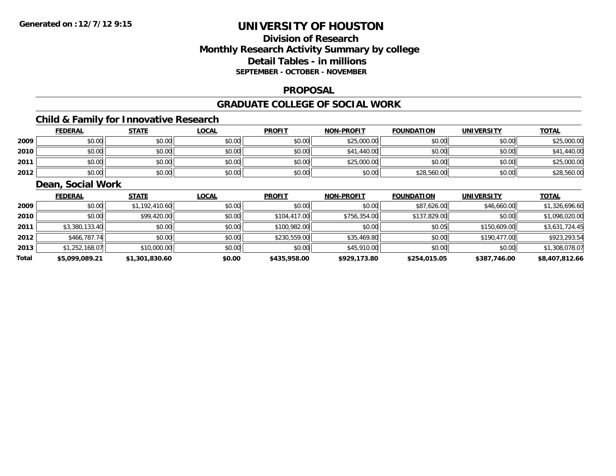# **Division of ResearchMonthly Research Activity Summary by college Detail Tables - in millions SEPTEMBER - OCTOBER - NOVEMBER**

#### **PROPOSAL**

#### **GRADUATE COLLEGE OF SOCIAL WORK**

# **Child & Family for Innovative Research**

|      | <b>FEDERAL</b> | <b>STATE</b> | <u>LOCAL</u> | <b>PROFIT</b> | <b>NON-PROFIT</b> | <b>FOUNDATION</b> | <b>UNIVERSITY</b> | <b>TOTAL</b> |
|------|----------------|--------------|--------------|---------------|-------------------|-------------------|-------------------|--------------|
| 2009 | \$0.00         | \$0.00       | \$0.00       | \$0.00        | \$25,000.00       | \$0.00            | \$0.00            | \$25,000.00  |
| 2010 | \$0.00         | \$0.00       | \$0.00       | \$0.00        | \$41,440.00       | \$0.00            | \$0.00            | \$41,440.00  |
| 2011 | \$0.00         | \$0.00       | \$0.00       | \$0.00        | \$25,000.00       | \$0.00            | \$0.00            | \$25,000.00  |
| 2012 | \$0.00         | \$0.00       | \$0.00       | \$0.00        | \$0.00            | \$28,560.00       | \$0.00            | \$28,560.00  |

## **Dean, Social Work**

|       | <b>FEDERAL</b> | <b>STATE</b>   | <b>LOCAL</b> | <b>PROFIT</b> | <b>NON-PROFIT</b> | <b>FOUNDATION</b> | <b>UNIVERSITY</b> | <u>TOTAL</u>   |
|-------|----------------|----------------|--------------|---------------|-------------------|-------------------|-------------------|----------------|
| 2009  | \$0.00         | \$1,192,410.60 | \$0.00       | \$0.00        | \$0.00            | \$87,626.00       | \$46,660.00       | \$1,326,696.60 |
| 2010  | \$0.00         | \$99,420.00    | \$0.00       | \$104,417.00  | \$756,354,00      | \$137,829.00      | \$0.00            | \$1,098,020.00 |
| 2011  | \$3,380,133.40 | \$0.00         | \$0.00       | \$100,982.00  | \$0.00            | \$0.05            | \$150,609.00      | \$3,631,724.45 |
| 2012  | \$466,787.74   | \$0.00         | \$0.00       | \$230,559.00  | \$35,469.80       | \$0.00            | \$190,477.00      | \$923,293.54   |
| 2013  | \$1,252,168.07 | \$10,000.00    | \$0.00       | \$0.00        | \$45,910.00       | \$0.00            | \$0.00            | \$1,308,078.07 |
| Total | \$5,099,089.21 | \$1,301,830.60 | \$0.00       | \$435,958.00  | \$929,173.80      | \$254,015.05      | \$387,746.00      | \$8,407,812.66 |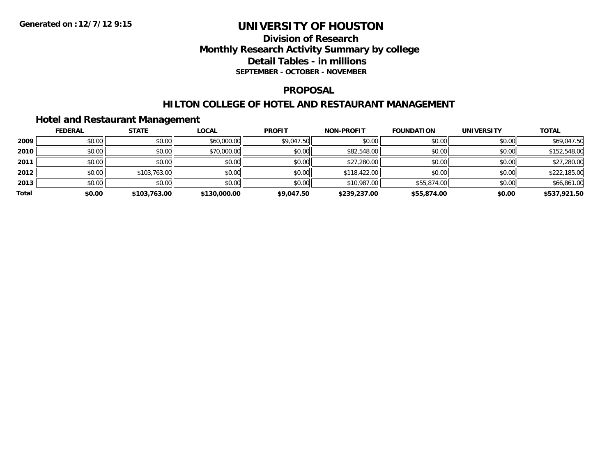## **Division of Research Monthly Research Activity Summary by college Detail Tables - in millions SEPTEMBER - OCTOBER - NOVEMBER**

#### **PROPOSAL**

### **HILTON COLLEGE OF HOTEL AND RESTAURANT MANAGEMENT**

## **Hotel and Restaurant Management**

|       | <b>FEDERAL</b> | <b>STATE</b> | <b>LOCAL</b> | <b>PROFIT</b> | <b>NON-PROFIT</b> | <b>FOUNDATION</b> | <b>UNIVERSITY</b> | <b>TOTAL</b> |
|-------|----------------|--------------|--------------|---------------|-------------------|-------------------|-------------------|--------------|
| 2009  | \$0.00         | \$0.00       | \$60,000.00  | \$9,047.50    | \$0.00            | \$0.00            | \$0.00            | \$69,047.50  |
| 2010  | \$0.00         | \$0.00       | \$70,000.00  | \$0.00        | \$82,548.00       | \$0.00            | \$0.00            | \$152,548.00 |
| 2011  | \$0.00         | \$0.00       | \$0.00       | \$0.00        | \$27,280.00       | \$0.00            | \$0.00            | \$27,280.00  |
| 2012  | \$0.00         | \$103,763.00 | \$0.00       | \$0.00        | \$118,422.00      | \$0.00            | \$0.00            | \$222,185.00 |
| 2013  | \$0.00         | \$0.00       | \$0.00       | \$0.00        | \$10,987.00       | \$55,874.00       | \$0.00            | \$66,861.00  |
| Total | \$0.00         | \$103,763.00 | \$130,000.00 | \$9,047.50    | \$239,237.00      | \$55,874.00       | \$0.00            | \$537,921.50 |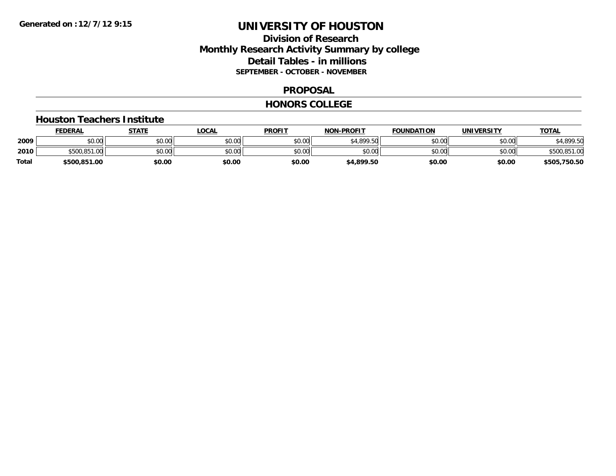## **Division of Research Monthly Research Activity Summary by college Detail Tables - in millions SEPTEMBER - OCTOBER - NOVEMBER**

#### **PROPOSAL**

#### **HONORS COLLEGE**

#### **Houston Teachers Institute**

|       | <b>FEDERAL</b> | STATE  | LOCAL  | <b>PROFIT</b> | <b>NON-PROFIT</b> | <b>FOUNDATION</b> | <b>UNIVERSITY</b> | <u>TOTAL</u> |
|-------|----------------|--------|--------|---------------|-------------------|-------------------|-------------------|--------------|
| 2009  | ሶስ ሰስ<br>PU.UU | \$0.00 | \$0.00 | \$0.00        | \$4.899.50        | \$0.00            | \$0.00            | \$4,899.50   |
| 2010  | \$500,851,00   | \$0.00 | \$0.00 | \$0.00        | \$0.00            | \$0.00            | \$0.00            | \$500,851.00 |
| Total | \$500,851.00   | \$0.00 | \$0.00 | \$0.00        | \$4,899.50        | \$0.00            | \$0.00            | \$505,750.50 |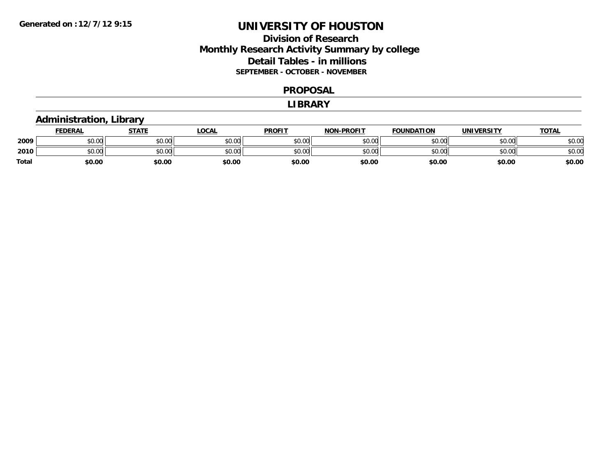## **Division of Research Monthly Research Activity Summary by college Detail Tables - in millions SEPTEMBER - OCTOBER - NOVEMBER**

#### **PROPOSAL**

#### **LIBRARY**

## **Administration, Library**

|       | <b>FEDERAL</b>        | <b>STATE</b>                                   | LOCAL  | <b>PROFIT</b> | <b>NON-PROFIT</b> | <b>FOUNDATION</b> | UNIVERSITY | <u> ΤΟΤΑL</u> |
|-------|-----------------------|------------------------------------------------|--------|---------------|-------------------|-------------------|------------|---------------|
| 2009  | <b>CO ON</b><br>90.UU | $\mathfrak{c} \cap \mathfrak{c} \cap$<br>JU.UU | \$0.00 | \$0.00        | \$0.00            | \$0.00            | \$0.00     | \$0.00        |
| 2010  | \$0.00                | $\mathfrak{c} \cap \mathfrak{c} \cap$<br>JU.UU | \$0.00 | \$0.00        | \$0.00            | \$0.00            | \$0.00     | \$0.00        |
| Total | \$0.00                | \$0.00                                         | \$0.00 | \$0.00        | \$0.00            | \$0.00            | \$0.00     | \$0.00        |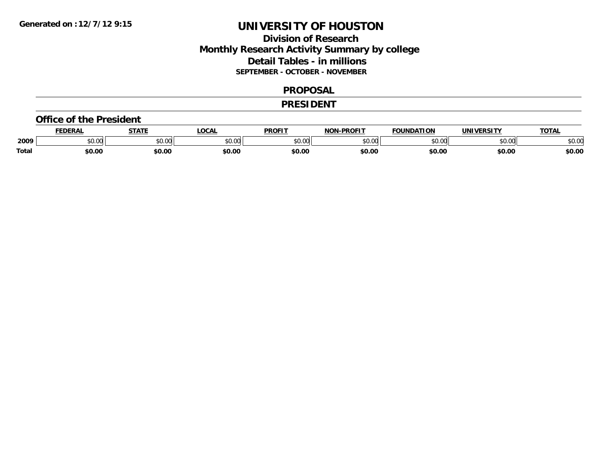## **Division of Research Monthly Research Activity Summary by college Detail Tables - in millions SEPTEMBER - OCTOBER - NOVEMBER**

#### **PROPOSAL**

#### **PRESIDENT**

#### **Office of the President**

|              | <b>FEDERAL</b> | <b>STATE</b>                                      | <b>OCAL</b> | <b>PROFIT</b> | -PROFIT<br><b>תרות</b> | <b>FOUNDATION</b> | UNIVERSITY | <b>TOTAL</b> |
|--------------|----------------|---------------------------------------------------|-------------|---------------|------------------------|-------------------|------------|--------------|
| 2009         | 0000<br>PU.UU  | $\mathsf{A}\cap\mathsf{A}\cap\mathsf{A}$<br>vu.vu | \$0.00      | 0000<br>JU.UU | \$0.00                 | ደበ በበ             | \$0.00     | \$0.00       |
| <b>Total</b> | \$0.00         | \$0.00                                            | \$0.00      | \$0.00        | \$0.00                 | \$0.00            | \$0.00     | \$0.00       |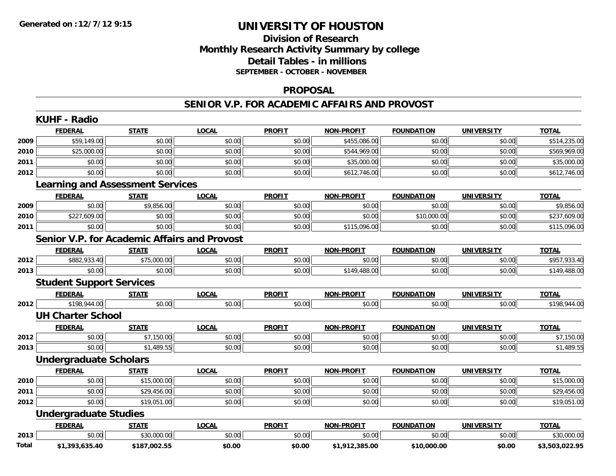# **Division of ResearchMonthly Research Activity Summary by college Detail Tables - in millions SEPTEMBER - OCTOBER - NOVEMBER**

#### **PROPOSAL**

#### **SENIOR V.P. FOR ACADEMIC AFFAIRS AND PROVOST**

|       | <b>KUHF - Radio</b>             |                                                     |              |               |                   |                   |                   |                |
|-------|---------------------------------|-----------------------------------------------------|--------------|---------------|-------------------|-------------------|-------------------|----------------|
|       | <b>FEDERAL</b>                  | <b>STATE</b>                                        | <b>LOCAL</b> | <b>PROFIT</b> | <b>NON-PROFIT</b> | <b>FOUNDATION</b> | <b>UNIVERSITY</b> | <b>TOTAL</b>   |
| 2009  | \$59,149.00                     | \$0.00                                              | \$0.00       | \$0.00        | \$455,086.00      | \$0.00            | \$0.00            | \$514,235.00   |
| 2010  | \$25,000.00                     | \$0.00                                              | \$0.00       | \$0.00        | \$544,969.00      | \$0.00            | \$0.00            | \$569,969.00   |
| 2011  | \$0.00                          | \$0.00                                              | \$0.00       | \$0.00        | \$35,000.00       | \$0.00            | \$0.00            | \$35,000.00    |
| 2012  | \$0.00                          | \$0.00                                              | \$0.00       | \$0.00        | \$612,746.00      | \$0.00            | \$0.00            | \$612,746.00   |
|       |                                 | <b>Learning and Assessment Services</b>             |              |               |                   |                   |                   |                |
|       | <b>FEDERAL</b>                  | <b>STATE</b>                                        | <b>LOCAL</b> | <b>PROFIT</b> | <b>NON-PROFIT</b> | <b>FOUNDATION</b> | <b>UNIVERSITY</b> | <b>TOTAL</b>   |
| 2009  | \$0.00                          | \$9,856.00                                          | \$0.00       | \$0.00        | \$0.00            | \$0.00            | \$0.00            | \$9,856.00     |
| 2010  | \$227,609.00                    | \$0.00                                              | \$0.00       | \$0.00        | \$0.00            | \$10,000.00       | \$0.00            | \$237,609.00   |
| 2011  | \$0.00                          | \$0.00                                              | \$0.00       | \$0.00        | \$115,096.00      | \$0.00            | \$0.00            | \$115,096.00   |
|       |                                 | <b>Senior V.P. for Academic Affairs and Provost</b> |              |               |                   |                   |                   |                |
|       | <b>FEDERAL</b>                  | <b>STATE</b>                                        | <b>LOCAL</b> | <b>PROFIT</b> | <b>NON-PROFIT</b> | <b>FOUNDATION</b> | <b>UNIVERSITY</b> | <b>TOTAL</b>   |
| 2012  | \$882,933.40                    | \$75,000.00                                         | \$0.00       | \$0.00        | \$0.00            | \$0.00            | \$0.00            | \$957,933.40   |
| 2013  | \$0.00                          | \$0.00                                              | \$0.00       | \$0.00        | \$149,488.00      | \$0.00            | \$0.00            | \$149,488.00   |
|       | <b>Student Support Services</b> |                                                     |              |               |                   |                   |                   |                |
|       | <b>FEDERAL</b>                  | <b>STATE</b>                                        | <b>LOCAL</b> | <b>PROFIT</b> | <b>NON-PROFIT</b> | <b>FOUNDATION</b> | <b>UNIVERSITY</b> | <b>TOTAL</b>   |
| 2012  | \$198,944.00                    | \$0.00                                              | \$0.00       | \$0.00        | \$0.00            | \$0.00            | \$0.00            | \$198,944.00   |
|       | <b>UH Charter School</b>        |                                                     |              |               |                   |                   |                   |                |
|       | <b>FEDERAL</b>                  | <b>STATE</b>                                        | <b>LOCAL</b> | <b>PROFIT</b> | <b>NON-PROFIT</b> | <b>FOUNDATION</b> | <b>UNIVERSITY</b> | <b>TOTAL</b>   |
| 2012  | \$0.00                          | \$7,150.00                                          | \$0.00       | \$0.00        | \$0.00            | \$0.00            | \$0.00            | \$7,150.00     |
| 2013  | \$0.00                          | \$1,489.55                                          | \$0.00       | \$0.00        | \$0.00            | \$0.00            | \$0.00            | \$1,489.55     |
|       | <b>Undergraduate Scholars</b>   |                                                     |              |               |                   |                   |                   |                |
|       | <b>FEDERAL</b>                  | <b>STATE</b>                                        | <b>LOCAL</b> | <b>PROFIT</b> | <b>NON-PROFIT</b> | <b>FOUNDATION</b> | <b>UNIVERSITY</b> | <b>TOTAL</b>   |
| 2010  | \$0.00                          | \$15,000.00                                         | \$0.00       | \$0.00        | \$0.00            | \$0.00            | \$0.00            | \$15,000.00    |
| 2011  | \$0.00                          | \$29,456.00                                         | \$0.00       | \$0.00        | \$0.00            | \$0.00            | \$0.00            | \$29,456.00    |
| 2012  | \$0.00                          | \$19,051.00                                         | \$0.00       | \$0.00        | \$0.00            | \$0.00            | \$0.00            | \$19,051.00    |
|       | <b>Undergraduate Studies</b>    |                                                     |              |               |                   |                   |                   |                |
|       | <b>FEDERAL</b>                  | <b>STATE</b>                                        | <b>LOCAL</b> | <b>PROFIT</b> | <b>NON-PROFIT</b> | <b>FOUNDATION</b> | <b>UNIVERSITY</b> | <b>TOTAL</b>   |
| 2013  | \$0.00                          | \$30,000.00                                         | \$0.00       | \$0.00        | \$0.00            | \$0.00            | \$0.00            | \$30,000.00    |
| Total | \$1,393,635.40                  | \$187,002.55                                        | \$0.00       | \$0.00        | \$1,912,385.00    | \$10,000.00       | \$0.00            | \$3,503,022.95 |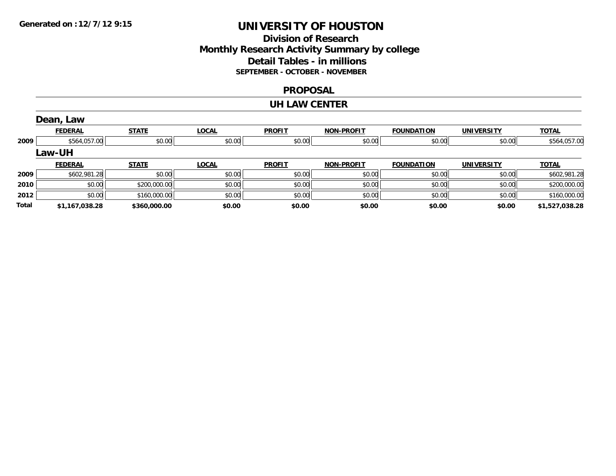## **Division of Research Monthly Research Activity Summary by college Detail Tables - in millions SEPTEMBER - OCTOBER - NOVEMBER**

#### **PROPOSAL**

#### **UH LAW CENTER**

|       | Dean, Law      |              |              |               |                   |                   |                   |                |
|-------|----------------|--------------|--------------|---------------|-------------------|-------------------|-------------------|----------------|
|       | <b>FEDERAL</b> | <b>STATE</b> | <b>LOCAL</b> | <b>PROFIT</b> | <b>NON-PROFIT</b> | <b>FOUNDATION</b> | <b>UNIVERSITY</b> | <b>TOTAL</b>   |
| 2009  | \$564,057.00   | \$0.00       | \$0.00       | \$0.00        | \$0.00            | \$0.00            | \$0.00            | \$564,057.00   |
|       | Law-UH         |              |              |               |                   |                   |                   |                |
|       | <b>FEDERAL</b> | <b>STATE</b> | <b>LOCAL</b> | <b>PROFIT</b> | <b>NON-PROFIT</b> | <b>FOUNDATION</b> | <b>UNIVERSITY</b> | <b>TOTAL</b>   |
| 2009  | \$602,981.28   | \$0.00       | \$0.00       | \$0.00        | \$0.00            | \$0.00            | \$0.00            | \$602,981.28   |
| 2010  | \$0.00         | \$200,000.00 | \$0.00       | \$0.00        | \$0.00            | \$0.00            | \$0.00            | \$200,000.00   |
| 2012  | \$0.00         | \$160,000.00 | \$0.00       | \$0.00        | \$0.00            | \$0.00            | \$0.00            | \$160,000.00   |
| Total | \$1,167,038.28 | \$360,000.00 | \$0.00       | \$0.00        | \$0.00            | \$0.00            | \$0.00            | \$1,527,038.28 |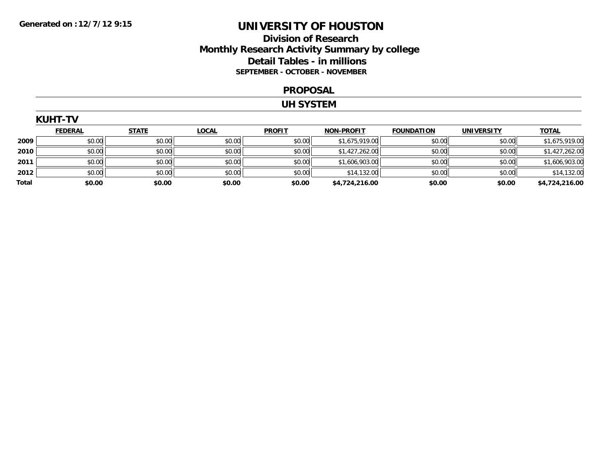## **Division of Research Monthly Research Activity Summary by college Detail Tables - in millions SEPTEMBER - OCTOBER - NOVEMBER**

#### **PROPOSAL**

#### **UH SYSTEM**

| <b>KUHT-TV</b> |                |              |              |               |                   |                   |                   |                |  |
|----------------|----------------|--------------|--------------|---------------|-------------------|-------------------|-------------------|----------------|--|
|                | <b>FEDERAL</b> | <b>STATE</b> | <b>LOCAL</b> | <b>PROFIT</b> | <b>NON-PROFIT</b> | <b>FOUNDATION</b> | <b>UNIVERSITY</b> | <b>TOTAL</b>   |  |
| 2009           | \$0.00         | \$0.00       | \$0.00       | \$0.00        | \$1,675,919.00    | \$0.00            | \$0.00            | \$1,675,919.00 |  |
| 2010           | \$0.00         | \$0.00       | \$0.00       | \$0.00        | \$1,427,262.00    | \$0.00            | \$0.00            | \$1,427,262.00 |  |
| 2011           | \$0.00         | \$0.00       | \$0.00       | \$0.00        | \$1,606,903.00    | \$0.00            | \$0.00            | \$1,606,903.00 |  |
| 2012           | \$0.00         | \$0.00       | \$0.00       | \$0.00        | \$14,132.00       | \$0.00            | \$0.00            | \$14,132.00    |  |
| Total          | \$0.00         | \$0.00       | \$0.00       | \$0.00        | \$4,724,216.00    | \$0.00            | \$0.00            | \$4,724,216.00 |  |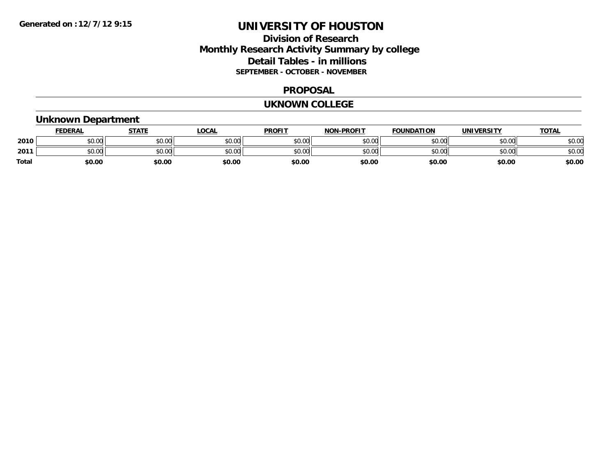## **Division of Research Monthly Research Activity Summary by college Detail Tables - in millions SEPTEMBER - OCTOBER - NOVEMBER**

#### **PROPOSAL**

#### **UKNOWN COLLEGE**

# **Unknown Department**

|       | <b>FEDERAL</b> | <b>STATE</b>                                   | LOCAL  | <b>PROFIT</b> | <b>NON-PROFIT</b> | <b>FOUNDATION</b> | UNIVERSITY | <u> ΤΟΤΑL</u> |
|-------|----------------|------------------------------------------------|--------|---------------|-------------------|-------------------|------------|---------------|
| 2010  | tu uu<br>90.UU | $\mathfrak{c} \cap \mathfrak{c} \cap$<br>JU.UU | \$0.00 | \$0.00        | \$0.00            | \$0.00            | \$0.00     | \$0.00        |
| 2011  | \$0.00         | 40.00<br>JU.UU                                 | \$0.00 | \$0.00        | \$0.00            | \$0.00            | \$0.00     | \$0.00        |
| Total | \$0.00         | \$0.00                                         | \$0.00 | \$0.00        | \$0.00            | \$0.00            | \$0.00     | \$0.00        |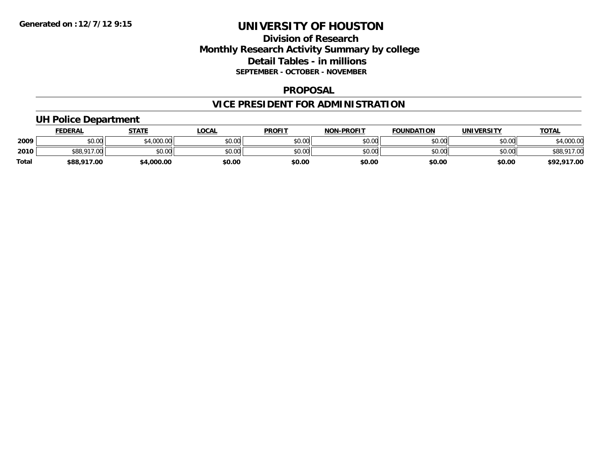## **Division of Research Monthly Research Activity Summary by college Detail Tables - in millions SEPTEMBER - OCTOBER - NOVEMBER**

### **PROPOSAL**

# **VICE PRESIDENT FOR ADMINISTRATION**

## **UH Police Department**

|              | <b>FEDERAL</b>                       | <b>STATE</b> | <b>OCAL</b> | <b>PROFIT</b> | <b>NON-PROFIT</b> | <b>FOUNDATION</b> | UNIVERSITY | <b>TOTAL</b> |
|--------------|--------------------------------------|--------------|-------------|---------------|-------------------|-------------------|------------|--------------|
| 2009         | 0000<br>JU.UU                        | 1000.00      | \$0.00      | \$0.00        | \$0.00            | \$0.00            | \$0.00     | \$4,000.00   |
| 2010         | $*$ 00 017 $\mu$ .<br>$\sim$<br>DOG. | \$0.00       | \$0.00      | \$0.00        | \$0.00            | \$0.00            | \$0.00     |              |
| <b>Total</b> | \$88,917.00                          | \$4,000.00   | \$0.00      | \$0.00        | \$0.00            | \$0.00            | \$0.00     | \$92,917.00  |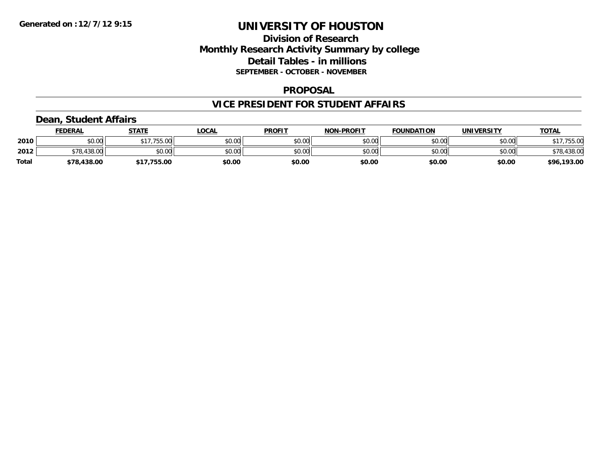## **Division of Research Monthly Research Activity Summary by college Detail Tables - in millions SEPTEMBER - OCTOBER - NOVEMBER**

### **PROPOSAL**

### **VICE PRESIDENT FOR STUDENT AFFAIRS**

## **Dean, Student Affairs**

|              | <b>FEDERAL</b> | <b>STATE</b> | <b>OCAL</b> | <b>PROFIT</b> | <b>NON-PROFIT</b> | <b>FOUNDATION</b> | UNIVERSITY | <b>TOTAL</b> |
|--------------|----------------|--------------|-------------|---------------|-------------------|-------------------|------------|--------------|
| 2010         | 0000<br>JU.UU  | \$17,755.00  | \$0.00      | \$0.00        | \$0.00            | \$0.00            | \$0.00     | ,755.00      |
| 2012         | $\cap$<br>70   | \$0.00       | \$0.00      | \$0.00        | \$0.00            | \$0.00            | \$0.00     | \$78,438.00  |
| <b>Total</b> | \$78,438.00    | .755.00      | \$0.00      | \$0.00        | \$0.00            | \$0.00            | \$0.00     | \$96,193.00  |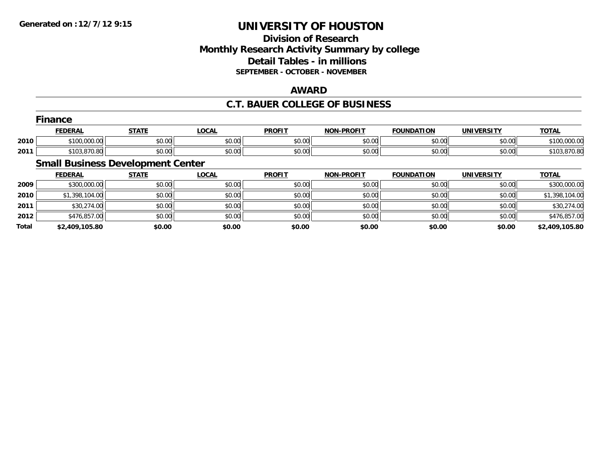## **Division of Research Monthly Research Activity Summary by college Detail Tables - in millions SEPTEMBER - OCTOBER - NOVEMBER**

## **AWARD**

## **C.T. BAUER COLLEGE OF BUSINESS**

|      | <b>Finance</b> |                                     |              |               |                   |                   |            |              |  |  |  |
|------|----------------|-------------------------------------|--------------|---------------|-------------------|-------------------|------------|--------------|--|--|--|
|      | <b>FEDERAL</b> | <u>STATE</u>                        | <b>LOCAL</b> | <b>PROFIT</b> | <b>NON-PROFIT</b> | <b>FOUNDATION</b> | UNIVERSITY | <b>TOTAL</b> |  |  |  |
| 2010 | \$100,000.00   | \$0.00                              | \$0.00       | \$0.00        | \$0.00            | \$0.00            | \$0.00     | \$100,000.00 |  |  |  |
| 2011 | \$103,870.80   | \$0.00                              | \$0.00       | \$0.00        | \$0.00            | \$0.00            | \$0.00     | \$103,870.80 |  |  |  |
|      |                | Conell Ductions Development Control |              |               |                   |                   |            |              |  |  |  |

#### **Small Business Development Center**

|              | <b>FEDERAL</b> | <u>STATE</u> | <u>LOCAL</u> | <b>PROFIT</b> | <b>NON-PROFIT</b> | <b>FOUNDATION</b> | <b>UNIVERSITY</b> | <b>TOTAL</b>   |
|--------------|----------------|--------------|--------------|---------------|-------------------|-------------------|-------------------|----------------|
| 2009         | \$300,000.00   | \$0.00       | \$0.00       | \$0.00        | \$0.00            | \$0.00            | \$0.00            | \$300,000.00   |
| 2010         | \$1,398,104.00 | \$0.00       | \$0.00       | \$0.00        | \$0.00            | \$0.00            | \$0.00            | \$1,398,104.00 |
| 2011         | \$30,274.00    | \$0.00       | \$0.00       | \$0.00        | \$0.00            | \$0.00            | \$0.00            | \$30,274.00    |
| 2012         | \$476,857.00   | \$0.00       | \$0.00       | \$0.00        | \$0.00            | \$0.00            | \$0.00            | \$476,857.00   |
| <b>Total</b> | \$2,409,105.80 | \$0.00       | \$0.00       | \$0.00        | \$0.00            | \$0.00            | \$0.00            | \$2,409,105.80 |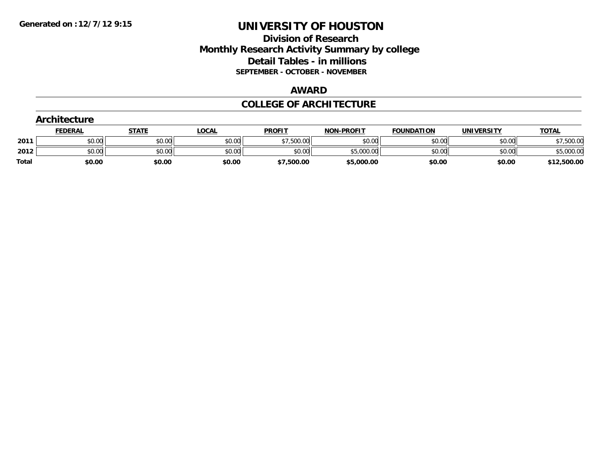## **Division of Research Monthly Research Activity Summary by college Detail Tables - in millions SEPTEMBER - OCTOBER - NOVEMBER**

#### **AWARD**

### **COLLEGE OF ARCHITECTURE**

|              | Architecture   |              |              |               |                   |                   |                   |              |
|--------------|----------------|--------------|--------------|---------------|-------------------|-------------------|-------------------|--------------|
|              | <b>FEDERAL</b> | <b>STATE</b> | <u>LOCAL</u> | <b>PROFIT</b> | <b>NON-PROFIT</b> | <b>FOUNDATION</b> | <b>UNIVERSITY</b> | <b>TOTAL</b> |
| 2011         | \$0.00         | \$0.00       | \$0.00       | \$7,500.00    | \$0.00            | \$0.00            | \$0.00            | \$7,500.00   |
| 2012         | \$0.00         | \$0.00       | \$0.00       | \$0.00        | \$5,000.00        | \$0.00            | \$0.00            | \$5,000.00   |
| <b>Total</b> | \$0.00         | \$0.00       | \$0.00       | \$7,500.00    | \$5,000.00        | \$0.00            | \$0.00            | \$12,500.00  |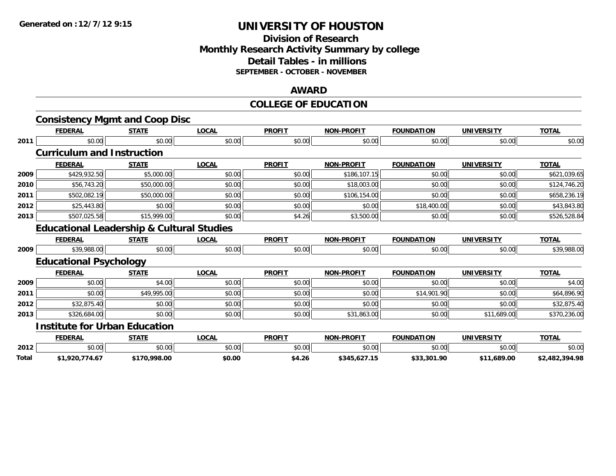# **Division of ResearchMonthly Research Activity Summary by college Detail Tables - in millions SEPTEMBER - OCTOBER - NOVEMBER**

### **AWARD**

# **COLLEGE OF EDUCATION**

|       | <b>Consistency Mgmt and Coop Disc</b>                |              |              |               |                   |                   |                   |                |
|-------|------------------------------------------------------|--------------|--------------|---------------|-------------------|-------------------|-------------------|----------------|
|       | <b>FEDERAL</b>                                       | <b>STATE</b> | <b>LOCAL</b> | <b>PROFIT</b> | <b>NON-PROFIT</b> | <b>FOUNDATION</b> | <b>UNIVERSITY</b> | <b>TOTAL</b>   |
| 2011  | \$0.00                                               | \$0.00       | \$0.00       | \$0.00        | \$0.00            | \$0.00            | \$0.00            | \$0.00         |
|       | <b>Curriculum and Instruction</b>                    |              |              |               |                   |                   |                   |                |
|       | <b>FEDERAL</b>                                       | <b>STATE</b> | <b>LOCAL</b> | <b>PROFIT</b> | <b>NON-PROFIT</b> | <b>FOUNDATION</b> | <b>UNIVERSITY</b> | <b>TOTAL</b>   |
| 2009  | \$429,932.50                                         | \$5,000.00   | \$0.00       | \$0.00        | \$186,107.15      | \$0.00            | \$0.00            | \$621,039.65   |
| 2010  | \$56,743.20                                          | \$50,000.00  | \$0.00       | \$0.00        | \$18,003.00       | \$0.00            | \$0.00            | \$124,746.20   |
| 2011  | \$502,082.19                                         | \$50,000.00  | \$0.00       | \$0.00        | \$106,154.00      | \$0.00            | \$0.00            | \$658,236.19   |
| 2012  | \$25,443.80                                          | \$0.00       | \$0.00       | \$0.00        | \$0.00            | \$18,400.00       | \$0.00            | \$43,843.80    |
| 2013  | \$507,025.58                                         | \$15,999.00  | \$0.00       | \$4.26        | \$3,500.00        | \$0.00            | \$0.00            | \$526,528.84   |
|       | <b>Educational Leadership &amp; Cultural Studies</b> |              |              |               |                   |                   |                   |                |
|       | <b>FEDERAL</b>                                       | <b>STATE</b> | <b>LOCAL</b> | <b>PROFIT</b> | <b>NON-PROFIT</b> | <b>FOUNDATION</b> | <b>UNIVERSITY</b> | <b>TOTAL</b>   |
| 2009  | \$39,988.00                                          | \$0.00       | \$0.00       | \$0.00        | \$0.00            | \$0.00            | \$0.00            | \$39,988.00    |
|       | <b>Educational Psychology</b>                        |              |              |               |                   |                   |                   |                |
|       | <b>FEDERAL</b>                                       | <b>STATE</b> | <b>LOCAL</b> | <b>PROFIT</b> | <b>NON-PROFIT</b> | <b>FOUNDATION</b> | <b>UNIVERSITY</b> | <b>TOTAL</b>   |
| 2009  | \$0.00                                               | \$4.00       | \$0.00       | \$0.00        | \$0.00            | \$0.00            | \$0.00            | \$4.00         |
| 2011  | \$0.00                                               | \$49,995.00  | \$0.00       | \$0.00        | \$0.00            | \$14,901.90       | \$0.00            | \$64,896.90    |
| 2012  | \$32,875.40                                          | \$0.00       | \$0.00       | \$0.00        | \$0.00            | \$0.00            | \$0.00            | \$32,875.40    |
| 2013  | \$326,684.00                                         | \$0.00       | \$0.00       | \$0.00        | \$31,863.00       | \$0.00            | \$11,689.00       | \$370,236.00   |
|       | <b>Institute for Urban Education</b>                 |              |              |               |                   |                   |                   |                |
|       | <b>FEDERAL</b>                                       | <b>STATE</b> | <b>LOCAL</b> | <b>PROFIT</b> | <b>NON-PROFIT</b> | <b>FOUNDATION</b> | <b>UNIVERSITY</b> | <b>TOTAL</b>   |
| 2012  | \$0.00                                               | \$0.00       | \$0.00       | \$0.00        | \$0.00            | \$0.00            | \$0.00            | \$0.00         |
| Total | \$1,920,774.67                                       | \$170,998.00 | \$0.00       | \$4.26        | \$345,627.15      | \$33,301.90       | \$11,689.00       | \$2,482,394.98 |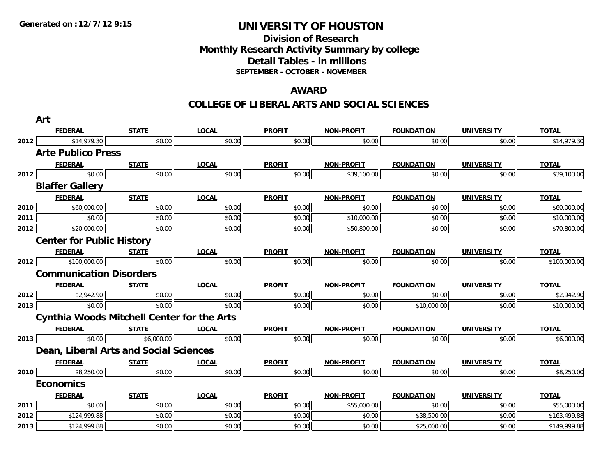# **Division of ResearchMonthly Research Activity Summary by college Detail Tables - in millions SEPTEMBER - OCTOBER - NOVEMBER**

### **AWARD**

|      | Art                                               |              |              |               |             |                   |                   |              |
|------|---------------------------------------------------|--------------|--------------|---------------|-------------|-------------------|-------------------|--------------|
|      | <b>FEDERAL</b>                                    | <b>STATE</b> | <b>LOCAL</b> | <b>PROFIT</b> | NON-PROFIT  | <b>FOUNDATION</b> | <b>UNIVERSITY</b> | <b>TOTAL</b> |
| 2012 | \$14,979.30                                       | \$0.00       | \$0.00       | \$0.00        | \$0.00      | \$0.00            | \$0.00            | \$14,979.30  |
|      | <b>Arte Publico Press</b>                         |              |              |               |             |                   |                   |              |
|      | <b>FEDERAL</b>                                    | <b>STATE</b> | <b>LOCAL</b> | <b>PROFIT</b> | NON-PROFIT  | <b>FOUNDATION</b> | <b>UNIVERSITY</b> | <b>TOTAL</b> |
| 2012 | \$0.00                                            | \$0.00       | \$0.00       | \$0.00        | \$39,100.00 | \$0.00            | \$0.00            | \$39,100.00  |
|      | <b>Blaffer Gallery</b>                            |              |              |               |             |                   |                   |              |
|      | <b>FEDERAL</b>                                    | <b>STATE</b> | <b>LOCAL</b> | <b>PROFIT</b> | NON-PROFIT  | <b>FOUNDATION</b> | <b>UNIVERSITY</b> | <b>TOTAL</b> |
| 2010 | \$60,000.00                                       | \$0.00       | \$0.00       | \$0.00        | \$0.00      | \$0.00            | \$0.00            | \$60,000.00  |
| 2011 | \$0.00                                            | \$0.00       | \$0.00       | \$0.00        | \$10,000.00 | \$0.00            | \$0.00            | \$10,000.00  |
| 2012 | \$20,000.00                                       | \$0.00       | \$0.00       | \$0.00        | \$50,800.00 | \$0.00            | \$0.00            | \$70,800.00  |
|      | <b>Center for Public History</b>                  |              |              |               |             |                   |                   |              |
|      | <b>FEDERAL</b>                                    | <b>STATE</b> | <b>LOCAL</b> | <b>PROFIT</b> | NON-PROFIT  | <b>FOUNDATION</b> | <b>UNIVERSITY</b> | <b>TOTAL</b> |
| 2012 | \$100,000.00                                      | \$0.00       | \$0.00       | \$0.00        | \$0.00      | \$0.00            | \$0.00            | \$100,000.00 |
|      | <b>Communication Disorders</b>                    |              |              |               |             |                   |                   |              |
|      | <b>FEDERAL</b>                                    | <b>STATE</b> | <b>LOCAL</b> | <b>PROFIT</b> | NON-PROFIT  | <b>FOUNDATION</b> | <b>UNIVERSITY</b> | <b>TOTAL</b> |
| 2012 | \$2,942.90                                        | \$0.00       | \$0.00       | \$0.00        | \$0.00      | \$0.00            | \$0.00            | \$2,942.90   |
| 2013 | \$0.00                                            | \$0.00       | \$0.00       | \$0.00        | \$0.00      | \$10,000.00       | \$0.00            | \$10,000.00  |
|      | <b>Cynthia Woods Mitchell Center for the Arts</b> |              |              |               |             |                   |                   |              |
|      | <b>FEDERAL</b>                                    | <b>STATE</b> | <b>LOCAL</b> | <b>PROFIT</b> | NON-PROFIT  | <b>FOUNDATION</b> | <b>UNIVERSITY</b> | <b>TOTAL</b> |
| 2013 | \$0.00                                            | \$6,000.00   | \$0.00       | \$0.00        | \$0.00      | \$0.00            | \$0.00            | \$6,000.00   |
|      | Dean, Liberal Arts and Social Sciences            |              |              |               |             |                   |                   |              |
|      | <b>FEDERAL</b>                                    | <b>STATE</b> | <b>LOCAL</b> | <b>PROFIT</b> | NON-PROFIT  | <b>FOUNDATION</b> | <b>UNIVERSITY</b> | <b>TOTAL</b> |
| 2010 | \$8,250.00                                        | \$0.00       | \$0.00       | \$0.00        | \$0.00      | \$0.00            | \$0.00            | \$8,250.00   |
|      | <b>Economics</b>                                  |              |              |               |             |                   |                   |              |
|      | <b>FEDERAL</b>                                    | <b>STATE</b> | <b>LOCAL</b> | <b>PROFIT</b> | NON-PROFIT  | <b>FOUNDATION</b> | <b>UNIVERSITY</b> | <b>TOTAL</b> |
| 2011 | \$0.00                                            | \$0.00       | \$0.00       | \$0.00        | \$55,000.00 | \$0.00            | \$0.00            | \$55,000.00  |
| 2012 | \$124,999.88                                      | \$0.00       | \$0.00       | \$0.00        | \$0.00      | \$38,500.00       | \$0.00            | \$163,499.88 |
| 2013 | \$124,999.88                                      | \$0.00       | \$0.00       | \$0.00        | \$0.00      | \$25,000.00       | \$0.00            | \$149,999.88 |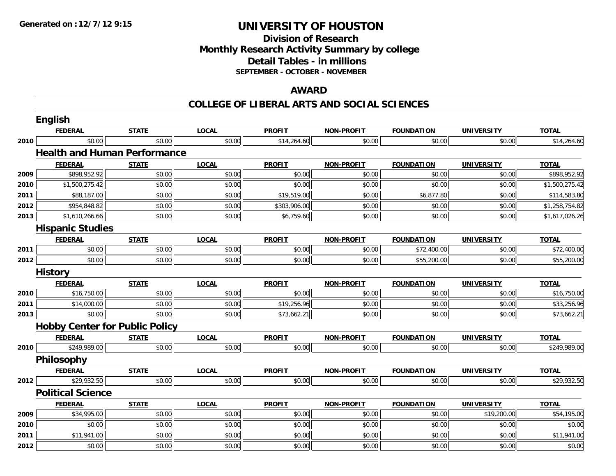# **Division of ResearchMonthly Research Activity Summary by college Detail Tables - in millions SEPTEMBER - OCTOBER - NOVEMBER**

### **AWARD**

|      | English                               |              |              |               |                   |                   |                   |                |  |  |  |  |
|------|---------------------------------------|--------------|--------------|---------------|-------------------|-------------------|-------------------|----------------|--|--|--|--|
|      | <b>FEDERAL</b>                        | <b>STATE</b> | <b>LOCAL</b> | <b>PROFIT</b> | <b>NON-PROFIT</b> | <b>FOUNDATION</b> | <b>UNIVERSITY</b> | <b>TOTAL</b>   |  |  |  |  |
| 2010 | \$0.00                                | \$0.00       | \$0.00       | \$14,264.60   | \$0.00            | \$0.00            | \$0.00            | \$14,264.60    |  |  |  |  |
|      | <b>Health and Human Performance</b>   |              |              |               |                   |                   |                   |                |  |  |  |  |
|      | <b>FEDERAL</b>                        | <b>STATE</b> | <b>LOCAL</b> | <b>PROFIT</b> | <b>NON-PROFIT</b> | <b>FOUNDATION</b> | <b>UNIVERSITY</b> | <b>TOTAL</b>   |  |  |  |  |
| 2009 | \$898,952.92                          | \$0.00       | \$0.00       | \$0.00        | \$0.00            | \$0.00            | \$0.00            | \$898,952.92   |  |  |  |  |
| 2010 | \$1,500,275.42                        | \$0.00       | \$0.00       | \$0.00        | \$0.00            | \$0.00            | \$0.00            | \$1,500,275.42 |  |  |  |  |
| 2011 | \$88,187.00                           | \$0.00       | \$0.00       | \$19,519.00   | \$0.00            | \$6,877.80        | \$0.00            | \$114,583.80   |  |  |  |  |
| 2012 | \$954,848.82                          | \$0.00       | \$0.00       | \$303,906.00  | \$0.00            | \$0.00            | \$0.00            | \$1,258,754.82 |  |  |  |  |
| 2013 | \$1,610,266.66                        | \$0.00       | \$0.00       | \$6,759.60    | \$0.00            | \$0.00            | \$0.00            | \$1,617,026.26 |  |  |  |  |
|      | <b>Hispanic Studies</b>               |              |              |               |                   |                   |                   |                |  |  |  |  |
|      | <b>FEDERAL</b>                        | <b>STATE</b> | <b>LOCAL</b> | <b>PROFIT</b> | <b>NON-PROFIT</b> | <b>FOUNDATION</b> | <b>UNIVERSITY</b> | <b>TOTAL</b>   |  |  |  |  |
| 2011 | \$0.00                                | \$0.00       | \$0.00       | \$0.00        | \$0.00            | \$72,400.00       | \$0.00            | \$72,400.00    |  |  |  |  |
| 2012 | \$0.00                                | \$0.00       | \$0.00       | \$0.00        | \$0.00            | \$55,200.00       | \$0.00            | \$55,200.00    |  |  |  |  |
|      | <b>History</b>                        |              |              |               |                   |                   |                   |                |  |  |  |  |
|      | <b>FEDERAL</b>                        | <b>STATE</b> | <b>LOCAL</b> | <b>PROFIT</b> | <b>NON-PROFIT</b> | <b>FOUNDATION</b> | <b>UNIVERSITY</b> | <b>TOTAL</b>   |  |  |  |  |
| 2010 | \$16,750.00                           | \$0.00       | \$0.00       | \$0.00        | \$0.00            | \$0.00            | \$0.00            | \$16,750.00    |  |  |  |  |
| 2011 | \$14,000.00                           | \$0.00       | \$0.00       | \$19,256.96   | \$0.00            | \$0.00            | \$0.00            | \$33,256.96    |  |  |  |  |
| 2013 | \$0.00                                | \$0.00       | \$0.00       | \$73,662.21   | \$0.00            | \$0.00            | \$0.00            | \$73,662.21    |  |  |  |  |
|      | <b>Hobby Center for Public Policy</b> |              |              |               |                   |                   |                   |                |  |  |  |  |
|      | <b>FEDERAL</b>                        | <b>STATE</b> | <b>LOCAL</b> | <b>PROFIT</b> | <b>NON-PROFIT</b> | <b>FOUNDATION</b> | <b>UNIVERSITY</b> | <b>TOTAL</b>   |  |  |  |  |
| 2010 | \$249,989.00                          | \$0.00       | \$0.00       | \$0.00        | \$0.00            | \$0.00            | \$0.00            | \$249,989.00   |  |  |  |  |
|      | Philosophy                            |              |              |               |                   |                   |                   |                |  |  |  |  |
|      | <b>FEDERAL</b>                        | <b>STATE</b> | <b>LOCAL</b> | <b>PROFIT</b> | <b>NON-PROFIT</b> | <b>FOUNDATION</b> | <b>UNIVERSITY</b> | <b>TOTAL</b>   |  |  |  |  |
| 2012 | \$29,932.50                           | \$0.00       | \$0.00       | \$0.00        | \$0.00            | \$0.00            | \$0.00            | \$29,932.50    |  |  |  |  |
|      | <b>Political Science</b>              |              |              |               |                   |                   |                   |                |  |  |  |  |
|      | <b>FEDERAL</b>                        | <b>STATE</b> | <b>LOCAL</b> | <b>PROFIT</b> | <b>NON-PROFIT</b> | <b>FOUNDATION</b> | <b>UNIVERSITY</b> | <b>TOTAL</b>   |  |  |  |  |
| 2009 | \$34,995.00                           | \$0.00       | \$0.00       | \$0.00        | \$0.00            | \$0.00            | \$19,200.00       | \$54,195.00    |  |  |  |  |
| 2010 | \$0.00                                | \$0.00       | \$0.00       | \$0.00        | \$0.00            | \$0.00            | \$0.00            | \$0.00         |  |  |  |  |
| 2011 | \$11,941.00                           | \$0.00       | \$0.00       | \$0.00        | \$0.00            | \$0.00            | \$0.00            | \$11,941.00    |  |  |  |  |
| 2012 | \$0.00                                | \$0.00       | \$0.00       | \$0.00        | \$0.00            | \$0.00            | \$0.00            | \$0.00         |  |  |  |  |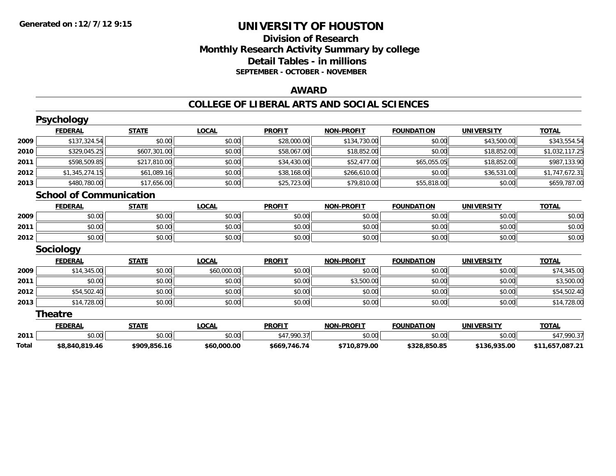# **Division of ResearchMonthly Research Activity Summary by college Detail Tables - in millions SEPTEMBER - OCTOBER - NOVEMBER**

### **AWARD**

|       | <b>Psychology</b>              |              |              |               |                   |                   |                   |                 |
|-------|--------------------------------|--------------|--------------|---------------|-------------------|-------------------|-------------------|-----------------|
|       | <b>FEDERAL</b>                 | <b>STATE</b> | <b>LOCAL</b> | <b>PROFIT</b> | <b>NON-PROFIT</b> | <b>FOUNDATION</b> | <b>UNIVERSITY</b> | <b>TOTAL</b>    |
| 2009  | \$137,324.54                   | \$0.00       | \$0.00       | \$28,000.00   | \$134,730.00      | \$0.00            | \$43,500.00       | \$343,554.54    |
| 2010  | \$329,045.25                   | \$607,301.00 | \$0.00       | \$58,067.00   | \$18,852.00       | \$0.00            | \$18,852.00       | \$1,032,117.25  |
| 2011  | \$598,509.85                   | \$217,810.00 | \$0.00       | \$34,430.00   | \$52,477.00       | \$65,055.05       | \$18,852.00       | \$987,133.90    |
| 2012  | \$1,345,274.15                 | \$61,089.16  | \$0.00       | \$38,168.00   | \$266,610.00      | \$0.00            | \$36,531.00       | \$1,747,672.31  |
| 2013  | \$480,780.00                   | \$17,656.00  | \$0.00       | \$25,723.00   | \$79,810.00       | \$55,818.00       | \$0.00            | \$659,787.00    |
|       | <b>School of Communication</b> |              |              |               |                   |                   |                   |                 |
|       | <b>FEDERAL</b>                 | <b>STATE</b> | <b>LOCAL</b> | <b>PROFIT</b> | <b>NON-PROFIT</b> | <b>FOUNDATION</b> | <b>UNIVERSITY</b> | <b>TOTAL</b>    |
| 2009  | \$0.00                         | \$0.00       | \$0.00       | \$0.00        | \$0.00            | \$0.00            | \$0.00            | \$0.00          |
| 2011  | \$0.00                         | \$0.00       | \$0.00       | \$0.00        | \$0.00            | \$0.00            | \$0.00            | \$0.00          |
| 2012  | \$0.00                         | \$0.00       | \$0.00       | \$0.00        | \$0.00            | \$0.00            | \$0.00            | \$0.00          |
|       | <b>Sociology</b>               |              |              |               |                   |                   |                   |                 |
|       | <b>FEDERAL</b>                 | <b>STATE</b> | <b>LOCAL</b> | <b>PROFIT</b> | <b>NON-PROFIT</b> | <b>FOUNDATION</b> | <b>UNIVERSITY</b> | <b>TOTAL</b>    |
| 2009  | \$14,345.00                    | \$0.00       | \$60,000.00  | \$0.00        | \$0.00            | \$0.00            | \$0.00            | \$74,345.00     |
| 2011  | \$0.00                         | \$0.00       | \$0.00       | \$0.00        | \$3,500.00        | \$0.00            | \$0.00            | \$3,500.00      |
| 2012  | \$54,502.40                    | \$0.00       | \$0.00       | \$0.00        | \$0.00            | \$0.00            | \$0.00            | \$54,502.40     |
| 2013  | \$14,728.00                    | \$0.00       | \$0.00       | \$0.00        | \$0.00            | \$0.00            | \$0.00            | \$14,728.00     |
|       | Theatre                        |              |              |               |                   |                   |                   |                 |
|       | <b>FEDERAL</b>                 | <b>STATE</b> | <b>LOCAL</b> | <b>PROFIT</b> | <b>NON-PROFIT</b> | <b>FOUNDATION</b> | <b>UNIVERSITY</b> | <b>TOTAL</b>    |
| 2011  | \$0.00                         | \$0.00       | \$0.00       | \$47,990.37   | \$0.00            | \$0.00            | \$0.00            | \$47,990.37     |
| Total | \$8,840,819.46                 | \$909,856.16 | \$60,000.00  | \$669,746.74  | \$710,879.00      | \$328,850.85      | \$136,935.00      | \$11,657,087.21 |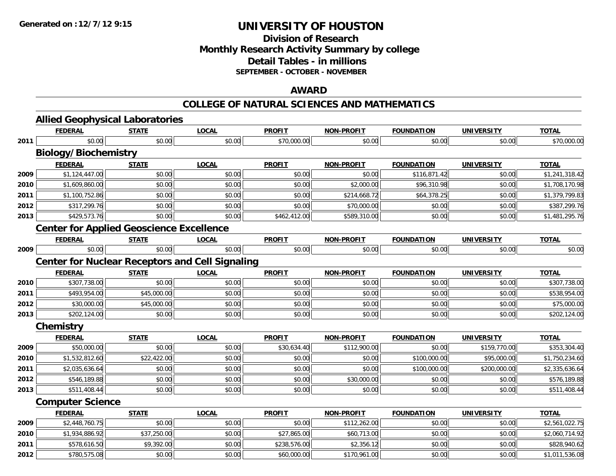# **Division of ResearchMonthly Research Activity Summary by college Detail Tables - in millions SEPTEMBER - OCTOBER - NOVEMBER**

### **AWARD**

### **COLLEGE OF NATURAL SCIENCES AND MATHEMATICS**

|      | <b>Allied Geophysical Laboratories</b>                 |              |              |               |                   |                   |                   |                |
|------|--------------------------------------------------------|--------------|--------------|---------------|-------------------|-------------------|-------------------|----------------|
|      | <b>FEDERAL</b>                                         | <b>STATE</b> | <b>LOCAL</b> | <b>PROFIT</b> | <b>NON-PROFIT</b> | <b>FOUNDATION</b> | <b>UNIVERSITY</b> | <b>TOTAL</b>   |
| 2011 | \$0.00                                                 | \$0.00       | \$0.00       | \$70,000.00   | \$0.00            | \$0.00            | \$0.00            | \$70,000.00    |
|      | <b>Biology/Biochemistry</b>                            |              |              |               |                   |                   |                   |                |
|      | <b>FEDERAL</b>                                         | <b>STATE</b> | <b>LOCAL</b> | <b>PROFIT</b> | <b>NON-PROFIT</b> | <b>FOUNDATION</b> | <b>UNIVERSITY</b> | <b>TOTAL</b>   |
| 2009 | \$1,124,447.00                                         | \$0.00       | \$0.00       | \$0.00        | \$0.00            | \$116,871.42      | \$0.00            | \$1,241,318.42 |
| 2010 | \$1,609,860.00                                         | \$0.00       | \$0.00       | \$0.00        | \$2,000.00        | \$96,310.98       | \$0.00            | \$1,708,170.98 |
| 2011 | \$1,100,752.86                                         | \$0.00       | \$0.00       | \$0.00        | \$214,668.72      | \$64,378.25       | \$0.00            | \$1,379,799.83 |
| 2012 | \$317,299.76                                           | \$0.00       | \$0.00       | \$0.00        | \$70,000.00       | \$0.00            | \$0.00            | \$387,299.76   |
| 2013 | \$429,573.76                                           | \$0.00       | \$0.00       | \$462,412.00  | \$589,310.00      | \$0.00            | \$0.00            | \$1,481,295.76 |
|      | <b>Center for Applied Geoscience Excellence</b>        |              |              |               |                   |                   |                   |                |
|      | <b>FEDERAL</b>                                         | <b>STATE</b> | <b>LOCAL</b> | <b>PROFIT</b> | <b>NON-PROFIT</b> | <b>FOUNDATION</b> | <b>UNIVERSITY</b> | <b>TOTAL</b>   |
| 2009 | \$0.00                                                 | \$0.00       | \$0.00       | \$0.00        | \$0.00            | \$0.00            | \$0.00            | \$0.00         |
|      | <b>Center for Nuclear Receptors and Cell Signaling</b> |              |              |               |                   |                   |                   |                |
|      | <b>FEDERAL</b>                                         | <b>STATE</b> | <b>LOCAL</b> | <b>PROFIT</b> | <b>NON-PROFIT</b> | <b>FOUNDATION</b> | <b>UNIVERSITY</b> | <b>TOTAL</b>   |
| 2010 | \$307,738.00                                           | \$0.00       | \$0.00       | \$0.00        | \$0.00            | \$0.00            | \$0.00            | \$307,738.00   |
| 2011 | \$493,954.00                                           | \$45,000.00  | \$0.00       | \$0.00        | \$0.00            | \$0.00            | \$0.00            | \$538,954.00   |
| 2012 | \$30,000.00                                            | \$45,000.00  | \$0.00       | \$0.00        | \$0.00            | \$0.00            | \$0.00            | \$75,000.00    |
| 2013 | \$202,124.00                                           | \$0.00       | \$0.00       | \$0.00        | \$0.00            | \$0.00            | \$0.00            | \$202,124.00   |
|      | Chemistry                                              |              |              |               |                   |                   |                   |                |
|      | <b>FEDERAL</b>                                         | <b>STATE</b> | <b>LOCAL</b> | <b>PROFIT</b> | <b>NON-PROFIT</b> | <b>FOUNDATION</b> | <b>UNIVERSITY</b> | <b>TOTAL</b>   |
| 2009 | \$50,000.00                                            | \$0.00       | \$0.00       | \$30,634.40   | \$112,900.00      | \$0.00            | \$159,770.00      | \$353,304.40   |
| 2010 | \$1,532,812.60                                         | \$22,422.00  | \$0.00       | \$0.00        | \$0.00            | \$100,000.00      | \$95,000.00       | \$1,750,234.60 |
| 2011 | \$2,035,636.64                                         | \$0.00       | \$0.00       | \$0.00        | \$0.00            | \$100,000.00      | \$200,000.00      | \$2,335,636.64 |
| 2012 | \$546,189.88                                           | \$0.00       | \$0.00       | \$0.00        | \$30,000.00       | \$0.00            | \$0.00            | \$576,189.88   |
| 2013 | \$511,408.44                                           | \$0.00       | \$0.00       | \$0.00        | \$0.00            | \$0.00            | \$0.00            | \$511,408.44   |
|      | <b>Computer Science</b>                                |              |              |               |                   |                   |                   |                |
|      | <b>FEDERAL</b>                                         | <b>STATE</b> | <b>LOCAL</b> | <b>PROFIT</b> | <b>NON-PROFIT</b> | <b>FOUNDATION</b> | <b>UNIVERSITY</b> | <b>TOTAL</b>   |
| 2009 | \$2,448,760.75                                         | \$0.00       | \$0.00       | \$0.00        | \$112,262.00      | \$0.00            | \$0.00            | \$2,561,022.75 |
| 2010 | \$1,934,886.92                                         | \$37,250.00  | \$0.00       | \$27,865.00   | \$60,713.00       | \$0.00            | \$0.00            | \$2,060,714.92 |
| 2011 | \$578,616.50                                           | \$9,392.00   | \$0.00       | \$238,576.00  | \$2,356.12        | \$0.00            | \$0.00            | \$828,940.62   |
| 2012 | \$780,575.08                                           | \$0.00       | \$0.00       | \$60,000.00   | \$170,961.00      | \$0.00            | \$0.00            | \$1,011,536.08 |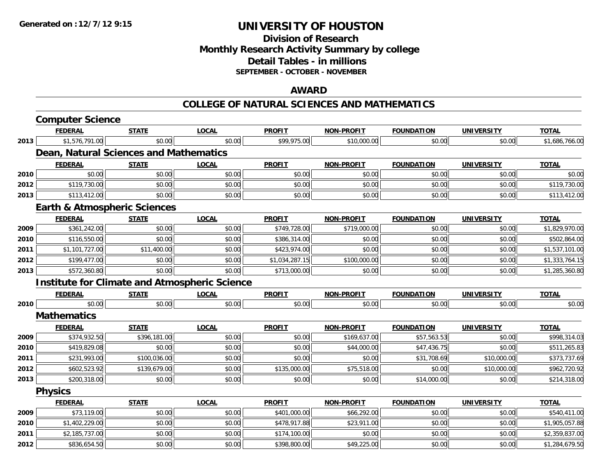# **Division of ResearchMonthly Research Activity Summary by college Detail Tables - in millions SEPTEMBER - OCTOBER - NOVEMBER**

## **AWARD**

#### **COLLEGE OF NATURAL SCIENCES AND MATHEMATICS**

|      | <b>Computer Science</b>                              |              |              |                |                   |                   |                   |                |
|------|------------------------------------------------------|--------------|--------------|----------------|-------------------|-------------------|-------------------|----------------|
|      | <b>FEDERAL</b>                                       | <b>STATE</b> | <b>LOCAL</b> | <b>PROFIT</b>  | <b>NON-PROFIT</b> | <b>FOUNDATION</b> | <b>UNIVERSITY</b> | <b>TOTAL</b>   |
| 2013 | \$1,576,791.00                                       | \$0.00       | \$0.00       | \$99,975.00    | \$10,000.00       | \$0.00            | \$0.00            | \$1,686,766.00 |
|      | Dean, Natural Sciences and Mathematics               |              |              |                |                   |                   |                   |                |
|      | <b>FEDERAL</b>                                       | <b>STATE</b> | <b>LOCAL</b> | <b>PROFIT</b>  | <b>NON-PROFIT</b> | <b>FOUNDATION</b> | <b>UNIVERSITY</b> | <b>TOTAL</b>   |
| 2010 | \$0.00                                               | \$0.00       | \$0.00       | \$0.00         | \$0.00            | \$0.00            | \$0.00            | \$0.00         |
| 2012 | \$119,730.00                                         | \$0.00       | \$0.00       | \$0.00         | \$0.00            | \$0.00            | \$0.00            | \$119,730.00   |
| 2013 | \$113,412.00                                         | \$0.00       | \$0.00       | \$0.00         | \$0.00            | \$0.00            | \$0.00            | \$113,412.00   |
|      | <b>Earth &amp; Atmospheric Sciences</b>              |              |              |                |                   |                   |                   |                |
|      | <b>FEDERAL</b>                                       | <b>STATE</b> | <b>LOCAL</b> | <b>PROFIT</b>  | <b>NON-PROFIT</b> | <b>FOUNDATION</b> | <b>UNIVERSITY</b> | <b>TOTAL</b>   |
| 2009 | \$361,242.00                                         | \$0.00       | \$0.00       | \$749,728.00   | \$719,000.00      | \$0.00            | \$0.00            | \$1,829,970.00 |
| 2010 | \$116,550.00                                         | \$0.00       | \$0.00       | \$386,314.00   | \$0.00            | \$0.00            | \$0.00            | \$502,864.00   |
| 2011 | \$1,101,727.00                                       | \$11,400.00  | \$0.00       | \$423,974.00   | \$0.00            | \$0.00            | \$0.00            | \$1,537,101.00 |
| 2012 | \$199,477.00                                         | \$0.00       | \$0.00       | \$1,034,287.15 | \$100,000.00      | \$0.00            | \$0.00            | \$1,333,764.15 |
| 2013 | \$572,360.80                                         | \$0.00       | \$0.00       | \$713,000.00   | \$0.00            | \$0.00            | \$0.00            | \$1,285,360.80 |
|      | <b>Institute for Climate and Atmospheric Science</b> |              |              |                |                   |                   |                   |                |
|      | <b>FEDERAL</b>                                       | <b>STATE</b> | <b>LOCAL</b> | <b>PROFIT</b>  | <b>NON-PROFIT</b> | <b>FOUNDATION</b> | <b>UNIVERSITY</b> | <b>TOTAL</b>   |
| 2010 | \$0.00                                               | \$0.00       | \$0.00       | \$0.00         | \$0.00            | \$0.00            | \$0.00            | \$0.00         |
|      | <b>Mathematics</b>                                   |              |              |                |                   |                   |                   |                |
|      | <b>FEDERAL</b>                                       | <b>STATE</b> | <b>LOCAL</b> | <b>PROFIT</b>  | <b>NON-PROFIT</b> | <b>FOUNDATION</b> | <b>UNIVERSITY</b> | <b>TOTAL</b>   |
| 2009 | \$374,932.50                                         | \$396,181.00 | \$0.00       | \$0.00         | \$169,637.00      | \$57,563.53       | \$0.00            | \$998,314.03   |
| 2010 | \$419,829.08                                         | \$0.00       | \$0.00       | \$0.00         | \$44,000.00       | \$47,436.75       | \$0.00            | \$511,265.83   |
| 2011 | \$231,993.00                                         | \$100,036.00 | \$0.00       | \$0.00         | \$0.00            | \$31,708.69       | \$10,000.00       | \$373,737.69   |
| 2012 | \$602,523.92                                         | \$139,679.00 | \$0.00       | \$135,000.00   | \$75,518.00       | \$0.00            | \$10,000.00       | \$962,720.92   |
| 2013 | \$200,318.00                                         | \$0.00       | \$0.00       | \$0.00         | \$0.00            | \$14,000.00       | \$0.00            | \$214,318.00   |
|      | <b>Physics</b>                                       |              |              |                |                   |                   |                   |                |
|      | <b>FEDERAL</b>                                       | <b>STATE</b> | <b>LOCAL</b> | <b>PROFIT</b>  | <b>NON-PROFIT</b> | <b>FOUNDATION</b> | <b>UNIVERSITY</b> | <b>TOTAL</b>   |
| 2009 | \$73,119.00                                          | \$0.00       | \$0.00       | \$401,000.00   | \$66,292.00       | \$0.00            | \$0.00            | \$540,411.00   |
| 2010 | \$1,402,229.00                                       | \$0.00       | \$0.00       | \$478,917.88   | \$23,911.00       | \$0.00            | \$0.00            | \$1,905,057.88 |
| 2011 | \$2,185,737.00                                       | \$0.00       | \$0.00       | \$174,100.00   | \$0.00            | \$0.00            | \$0.00            | \$2,359,837.00 |
| 2012 | \$836,654.50                                         | \$0.00       | \$0.00       | \$398,800.00   | \$49,225.00       | \$0.00            | \$0.00            | \$1,284,679.50 |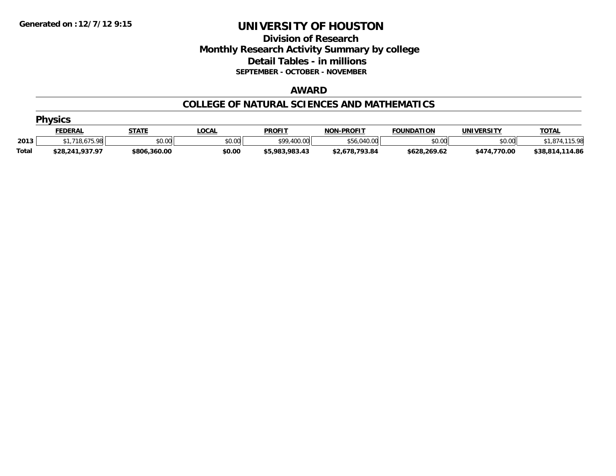## **Division of Research Monthly Research Activity Summary by college Detail Tables - in millions SEPTEMBER - OCTOBER - NOVEMBER**

#### **AWARD**

#### **COLLEGE OF NATURAL SCIENCES AND MATHEMATICS**

| <b>Physics</b> |                 |              |              |                |                   |                   |              |                 |  |  |  |
|----------------|-----------------|--------------|--------------|----------------|-------------------|-------------------|--------------|-----------------|--|--|--|
|                | <u>FEDERAL</u>  | <b>STATE</b> | <u>LOCAL</u> | <b>PROFIT</b>  | <b>NON-PROFIT</b> | <b>FOUNDATION</b> | UNIVERSITY   | <b>TOTAL</b>    |  |  |  |
| 2013           | .718.675.98     | \$0.00       | \$0.00       | \$99,400.00    | \$56,040.00       | \$0.00            | \$0.00       | 1,874,115.98    |  |  |  |
| <b>Total</b>   | \$28,241,937.97 | \$806,360.00 | \$0.00       | \$5,983,983.43 | \$2,678,793.84    | \$628,269.62      | \$474,770.00 | \$38,814,114.86 |  |  |  |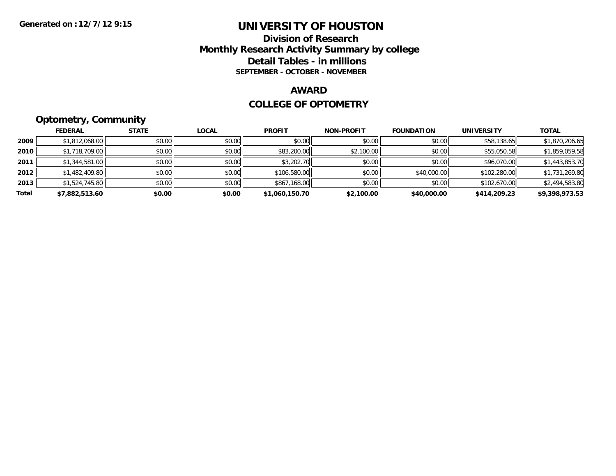#### **Division of Research Monthly Research Activity Summary by college Detail Tables - in millions SEPTEMBER - OCTOBER - NOVEMBER**

#### **AWARD**

#### **COLLEGE OF OPTOMETRY**

# **Optometry, Community**

|       | ___            |              |              |                |                   |                   |                   |                |
|-------|----------------|--------------|--------------|----------------|-------------------|-------------------|-------------------|----------------|
|       | <b>FEDERAL</b> | <b>STATE</b> | <b>LOCAL</b> | <b>PROFIT</b>  | <b>NON-PROFIT</b> | <b>FOUNDATION</b> | <b>UNIVERSITY</b> | <b>TOTAL</b>   |
| 2009  | \$1,812,068.00 | \$0.00       | \$0.00       | \$0.00         | \$0.00            | \$0.00            | \$58,138.65       | \$1,870,206.65 |
| 2010  | \$1,718,709.00 | \$0.00       | \$0.00       | \$83,200.00    | \$2,100.00        | \$0.00            | \$55,050.58       | \$1,859,059.58 |
| 2011  | \$1,344,581.00 | \$0.00       | \$0.00       | \$3,202.70     | \$0.00            | \$0.00            | \$96,070.00       | \$1,443,853.70 |
| 2012  | \$1,482,409.80 | \$0.00       | \$0.00       | \$106,580.00   | \$0.00            | \$40,000.00       | \$102,280.00      | \$1,731,269.80 |
| 2013  | \$1,524,745.80 | \$0.00       | \$0.00       | \$867,168.00   | \$0.00            | \$0.00            | \$102,670.00      | \$2,494,583.80 |
| Total | \$7,882,513.60 | \$0.00       | \$0.00       | \$1,060,150.70 | \$2,100.00        | \$40,000.00       | \$414,209.23      | \$9,398,973.53 |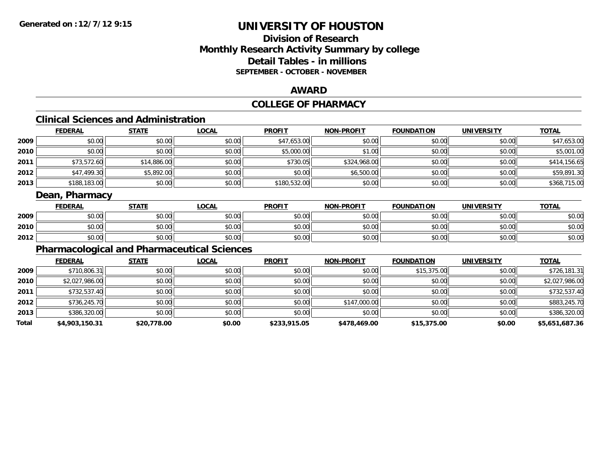## **Division of ResearchMonthly Research Activity Summary by college Detail Tables - in millions SEPTEMBER - OCTOBER - NOVEMBER**

#### **AWARD**

# **COLLEGE OF PHARMACY**

# **Clinical Sciences and Administration**

|      | <b>FEDERAL</b> | <u>STATE</u> | <u>LOCAL</u> | <b>PROFIT</b> | <b>NON-PROFIT</b> | <b>FOUNDATION</b> | <b>UNIVERSITY</b> | <u>TOTAL</u> |
|------|----------------|--------------|--------------|---------------|-------------------|-------------------|-------------------|--------------|
| 2009 | \$0.00         | \$0.00       | \$0.00       | \$47,653.00   | \$0.00            | \$0.00            | \$0.00            | \$47,653.00  |
| 2010 | \$0.00         | \$0.00       | \$0.00       | \$5,000.00    | \$1.00            | \$0.00            | \$0.00            | \$5,001.00   |
| 2011 | \$73,572.60    | \$14,886.00  | \$0.00       | \$730.05      | \$324,968.00      | \$0.00            | \$0.00            | \$414,156.65 |
| 2012 | \$47,499.30    | \$5,892.00   | \$0.00       | \$0.00        | \$6,500.00        | \$0.00            | \$0.00            | \$59,891.30  |
| 2013 | \$188,183.00   | \$0.00       | \$0.00       | \$180,532.00  | \$0.00            | \$0.00            | \$0.00            | \$368,715.00 |

#### **Dean, Pharmacy**

|      | <b>FEDERAL</b> | <b>STATE</b> | <b>LOCAL</b>         | <b>PROFIT</b> | <b>NON-PROFIT</b> | <b>FOUNDATION</b> | <b>UNIVERSITY</b> | <u>TOTAL</u> |
|------|----------------|--------------|----------------------|---------------|-------------------|-------------------|-------------------|--------------|
| 2009 | 0000<br>,uu    | \$0.00       | $\sim$ 00<br>JU.UU   | \$0.00        | \$0.00            | \$0.00            | \$0.00            | \$0.00       |
| 2010 | 0000<br>DU.UU  | \$0.00       | 0000<br>JU.UU        | \$0.00        | \$0.00            | \$0.00            | \$0.00            | \$0.00       |
| 2012 | \$0.00         | \$0.00       | 0000<br><b>DU.UU</b> | \$0.00        | \$0.00            | \$0.00            | \$0.00            | \$0.00       |

## **Pharmacological and Pharmaceutical Sciences**

|       | <b>FEDERAL</b> | <b>STATE</b> | <b>LOCAL</b> | <b>PROFIT</b> | <b>NON-PROFIT</b> | <b>FOUNDATION</b> | <b>UNIVERSITY</b> | <b>TOTAL</b>   |
|-------|----------------|--------------|--------------|---------------|-------------------|-------------------|-------------------|----------------|
| 2009  | \$710,806.31   | \$0.00       | \$0.00       | \$0.00        | \$0.00            | \$15,375.00       | \$0.00            | \$726,181.31   |
| 2010  | \$2,027,986.00 | \$0.00       | \$0.00       | \$0.00        | \$0.00            | \$0.00            | \$0.00            | \$2,027,986.00 |
| 2011  | \$732,537.40   | \$0.00       | \$0.00       | \$0.00        | \$0.00            | \$0.00            | \$0.00            | \$732,537.40   |
| 2012  | \$736,245.70   | \$0.00       | \$0.00       | \$0.00        | \$147,000.00      | \$0.00            | \$0.00            | \$883,245.70   |
| 2013  | \$386,320.00   | \$0.00       | \$0.00       | \$0.00        | \$0.00            | \$0.00            | \$0.00            | \$386,320.00   |
| Total | \$4,903,150.31 | \$20,778.00  | \$0.00       | \$233,915.05  | \$478,469.00      | \$15,375.00       | \$0.00            | \$5,651,687.36 |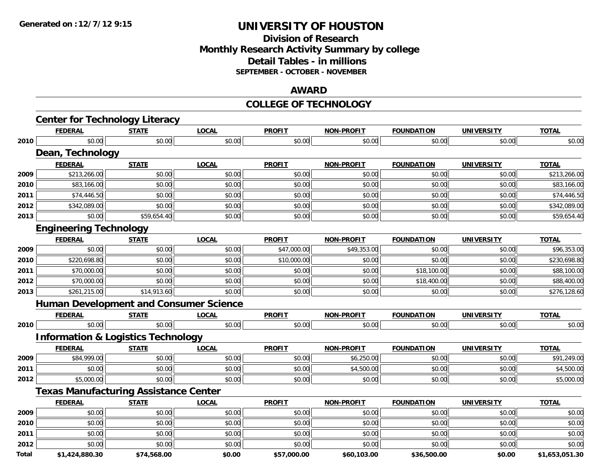## **Division of ResearchMonthly Research Activity Summary by college Detail Tables - in millions SEPTEMBER - OCTOBER - NOVEMBER**

#### **AWARD**

#### **COLLEGE OF TECHNOLOGY**

|              | <b>Center for Technology Literacy</b>         |              |              |               |                   |                   |                   |                |
|--------------|-----------------------------------------------|--------------|--------------|---------------|-------------------|-------------------|-------------------|----------------|
|              | <b>FEDERAL</b>                                | <b>STATE</b> | <b>LOCAL</b> | <b>PROFIT</b> | <b>NON-PROFIT</b> | <b>FOUNDATION</b> | <b>UNIVERSITY</b> | <b>TOTAL</b>   |
| 2010         | \$0.00                                        | \$0.00       | \$0.00       | \$0.00        | \$0.00            | \$0.00            | \$0.00            | \$0.00         |
|              | Dean, Technology                              |              |              |               |                   |                   |                   |                |
|              | <b>FEDERAL</b>                                | <b>STATE</b> | <b>LOCAL</b> | <b>PROFIT</b> | <b>NON-PROFIT</b> | <b>FOUNDATION</b> | <b>UNIVERSITY</b> | <b>TOTAL</b>   |
| 2009         | \$213,266.00                                  | \$0.00       | \$0.00       | \$0.00        | \$0.00            | \$0.00            | \$0.00            | \$213,266.00   |
| 2010         | \$83,166.00                                   | \$0.00       | \$0.00       | \$0.00        | \$0.00            | \$0.00            | \$0.00            | \$83,166.00    |
| 2011         | \$74,446.50                                   | \$0.00       | \$0.00       | \$0.00        | \$0.00            | \$0.00            | \$0.00            | \$74,446.50    |
| 2012         | \$342,089.00                                  | \$0.00       | \$0.00       | \$0.00        | \$0.00            | \$0.00            | \$0.00            | \$342,089.00   |
| 2013         | \$0.00                                        | \$59,654.40  | \$0.00       | \$0.00        | \$0.00            | \$0.00            | \$0.00            | \$59,654.40    |
|              | <b>Engineering Technology</b>                 |              |              |               |                   |                   |                   |                |
|              | <b>FEDERAL</b>                                | <b>STATE</b> | <b>LOCAL</b> | <b>PROFIT</b> | <b>NON-PROFIT</b> | <b>FOUNDATION</b> | <b>UNIVERSITY</b> | <b>TOTAL</b>   |
| 2009         | \$0.00                                        | \$0.00       | \$0.00       | \$47,000.00   | \$49,353.00       | \$0.00            | \$0.00            | \$96,353.00    |
| 2010         | \$220,698.80                                  | \$0.00       | \$0.00       | \$10,000.00   | \$0.00            | \$0.00            | \$0.00            | \$230,698.80   |
| 2011         | \$70,000.00                                   | \$0.00       | \$0.00       | \$0.00        | \$0.00            | \$18,100.00       | \$0.00            | \$88,100.00    |
| 2012         | \$70,000.00                                   | \$0.00       | \$0.00       | \$0.00        | \$0.00            | \$18,400.00       | \$0.00            | \$88,400.00    |
| 2013         | \$261,215.00                                  | \$14,913.60  | \$0.00       | \$0.00        | \$0.00            | \$0.00            | \$0.00            | \$276,128.60   |
|              | <b>Human Development and Consumer Science</b> |              |              |               |                   |                   |                   |                |
|              | <b>FEDERAL</b>                                | <u>STATE</u> | <b>LOCAL</b> | <b>PROFIT</b> | <b>NON-PROFIT</b> | <b>FOUNDATION</b> | <b>UNIVERSITY</b> | <b>TOTAL</b>   |
| 2010         | \$0.00                                        | \$0.00       | \$0.00       | \$0.00        | \$0.00            | \$0.00            | \$0.00            | \$0.00         |
|              | <b>Information &amp; Logistics Technology</b> |              |              |               |                   |                   |                   |                |
|              | <b>FEDERAL</b>                                | <b>STATE</b> | <b>LOCAL</b> | <b>PROFIT</b> | <b>NON-PROFIT</b> | <b>FOUNDATION</b> | UNIVERSITY        | <b>TOTAL</b>   |
| 2009         | \$84,999.00                                   | \$0.00       | \$0.00       | \$0.00        | \$6,250.00        | \$0.00            | \$0.00            | \$91,249.00    |
| 2011         | \$0.00                                        | \$0.00       | \$0.00       | \$0.00        | \$4,500.00        | \$0.00            | \$0.00            | \$4,500.00     |
| 2012         | \$5,000.00                                    | \$0.00       | \$0.00       | \$0.00        | \$0.00            | \$0.00            | \$0.00            | \$5,000.00     |
|              | <b>Texas Manufacturing Assistance Center</b>  |              |              |               |                   |                   |                   |                |
|              | <b>FEDERAL</b>                                | <b>STATE</b> | <b>LOCAL</b> | <b>PROFIT</b> | <b>NON-PROFIT</b> | <b>FOUNDATION</b> | <b>UNIVERSITY</b> | <b>TOTAL</b>   |
| 2009         | \$0.00                                        | \$0.00       | \$0.00       | \$0.00        | \$0.00            | \$0.00            | \$0.00            | \$0.00         |
| 2010         | \$0.00                                        | \$0.00       | \$0.00       | \$0.00        | \$0.00            | \$0.00            | \$0.00            | \$0.00         |
| 2011         | \$0.00                                        | \$0.00       | \$0.00       | \$0.00        | \$0.00            | \$0.00            | \$0.00            | \$0.00         |
| 2012         | \$0.00                                        | \$0.00       | \$0.00       | \$0.00        | \$0.00            | \$0.00            | \$0.00            | \$0.00         |
| <b>Total</b> | \$1.424.880.30                                | \$74.568.00  | \$0.00       | \$57.000.00   | \$60.103.00       | \$36.500.00       | \$0.00            | \$1.653.051.30 |

**\$1,424,880.30 \$74,568.00 \$0.00 \$57,000.00 \$60,103.00 \$36,500.00 \$0.00 \$1,653,051.30**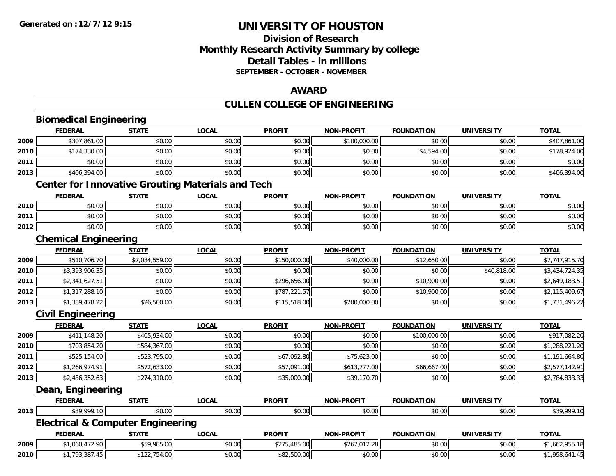## **Division of ResearchMonthly Research Activity Summary by college Detail Tables - in millions SEPTEMBER - OCTOBER - NOVEMBER**

#### **AWARD**

# **CULLEN COLLEGE OF ENGINEERING**

|      | <b>Biomedical Engineering</b> |                                                          |              |               |                   |                   |                   |                |
|------|-------------------------------|----------------------------------------------------------|--------------|---------------|-------------------|-------------------|-------------------|----------------|
|      | <b>FEDERAL</b>                | <b>STATE</b>                                             | <b>LOCAL</b> | <b>PROFIT</b> | <b>NON-PROFIT</b> | <b>FOUNDATION</b> | <b>UNIVERSITY</b> | <b>TOTAL</b>   |
| 2009 | \$307,861.00                  | \$0.00                                                   | \$0.00       | \$0.00        | \$100,000.00      | \$0.00            | \$0.00            | \$407,861.00   |
| 2010 | \$174,330.00                  | \$0.00                                                   | \$0.00       | \$0.00        | \$0.00            | \$4,594.00        | \$0.00            | \$178,924.00   |
| 2011 | \$0.00                        | \$0.00                                                   | \$0.00       | \$0.00        | \$0.00            | \$0.00            | \$0.00            | \$0.00         |
| 2013 | \$406,394.00                  | \$0.00                                                   | \$0.00       | \$0.00        | \$0.00            | \$0.00            | \$0.00            | \$406,394.00   |
|      |                               | <b>Center for Innovative Grouting Materials and Tech</b> |              |               |                   |                   |                   |                |
|      | <b>FEDERAL</b>                | <b>STATE</b>                                             | <b>LOCAL</b> | <b>PROFIT</b> | <b>NON-PROFIT</b> | <b>FOUNDATION</b> | <b>UNIVERSITY</b> | <b>TOTAL</b>   |
| 2010 | \$0.00                        | \$0.00                                                   | \$0.00       | \$0.00        | \$0.00            | \$0.00            | \$0.00            | \$0.00         |
| 2011 | \$0.00                        | \$0.00                                                   | \$0.00       | \$0.00        | \$0.00            | \$0.00            | \$0.00            | \$0.00         |
| 2012 | \$0.00                        | \$0.00                                                   | \$0.00       | \$0.00        | \$0.00            | \$0.00            | \$0.00            | \$0.00         |
|      | <b>Chemical Engineering</b>   |                                                          |              |               |                   |                   |                   |                |
|      | <b>FEDERAL</b>                | <b>STATE</b>                                             | <b>LOCAL</b> | <b>PROFIT</b> | <b>NON-PROFIT</b> | <b>FOUNDATION</b> | <b>UNIVERSITY</b> | <b>TOTAL</b>   |
| 2009 | \$510,706.70                  | \$7,034,559.00                                           | \$0.00       | \$150,000.00  | \$40,000.00       | \$12,650.00       | \$0.00            | \$7,747,915.70 |
| 2010 | \$3,393,906.35                | \$0.00                                                   | \$0.00       | \$0.00        | \$0.00            | \$0.00            | \$40,818.00       | \$3,434,724.35 |
| 2011 | \$2,341,627.51                | \$0.00                                                   | \$0.00       | \$296,656.00  | \$0.00            | \$10,900.00       | \$0.00            | \$2,649,183.51 |
| 2012 | \$1,317,288.10                | \$0.00                                                   | \$0.00       | \$787,221.57  | \$0.00            | \$10,900.00       | \$0.00            | \$2,115,409.67 |
| 2013 | \$1,389,478.22                | \$26,500.00                                              | \$0.00       | \$115,518.00  | \$200,000.00      | \$0.00            | \$0.00            | \$1,731,496.22 |
|      | <b>Civil Engineering</b>      |                                                          |              |               |                   |                   |                   |                |
|      | <b>FEDERAL</b>                | <b>STATE</b>                                             | <b>LOCAL</b> | <b>PROFIT</b> | NON-PROFIT        | <b>FOUNDATION</b> | <b>UNIVERSITY</b> | <b>TOTAL</b>   |
| 2009 | \$411,148.20                  | \$405,934.00                                             | \$0.00       | \$0.00        | \$0.00            | \$100,000.00      | \$0.00            | \$917,082.20   |
| 2010 | \$703,854.20                  | \$584,367.00                                             | \$0.00       | \$0.00        | \$0.00            | \$0.00            | \$0.00            | \$1,288,221.20 |
| 2011 | \$525,154.00                  | \$523,795.00                                             | \$0.00       | \$67,092.80   | \$75,623.00       | \$0.00            | \$0.00            | \$1,191,664.80 |
| 2012 | \$1,266,974.91                | \$572,633.00                                             | \$0.00       | \$57,091.00   | \$613,777.00      | \$66,667.00       | \$0.00            | \$2,577,142.91 |
| 2013 | \$2,436,352.63                | \$274,310.00                                             | \$0.00       | \$35,000.00   | \$39,170.70       | \$0.00            | \$0.00            | \$2,784,833.33 |
|      | Dean, Engineering             |                                                          |              |               |                   |                   |                   |                |
|      | <b>FEDERAL</b>                | <b>STATE</b>                                             | <b>LOCAL</b> | <b>PROFIT</b> | <b>NON-PROFIT</b> | <b>FOUNDATION</b> | <b>UNIVERSITY</b> | <b>TOTAL</b>   |
| 2013 | \$39,999.10                   | \$0.00                                                   | \$0.00       | \$0.00        | \$0.00            | \$0.00            | \$0.00            | \$39,999.10    |
|      |                               | <b>Electrical &amp; Computer Engineering</b>             |              |               |                   |                   |                   |                |
|      | <b>FEDERAL</b>                | <b>STATE</b>                                             | <b>LOCAL</b> | <b>PROFIT</b> | <b>NON-PROFIT</b> | <b>FOUNDATION</b> | <b>UNIVERSITY</b> | <b>TOTAL</b>   |
| 2009 | \$1,060,472.90                | \$59,985.00                                              | \$0.00       | \$275,485.00  | \$267,012.28      | \$0.00            | \$0.00            | \$1,662,955.18 |
| 2010 | \$1,793,387.45                | \$122,754.00                                             | \$0.00       | \$82,500.00   | \$0.00            | \$0.00            | \$0.00            | \$1,998,641.45 |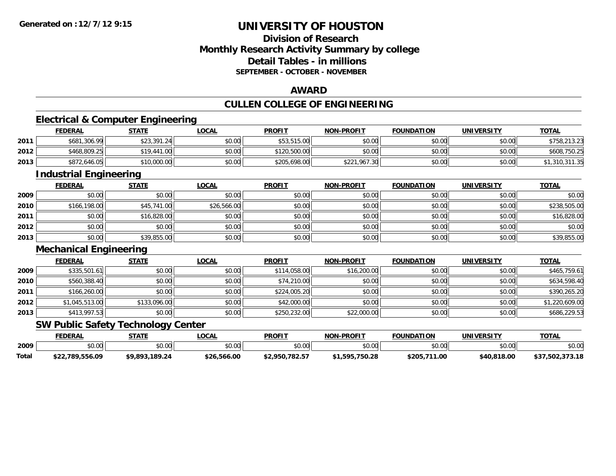## **Division of ResearchMonthly Research Activity Summary by college Detail Tables - in millionsSEPTEMBER - OCTOBER - NOVEMBER**

#### **AWARD**

## **CULLEN COLLEGE OF ENGINEERING**

<u> 1989 - Johann Stoff, deutscher Stoff, der Stoff, der Stoff, der Stoff, der Stoff, der Stoff, der Stoff, der S</u>

## **Electrical & Computer Engineering**

|      | <b>FEDERAL</b> | STATE       | <u>LOCAL</u> | PROFIT       | <b>NON-PROFIT</b> | <b>FOUNDATION</b> | UNIVERSITY | <b>TOTAL</b>   |
|------|----------------|-------------|--------------|--------------|-------------------|-------------------|------------|----------------|
| 2011 | \$681,306.99   | \$23,391.24 | \$0.00       | \$53,515.00  | \$0.00            | \$0.00            | \$0.00     | \$758,213.23   |
| 2012 | \$468,809.25   | \$19,441.00 | \$0.00       | \$120,500.00 | \$0.00            | \$0.00            | \$0.00     | \$608,750.25   |
| 2013 | \$872,646.05   | \$10,000.00 | \$0.00       | \$205,698.00 | \$221,967.30      | \$0.00            | \$0.00     | \$1,310,311.35 |

#### **Industrial Engineering**

|      | <u>FEDERAL</u> | <b>STATE</b> | <u>LOCAL</u> | <b>PROFIT</b> | <b>NON-PROFIT</b> | <b>FOUNDATION</b> | <b>UNIVERSITY</b> | <b>TOTAL</b> |
|------|----------------|--------------|--------------|---------------|-------------------|-------------------|-------------------|--------------|
| 2009 | \$0.00         | \$0.00       | \$0.00       | \$0.00        | \$0.00            | \$0.00            | \$0.00            | \$0.00       |
| 2010 | \$166,198.00   | \$45,741.00  | \$26,566.00  | \$0.00        | \$0.00            | \$0.00            | \$0.00            | \$238,505.00 |
| 2011 | \$0.00         | \$16,828.00  | \$0.00       | \$0.00        | \$0.00            | \$0.00            | \$0.00            | \$16,828.00  |
| 2012 | \$0.00         | \$0.00       | \$0.00       | \$0.00        | \$0.00            | \$0.00            | \$0.00            | \$0.00       |
| 2013 | \$0.00         | \$39,855.00  | \$0.00       | \$0.00        | \$0.00            | \$0.00            | \$0.00            | \$39,855.00  |

#### **Mechanical Engineering**

|      | <b>FEDERAL</b> | <b>STATE</b> | <u>LOCAL</u> | <b>PROFIT</b> | <b>NON-PROFIT</b> | <b>FOUNDATION</b> | <b>UNIVERSITY</b> | <b>TOTAL</b>   |
|------|----------------|--------------|--------------|---------------|-------------------|-------------------|-------------------|----------------|
| 2009 | \$335,501.61   | \$0.00       | \$0.00       | \$114,058,00  | \$16,200.00       | \$0.00            | \$0.00            | \$465,759.61   |
| 2010 | \$560,388.40   | \$0.00       | \$0.00       | \$74,210.00   | \$0.00            | \$0.00            | \$0.00            | \$634,598.40   |
| 2011 | \$166,260.00   | \$0.00       | \$0.00       | \$224,005.20  | \$0.00            | \$0.00            | \$0.00            | \$390,265.20   |
| 2012 | \$1,045,513.00 | \$133,096.00 | \$0.00       | \$42,000.00   | \$0.00            | \$0.00            | \$0.00            | \$1,220,609.00 |
| 2013 | \$413,997.53   | \$0.00       | \$0.00       | \$250,232.00  | \$22,000.00       | \$0.00            | \$0.00            | \$686,229.53   |

#### **SW Public Safety Technology Center**

|       | FEDERAL         | <b>STATE</b>        | LOCAL       | <b>PROFIT</b>  | <b>NON-PROFIT</b> | <b>FOUNDATION</b> | UNIVERSITY  | <b>TOTAL</b>     |
|-------|-----------------|---------------------|-------------|----------------|-------------------|-------------------|-------------|------------------|
| 2009  | ሶስ ስስ<br>JU.UU  | \$0.00              | \$0.00      | \$0.00         | mn n¢<br>pu.uu    | \$0.00            | \$0.00      | \$0.00           |
| Total | \$22,789,556.09 | .189.24<br>\$9.893. | \$26,566.00 | \$2.950.782.57 | \$1,595,750.28    | ,711.00<br>\$205  | \$40,818.00 | 272.10<br>79. IC |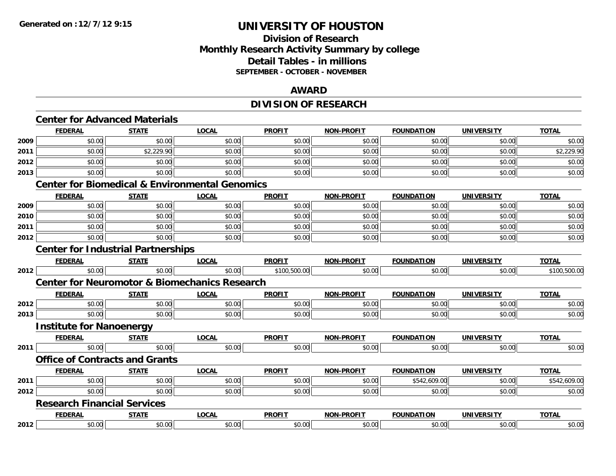#### **Division of Research Monthly Research Activity Summary by college Detail Tables - in millions SEPTEMBER - OCTOBER - NOVEMBER**

#### **AWARD**

# **DIVISION OF RESEARCH**

|      |                                    | <b>Center for Advanced Materials</b>      |                                                           |               |                   |                   |                   |              |
|------|------------------------------------|-------------------------------------------|-----------------------------------------------------------|---------------|-------------------|-------------------|-------------------|--------------|
|      | <b>FEDERAL</b>                     | <b>STATE</b>                              | <b>LOCAL</b>                                              | <b>PROFIT</b> | <b>NON-PROFIT</b> | <b>FOUNDATION</b> | <b>UNIVERSITY</b> | <b>TOTAL</b> |
| 2009 | \$0.00                             | \$0.00                                    | \$0.00                                                    | \$0.00        | \$0.00            | \$0.00            | \$0.00            | \$0.00       |
| 2011 | \$0.00                             | \$2,229.90                                | \$0.00                                                    | \$0.00        | \$0.00            | \$0.00            | \$0.00            | \$2,229.90   |
| 2012 | \$0.00                             | \$0.00                                    | \$0.00                                                    | \$0.00        | \$0.00            | \$0.00            | \$0.00            | \$0.00       |
| 2013 | \$0.00                             | \$0.00                                    | \$0.00                                                    | \$0.00        | \$0.00            | \$0.00            | \$0.00            | \$0.00       |
|      |                                    |                                           | <b>Center for Biomedical &amp; Environmental Genomics</b> |               |                   |                   |                   |              |
|      | <b>FEDERAL</b>                     | <b>STATE</b>                              | <b>LOCAL</b>                                              | <b>PROFIT</b> | <b>NON-PROFIT</b> | <b>FOUNDATION</b> | <b>UNIVERSITY</b> | <b>TOTAL</b> |
| 2009 | \$0.00                             | \$0.00                                    | \$0.00                                                    | \$0.00        | \$0.00            | \$0.00            | \$0.00            | \$0.00       |
| 2010 | \$0.00                             | \$0.00                                    | \$0.00                                                    | \$0.00        | \$0.00            | \$0.00            | \$0.00            | \$0.00       |
| 2011 | \$0.00                             | \$0.00                                    | \$0.00                                                    | \$0.00        | \$0.00            | \$0.00            | \$0.00            | \$0.00       |
| 2012 | \$0.00                             | \$0.00                                    | \$0.00                                                    | \$0.00        | \$0.00            | \$0.00            | \$0.00            | \$0.00       |
|      |                                    | <b>Center for Industrial Partnerships</b> |                                                           |               |                   |                   |                   |              |
|      | <b>FEDERAL</b>                     | <b>STATE</b>                              | <b>LOCAL</b>                                              | <b>PROFIT</b> | <b>NON-PROFIT</b> | <b>FOUNDATION</b> | <b>UNIVERSITY</b> | <b>TOTAL</b> |
| 2012 | \$0.00                             | \$0.00                                    | \$0.00                                                    | \$100,500.00  | \$0.00            | \$0.00            | \$0.00            | \$100,500.00 |
|      |                                    |                                           | <b>Center for Neuromotor &amp; Biomechanics Research</b>  |               |                   |                   |                   |              |
|      | <b>FEDERAL</b>                     | <b>STATE</b>                              | <b>LOCAL</b>                                              | <b>PROFIT</b> | <b>NON-PROFIT</b> | <b>FOUNDATION</b> | <b>UNIVERSITY</b> | <b>TOTAL</b> |
| 2012 | \$0.00                             | \$0.00                                    | \$0.00                                                    | \$0.00        | \$0.00            | \$0.00            | \$0.00            | \$0.00       |
| 2013 | \$0.00                             | \$0.00                                    | \$0.00                                                    | \$0.00        | \$0.00            | \$0.00            | \$0.00            | \$0.00       |
|      | <b>Institute for Nanoenergy</b>    |                                           |                                                           |               |                   |                   |                   |              |
|      | <b>FEDERAL</b>                     | <b>STATE</b>                              | <b>LOCAL</b>                                              | <b>PROFIT</b> | NON-PROFIT        | <b>FOUNDATION</b> | <b>UNIVERSITY</b> | <b>TOTAL</b> |
| 2011 | \$0.00                             | \$0.00                                    | \$0.00                                                    | \$0.00        | \$0.00            | \$0.00            | \$0.00            | \$0.00       |
|      |                                    | <b>Office of Contracts and Grants</b>     |                                                           |               |                   |                   |                   |              |
|      | <b>FEDERAL</b>                     | <b>STATE</b>                              | <b>LOCAL</b>                                              | <b>PROFIT</b> | <b>NON-PROFIT</b> | <b>FOUNDATION</b> | <b>UNIVERSITY</b> | <b>TOTAL</b> |
| 2011 | \$0.00                             | \$0.00                                    | \$0.00                                                    | \$0.00        | \$0.00            | \$542,609.00      | \$0.00            | \$542,609.00 |
| 2012 | \$0.00                             | \$0.00                                    | \$0.00                                                    | \$0.00        | \$0.00            | \$0.00            | \$0.00            | \$0.00       |
|      | <b>Research Financial Services</b> |                                           |                                                           |               |                   |                   |                   |              |
|      | <b>FEDERAL</b>                     | <b>STATE</b>                              | <b>LOCAL</b>                                              | <b>PROFIT</b> | NON-PROFIT        | <b>FOUNDATION</b> | <b>UNIVERSITY</b> | <b>TOTAL</b> |
| 2012 | \$0.00                             | \$0.00                                    | \$0.00                                                    | \$0.00        | \$0.00            | \$0.00            | \$0.00            | \$0.00       |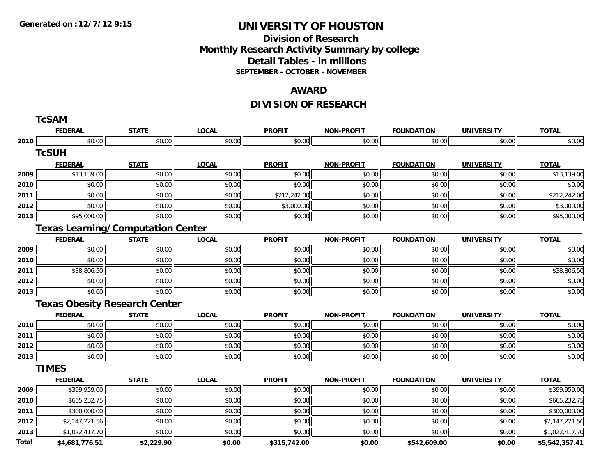## **Division of Research Monthly Research Activity Summary by college Detail Tables - in millions SEPTEMBER - OCTOBER - NOVEMBER**

#### **AWARD**

# **DIVISION OF RESEARCH**

|       | <b>TcSAM</b>   |                                          |              |               |                   |                   |                   |                |
|-------|----------------|------------------------------------------|--------------|---------------|-------------------|-------------------|-------------------|----------------|
|       | <b>FEDERAL</b> | <b>STATE</b>                             | <b>LOCAL</b> | <b>PROFIT</b> | <b>NON-PROFIT</b> | <b>FOUNDATION</b> | <b>UNIVERSITY</b> | <b>TOTAL</b>   |
| 2010  | \$0.00         | \$0.00                                   | \$0.00       | \$0.00        | \$0.00            | \$0.00            | \$0.00            | \$0.00         |
|       | <b>TcSUH</b>   |                                          |              |               |                   |                   |                   |                |
|       | <b>FEDERAL</b> | <b>STATE</b>                             | <b>LOCAL</b> | <b>PROFIT</b> | <b>NON-PROFIT</b> | <b>FOUNDATION</b> | <b>UNIVERSITY</b> | <b>TOTAL</b>   |
| 2009  | \$13,139.00    | \$0.00                                   | \$0.00       | \$0.00        | \$0.00            | \$0.00            | \$0.00            | \$13,139.00    |
| 2010  | \$0.00         | \$0.00                                   | \$0.00       | \$0.00        | \$0.00            | \$0.00            | \$0.00            | \$0.00         |
| 2011  | \$0.00         | \$0.00                                   | \$0.00       | \$212,242.00  | \$0.00            | \$0.00            | \$0.00            | \$212,242.00   |
| 2012  | \$0.00         | \$0.00                                   | \$0.00       | \$3,000.00    | \$0.00            | \$0.00            | \$0.00            | \$3,000.00     |
| 2013  | \$95,000.00    | \$0.00                                   | \$0.00       | \$0.00        | \$0.00            | \$0.00            | \$0.00            | \$95,000.00    |
|       |                | <b>Texas Learning/Computation Center</b> |              |               |                   |                   |                   |                |
|       | <b>FEDERAL</b> | <b>STATE</b>                             | <b>LOCAL</b> | <b>PROFIT</b> | <b>NON-PROFIT</b> | <b>FOUNDATION</b> | <b>UNIVERSITY</b> | <b>TOTAL</b>   |
| 2009  | \$0.00         | \$0.00                                   | \$0.00       | \$0.00        | \$0.00            | \$0.00            | \$0.00            | \$0.00         |
| 2010  | \$0.00         | \$0.00                                   | \$0.00       | \$0.00        | \$0.00            | \$0.00            | \$0.00            | \$0.00         |
| 2011  | \$38,806.50    | \$0.00                                   | \$0.00       | \$0.00        | \$0.00            | \$0.00            | \$0.00            | \$38,806.50    |
| 2012  | \$0.00         | \$0.00                                   | \$0.00       | \$0.00        | \$0.00            | \$0.00            | \$0.00            | \$0.00         |
| 2013  | \$0.00         | \$0.00                                   | \$0.00       | \$0.00        | \$0.00            | \$0.00            | \$0.00            | \$0.00         |
|       |                | <b>Texas Obesity Research Center</b>     |              |               |                   |                   |                   |                |
|       | <b>FEDERAL</b> | <b>STATE</b>                             | <b>LOCAL</b> | <b>PROFIT</b> | <b>NON-PROFIT</b> | <b>FOUNDATION</b> | <b>UNIVERSITY</b> | <b>TOTAL</b>   |
| 2010  | \$0.00         | \$0.00                                   | \$0.00       | \$0.00        | \$0.00            | \$0.00            | \$0.00            | \$0.00         |
| 2011  | \$0.00         | \$0.00                                   | \$0.00       | \$0.00        | \$0.00            | \$0.00            | \$0.00            | \$0.00         |
| 2012  | \$0.00         | \$0.00                                   | \$0.00       | \$0.00        | \$0.00            | \$0.00            | \$0.00            | \$0.00         |
| 2013  | \$0.00         | \$0.00                                   | \$0.00       | \$0.00        | \$0.00            | \$0.00            | \$0.00            | \$0.00         |
|       | <b>TIMES</b>   |                                          |              |               |                   |                   |                   |                |
|       | <b>FEDERAL</b> | <b>STATE</b>                             | <b>LOCAL</b> | <b>PROFIT</b> | <b>NON-PROFIT</b> | <b>FOUNDATION</b> | <b>UNIVERSITY</b> | <b>TOTAL</b>   |
| 2009  | \$399,959.00   | \$0.00                                   | \$0.00       | \$0.00        | \$0.00            | \$0.00            | \$0.00            | \$399,959.00   |
| 2010  | \$665,232.75   | \$0.00                                   | \$0.00       | \$0.00        | \$0.00            | \$0.00            | \$0.00            | \$665,232.75   |
| 2011  | \$300,000.00   | \$0.00                                   | \$0.00       | \$0.00        | \$0.00            | \$0.00            | \$0.00            | \$300,000.00   |
| 2012  | \$2,147,221.56 | \$0.00                                   | \$0.00       | \$0.00        | \$0.00            | \$0.00            | \$0.00            | \$2,147,221.56 |
| 2013  | \$1,022,417.70 | \$0.00                                   | \$0.00       | \$0.00        | \$0.00            | \$0.00            | \$0.00            | \$1,022,417.70 |
| Total | \$4,681,776.51 | \$2,229.90                               | \$0.00       | \$315,742.00  | \$0.00            | \$542,609.00      | \$0.00            | \$5,542,357.41 |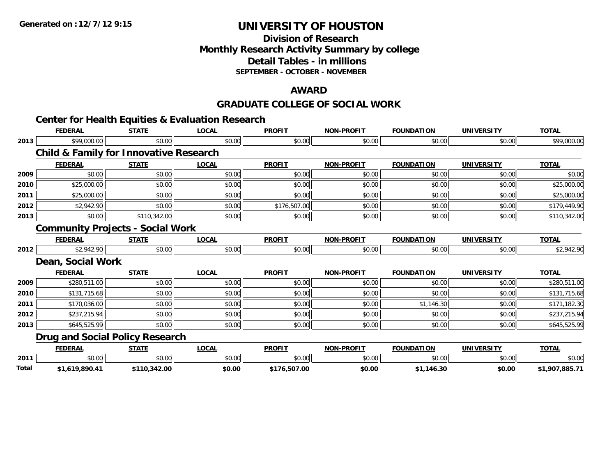#### **Division of Research Monthly Research Activity Summary by college Detail Tables - in millions SEPTEMBER - OCTOBER - NOVEMBER**

#### **AWARD**

#### **GRADUATE COLLEGE OF SOCIAL WORK**

|       |                                                   |              | <b>Center for Health Equities &amp; Evaluation Research</b> |               |                   |                   |                   |                |
|-------|---------------------------------------------------|--------------|-------------------------------------------------------------|---------------|-------------------|-------------------|-------------------|----------------|
|       | <b>FEDERAL</b>                                    | <b>STATE</b> | <b>LOCAL</b>                                                | <b>PROFIT</b> | <b>NON-PROFIT</b> | <b>FOUNDATION</b> | <b>UNIVERSITY</b> | <b>TOTAL</b>   |
| 2013  | \$99,000.00                                       | \$0.00       | \$0.00                                                      | \$0.00        | \$0.00            | \$0.00            | \$0.00            | \$99,000.00    |
|       | <b>Child &amp; Family for Innovative Research</b> |              |                                                             |               |                   |                   |                   |                |
|       | <b>FEDERAL</b>                                    | <b>STATE</b> | <b>LOCAL</b>                                                | <b>PROFIT</b> | <b>NON-PROFIT</b> | <b>FOUNDATION</b> | <b>UNIVERSITY</b> | <b>TOTAL</b>   |
| 2009  | \$0.00                                            | \$0.00       | \$0.00                                                      | \$0.00        | \$0.00            | \$0.00            | \$0.00            | \$0.00         |
| 2010  | \$25,000.00                                       | \$0.00       | \$0.00                                                      | \$0.00        | \$0.00            | \$0.00            | \$0.00            | \$25,000.00    |
| 2011  | \$25,000.00                                       | \$0.00       | \$0.00                                                      | \$0.00        | \$0.00            | \$0.00            | \$0.00            | \$25,000.00    |
| 2012  | \$2,942.90                                        | \$0.00       | \$0.00                                                      | \$176,507.00  | \$0.00            | \$0.00            | \$0.00            | \$179,449.90   |
| 2013  | \$0.00                                            | \$110,342.00 | \$0.00                                                      | \$0.00        | \$0.00            | \$0.00            | \$0.00            | \$110,342.00   |
|       | <b>Community Projects - Social Work</b>           |              |                                                             |               |                   |                   |                   |                |
|       | <b>FEDERAL</b>                                    | <b>STATE</b> | <b>LOCAL</b>                                                | <b>PROFIT</b> | <b>NON-PROFIT</b> | <b>FOUNDATION</b> | <b>UNIVERSITY</b> | <b>TOTAL</b>   |
| 2012  | \$2,942.90                                        | \$0.00       | \$0.00                                                      | \$0.00        | \$0.00            | \$0.00            | \$0.00            | \$2,942.90     |
|       | Dean, Social Work                                 |              |                                                             |               |                   |                   |                   |                |
|       | <b>FEDERAL</b>                                    | <b>STATE</b> | <b>LOCAL</b>                                                | <b>PROFIT</b> | <b>NON-PROFIT</b> | <b>FOUNDATION</b> | <b>UNIVERSITY</b> | <b>TOTAL</b>   |
| 2009  | \$280,511.00                                      | \$0.00       | \$0.00                                                      | \$0.00        | \$0.00            | \$0.00            | \$0.00            | \$280,511.00   |
| 2010  | \$131,715.68                                      | \$0.00       | \$0.00                                                      | \$0.00        | \$0.00            | \$0.00            | \$0.00            | \$131,715.68   |
| 2011  | \$170,036.00                                      | \$0.00       | \$0.00                                                      | \$0.00        | \$0.00            | \$1,146.30        | \$0.00            | \$171,182.30   |
| 2012  | \$237,215.94                                      | \$0.00       | \$0.00                                                      | \$0.00        | \$0.00            | \$0.00            | \$0.00            | \$237,215.94   |
| 2013  | \$645,525.99                                      | \$0.00       | \$0.00                                                      | \$0.00        | \$0.00            | \$0.00            | \$0.00            | \$645,525.99   |
|       | <b>Drug and Social Policy Research</b>            |              |                                                             |               |                   |                   |                   |                |
|       | <b>FEDERAL</b>                                    | <b>STATE</b> | <b>LOCAL</b>                                                | <b>PROFIT</b> | <b>NON-PROFIT</b> | <b>FOUNDATION</b> | <b>UNIVERSITY</b> | <b>TOTAL</b>   |
| 2011  | \$0.00                                            | \$0.00       | \$0.00                                                      | \$0.00        | \$0.00            | \$0.00            | \$0.00            | \$0.00         |
| Total | \$1,619,890.41                                    | \$110,342.00 | \$0.00                                                      | \$176,507.00  | \$0.00            | \$1,146.30        | \$0.00            | \$1,907,885.71 |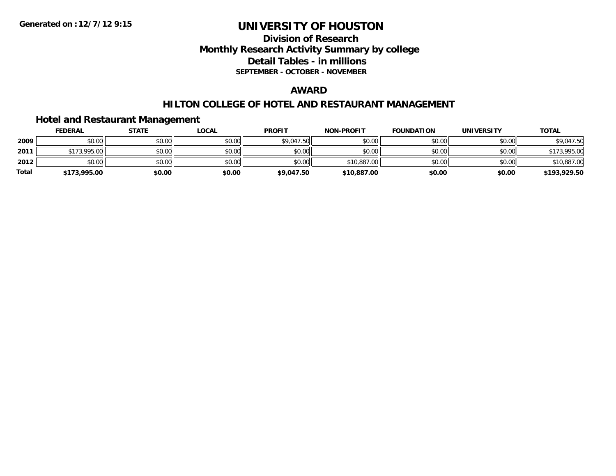#### **Division of Research Monthly Research Activity Summary by college Detail Tables - in millions SEPTEMBER - OCTOBER - NOVEMBER**

#### **AWARD**

#### **HILTON COLLEGE OF HOTEL AND RESTAURANT MANAGEMENT**

#### **Hotel and Restaurant Management**

|              | <b>FEDERAL</b> | <u>STATE</u> | <u>LOCAL</u> | <b>PROFIT</b> | <b>NON-PROFIT</b> | <b>FOUNDATION</b> | <b>UNIVERSITY</b> | <b>TOTAL</b> |
|--------------|----------------|--------------|--------------|---------------|-------------------|-------------------|-------------------|--------------|
| 2009         | \$0.00         | \$0.00       | \$0.00       | \$9,047.50    | \$0.00            | \$0.00            | \$0.00            | \$9,047.50   |
| 2011         | \$173,995.00   | \$0.00       | \$0.00       | \$0.00        | \$0.00            | \$0.00            | \$0.00            | \$173,995.00 |
| 2012         | \$0.00         | \$0.00       | \$0.00       | \$0.00        | \$10,887.00       | \$0.00            | \$0.00            | \$10,887.00  |
| <b>Total</b> | \$173,995.00   | \$0.00       | \$0.00       | \$9,047.50    | \$10,887.00       | \$0.00            | \$0.00            | \$193,929.50 |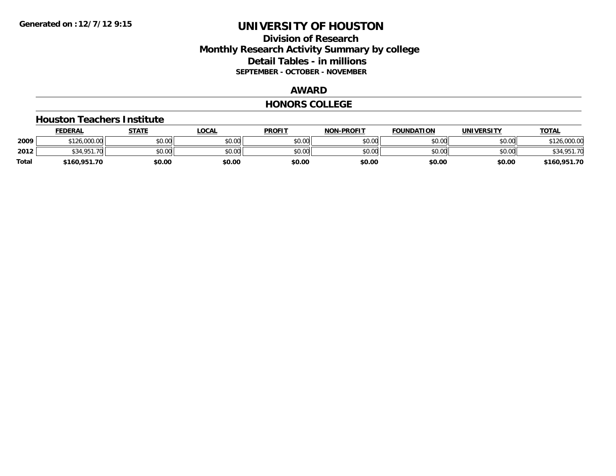#### **Division of Research Monthly Research Activity Summary by college Detail Tables - in millions SEPTEMBER - OCTOBER - NOVEMBER**

#### **AWARD**

#### **HONORS COLLEGE**

#### **Houston Teachers Institute**

|       | <b>FEDERAL</b>   | STATE  | <b>LOCAL</b> | <b>PROFIT</b> | <b>NON-PROFIT</b> | <b>FOUNDATION</b> | <b>UNIVERSITY</b> | <b>TOTAL</b>        |
|-------|------------------|--------|--------------|---------------|-------------------|-------------------|-------------------|---------------------|
| 2009  | \$126,000.00     | \$0.00 | \$0.00       | \$0.00        | \$0.00            | \$0.00            | \$0.00            | 126,000.00<br>0.101 |
| 2012  | \$34.951.<br>.70 | \$0.00 | \$0.00       | \$0.00        | \$0.00            | \$0.00            | \$0.00            | \$34,951.70         |
| Total | \$160,951.70     | \$0.00 | \$0.00       | \$0.00        | \$0.00            | \$0.00            | \$0.00            | \$160,951.70        |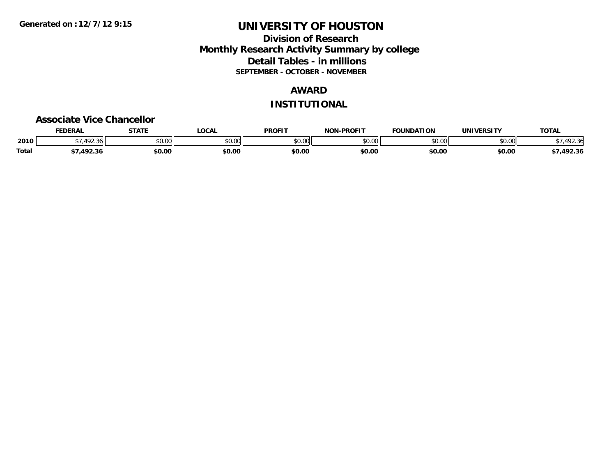#### **Division of Research Monthly Research Activity Summary by college Detail Tables - in millions SEPTEMBER - OCTOBER - NOVEMBER**

#### **AWARD**

#### **INSTITUTIONAL**

#### **Associate Vice Chancellor**

|              | <b>FEDERAL</b> | <b>STATE</b> | <b>OCAL</b>   | <b>PROFIT</b> | <b>NON-PROFIT</b> | <b>FOUNDATION</b> | <b>UNIVERSITY</b> | <b>TOTAL</b> |
|--------------|----------------|--------------|---------------|---------------|-------------------|-------------------|-------------------|--------------|
| 2010         | .492.36        | \$0.00       | 0000<br>vu.uu | \$0.00        | ልስ ሀህ<br>pu.uu    | \$0.00            | \$0.00            | 92.36        |
| <b>Total</b> | 1022           | \$0.00       | \$0.00        | \$0.00        | \$0.00            | \$0.00            | \$0.00            | /,492.36     |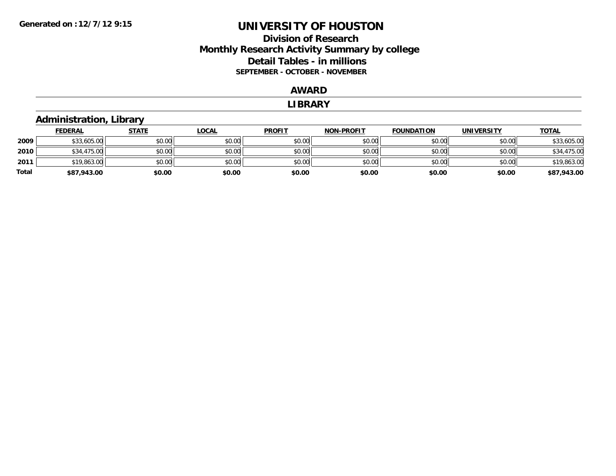#### **Division of Research Monthly Research Activity Summary by college Detail Tables - in millions SEPTEMBER - OCTOBER - NOVEMBER**

#### **AWARD**

#### **LIBRARY**

#### **Administration, Library**

|       | <b>FEDERAL</b> | <u>STATE</u> | <u>LOCAL</u> | <b>PROFIT</b> | <b>NON-PROFIT</b> | <b>FOUNDATION</b> | <b>UNIVERSITY</b> | <b>TOTAL</b> |
|-------|----------------|--------------|--------------|---------------|-------------------|-------------------|-------------------|--------------|
| 2009  | \$33,605.00    | \$0.00       | \$0.00       | \$0.00        | \$0.00            | \$0.00            | \$0.00            | \$33,605.00  |
| 2010  | \$34,475.00    | \$0.00       | \$0.00       | \$0.00        | \$0.00            | \$0.00            | \$0.00            | \$34,475.00  |
| 2011  | \$19,863.00    | \$0.00       | \$0.00       | \$0.00        | \$0.00            | \$0.00            | \$0.00            | \$19,863.00  |
| Total | \$87,943.00    | \$0.00       | \$0.00       | \$0.00        | \$0.00            | \$0.00            | \$0.00            | \$87,943.00  |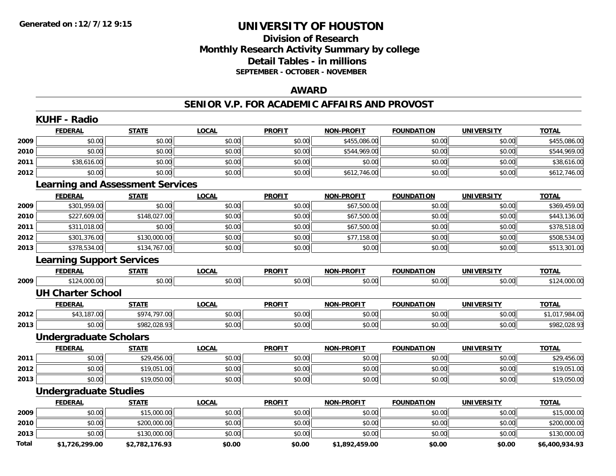## **Division of ResearchMonthly Research Activity Summary by college Detail Tables - in millions SEPTEMBER - OCTOBER - NOVEMBER**

#### **AWARD**

#### **SENIOR V.P. FOR ACADEMIC AFFAIRS AND PROVOST**

|              | <b>FEDERAL</b>                          | <b>STATE</b>   | <b>LOCAL</b> | <b>PROFIT</b> | <b>NON-PROFIT</b> | <b>FOUNDATION</b> | <b>UNIVERSITY</b> | <b>TOTAL</b>   |
|--------------|-----------------------------------------|----------------|--------------|---------------|-------------------|-------------------|-------------------|----------------|
| 2009         | \$0.00                                  | \$0.00         | \$0.00       | \$0.00        | \$455,086.00      | \$0.00            | \$0.00            | \$455,086.00   |
| 2010         | \$0.00                                  | \$0.00         | \$0.00       | \$0.00        | \$544,969.00      | \$0.00            | \$0.00            | \$544,969.00   |
| 2011         | \$38,616.00                             | \$0.00         | \$0.00       | \$0.00        | \$0.00            | \$0.00            | \$0.00            | \$38,616.00    |
| 2012         | \$0.00                                  | \$0.00         | \$0.00       | \$0.00        | \$612,746.00      | \$0.00            | \$0.00            | \$612,746.00   |
|              | <b>Learning and Assessment Services</b> |                |              |               |                   |                   |                   |                |
|              | <b>FEDERAL</b>                          | <b>STATE</b>   | <b>LOCAL</b> | <b>PROFIT</b> | <b>NON-PROFIT</b> | <b>FOUNDATION</b> | <b>UNIVERSITY</b> | <b>TOTAL</b>   |
| 2009         | \$301,959.00                            | \$0.00         | \$0.00       | \$0.00        | \$67,500.00       | \$0.00            | \$0.00            | \$369,459.00   |
| 2010         | \$227,609.00                            | \$148,027.00   | \$0.00       | \$0.00        | \$67,500.00       | \$0.00            | \$0.00            | \$443,136.00   |
| 2011         | \$311,018.00                            | \$0.00         | \$0.00       | \$0.00        | \$67,500.00       | \$0.00            | \$0.00            | \$378,518.00   |
| 2012         | \$301,376.00                            | \$130,000.00   | \$0.00       | \$0.00        | \$77,158.00       | \$0.00            | \$0.00            | \$508,534.00   |
| 2013         | \$378,534.00                            | \$134,767.00   | \$0.00       | \$0.00        | \$0.00            | \$0.00            | \$0.00            | \$513,301.00   |
|              | <b>Learning Support Services</b>        |                |              |               |                   |                   |                   |                |
|              | <b>FEDERAL</b>                          | <b>STATE</b>   | <b>LOCAL</b> | <b>PROFIT</b> | <b>NON-PROFIT</b> | <b>FOUNDATION</b> | <b>UNIVERSITY</b> | <b>TOTAL</b>   |
| 2009         | \$124,000.00                            | \$0.00         | \$0.00       | \$0.00        | \$0.00            | \$0.00            | \$0.00            | \$124,000.00   |
|              | <b>UH Charter School</b>                |                |              |               |                   |                   |                   |                |
|              | <b>FEDERAL</b>                          | <b>STATE</b>   | <b>LOCAL</b> | <b>PROFIT</b> | <b>NON-PROFIT</b> | <b>FOUNDATION</b> | <b>UNIVERSITY</b> | <b>TOTAL</b>   |
| 2012         | \$43,187.00                             | \$974,797.00   | \$0.00       | \$0.00        | \$0.00            | \$0.00            | \$0.00            | \$1,017,984.00 |
| 2013         | \$0.00                                  | \$982,028.93   | \$0.00       | \$0.00        | \$0.00            | \$0.00            | \$0.00            | \$982,028.93   |
|              | <b>Undergraduate Scholars</b>           |                |              |               |                   |                   |                   |                |
|              | <b>FEDERAL</b>                          | <b>STATE</b>   | <b>LOCAL</b> | <b>PROFIT</b> | <b>NON-PROFIT</b> | <b>FOUNDATION</b> | <b>UNIVERSITY</b> | <b>TOTAL</b>   |
| 2011         | \$0.00                                  | \$29,456.00    | \$0.00       | \$0.00        | \$0.00            | \$0.00            | \$0.00            | \$29,456.00    |
| 2012         | \$0.00                                  | \$19,051.00    | \$0.00       | \$0.00        | \$0.00            | \$0.00            | \$0.00            | \$19,051.00    |
| 2013         | \$0.00                                  | \$19,050.00    | \$0.00       | \$0.00        | \$0.00            | \$0.00            | \$0.00            | \$19,050.00    |
|              | <b>Undergraduate Studies</b>            |                |              |               |                   |                   |                   |                |
|              | <b>FEDERAL</b>                          | <b>STATE</b>   | <b>LOCAL</b> | <b>PROFIT</b> | <b>NON-PROFIT</b> | <b>FOUNDATION</b> | <b>UNIVERSITY</b> | <b>TOTAL</b>   |
| 2009         | \$0.00                                  | \$15,000.00    | \$0.00       | \$0.00        | \$0.00            | \$0.00            | \$0.00            | \$15,000.00    |
| 2010         | \$0.00                                  | \$200,000.00   | \$0.00       | \$0.00        | \$0.00            | \$0.00            | \$0.00            | \$200,000.00   |
| 2013         | \$0.00                                  | \$130,000.00   | \$0.00       | \$0.00        | \$0.00            | \$0.00            | \$0.00            | \$130,000.00   |
| <b>Total</b> | \$1,726,299.00                          | \$2,782,176.93 | \$0.00       | \$0.00        | \$1,892,459.00    | \$0.00            | \$0.00            | \$6,400,934.93 |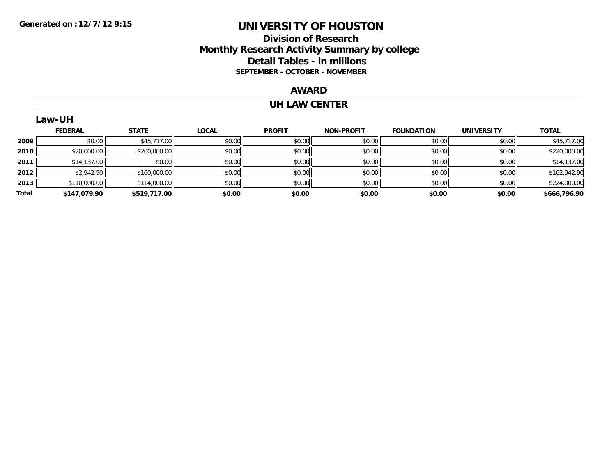#### **Division of Research Monthly Research Activity Summary by college Detail Tables - in millions SEPTEMBER - OCTOBER - NOVEMBER**

#### **AWARD**

#### **UH LAW CENTER**

|       | Law-UH         |              |              |               |                   |                   |                   |              |
|-------|----------------|--------------|--------------|---------------|-------------------|-------------------|-------------------|--------------|
|       | <b>FEDERAL</b> | <b>STATE</b> | <b>LOCAL</b> | <b>PROFIT</b> | <b>NON-PROFIT</b> | <b>FOUNDATION</b> | <b>UNIVERSITY</b> | <b>TOTAL</b> |
| 2009  | \$0.00         | \$45,717.00  | \$0.00       | \$0.00        | \$0.00            | \$0.00            | \$0.00            | \$45,717.00  |
| 2010  | \$20,000.00    | \$200,000.00 | \$0.00       | \$0.00        | \$0.00            | \$0.00            | \$0.00            | \$220,000.00 |
| 2011  | \$14,137.00    | \$0.00       | \$0.00       | \$0.00        | \$0.00            | \$0.00            | \$0.00            | \$14,137.00  |
| 2012  | \$2,942.90     | \$160,000.00 | \$0.00       | \$0.00        | \$0.00            | \$0.00            | \$0.00            | \$162,942.90 |
| 2013  | \$110,000.00   | \$114,000.00 | \$0.00       | \$0.00        | \$0.00            | \$0.00            | \$0.00            | \$224,000.00 |
| Total | \$147.079.90   | \$519,717.00 | \$0.00       | \$0.00        | \$0.00            | \$0.00            | \$0.00            | \$666,796.90 |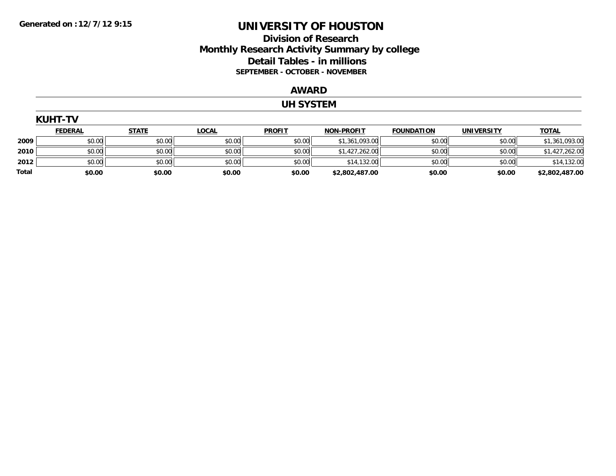#### **Division of Research Monthly Research Activity Summary by college Detail Tables - in millions SEPTEMBER - OCTOBER - NOVEMBER**

#### **AWARD**

#### **UH SYSTEM**

|       | <b>KUHT-TV</b> |              |              |               |                   |                   |                   |                |  |  |  |
|-------|----------------|--------------|--------------|---------------|-------------------|-------------------|-------------------|----------------|--|--|--|
|       | <b>FEDERAL</b> | <b>STATE</b> | <b>LOCAL</b> | <b>PROFIT</b> | <b>NON-PROFIT</b> | <b>FOUNDATION</b> | <b>UNIVERSITY</b> | <b>TOTAL</b>   |  |  |  |
| 2009  | \$0.00         | \$0.00       | \$0.00       | \$0.00        | \$1,361,093.00    | \$0.00            | \$0.00            | \$1,361,093.00 |  |  |  |
| 2010  | \$0.00         | \$0.00       | \$0.00       | \$0.00        | \$1,427,262.00    | \$0.00            | \$0.00            | \$1,427,262.00 |  |  |  |
| 2012  | \$0.00         | \$0.00       | \$0.00       | \$0.00        | \$14,132.00       | \$0.00            | \$0.00            | \$14,132.00    |  |  |  |
| Total | \$0.00         | \$0.00       | \$0.00       | \$0.00        | \$2,802,487.00    | \$0.00            | \$0.00            | \$2,802,487.00 |  |  |  |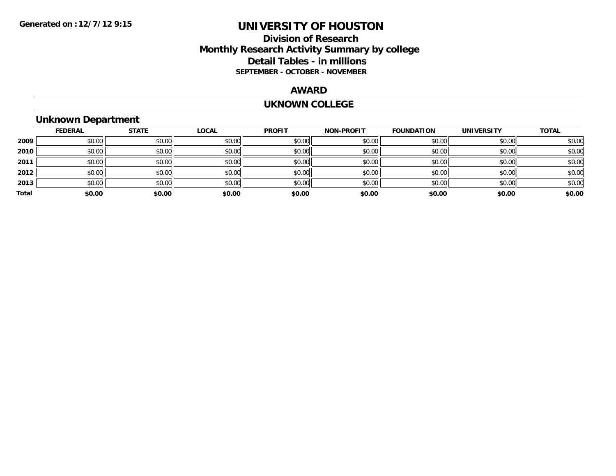#### **Division of Research Monthly Research Activity Summary by college Detail Tables - in millions SEPTEMBER - OCTOBER - NOVEMBER**

#### **AWARD**

#### **UKNOWN COLLEGE**

# **Unknown Department**

|       | <b>FEDERAL</b> | <b>STATE</b> | <b>LOCAL</b> | <b>PROFIT</b> | <b>NON-PROFIT</b> | <b>FOUNDATION</b> | <b>UNIVERSITY</b> | <b>TOTAL</b> |
|-------|----------------|--------------|--------------|---------------|-------------------|-------------------|-------------------|--------------|
| 2009  | \$0.00         | \$0.00       | \$0.00       | \$0.00        | \$0.00            | \$0.00            | \$0.00            | \$0.00       |
| 2010  | \$0.00         | \$0.00       | \$0.00       | \$0.00        | \$0.00            | \$0.00            | \$0.00            | \$0.00       |
| 2011  | \$0.00         | \$0.00       | \$0.00       | \$0.00        | \$0.00            | \$0.00            | \$0.00            | \$0.00       |
| 2012  | \$0.00         | \$0.00       | \$0.00       | \$0.00        | \$0.00            | \$0.00            | \$0.00            | \$0.00       |
| 2013  | \$0.00         | \$0.00       | \$0.00       | \$0.00        | \$0.00            | \$0.00            | \$0.00            | \$0.00       |
| Total | \$0.00         | \$0.00       | \$0.00       | \$0.00        | \$0.00            | \$0.00            | \$0.00            | \$0.00       |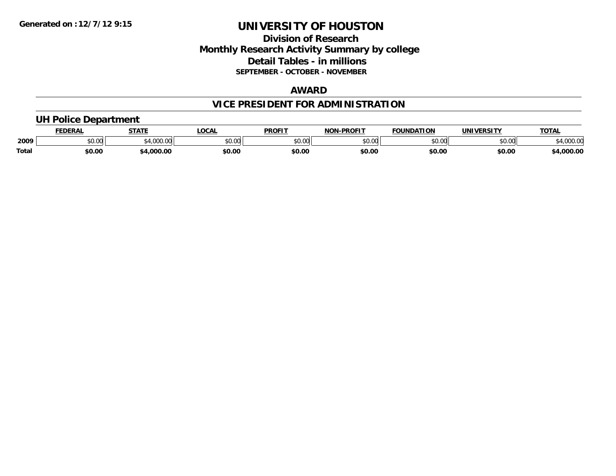#### **Division of Research Monthly Research Activity Summary by college Detail Tables - in millions SEPTEMBER - OCTOBER - NOVEMBER**

#### **AWARD**

# **VICE PRESIDENT FOR ADMINISTRATION**

#### **UH Police Department**

|              | <b>FEDERAL</b> | <b>STATE</b>                                | <b>LOCAL</b>  | <b>PROFIT</b>  | <b>J-PROFIT</b><br><b>NON</b> | <b>FOUNDATION</b> | UNIVERSITY | <b>TOTAL</b>      |
|--------------|----------------|---------------------------------------------|---------------|----------------|-------------------------------|-------------------|------------|-------------------|
| 2009         | vv.vv          | $\rightarrow$ 000.00 $\rightarrow$<br>uuu.u | 0000<br>PU.UU | 40.00<br>DU.UU | 0000<br>,u.uu                 | \$0.00            | \$0.00     | 00000<br>4,000.00 |
| <b>Total</b> | \$0.00         | .000.00                                     | \$0.00        | \$0.00         | \$0.00                        | \$0.00            | \$0.00     | 4,000.00          |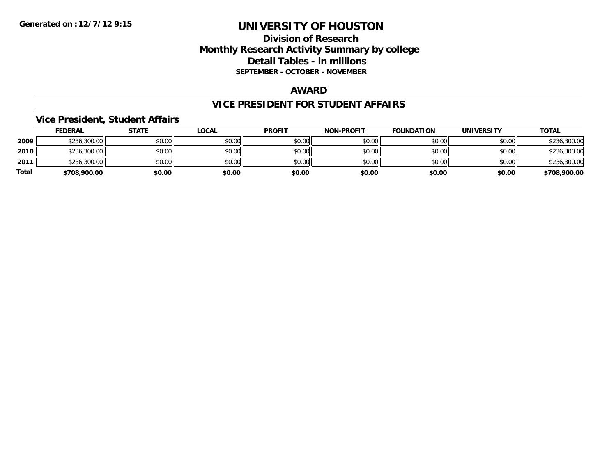#### **Division of Research Monthly Research Activity Summary by college Detail Tables - in millions SEPTEMBER - OCTOBER - NOVEMBER**

#### **AWARD**

#### **VICE PRESIDENT FOR STUDENT AFFAIRS**

#### **Vice President, Student Affairs**

|       | <b>FEDERAL</b> | <u>STATE</u> | <u>LOCAL</u> | <b>PROFIT</b> | <b>NON-PROFIT</b> | <b>FOUNDATION</b> | <b>UNIVERSITY</b> | <b>TOTAL</b> |
|-------|----------------|--------------|--------------|---------------|-------------------|-------------------|-------------------|--------------|
| 2009  | \$236,300.00   | \$0.00       | \$0.00       | \$0.00        | \$0.00            | \$0.00            | \$0.00            | \$236,300.00 |
| 2010  | \$236,300.00   | \$0.00       | \$0.00       | \$0.00        | \$0.00            | \$0.00            | \$0.00            | \$236,300.00 |
| 2011  | \$236,300.00   | \$0.00       | \$0.00       | \$0.00        | \$0.00            | \$0.00            | \$0.00            | \$236,300.00 |
| Total | \$708,900.00   | \$0.00       | \$0.00       | \$0.00        | \$0.00            | \$0.00            | \$0.00            | \$708,900.00 |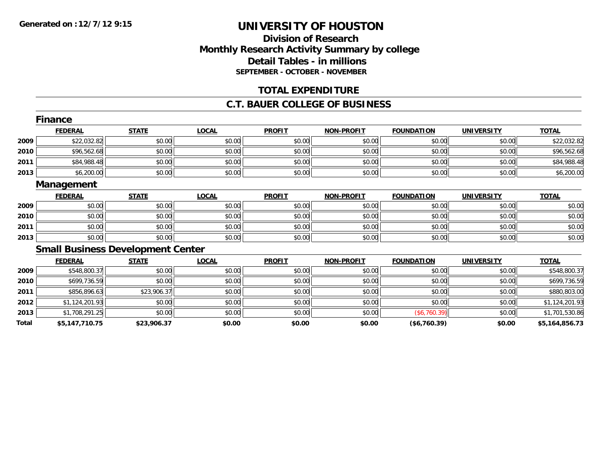## **Division of ResearchMonthly Research Activity Summary by college Detail Tables - in millions SEPTEMBER - OCTOBER - NOVEMBER**

#### **TOTAL EXPENDITURE**

#### **C.T. BAUER COLLEGE OF BUSINESS**

|       | <b>Finance</b> |                                          |              |               |                   |                   |                   |                |  |
|-------|----------------|------------------------------------------|--------------|---------------|-------------------|-------------------|-------------------|----------------|--|
|       | <b>FEDERAL</b> | <b>STATE</b>                             | <b>LOCAL</b> | <b>PROFIT</b> | <b>NON-PROFIT</b> | <b>FOUNDATION</b> | <b>UNIVERSITY</b> | <b>TOTAL</b>   |  |
| 2009  | \$22,032.82    | \$0.00                                   | \$0.00       | \$0.00        | \$0.00            | \$0.00            | \$0.00            | \$22,032.82    |  |
| 2010  | \$96,562.68    | \$0.00                                   | \$0.00       | \$0.00        | \$0.00            | \$0.00            | \$0.00            | \$96,562.68    |  |
| 2011  | \$84,988.48    | \$0.00                                   | \$0.00       | \$0.00        | \$0.00            | \$0.00            | \$0.00            | \$84,988.48    |  |
| 2013  | \$6,200.00     | \$0.00                                   | \$0.00       | \$0.00        | \$0.00            | \$0.00            | \$0.00            | \$6,200.00     |  |
|       | Management     |                                          |              |               |                   |                   |                   |                |  |
|       | <b>FEDERAL</b> | <b>STATE</b>                             | <b>LOCAL</b> | <b>PROFIT</b> | <b>NON-PROFIT</b> | <b>FOUNDATION</b> | <b>UNIVERSITY</b> | <b>TOTAL</b>   |  |
| 2009  | \$0.00         | \$0.00                                   | \$0.00       | \$0.00        | \$0.00            | \$0.00            | \$0.00            | \$0.00         |  |
| 2010  | \$0.00         | \$0.00                                   | \$0.00       | \$0.00        | \$0.00            | \$0.00            | \$0.00            | \$0.00         |  |
| 2011  | \$0.00         | \$0.00                                   | \$0.00       | \$0.00        | \$0.00            | \$0.00            | \$0.00            | \$0.00         |  |
| 2013  | \$0.00         | \$0.00                                   | \$0.00       | \$0.00        | \$0.00            | \$0.00            | \$0.00            | \$0.00         |  |
|       |                | <b>Small Business Development Center</b> |              |               |                   |                   |                   |                |  |
|       | <b>FEDERAL</b> | <b>STATE</b>                             | <b>LOCAL</b> | <b>PROFIT</b> | <b>NON-PROFIT</b> | <b>FOUNDATION</b> | <b>UNIVERSITY</b> | <b>TOTAL</b>   |  |
| 2009  | \$548,800.37   | \$0.00                                   | \$0.00       | \$0.00        | \$0.00            | \$0.00            | \$0.00            | \$548,800.37   |  |
| 2010  | \$699,736.59   | \$0.00                                   | \$0.00       | \$0.00        | \$0.00            | \$0.00            | \$0.00            | \$699,736.59   |  |
| 2011  | \$856,896.63   | \$23,906.37                              | \$0.00       | \$0.00        | \$0.00            | \$0.00            | \$0.00            | \$880,803.00   |  |
| 2012  | \$1,124,201.93 | \$0.00                                   | \$0.00       | \$0.00        | \$0.00            | \$0.00            | \$0.00            | \$1,124,201.93 |  |
| 2013  | \$1,708,291.25 | \$0.00                                   | \$0.00       | \$0.00        | \$0.00            | (\$6,760.39)      | \$0.00            | \$1,701,530.86 |  |
| Total | \$5,147,710.75 | \$23,906.37                              | \$0.00       | \$0.00        | \$0.00            | (\$6,760.39)      | \$0.00            | \$5,164,856.73 |  |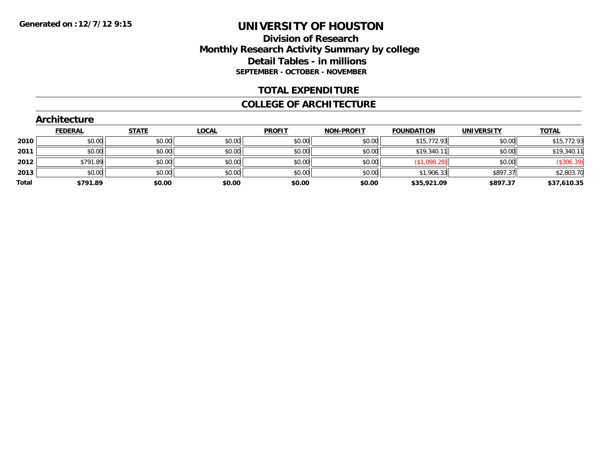## **Division of Research Monthly Research Activity Summary by college Detail Tables - in millions SEPTEMBER - OCTOBER - NOVEMBER**

#### **TOTAL EXPENDITURE**

#### **COLLEGE OF ARCHITECTURE**

|       | <b>Architecture</b> |              |              |               |                   |                   |                   |              |
|-------|---------------------|--------------|--------------|---------------|-------------------|-------------------|-------------------|--------------|
|       | <b>FEDERAL</b>      | <b>STATE</b> | <b>LOCAL</b> | <b>PROFIT</b> | <b>NON-PROFIT</b> | <b>FOUNDATION</b> | <b>UNIVERSITY</b> | <b>TOTAL</b> |
| 2010  | \$0.00              | \$0.00       | \$0.00       | \$0.00        | \$0.00            | \$15,772.93       | \$0.00            | \$15,772.93  |
| 2011  | \$0.00              | \$0.00       | \$0.00       | \$0.00        | \$0.00            | \$19,340.11       | \$0.00            | \$19,340.11  |
| 2012  | \$791.89            | \$0.00       | \$0.00       | \$0.00        | \$0.00            | (\$1,098.28)      | \$0.00            | (\$306.39)   |
| 2013  | \$0.00              | \$0.00       | \$0.00       | \$0.00        | \$0.00            | \$1,906.33        | \$897.37          | \$2,803.70   |
| Total | \$791.89            | \$0.00       | \$0.00       | \$0.00        | \$0.00            | \$35,921.09       | \$897.37          | \$37,610.35  |

# **Architecture**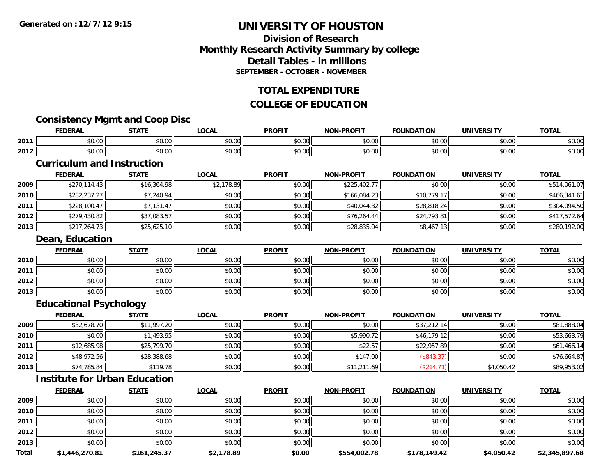## **Division of ResearchMonthly Research Activity Summary by college Detail Tables - in millionsSEPTEMBER - OCTOBER - NOVEMBER**

#### **TOTAL EXPENDITURE**

#### **COLLEGE OF EDUCATION**

## **Consistency Mgmt and Coop Disc**

|      | EEDEDAI<br>-nn                | 27.77                                                 | <b>OCAL</b> | <b>PROFIT</b>                   | <b>DOAFIT</b><br>וחו | ΊΩΝ           | <b>TIN'</b><br> | <b>TOTAL</b>       |
|------|-------------------------------|-------------------------------------------------------|-------------|---------------------------------|----------------------|---------------|-----------------|--------------------|
| 2011 | $\triangle$<br>$\sim$<br>ט.טע | $\sim$ $\sim$<br>JU.UU                                | \$0.00      | $\triangle$ $\triangle$<br>JU.U | 0000<br>vu.vu        | 0.00          | \$0.00          | ቀስ ስር<br>DU.UC     |
| 2012 | $\sim$<br>JU.UU               | $\mathsf{A} \cap \mathsf{A} \cap \mathsf{A}$<br>JU.UU | \$0.00      | 0 <sub>n</sub><br>JU.U          | $\sim$ 00<br>vv.vv   | $\sim$ $\sim$ | \$0.00          | $\sim$ 00<br>DU.UC |

#### **Curriculum and Instruction**

|      | <b>FEDERAL</b> | <u>STATE</u> | <u>LOCAL</u> | <b>PROFIT</b> | <b>NON-PROFIT</b> | <b>FOUNDATION</b> | <b>UNIVERSITY</b> | <b>TOTAL</b> |
|------|----------------|--------------|--------------|---------------|-------------------|-------------------|-------------------|--------------|
| 2009 | \$270,114.43   | \$16,364.98  | \$2,178.89   | \$0.00        | \$225,402.77      | \$0.00            | \$0.00            | \$514,061.07 |
| 2010 | \$282,237.27   | \$7,240.94   | \$0.00       | \$0.00        | \$166,084.23      | \$10,779.17       | \$0.00            | \$466,341.61 |
| 2011 | \$228,100.47   | \$7,131.47   | \$0.00       | \$0.00        | \$40,044.32       | \$28,818.24       | \$0.00            | \$304,094.50 |
| 2012 | \$279,430.82   | \$37,083.57  | \$0.00       | \$0.00        | \$76,264.44       | \$24,793.81       | \$0.00            | \$417,572.64 |
| 2013 | \$217,264.73   | \$25,625.10  | \$0.00       | \$0.00        | \$28,835.04       | \$8,467.13        | \$0.00            | \$280,192.00 |

#### **Dean, Education**

|      | <u>FEDERAL</u> | <b>STATE</b> | <u>LOCAL</u> | <b>PROFIT</b> | <b>NON-PROFIT</b> | <b>FOUNDATION</b> | <b>UNIVERSITY</b> | <b>TOTAL</b> |
|------|----------------|--------------|--------------|---------------|-------------------|-------------------|-------------------|--------------|
| 2010 | \$0.00         | \$0.00       | \$0.00       | \$0.00        | \$0.00            | \$0.00            | \$0.00            | \$0.00       |
| 2011 | \$0.00         | \$0.00       | \$0.00       | \$0.00        | \$0.00            | \$0.00            | \$0.00            | \$0.00       |
| 2012 | \$0.00         | \$0.00       | \$0.00       | \$0.00        | \$0.00            | \$0.00            | \$0.00            | \$0.00       |
| 2013 | \$0.00         | \$0.00       | \$0.00       | \$0.00        | \$0.00            | \$0.00            | \$0.00            | \$0.00       |

## **Educational Psychology**

|      | <b>FEDERAL</b> | <u>STATE</u> | <u>LOCAL</u> | <b>PROFIT</b> | <b>NON-PROFIT</b> | <b>FOUNDATION</b> | <b>UNIVERSITY</b> | <b>TOTAL</b> |
|------|----------------|--------------|--------------|---------------|-------------------|-------------------|-------------------|--------------|
| 2009 | \$32,678.70    | \$11,997.20  | \$0.00       | \$0.00        | \$0.00            | \$37,212.14       | \$0.00            | \$81,888.04  |
| 2010 | \$0.00         | \$1,493.95   | \$0.00       | \$0.00        | \$5,990.72        | \$46,179.12       | \$0.00            | \$53,663.79  |
| 2011 | \$12,685.98    | \$25,799.70  | \$0.00       | \$0.00        | \$22.57           | \$22,957.89       | \$0.00            | \$61,466.14  |
| 2012 | \$48,972.56    | \$28,388.68  | \$0.00       | \$0.00        | \$147.00          | (\$843.37)        | \$0.00            | \$76,664.87  |
| 2013 | \$74,785.84    | \$119.78     | \$0.00       | \$0.00        | \$11,211.69       | (S214)            | \$4,050.42        | \$89,953.02  |

#### **Institute for Urban Education**

|       | <b>FEDERAL</b> | <b>STATE</b> | <b>LOCAL</b> | <b>PROFIT</b> | <b>NON-PROFIT</b> | <b>FOUNDATION</b> | <b>UNIVERSITY</b> | <b>TOTAL</b>   |
|-------|----------------|--------------|--------------|---------------|-------------------|-------------------|-------------------|----------------|
| 2009  | \$0.00         | \$0.00       | \$0.00       | \$0.00        | \$0.00            | \$0.00            | \$0.00            | \$0.00         |
| 2010  | \$0.00         | \$0.00       | \$0.00       | \$0.00        | \$0.00            | \$0.00            | \$0.00            | \$0.00         |
| 2011  | \$0.00         | \$0.00       | \$0.00       | \$0.00        | \$0.00            | \$0.00            | \$0.00            | \$0.00         |
| 2012  | \$0.00         | \$0.00       | \$0.00       | \$0.00        | \$0.00            | \$0.00            | \$0.00            | \$0.00         |
| 2013  | \$0.00         | \$0.00       | \$0.00       | \$0.00        | \$0.00            | \$0.00            | \$0.00            | \$0.00         |
| Total | \$1,446,270.81 | \$161,245.37 | \$2,178.89   | \$0.00        | \$554,002.78      | \$178,149.42      | \$4,050.42        | \$2,345,897.68 |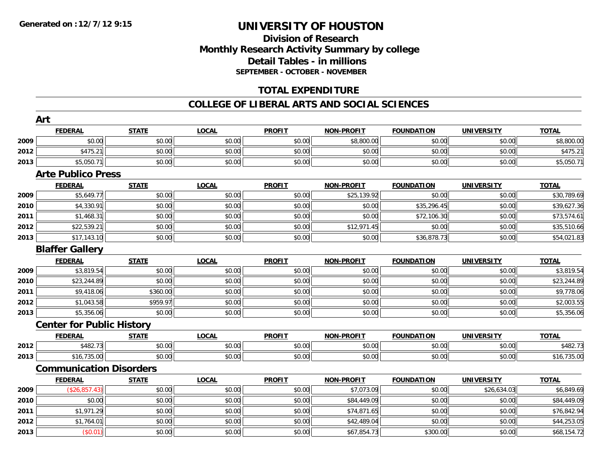## **Division of ResearchMonthly Research Activity Summary by college Detail Tables - in millions SEPTEMBER - OCTOBER - NOVEMBER**

#### **TOTAL EXPENDITURE**

#### **COLLEGE OF LIBERAL ARTS AND SOCIAL SCIENCES**

|      | Art                              |              |              |               |                   |                   |                   |              |
|------|----------------------------------|--------------|--------------|---------------|-------------------|-------------------|-------------------|--------------|
|      | <b>FEDERAL</b>                   | <b>STATE</b> | <b>LOCAL</b> | <b>PROFIT</b> | <b>NON-PROFIT</b> | <b>FOUNDATION</b> | <b>UNIVERSITY</b> | <b>TOTAL</b> |
| 2009 | \$0.00                           | \$0.00       | \$0.00       | \$0.00        | \$8,800.00        | \$0.00            | \$0.00            | \$8,800.00   |
| 2012 | \$475.21                         | \$0.00       | \$0.00       | \$0.00        | \$0.00            | \$0.00            | \$0.00            | \$475.21     |
| 2013 | \$5,050.71                       | \$0.00       | \$0.00       | \$0.00        | \$0.00            | \$0.00            | \$0.00            | \$5,050.71   |
|      | <b>Arte Publico Press</b>        |              |              |               |                   |                   |                   |              |
|      | <b>FEDERAL</b>                   | <b>STATE</b> | <b>LOCAL</b> | <b>PROFIT</b> | <b>NON-PROFIT</b> | <b>FOUNDATION</b> | <b>UNIVERSITY</b> | <b>TOTAL</b> |
| 2009 | \$5,649.77                       | \$0.00       | \$0.00       | \$0.00        | \$25,139.92       | \$0.00            | \$0.00            | \$30,789.69  |
| 2010 | \$4,330.91                       | \$0.00       | \$0.00       | \$0.00        | \$0.00            | \$35,296.45       | \$0.00            | \$39,627.36  |
| 2011 | \$1,468.31                       | \$0.00       | \$0.00       | \$0.00        | \$0.00            | \$72,106.30       | \$0.00            | \$73,574.61  |
| 2012 | \$22,539.21                      | \$0.00       | \$0.00       | \$0.00        | \$12,971.45       | \$0.00            | \$0.00            | \$35,510.66  |
| 2013 | \$17,143.10                      | \$0.00       | \$0.00       | \$0.00        | \$0.00            | \$36,878.73       | \$0.00            | \$54,021.83  |
|      | <b>Blaffer Gallery</b>           |              |              |               |                   |                   |                   |              |
|      | <b>FEDERAL</b>                   | <b>STATE</b> | <b>LOCAL</b> | <b>PROFIT</b> | <b>NON-PROFIT</b> | <b>FOUNDATION</b> | <b>UNIVERSITY</b> | <b>TOTAL</b> |
| 2009 | \$3,819.54                       | \$0.00       | \$0.00       | \$0.00        | \$0.00            | \$0.00            | \$0.00            | \$3,819.54   |
| 2010 | \$23,244.89                      | \$0.00       | \$0.00       | \$0.00        | \$0.00            | \$0.00            | \$0.00            | \$23,244.89  |
| 2011 | \$9,418.06                       | \$360.00     | \$0.00       | \$0.00        | \$0.00            | \$0.00            | \$0.00            | \$9,778.06   |
| 2012 | \$1,043.58                       | \$959.97     | \$0.00       | \$0.00        | \$0.00            | \$0.00            | \$0.00            | \$2,003.55   |
| 2013 | \$5,356.06                       | \$0.00       | \$0.00       | \$0.00        | \$0.00            | \$0.00            | \$0.00            | \$5,356.06   |
|      | <b>Center for Public History</b> |              |              |               |                   |                   |                   |              |
|      | <b>FEDERAL</b>                   | <b>STATE</b> | <b>LOCAL</b> | <b>PROFIT</b> | <b>NON-PROFIT</b> | <b>FOUNDATION</b> | <b>UNIVERSITY</b> | <b>TOTAL</b> |
| 2012 | \$482.73                         | \$0.00       | \$0.00       | \$0.00        | \$0.00            | \$0.00            | \$0.00            | \$482.73     |
| 2013 | \$16,735.00                      | \$0.00       | \$0.00       | \$0.00        | \$0.00            | \$0.00            | \$0.00            | \$16,735.00  |
|      | <b>Communication Disorders</b>   |              |              |               |                   |                   |                   |              |
|      | <b>FEDERAL</b>                   | <b>STATE</b> | <b>LOCAL</b> | <b>PROFIT</b> | <b>NON-PROFIT</b> | <b>FOUNDATION</b> | <b>UNIVERSITY</b> | <b>TOTAL</b> |
| 2009 | (\$26,857.43)                    | \$0.00       | \$0.00       | \$0.00        | \$7,073.09        | \$0.00            | \$26,634.03       | \$6,849.69   |
| 2010 | \$0.00                           | \$0.00       | \$0.00       | \$0.00        | \$84,449.09       | \$0.00            | \$0.00            | \$84,449.09  |
| 2011 | \$1,971.29                       | \$0.00       | \$0.00       | \$0.00        | \$74,871.65       | \$0.00            | \$0.00            | \$76,842.94  |
| 2012 | \$1,764.01                       | \$0.00       | \$0.00       | \$0.00        | \$42,489.04       | \$0.00            | \$0.00            | \$44,253.05  |
| 2013 | (\$0.01)                         | \$0.00       | \$0.00       | \$0.00        | \$67,854.73       | \$300.00          | \$0.00            | \$68,154.72  |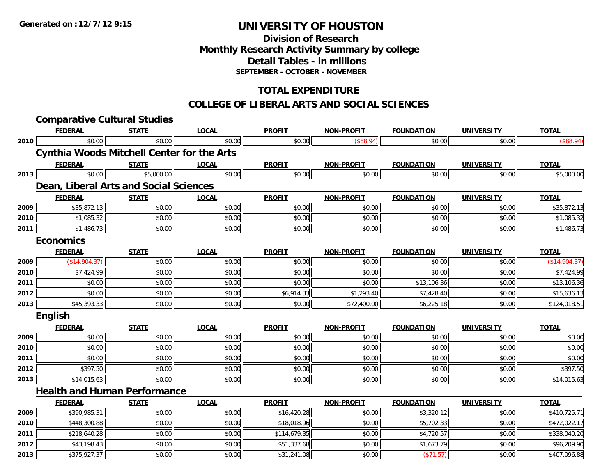**2013**

# **UNIVERSITY OF HOUSTON**

## **Division of ResearchMonthly Research Activity Summary by college Detail Tables - in millions SEPTEMBER - OCTOBER - NOVEMBER**

## **TOTAL EXPENDITURE**

#### **COLLEGE OF LIBERAL ARTS AND SOCIAL SCIENCES**

|      | <b>Comparative Cultural Studies</b>               |              |              |               |                   |                   |                   |               |
|------|---------------------------------------------------|--------------|--------------|---------------|-------------------|-------------------|-------------------|---------------|
|      | <b>FEDERAL</b>                                    | <b>STATE</b> | <b>LOCAL</b> | <b>PROFIT</b> | <b>NON-PROFIT</b> | <b>FOUNDATION</b> | <b>UNIVERSITY</b> | <b>TOTAL</b>  |
| 2010 | \$0.00                                            | \$0.00       | \$0.00       | \$0.00        | (\$88.94)         | \$0.00            | \$0.00            | (\$88.94)     |
|      | <b>Cynthia Woods Mitchell Center for the Arts</b> |              |              |               |                   |                   |                   |               |
|      | <b>FEDERAL</b>                                    | <b>STATE</b> | <b>LOCAL</b> | <b>PROFIT</b> | <b>NON-PROFIT</b> | <b>FOUNDATION</b> | <b>UNIVERSITY</b> | <b>TOTAL</b>  |
| 2013 | \$0.00                                            | \$5,000.00   | \$0.00       | \$0.00        | \$0.00            | \$0.00            | \$0.00            | \$5,000.00    |
|      | Dean, Liberal Arts and Social Sciences            |              |              |               |                   |                   |                   |               |
|      | <b>FEDERAL</b>                                    | <b>STATE</b> | <b>LOCAL</b> | <b>PROFIT</b> | <b>NON-PROFIT</b> | <b>FOUNDATION</b> | <b>UNIVERSITY</b> | <b>TOTAL</b>  |
| 2009 | \$35,872.13                                       | \$0.00       | \$0.00       | \$0.00        | \$0.00            | \$0.00            | \$0.00            | \$35,872.13   |
| 2010 | \$1,085.32                                        | \$0.00       | \$0.00       | \$0.00        | \$0.00            | \$0.00            | \$0.00            | \$1,085.32    |
| 2011 | \$1,486.73                                        | \$0.00       | \$0.00       | \$0.00        | \$0.00            | \$0.00            | \$0.00            | \$1,486.73    |
|      | <b>Economics</b>                                  |              |              |               |                   |                   |                   |               |
|      | <b>FEDERAL</b>                                    | <b>STATE</b> | <b>LOCAL</b> | <b>PROFIT</b> | <b>NON-PROFIT</b> | <b>FOUNDATION</b> | <b>UNIVERSITY</b> | <b>TOTAL</b>  |
| 2009 | (\$14,904.37)                                     | \$0.00       | \$0.00       | \$0.00        | \$0.00            | \$0.00            | \$0.00            | (\$14,904.37) |
| 2010 | \$7,424.99                                        | \$0.00       | \$0.00       | \$0.00        | \$0.00            | \$0.00            | \$0.00            | \$7,424.99    |
| 2011 | \$0.00                                            | \$0.00       | \$0.00       | \$0.00        | \$0.00            | \$13,106.36       | \$0.00            | \$13,106.36   |
| 2012 | \$0.00                                            | \$0.00       | \$0.00       | \$6,914.33    | \$1,293.40        | \$7,428.40        | \$0.00            | \$15,636.13   |
| 2013 | \$45,393.33                                       | \$0.00       | \$0.00       | \$0.00        | \$72,400.00       | \$6,225.18        | \$0.00            | \$124,018.51  |
|      | <b>English</b>                                    |              |              |               |                   |                   |                   |               |
|      | <b>FEDERAL</b>                                    | <b>STATE</b> | <b>LOCAL</b> | <b>PROFIT</b> | <b>NON-PROFIT</b> | <b>FOUNDATION</b> | <b>UNIVERSITY</b> | <b>TOTAL</b>  |
| 2009 | \$0.00                                            | \$0.00       | \$0.00       | \$0.00        | \$0.00            | \$0.00            | \$0.00            | \$0.00        |
| 2010 | \$0.00                                            | \$0.00       | \$0.00       | \$0.00        | \$0.00            | \$0.00            | \$0.00            | \$0.00        |
| 2011 | \$0.00                                            | \$0.00       | \$0.00       | \$0.00        | \$0.00            | \$0.00            | \$0.00            | \$0.00        |
| 2012 | \$397.50                                          | \$0.00       | \$0.00       | \$0.00        | \$0.00            | \$0.00            | \$0.00            | \$397.50      |
| 2013 | \$14,015.63                                       | \$0.00       | \$0.00       | \$0.00        | \$0.00            | \$0.00            | \$0.00            | \$14,015.63   |
|      | <b>Health and Human Performance</b>               |              |              |               |                   |                   |                   |               |
|      | <b>FEDERAL</b>                                    | <b>STATE</b> | <b>LOCAL</b> | <b>PROFIT</b> | <b>NON-PROFIT</b> | <b>FOUNDATION</b> | <b>UNIVERSITY</b> | <b>TOTAL</b>  |
| 2009 | \$390,985.31                                      | \$0.00       | \$0.00       | \$16,420.28   | \$0.00            | \$3,320.12        | \$0.00            | \$410,725.71  |
| 2010 | \$448,300.88                                      | \$0.00       | \$0.00       | \$18,018.96   | \$0.00            | \$5,702.33        | \$0.00            | \$472,022.17  |
| 2011 | \$218,640.28                                      | \$0.00       | \$0.00       | \$114,679.35  | \$0.00            | \$4,720.57        | \$0.00            | \$338,040.20  |
| 2012 | \$43,198.43                                       | \$0.00       | \$0.00       | \$51,337.68   | \$0.00            | \$1,673.79        | \$0.00            | \$96,209.90   |

 $\textbf{3} \hspace{14mm} |\hspace{14mm} \text{\$375,927.37}| \hspace{14mm} \text{\$0.00}| \hspace{14mm} \text{\$3000} |\hspace{14mm} \text{\$31,241.08}| \hspace{14mm} \text{\$0.00}| \hspace{14mm} \text{\$0.00}| \hspace{14mm} \text{\$407,096.88}| \hspace{14mm}$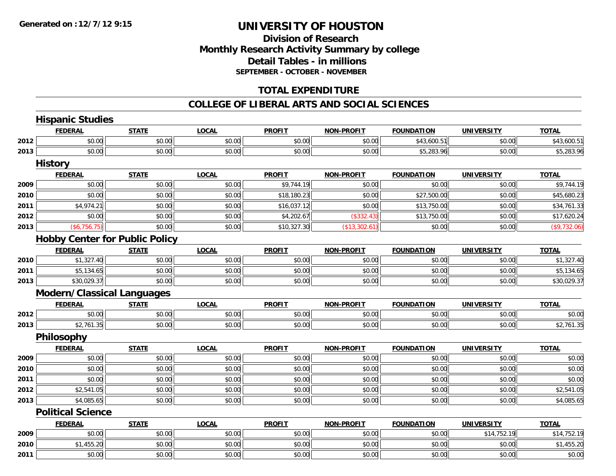## **Division of ResearchMonthly Research Activity Summary by college Detail Tables - in millions SEPTEMBER - OCTOBER - NOVEMBER**

#### **TOTAL EXPENDITURE**

#### **COLLEGE OF LIBERAL ARTS AND SOCIAL SCIENCES**

|      | <b>Hispanic Studies</b>           |                                       |              |               |                   |                   |                   |              |
|------|-----------------------------------|---------------------------------------|--------------|---------------|-------------------|-------------------|-------------------|--------------|
|      | <b>FEDERAL</b>                    | <b>STATE</b>                          | <b>LOCAL</b> | <b>PROFIT</b> | <b>NON-PROFIT</b> | <b>FOUNDATION</b> | <b>UNIVERSITY</b> | <b>TOTAL</b> |
| 2012 | \$0.00                            | \$0.00                                | \$0.00       | \$0.00        | \$0.00            | \$43,600.51       | \$0.00            | \$43,600.51  |
| 2013 | \$0.00                            | \$0.00                                | \$0.00       | \$0.00        | \$0.00            | \$5,283.96        | \$0.00            | \$5,283.96   |
|      | <b>History</b>                    |                                       |              |               |                   |                   |                   |              |
|      | <b>FEDERAL</b>                    | <b>STATE</b>                          | <b>LOCAL</b> | <b>PROFIT</b> | <b>NON-PROFIT</b> | <b>FOUNDATION</b> | <b>UNIVERSITY</b> | <b>TOTAL</b> |
| 2009 | \$0.00                            | \$0.00                                | \$0.00       | \$9,744.19    | \$0.00            | \$0.00            | \$0.00            | \$9,744.19   |
| 2010 | \$0.00                            | \$0.00                                | \$0.00       | \$18,180.23   | \$0.00            | \$27,500.00       | \$0.00            | \$45,680.23  |
| 2011 | \$4,974.21                        | \$0.00                                | \$0.00       | \$16,037.12   | \$0.00            | \$13,750.00       | \$0.00            | \$34,761.33  |
| 2012 | \$0.00                            | \$0.00                                | \$0.00       | \$4,202.67    | (\$332.43)        | \$13,750.00       | \$0.00            | \$17,620.24  |
| 2013 | (\$6,756.75)                      | \$0.00                                | \$0.00       | \$10,327.30   | (\$13,302.61)     | \$0.00            | \$0.00            | (\$9,732.06) |
|      |                                   | <b>Hobby Center for Public Policy</b> |              |               |                   |                   |                   |              |
|      | <b>FEDERAL</b>                    | <b>STATE</b>                          | <b>LOCAL</b> | <b>PROFIT</b> | <b>NON-PROFIT</b> | <b>FOUNDATION</b> | <b>UNIVERSITY</b> | <b>TOTAL</b> |
| 2010 | \$1,327.40                        | \$0.00                                | \$0.00       | \$0.00        | \$0.00            | \$0.00            | \$0.00            | \$1,327.40   |
| 2011 | \$5,134.65                        | \$0.00                                | \$0.00       | \$0.00        | \$0.00            | \$0.00            | \$0.00            | \$5,134.65   |
| 2013 | \$30,029.37                       | \$0.00                                | \$0.00       | \$0.00        | \$0.00            | \$0.00            | \$0.00            | \$30,029.37  |
|      | <b>Modern/Classical Languages</b> |                                       |              |               |                   |                   |                   |              |
|      | <b>FEDERAL</b>                    | <b>STATE</b>                          | <b>LOCAL</b> | <b>PROFIT</b> | <b>NON-PROFIT</b> | <b>FOUNDATION</b> | <b>UNIVERSITY</b> | <b>TOTAL</b> |
| 2012 | \$0.00                            | \$0.00                                | \$0.00       | \$0.00        | \$0.00            | \$0.00            | \$0.00            | \$0.00       |
| 2013 | \$2,761.35                        | \$0.00                                | \$0.00       | \$0.00        | \$0.00            | \$0.00            | \$0.00            | \$2,761.35   |
|      | Philosophy                        |                                       |              |               |                   |                   |                   |              |
|      | <b>FEDERAL</b>                    | <b>STATE</b>                          | <b>LOCAL</b> | <b>PROFIT</b> | <b>NON-PROFIT</b> | <b>FOUNDATION</b> | <b>UNIVERSITY</b> | <b>TOTAL</b> |
| 2009 | \$0.00                            | \$0.00                                | \$0.00       | \$0.00        | \$0.00            | \$0.00            | \$0.00            | \$0.00       |
| 2010 | \$0.00                            | \$0.00                                | \$0.00       | \$0.00        | \$0.00            | \$0.00            | \$0.00            | \$0.00       |
| 2011 | \$0.00                            | \$0.00                                | \$0.00       | \$0.00        | \$0.00            | \$0.00            | \$0.00            | \$0.00       |
| 2012 | \$2,541.05                        | \$0.00                                | \$0.00       | \$0.00        | \$0.00            | \$0.00            | \$0.00            | \$2,541.05   |
| 2013 | \$4,085.65                        | \$0.00                                | \$0.00       | \$0.00        | \$0.00            | \$0.00            | \$0.00            | \$4,085.65   |
|      | <b>Political Science</b>          |                                       |              |               |                   |                   |                   |              |
|      | <b>FEDERAL</b>                    | <b>STATE</b>                          | <b>LOCAL</b> | <b>PROFIT</b> | <b>NON-PROFIT</b> | <b>FOUNDATION</b> | <b>UNIVERSITY</b> | <b>TOTAL</b> |
| 2009 | \$0.00                            | \$0.00                                | \$0.00       | \$0.00        | \$0.00            | \$0.00            | \$14,752.19       | \$14,752.19  |
| 2010 | \$1,455.20                        | \$0.00                                | \$0.00       | \$0.00        | \$0.00            | \$0.00            | \$0.00            | \$1,455.20   |
| 2011 | \$0.00                            | \$0.00                                | \$0.00       | \$0.00        | \$0.00            | \$0.00            | \$0.00            | \$0.00       |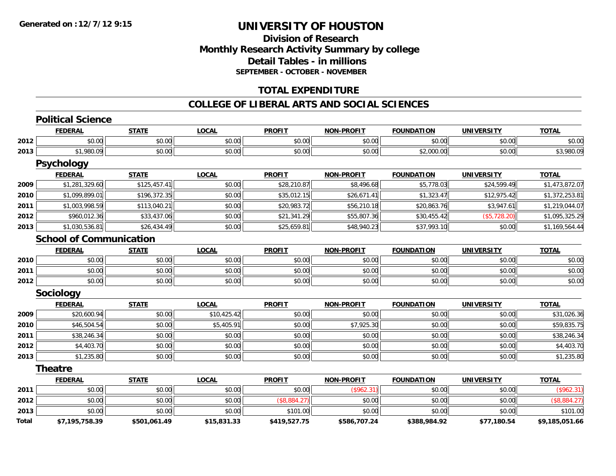## **Division of ResearchMonthly Research Activity Summary by college Detail Tables - in millions SEPTEMBER - OCTOBER - NOVEMBER**

#### **TOTAL EXPENDITURE**

#### **COLLEGE OF LIBERAL ARTS AND SOCIAL SCIENCES**

|       | <b>Political Science</b>       |              |              |               |                   |                   |                   |                |
|-------|--------------------------------|--------------|--------------|---------------|-------------------|-------------------|-------------------|----------------|
|       | <b>FEDERAL</b>                 | <b>STATE</b> | <b>LOCAL</b> | <b>PROFIT</b> | <b>NON-PROFIT</b> | <b>FOUNDATION</b> | <b>UNIVERSITY</b> | <b>TOTAL</b>   |
| 2012  | \$0.00                         | \$0.00       | \$0.00       | \$0.00        | \$0.00            | \$0.00            | \$0.00            | \$0.00         |
| 2013  | \$1,980.09                     | \$0.00       | \$0.00       | \$0.00        | \$0.00            | \$2,000.00        | \$0.00            | \$3,980.09     |
|       | <b>Psychology</b>              |              |              |               |                   |                   |                   |                |
|       | <b>FEDERAL</b>                 | <b>STATE</b> | <b>LOCAL</b> | <b>PROFIT</b> | <b>NON-PROFIT</b> | <b>FOUNDATION</b> | <b>UNIVERSITY</b> | <b>TOTAL</b>   |
| 2009  | \$1,281,329.60                 | \$125,457.41 | \$0.00       | \$28,210.87   | \$8,496.68        | \$5,778.03        | \$24,599.49       | \$1,473,872.07 |
| 2010  | \$1,099,899.01                 | \$196,372.35 | \$0.00       | \$35,012.15   | \$26,671.41       | \$1,323.47        | \$12,975.42       | \$1,372,253.81 |
| 2011  | \$1,003,998.59                 | \$113,040.21 | \$0.00       | \$20,983.72   | \$56,210.18       | \$20,863.76       | \$3,947.61        | \$1,219,044.07 |
| 2012  | \$960,012.36                   | \$33,437.06  | \$0.00       | \$21,341.29   | \$55,807.36       | \$30,455.42       | (\$5,728.20)      | \$1,095,325.29 |
| 2013  | \$1,030,536.81                 | \$26,434.49  | \$0.00       | \$25,659.81   | \$48,940.23       | \$37,993.10       | \$0.00            | \$1,169,564.44 |
|       | <b>School of Communication</b> |              |              |               |                   |                   |                   |                |
|       | <b>FEDERAL</b>                 | <b>STATE</b> | <b>LOCAL</b> | <b>PROFIT</b> | <b>NON-PROFIT</b> | <b>FOUNDATION</b> | <b>UNIVERSITY</b> | <b>TOTAL</b>   |
| 2010  | \$0.00                         | \$0.00       | \$0.00       | \$0.00        | \$0.00            | \$0.00            | \$0.00            | \$0.00         |
| 2011  | \$0.00                         | \$0.00       | \$0.00       | \$0.00        | \$0.00            | \$0.00            | \$0.00            | \$0.00         |
| 2012  | \$0.00                         | \$0.00       | \$0.00       | \$0.00        | \$0.00            | \$0.00            | \$0.00            | \$0.00         |
|       | <b>Sociology</b>               |              |              |               |                   |                   |                   |                |
|       | <b>FEDERAL</b>                 | <b>STATE</b> | <b>LOCAL</b> | <b>PROFIT</b> | <b>NON-PROFIT</b> | <b>FOUNDATION</b> | <b>UNIVERSITY</b> | <b>TOTAL</b>   |
| 2009  | \$20,600.94                    | \$0.00       | \$10,425.42  | \$0.00        | \$0.00            | \$0.00            | \$0.00            | \$31,026.36    |
| 2010  | \$46,504.54                    | \$0.00       | \$5,405.91   | \$0.00        | \$7,925.30        | \$0.00            | \$0.00            | \$59,835.75    |
| 2011  | \$38,246.34                    | \$0.00       | \$0.00       | \$0.00        | \$0.00            | \$0.00            | \$0.00            | \$38,246.34    |
| 2012  | \$4,403.70                     | \$0.00       | \$0.00       | \$0.00        | \$0.00            | \$0.00            | \$0.00            | \$4,403.70     |
| 2013  | \$1,235.80                     | \$0.00       | \$0.00       | \$0.00        | \$0.00            | \$0.00            | \$0.00            | \$1,235.80     |
|       | <b>Theatre</b>                 |              |              |               |                   |                   |                   |                |
|       | <b>FEDERAL</b>                 | <b>STATE</b> | <b>LOCAL</b> | <b>PROFIT</b> | <b>NON-PROFIT</b> | <b>FOUNDATION</b> | <b>UNIVERSITY</b> | <b>TOTAL</b>   |
| 2011  | \$0.00                         | \$0.00       | \$0.00       | \$0.00        | (\$962.31)        | \$0.00            | \$0.00            | (\$962.31)     |
| 2012  | \$0.00                         | \$0.00       | \$0.00       | (\$8,884.27)  | \$0.00            | \$0.00            | \$0.00            | (\$8,884.27)   |
| 2013  | \$0.00                         | \$0.00       | \$0.00       | \$101.00      | \$0.00            | \$0.00            | \$0.00            | \$101.00       |
| Total | \$7,195,758.39                 | \$501,061.49 | \$15,831.33  | \$419,527.75  | \$586,707.24      | \$388,984.92      | \$77,180.54       | \$9,185,051.66 |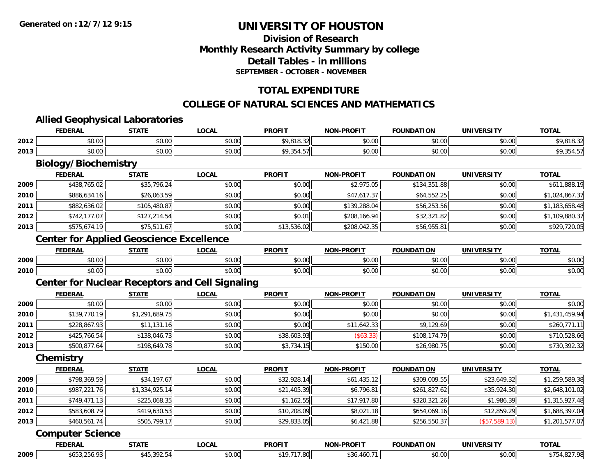## **Division of ResearchMonthly Research Activity Summary by college Detail Tables - in millionsSEPTEMBER - OCTOBER - NOVEMBER**

## **TOTAL EXPENDITURE**

## **COLLEGE OF NATURAL SCIENCES AND MATHEMATICS**

#### **Allied Geophysical Laboratories**

|      | <b>FEDERAL</b>       | <b>STATE</b>                                    | <b>LOCAL</b> | <b>PROFIT</b> | <b>NON-PROFIT</b> | <b>FOUNDATION</b> | <b>UNIVERSITY</b> | <b>TOTAL</b>   |
|------|----------------------|-------------------------------------------------|--------------|---------------|-------------------|-------------------|-------------------|----------------|
| 2012 | \$0.00               | \$0.00                                          | \$0.00       | \$9,818.32    | \$0.00            | \$0.00            | \$0.00            | \$9,818.32     |
| 2013 | \$0.00               | \$0.00                                          | \$0.00       | \$9,354.57    | \$0.00            | \$0.00            | \$0.00            | \$9,354.57     |
|      | Biology/Biochemistry |                                                 |              |               |                   |                   |                   |                |
|      | <b>FEDERAL</b>       | <b>STATE</b>                                    | <b>LOCAL</b> | <b>PROFIT</b> | <b>NON-PROFIT</b> | <b>FOUNDATION</b> | <b>UNIVERSITY</b> | <b>TOTAL</b>   |
| 2009 | \$438,765.02         | \$35,796.24                                     | \$0.00       | \$0.00        | \$2,975.05        | \$134,351.88      | \$0.00            | \$611,888.19   |
| 2010 | \$886,634.16         | \$26,063.59                                     | \$0.00       | \$0.00        | \$47,617.37       | \$64,552.25       | \$0.00            | \$1,024,867.37 |
| 2011 | \$882,636.02         | \$105,480.87                                    | \$0.00       | \$0.00        | \$139,288.04      | \$56,253.56       | \$0.00            | \$1,183,658.48 |
| 2012 | \$742,177.07         | \$127,214.54                                    | \$0.00       | \$0.01        | \$208,166.94      | \$32,321.82       | \$0.00            | \$1,109,880.37 |
| 2013 | \$575,674.19         | \$75,511.67                                     | \$0.00       | \$13,536.02   | \$208,042.35      | \$56,955.81       | \$0.00            | \$929,720.05   |
|      |                      | <b>Center for Applied Geoscience Excellence</b> |              |               |                   |                   |                   |                |

#### **FEDERAL STATE LOCAL PROFIT NON-PROFIT FOUNDATION UNIVERSITY TOTALTOTAL 2009** \$0.00 \$0.00 \$0.00 \$0.00 \$0.00 \$0.00 \$0.00 \$0.00 **2010**0 \$0.00 \$0.00 \$0.00 \$0.00 \$0.00 \$0.00 \$0.00 \$0.00 \$0.00 \$0.00 \$0.00 \$0.00 \$0.00 \$0.00 \$0.00 \$0.00 \$0.00

#### **Center for Nuclear Receptors and Cell Signaling**

|      | <b>FEDERAL</b> | <b>STATE</b>   | <u>LOCAL</u> | <b>PROFIT</b> | <b>NON-PROFIT</b> | <b>FOUNDATION</b> | <b>UNIVERSITY</b> | <b>TOTAL</b>   |
|------|----------------|----------------|--------------|---------------|-------------------|-------------------|-------------------|----------------|
| 2009 | \$0.00         | \$0.00         | \$0.00       | \$0.00        | \$0.00            | \$0.00            | \$0.00            | \$0.00         |
| 2010 | \$139,770.19   | \$1,291,689.75 | \$0.00       | \$0.00        | \$0.00            | \$0.00            | \$0.00            | \$1,431,459.94 |
| 2011 | \$228,867.93   | \$11,131.16    | \$0.00       | \$0.00        | \$11,642.33       | \$9,129.69        | \$0.00            | \$260,771.11   |
| 2012 | \$425,766.54   | \$138,046.73   | \$0.00       | \$38,603.93   | $($ \$63.33) $ $  | \$108,174.79      | \$0.00            | \$710,528.66   |
| 2013 | \$500,877.64   | \$198,649.78   | \$0.00       | \$3,734.15    | \$150.00          | \$26,980.75       | \$0.00            | \$730,392.32   |

## **Chemistry**

|      | <b>FEDERAL</b> | <b>STATE</b>   | <b>LOCAL</b> | <b>PROFIT</b> | <b>NON-PROFIT</b> | <b>FOUNDATION</b> | <b>UNIVERSITY</b> | <b>TOTAL</b>   |
|------|----------------|----------------|--------------|---------------|-------------------|-------------------|-------------------|----------------|
| 2009 | \$798,369.59   | \$34.197.67    | \$0.00       | \$32,928.14   | \$61,435.12       | \$309,009.55      | \$23,649.32       | \$1,259,589.38 |
| 2010 | \$987,221.76   | \$1,334,925.14 | \$0.00       | \$21,405.39   | \$6.796.81        | \$261,827.62      | \$35,924.30       | \$2,648,101.02 |
| 2011 | \$749,471.13   | \$225,068.35   | \$0.00       | \$1,162.55    | \$17,917.80       | \$320,321.26      | \$1,986.39        | \$1,315,927.48 |
| 2012 | \$583,608.79   | \$419.630.53   | \$0.00       | \$10,208.09   | \$8,021.18        | \$654,069.16      | \$12,859.29       | \$1,688,397.04 |
| 2013 | \$460,561.74   | \$505,799.17   | \$0.00       | \$29,833.05   | \$6,421.88        | \$256,550.37      | (S57, 589.13)     | \$1,201,577.07 |

#### **Computer Science**

|      | $\sim$ $\sim$ $\sim$ $\sim$ | .OCAL | <b>PROFIT</b> | <b>DRAFIT</b><br>חרות | <b>FOUNDATION</b>   | <b>IINIVEDSIT</b>  | <b>TOTAL</b> |
|------|-----------------------------|-------|---------------|-----------------------|---------------------|--------------------|--------------|
| 2009 | $\Omega$<br>$\cdots$        | ו∩ ∩י |               |                       | $\sim$ 0.0<br>JU.UL | $\sim$ 00<br>טש.טע | הה דר        |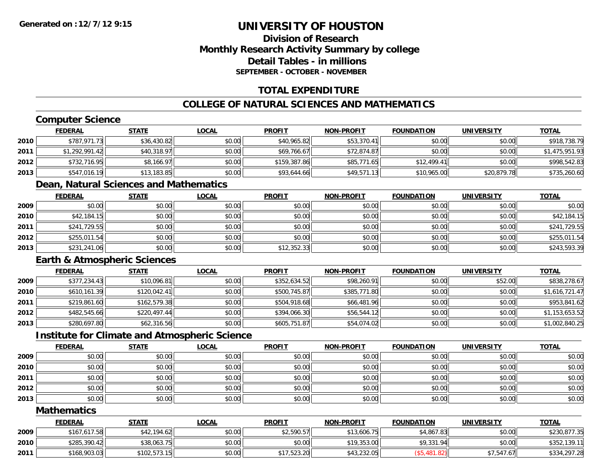## **Division of ResearchMonthly Research Activity Summary by college Detail Tables - in millionsSEPTEMBER - OCTOBER - NOVEMBER**

#### **TOTAL EXPENDITURE**

## **COLLEGE OF NATURAL SCIENCES AND MATHEMATICS**

# **Computer Science**

|      | <b>FEDERAL</b> | <b>STATE</b> | <u>LOCAL</u> | <b>PROFIT</b> | <b>NON-PROFIT</b> | <b>FOUNDATION</b> | <b>UNIVERSITY</b> | <b>TOTAL</b>   |
|------|----------------|--------------|--------------|---------------|-------------------|-------------------|-------------------|----------------|
| 2010 | \$787.971.73   | \$36,430.82  | \$0.00       | \$40,965.82   | \$53,370.41       | \$0.00            | \$0.00            | \$918,738.79   |
| 2011 | \$1,292,991.42 | \$40,318.97  | \$0.00       | \$69,766.67   | \$72,874.87       | \$0.00            | \$0.00            | \$1,475,951.93 |
| 2012 | \$732,716.95   | \$8,166.97   | \$0.00       | \$159,387.86  | \$85,771.65       | \$12,499.41       | \$0.00            | \$998,542.83   |
| 2013 | \$547,016.19   | \$13,183.85  | \$0.00       | \$93,644.66   | \$49,571.13       | \$10,965.00       | \$20,879.78       | \$735,260.60   |

#### **Dean, Natural Sciences and Mathematics**

|      | <b>FEDERAL</b> | <b>STATE</b> | <b>LOCAL</b> | <b>PROFIT</b> | <b>NON-PROFIT</b> | <b>FOUNDATION</b> | <b>UNIVERSITY</b> | <b>TOTAL</b> |
|------|----------------|--------------|--------------|---------------|-------------------|-------------------|-------------------|--------------|
| 2009 | \$0.00         | \$0.00       | \$0.00       | \$0.00        | \$0.00            | \$0.00            | \$0.00            | \$0.00       |
| 2010 | \$42,184.15    | \$0.00       | \$0.00       | \$0.00        | \$0.00            | \$0.00            | \$0.00            | \$42,184.15  |
| 2011 | \$241,729.55   | \$0.00       | \$0.00       | \$0.00        | \$0.00            | \$0.00            | \$0.00            | \$241,729.55 |
| 2012 | \$255,011.54   | \$0.00       | \$0.00       | \$0.00        | \$0.00            | \$0.00            | \$0.00            | \$255,011.54 |
| 2013 | \$231,241.06   | \$0.00       | \$0.00       | \$12,352.33   | \$0.00            | \$0.00            | \$0.00            | \$243,593.39 |

#### **Earth & Atmospheric Sciences**

|      | <b>FEDERAL</b> | <b>STATE</b> | <b>LOCAL</b> | <b>PROFIT</b> | <b>NON-PROFIT</b> | <b>FOUNDATION</b> | <b>UNIVERSITY</b> | <u>TOTAL</u>   |
|------|----------------|--------------|--------------|---------------|-------------------|-------------------|-------------------|----------------|
| 2009 | \$377,234.43   | \$10,096.81  | \$0.00       | \$352,634.52  | \$98,260.91       | \$0.00            | \$52.00           | \$838,278.67   |
| 2010 | \$610,161.39   | \$120,042.41 | \$0.00       | \$500,745.87  | \$385,771.80      | \$0.00            | \$0.00            | \$1,616,721.47 |
| 2011 | \$219,861.60   | \$162,579.38 | \$0.00       | \$504,918.68  | \$66,481.96       | \$0.00            | \$0.00            | \$953,841.62   |
| 2012 | \$482,545.66   | \$220,497.44 | \$0.00       | \$394,066.30  | \$56,544.12       | \$0.00            | \$0.00            | \$1,153,653.52 |
| 2013 | \$280,697.80   | \$62,316.56  | \$0.00       | \$605,751.87  | \$54,074.02       | \$0.00            | \$0.00            | \$1,002,840.25 |

#### **Institute for Climate and Atmospheric Science**

|      | <b>FEDERAL</b> | <b>STATE</b> | <b>LOCAL</b> | <b>PROFIT</b> | <b>NON-PROFIT</b> | <b>FOUNDATION</b> | <b>UNIVERSITY</b> | <b>TOTAL</b> |
|------|----------------|--------------|--------------|---------------|-------------------|-------------------|-------------------|--------------|
| 2009 | \$0.00         | \$0.00       | \$0.00       | \$0.00        | \$0.00            | \$0.00            | \$0.00            | \$0.00       |
| 2010 | \$0.00         | \$0.00       | \$0.00       | \$0.00        | \$0.00            | \$0.00            | \$0.00            | \$0.00       |
| 2011 | \$0.00         | \$0.00       | \$0.00       | \$0.00        | \$0.00            | \$0.00            | \$0.00            | \$0.00       |
| 2012 | \$0.00         | \$0.00       | \$0.00       | \$0.00        | \$0.00            | \$0.00            | \$0.00            | \$0.00       |
| 2013 | \$0.00         | \$0.00       | \$0.00       | \$0.00        | \$0.00            | \$0.00            | \$0.00            | \$0.00       |

#### **Mathematics**

|      | <b>FEDERAL</b> | STATE        | <u>LOCAL</u> | <b>PROFIT</b> | <b>NON-PROFIT</b> | <b>FOUNDATION</b> | <b>UNIVERSITY</b> | <b>TOTAL</b> |
|------|----------------|--------------|--------------|---------------|-------------------|-------------------|-------------------|--------------|
| 2009 | \$167,617.58   | \$42,194.62  | \$0.00       | \$2.590.57    | \$13,606.75       | \$4,867.83        | \$0.00            | \$230,877.35 |
| 2010 | \$285,390.42   | \$38,063.75  | \$0.00       | \$0.00        | \$19,353.00       | \$9,331.94        | \$0.00            | \$352,139.11 |
| 2011 | \$168,903.03   | \$102.573.15 | \$0.00       | \$17,523,20   | \$43,232.05       | .481.82)          | \$7,547.67        | \$334,297.28 |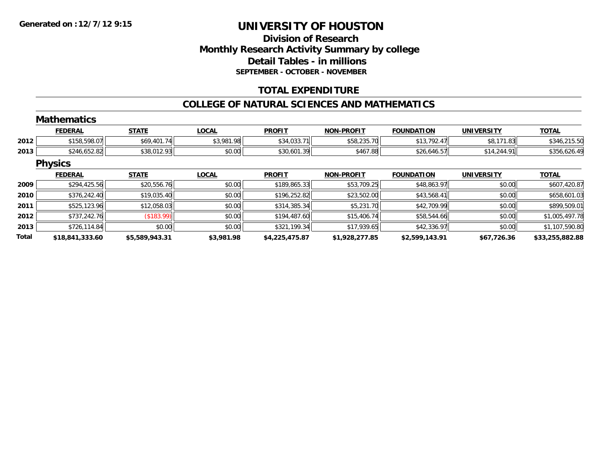## **Division of ResearchMonthly Research Activity Summary by college Detail Tables - in millions SEPTEMBER - OCTOBER - NOVEMBER**

#### **TOTAL EXPENDITURE**

#### **COLLEGE OF NATURAL SCIENCES AND MATHEMATICS**

|              | <b>Mathematics</b> |                |              |                |                   |                   |                   |                 |
|--------------|--------------------|----------------|--------------|----------------|-------------------|-------------------|-------------------|-----------------|
|              | <b>FEDERAL</b>     | <b>STATE</b>   | <b>LOCAL</b> | <b>PROFIT</b>  | <b>NON-PROFIT</b> | <b>FOUNDATION</b> | <b>UNIVERSITY</b> | <b>TOTAL</b>    |
| 2012         | \$158,598.07       | \$69,401.74    | \$3,981.98   | \$34,033.71    | \$58,235.70       | \$13,792.47       | \$8,171.83        | \$346,215.50    |
| 2013         | \$246,652.82       | \$38,012.93    | \$0.00       | \$30,601.39    | \$467.88          | \$26,646.57       | \$14,244.91       | \$356,626.49    |
|              | <b>Physics</b>     |                |              |                |                   |                   |                   |                 |
|              | <b>FEDERAL</b>     | <b>STATE</b>   | <b>LOCAL</b> | <b>PROFIT</b>  | <b>NON-PROFIT</b> | <b>FOUNDATION</b> | <b>UNIVERSITY</b> | <b>TOTAL</b>    |
| 2009         | \$294,425.56       | \$20,556.76    | \$0.00       | \$189,865.33   | \$53,709.25       | \$48,863.97       | \$0.00            | \$607,420.87    |
| 2010         | \$376,242.40       | \$19,035.40    | \$0.00       | \$196,252.82   | \$23,502.00       | \$43,568.41       | \$0.00            | \$658,601.03    |
| 2011         | \$525,123.96       | \$12,058.03    | \$0.00       | \$314,385.34   | \$5,231.70        | \$42,709.99       | \$0.00            | \$899,509.01    |
| 2012         | \$737,242.76       | (\$183.99)     | \$0.00       | \$194,487.60   | \$15,406.74       | \$58,544.66       | \$0.00            | \$1,005,497.78  |
| 2013         | \$726,114.84       | \$0.00         | \$0.00       | \$321,199.34   | \$17,939.65       | \$42,336.97       | \$0.00            | \$1,107,590.80  |
| <b>Total</b> | \$18,841,333.60    | \$5,589,943.31 | \$3,981.98   | \$4,225,475.87 | \$1,928,277.85    | \$2,599,143.91    | \$67,726.36       | \$33,255,882.88 |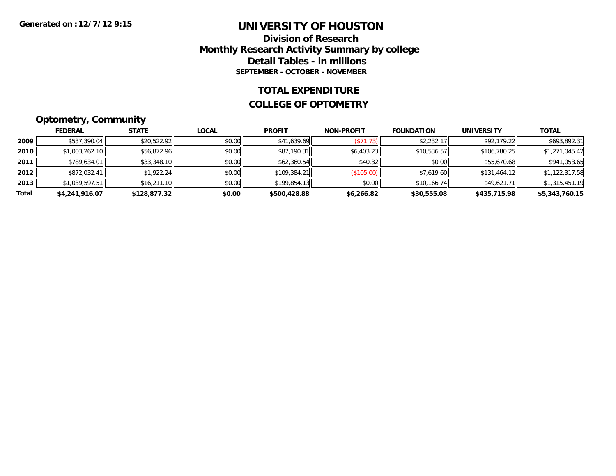#### **Division of Research Monthly Research Activity Summary by college Detail Tables - in millions SEPTEMBER - OCTOBER - NOVEMBER**

#### **TOTAL EXPENDITURE**

#### **COLLEGE OF OPTOMETRY**

# **Optometry, Community**

|       | ___            |              |              |               |                   |                   |                   |                |
|-------|----------------|--------------|--------------|---------------|-------------------|-------------------|-------------------|----------------|
|       | <b>FEDERAL</b> | <b>STATE</b> | <u>LOCAL</u> | <b>PROFIT</b> | <b>NON-PROFIT</b> | <b>FOUNDATION</b> | <b>UNIVERSITY</b> | <b>TOTAL</b>   |
| 2009  | \$537,390.04   | \$20,522.92  | \$0.00       | \$41,639.69   | (S71.73)          | \$2,232.17        | \$92,179.22       | \$693,892.31   |
| 2010  | \$1,003,262.10 | \$56,872.96  | \$0.00       | \$87,190.31   | \$6,403.23        | \$10,536.57       | \$106,780.25      | \$1,271,045.42 |
| 2011  | \$789,634.01   | \$33,348.10  | \$0.00       | \$62,360.54   | \$40.32           | \$0.00            | \$55,670.68       | \$941,053.65   |
| 2012  | \$872,032.41   | \$1,922.24   | \$0.00       | \$109,384.21  | (\$105.00)        | \$7,619.60        | \$131,464.12      | \$1,122,317.58 |
| 2013  | \$1,039,597.51 | \$16,211.10  | \$0.00       | \$199,854.13  | \$0.00            | \$10,166.74       | \$49,621.71       | \$1,315,451.19 |
| Total | \$4,241,916.07 | \$128,877.32 | \$0.00       | \$500,428.88  | \$6,266.82        | \$30,555.08       | \$435,715.98      | \$5,343,760.15 |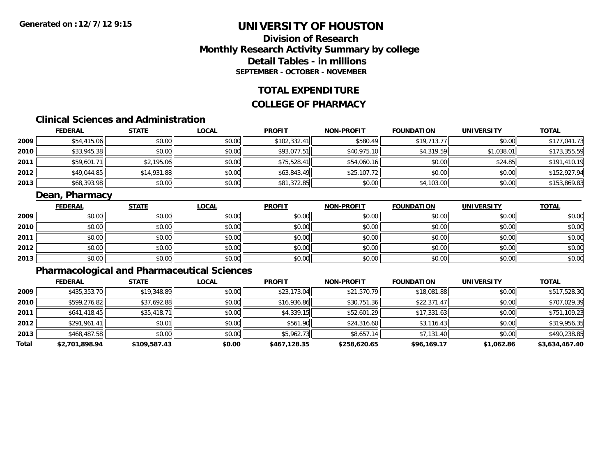## **Division of ResearchMonthly Research Activity Summary by college Detail Tables - in millions SEPTEMBER - OCTOBER - NOVEMBER**

#### **TOTAL EXPENDITURE**

#### **COLLEGE OF PHARMACY**

# **Clinical Sciences and Administration**

|      | <b>FEDERAL</b> | <b>STATE</b> | <b>LOCAL</b> | <b>PROFIT</b> | <b>NON-PROFIT</b> | <b>FOUNDATION</b> | <b>UNIVERSITY</b> | <b>TOTAL</b> |
|------|----------------|--------------|--------------|---------------|-------------------|-------------------|-------------------|--------------|
| 2009 | \$54,415.06    | \$0.00       | \$0.00       | \$102,332.41  | \$580.49          | \$19,713.77       | \$0.00            | \$177,041.73 |
| 2010 | \$33,945.38    | \$0.00       | \$0.00       | \$93,077.51   | \$40,975.10       | \$4,319.59        | \$1,038.01        | \$173,355.59 |
| 2011 | \$59,601.71    | \$2,195.06   | \$0.00       | \$75,528.41   | \$54,060.16       | \$0.00            | \$24.85           | \$191,410.19 |
| 2012 | \$49,044.85    | \$14,931.88  | \$0.00       | \$63,843.49   | \$25,107.72       | \$0.00            | \$0.00            | \$152,927.94 |
| 2013 | \$68,393.98    | \$0.00       | \$0.00       | \$81,372.85   | \$0.00            | \$4,103.00        | \$0.00            | \$153,869.83 |

## **Dean, Pharmacy**

|      | <b>FEDERAL</b> | <b>STATE</b> | <b>LOCAL</b> | <b>PROFIT</b> | <b>NON-PROFIT</b> | <b>FOUNDATION</b> | <b>UNIVERSITY</b> | <b>TOTAL</b> |
|------|----------------|--------------|--------------|---------------|-------------------|-------------------|-------------------|--------------|
| 2009 | \$0.00         | \$0.00       | \$0.00       | \$0.00        | \$0.00            | \$0.00            | \$0.00            | \$0.00       |
| 2010 | \$0.00         | \$0.00       | \$0.00       | \$0.00        | \$0.00            | \$0.00            | \$0.00            | \$0.00       |
| 2011 | \$0.00         | \$0.00       | \$0.00       | \$0.00        | \$0.00            | \$0.00            | \$0.00            | \$0.00       |
| 2012 | \$0.00         | \$0.00       | \$0.00       | \$0.00        | \$0.00            | \$0.00            | \$0.00            | \$0.00       |
| 2013 | \$0.00         | \$0.00       | \$0.00       | \$0.00        | \$0.00            | \$0.00            | \$0.00            | \$0.00       |

## **Pharmacological and Pharmaceutical Sciences**

|       | <b>FEDERAL</b> | <b>STATE</b> | <b>LOCAL</b> | <b>PROFIT</b> | <b>NON-PROFIT</b> | <b>FOUNDATION</b> | <b>UNIVERSITY</b> | <u>TOTAL</u>   |
|-------|----------------|--------------|--------------|---------------|-------------------|-------------------|-------------------|----------------|
| 2009  | \$435,353.70   | \$19,348.89  | \$0.00       | \$23,173.04   | \$21,570.79       | \$18,081.88       | \$0.00            | \$517,528.30   |
| 2010  | \$599,276.82   | \$37,692.88  | \$0.00       | \$16,936.86   | \$30,751.36       | \$22,371.47       | \$0.00            | \$707,029.39   |
| 2011  | \$641,418.45   | \$35,418.71  | \$0.00       | \$4,339.15    | \$52,601.29       | \$17,331.63       | \$0.00            | \$751,109.23   |
| 2012  | \$291,961.41   | \$0.01       | \$0.00       | \$561.90      | \$24,316.60       | \$3,116.43        | \$0.00            | \$319,956.35   |
| 2013  | \$468,487.58   | \$0.00       | \$0.00       | \$5,962.73    | \$8,657.14        | \$7,131.40        | \$0.00            | \$490,238.85   |
| Total | \$2,701,898.94 | \$109,587.43 | \$0.00       | \$467,128.35  | \$258,620.65      | \$96,169.17       | \$1,062.86        | \$3,634,467.40 |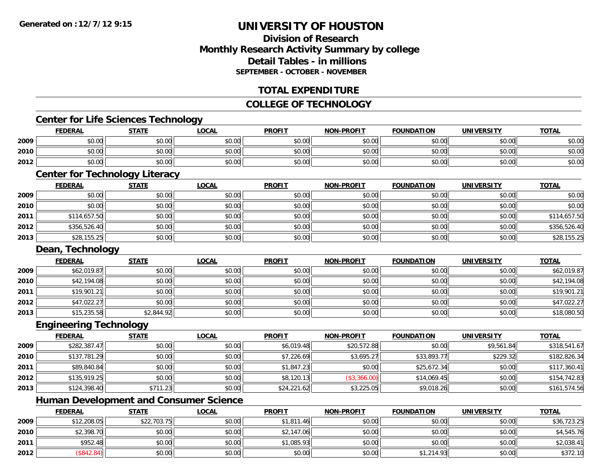## **Division of ResearchMonthly Research Activity Summary by college Detail Tables - in millionsSEPTEMBER - OCTOBER - NOVEMBER**

#### **TOTAL EXPENDITURE**

#### **COLLEGE OF TECHNOLOGY**

#### **Center for Life Sciences Technology**

|      | <b>EDERAL</b> | <b>STATE</b>                                                                           | LOCAL  | <b>PROFIT</b> | <b>NON-PROFIT</b> | <b>FOUNDATION</b> | UNIVERSITY            | <b>TOTAL</b> |
|------|---------------|----------------------------------------------------------------------------------------|--------|---------------|-------------------|-------------------|-----------------------|--------------|
| 2009 | \$0.00        | $\mathfrak{g}$ $\mathfrak{g}$ $\mathfrak{g}$ $\mathfrak{g}$ $\mathfrak{g}$<br>- JU. JU | \$0.00 | \$0.00        | \$0.00            | \$0.00            | ⊄∩ ∩∩<br><b>DU.UU</b> | \$0.00       |
| 2010 | \$0.00        | 40.00<br>JU.                                                                           | \$0.00 | \$0.00        | \$0.00            | \$0.00            | ⊄∩ ∩∩<br>DU.UU        | \$0.00       |
| 2012 | \$0.00        | 40.00<br>vv.vv                                                                         | \$0.00 | \$0.00        | \$0.00            | \$0.00            | \$0.00                | \$0.00       |

## **Center for Technology Literacy**

|      | <b>FEDERAL</b> | <b>STATE</b> | <u>LOCAL</u> | <b>PROFIT</b> | <b>NON-PROFIT</b> | <b>FOUNDATION</b> | <b>UNIVERSITY</b> | <b>TOTAL</b> |
|------|----------------|--------------|--------------|---------------|-------------------|-------------------|-------------------|--------------|
| 2009 | \$0.00         | \$0.00       | \$0.00       | \$0.00        | \$0.00            | \$0.00            | \$0.00            | \$0.00       |
| 2010 | \$0.00         | \$0.00       | \$0.00       | \$0.00        | \$0.00            | \$0.00            | \$0.00            | \$0.00       |
| 2011 | \$114,657.50   | \$0.00       | \$0.00       | \$0.00        | \$0.00            | \$0.00            | \$0.00            | \$114,657.50 |
| 2012 | \$356,526.40   | \$0.00       | \$0.00       | \$0.00        | \$0.00            | \$0.00            | \$0.00            | \$356,526.40 |
| 2013 | \$28,155.25    | \$0.00       | \$0.00       | \$0.00        | \$0.00            | \$0.00            | \$0.00            | \$28,155.25  |

#### **Dean, Technology**

|      | <b>FEDERAL</b> | <b>STATE</b> | <b>LOCAL</b> | <b>PROFIT</b> | <b>NON-PROFIT</b> | <b>FOUNDATION</b> | <b>UNIVERSITY</b> | <b>TOTAL</b> |
|------|----------------|--------------|--------------|---------------|-------------------|-------------------|-------------------|--------------|
| 2009 | \$62,019.87    | \$0.00       | \$0.00       | \$0.00        | \$0.00            | \$0.00            | \$0.00            | \$62,019.87  |
| 2010 | \$42,194.08    | \$0.00       | \$0.00       | \$0.00        | \$0.00            | \$0.00            | \$0.00            | \$42,194.08  |
| 2011 | \$19,901.21    | \$0.00       | \$0.00       | \$0.00        | \$0.00            | \$0.00            | \$0.00            | \$19,901.21  |
| 2012 | \$47,022.27    | \$0.00       | \$0.00       | \$0.00        | \$0.00            | \$0.00            | \$0.00            | \$47,022.27  |
| 2013 | \$15,235.58    | \$2,844.92   | \$0.00       | \$0.00        | \$0.00            | \$0.00            | \$0.00            | \$18,080.50  |

#### **Engineering Technology**

|      | <b>FEDERAL</b> | <b>STATE</b> | <u>LOCAL</u> | <b>PROFIT</b> | <b>NON-PROFIT</b> | <b>FOUNDATION</b> | <b>UNIVERSITY</b> | <b>TOTAL</b> |
|------|----------------|--------------|--------------|---------------|-------------------|-------------------|-------------------|--------------|
| 2009 | \$282,387.47   | \$0.00       | \$0.00       | \$6,019.48    | \$20,572.88       | \$0.00            | \$9,561.84        | \$318,541.67 |
| 2010 | \$137,781.29   | \$0.00       | \$0.00       | \$7,226.69    | \$3,695.27        | \$33,893.77       | \$229.32          | \$182,826.34 |
| 2011 | \$89,840.84    | \$0.00       | \$0.00       | \$1,847.23    | \$0.00            | \$25,672.34       | \$0.00            | \$117,360.41 |
| 2012 | \$135,919.25   | \$0.00       | \$0.00       | \$8,120.13    | (\$3,366.00)      | \$14,069.45       | \$0.00            | \$154,742.83 |
| 2013 | \$124,398.40   | \$711.23     | \$0.00       | \$24,221.62   | \$3,225.05        | \$9,018.26        | \$0.00            | \$161,574.56 |

<u> 1989 - Johann Stoff, deutscher Stoffen und der Stoffen und der Stoffen und der Stoffen und der Stoffen und de</u>

## **Human Development and Consumer Science**

|      | <b>FEDERAL</b> | <u>STATE</u> | <u>LOCAL</u> | <b>PROFIT</b> | <b>NON-PROFIT</b> | <b>FOUNDATION</b> | <b>UNIVERSITY</b> | <b>TOTAL</b> |
|------|----------------|--------------|--------------|---------------|-------------------|-------------------|-------------------|--------------|
| 2009 | \$12,208.05    | \$22,703.75  | \$0.00       | \$1,811.46    | \$0.00            | \$0.00            | \$0.00            | \$36,723.25  |
| 2010 | \$2,398.70     | \$0.00       | \$0.00       | \$2,147.06    | \$0.00            | \$0.00            | \$0.00            | \$4,545.76   |
| 2011 | \$952.48       | \$0.00       | \$0.00       | \$1,085.93    | \$0.00            | \$0.00            | \$0.00            | \$2,038.41   |
| 2012 | \$842.84       | \$0.00       | \$0.00       | \$0.00        | \$0.00            | \$1,214.93        | \$0.00            | \$372.10     |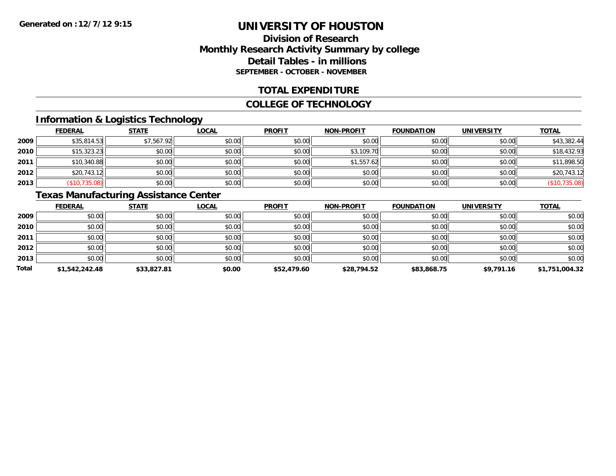## **Division of ResearchMonthly Research Activity Summary by college Detail Tables - in millions SEPTEMBER - OCTOBER - NOVEMBER**

#### **TOTAL EXPENDITURE**

#### **COLLEGE OF TECHNOLOGY**

## **Information & Logistics Technology**

|      | <b>FEDERAL</b> | <b>STATE</b> | <u>LOCAL</u> | <b>PROFIT</b> | <b>NON-PROFIT</b> | <b>FOUNDATION</b> | <b>UNIVERSITY</b> | <b>TOTAL</b>  |
|------|----------------|--------------|--------------|---------------|-------------------|-------------------|-------------------|---------------|
| 2009 | \$35,814.53    | \$7,567.92   | \$0.00       | \$0.00        | \$0.00            | \$0.00            | \$0.00            | \$43,382.44   |
| 2010 | \$15,323.23    | \$0.00       | \$0.00       | \$0.00        | \$3,109.70        | \$0.00            | \$0.00            | \$18,432.93   |
| 2011 | \$10,340.88    | \$0.00       | \$0.00       | \$0.00        | \$1,557.62        | \$0.00            | \$0.00            | \$11,898.50   |
| 2012 | \$20,743.12    | \$0.00       | \$0.00       | \$0.00        | \$0.00            | \$0.00            | \$0.00            | \$20,743.12   |
| 2013 | (\$10,735.08)  | \$0.00       | \$0.00       | \$0.00        | \$0.00            | \$0.00            | \$0.00            | (\$10,735.08) |

# **Texas Manufacturing Assistance Center**

|       | <b>FEDERAL</b> | <b>STATE</b> | <b>LOCAL</b> | <b>PROFIT</b> | <b>NON-PROFIT</b> | <b>FOUNDATION</b> | <b>UNIVERSITY</b> | <b>TOTAL</b>   |
|-------|----------------|--------------|--------------|---------------|-------------------|-------------------|-------------------|----------------|
| 2009  | \$0.00         | \$0.00       | \$0.00       | \$0.00        | \$0.00            | \$0.00            | \$0.00            | \$0.00         |
| 2010  | \$0.00         | \$0.00       | \$0.00       | \$0.00        | \$0.00            | \$0.00            | \$0.00            | \$0.00         |
| 2011  | \$0.00         | \$0.00       | \$0.00       | \$0.00        | \$0.00            | \$0.00            | \$0.00            | \$0.00         |
| 2012  | \$0.00         | \$0.00       | \$0.00       | \$0.00        | \$0.00            | \$0.00            | \$0.00            | \$0.00         |
| 2013  | \$0.00         | \$0.00       | \$0.00       | \$0.00        | \$0.00            | \$0.00            | \$0.00            | \$0.00         |
| Total | \$1,542,242.48 | \$33,827.81  | \$0.00       | \$52,479.60   | \$28,794.52       | \$83,868.75       | \$9,791.16        | \$1,751,004.32 |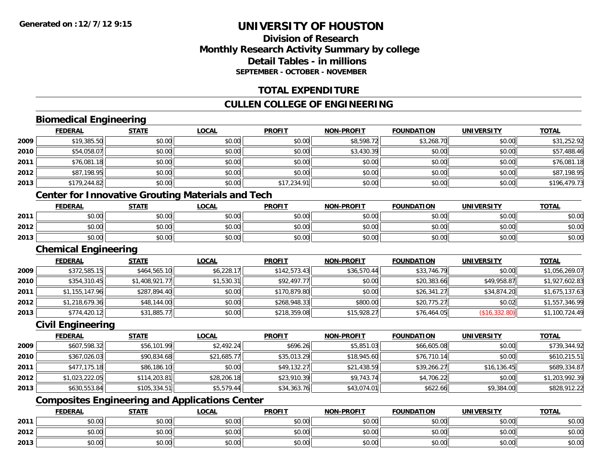## **Division of ResearchMonthly Research Activity Summary by college Detail Tables - in millionsSEPTEMBER - OCTOBER - NOVEMBER**

#### **TOTAL EXPENDITURE**

## **CULLEN COLLEGE OF ENGINEERING**

## **Biomedical Engineering**

|      | <b>FEDERAL</b> | <b>STATE</b> | <b>LOCAL</b> | <b>PROFIT</b> | <b>NON-PROFIT</b> | <b>FOUNDATION</b> | <b>UNIVERSITY</b> | <u>TOTAL</u> |
|------|----------------|--------------|--------------|---------------|-------------------|-------------------|-------------------|--------------|
| 2009 | \$19,385.50    | \$0.00       | \$0.00       | \$0.00        | \$8,598.72        | \$3,268.70        | \$0.00            | \$31,252.92  |
| 2010 | \$54,058.07    | \$0.00       | \$0.00       | \$0.00        | \$3,430.39        | \$0.00            | \$0.00            | \$57,488.46  |
| 2011 | \$76,081.18    | \$0.00       | \$0.00       | \$0.00        | \$0.00            | \$0.00            | \$0.00            | \$76,081.18  |
| 2012 | \$87,198.95    | \$0.00       | \$0.00       | \$0.00        | \$0.00            | \$0.00            | \$0.00            | \$87,198.95  |
| 2013 | \$179,244.82   | \$0.00       | \$0.00       | \$17,234.91   | \$0.00            | \$0.00            | \$0.00            | \$196,479.73 |
|      |                |              |              |               |                   |                   |                   |              |

#### **Center for Innovative Grouting Materials and Tech**

|      | <b>FEDERAL</b> | <b>STATE</b>  | <u>LOCAL</u> | <b>PROFIT</b>                                     | <b>NON-PROFIT</b> | <b>FOUNDATION</b> | <b>UNIVERSITY</b> | <b>TOTAL</b> |
|------|----------------|---------------|--------------|---------------------------------------------------|-------------------|-------------------|-------------------|--------------|
| 2011 | 0000<br>JU.UU  | \$0.00        | \$0.00       | ≮∩ ∩∩<br><b>SU.UU</b>                             | \$0.00            | \$0.00            | \$0.00            | \$0.00       |
| 2012 | \$0.00         | en nn<br>JU.U | \$0.00       | $\mathsf{A}\cap\mathsf{A}\cap\mathsf{A}$<br>JU.UU | \$0.00            | \$0.00            | \$0.00            | \$0.00       |
| 2013 | \$0.00         | \$0.00        | \$0.00       | ≮N UU<br><b>SU.UU</b>                             | \$0.00            | \$0.00            | \$0.00            | \$0.00       |

#### **Chemical Engineering**

|      | <b>FEDERAL</b> | <b>STATE</b>   | <b>LOCAL</b> | <b>PROFIT</b> | <b>NON-PROFIT</b> | <b>FOUNDATION</b> | <b>UNIVERSITY</b> | <b>TOTAL</b>   |
|------|----------------|----------------|--------------|---------------|-------------------|-------------------|-------------------|----------------|
| 2009 | \$372,585.15   | \$464,565.10   | \$6,228.17   | \$142,573.43  | \$36,570.44       | \$33,746.79       | \$0.00            | \$1,056,269.07 |
| 2010 | \$354,310.45   | \$1,408,921.77 | \$1,530.31   | \$92,497.77   | \$0.00            | \$20,383.66       | \$49,958.87       | \$1,927,602.83 |
| 2011 | \$1,155,147.96 | \$287,894.40   | \$0.00       | \$170,879.80  | \$0.00            | \$26,341.27       | \$34,874.20       | \$1,675,137.63 |
| 2012 | \$1,218,679.36 | \$48,144.00    | \$0.00       | \$268,948.33  | \$800.00          | \$20,775.27       | \$0.02            | \$1,557,346.99 |
| 2013 | \$774,420.12   | \$31,885.77    | \$0.00       | \$218,359.08  | \$15,928.27       | \$76,464.05       | (S16, 332.80)     | \$1,100,724.49 |

#### **Civil Engineering**

|      | <b>FEDERAL</b> | <b>STATE</b> | <b>LOCAL</b> | <b>PROFIT</b> | <b>NON-PROFIT</b> | <b>FOUNDATION</b> | <b>UNIVERSITY</b> | <b>TOTAL</b>   |
|------|----------------|--------------|--------------|---------------|-------------------|-------------------|-------------------|----------------|
| 2009 | \$607,598.32   | \$56,101.99  | \$2,492.24   | \$696.26      | \$5,851.03        | \$66,605.08       | \$0.00            | \$739,344.92   |
| 2010 | \$367,026.03   | \$90,834.68  | \$21,685.77  | \$35,013.29   | \$18,945.60       | \$76,710.14       | \$0.00            | \$610,215.51   |
| 2011 | \$477.175.18   | \$86,186.10  | \$0.00       | \$49,132.27   | \$21,438.59       | \$39,266.27       | \$16, 136.45      | \$689,334.87   |
| 2012 | \$1,023,222.05 | \$114,203.81 | \$28,206.18  | \$23,910.39   | \$9,743.74        | \$4,706.22        | \$0.00            | \$1,203,992.39 |
| 2013 | \$630,553.84   | \$105,334.51 | \$5,579.44   | \$34,363.76   | \$43,074.01       | \$622.66          | \$9,384.00        | \$828,912.22   |

## **Composites Engineering and Applications Center**

|      | <b>FEDERAL</b> | <b>STATE</b> | LOCAL         | <b>PROFIT</b> | $LDD$ $O$ $E$ $I$ $T$<br><b>MAN</b> | <b>FOUNDATION</b> | <b>UNIVERSITY</b> | <b>TOTAL</b> |
|------|----------------|--------------|---------------|---------------|-------------------------------------|-------------------|-------------------|--------------|
| 2011 | \$0.00         | \$0.00       | 0.00<br>JU.UU | \$0.00        | \$0.00                              | \$0.00            | \$0.00            | \$0.00       |
| 2012 | \$0.00         | \$0.00       | 0000<br>JU.UU | \$0.00        | \$0.00                              | \$0.00            | \$0.00            | \$0.00       |
| 2013 | \$0.00         | \$0.00       | 0.00<br>ง∪.∪บ | \$0.00        | \$0.00                              | \$0.00            | \$0.00            | \$0.00       |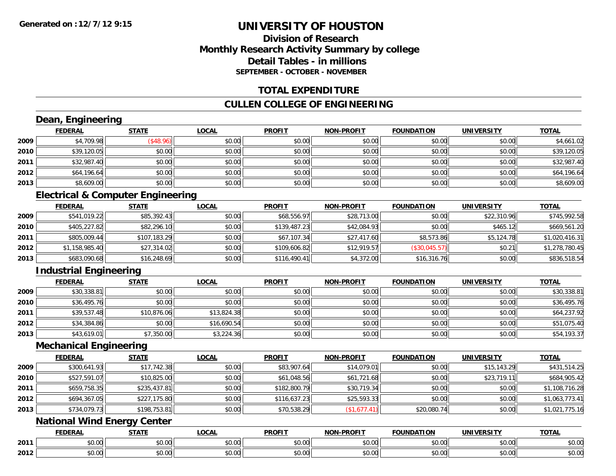## **Division of ResearchMonthly Research Activity Summary by college Detail Tables - in millionsSEPTEMBER - OCTOBER - NOVEMBER**

#### **TOTAL EXPENDITURE**

#### **CULLEN COLLEGE OF ENGINEERING**

# **Dean, Engineering**

|      | <b>FEDERAL</b> | <b>STATE</b> | <u>LOCAL</u> | <b>PROFIT</b> | <b>NON-PROFIT</b> | <b>FOUNDATION</b> | <b>UNIVERSITY</b> | <b>TOTAL</b> |
|------|----------------|--------------|--------------|---------------|-------------------|-------------------|-------------------|--------------|
| 2009 | \$4,709.98     | (\$48.96)    | \$0.00       | \$0.00        | \$0.00            | \$0.00            | \$0.00            | \$4,661.02   |
| 2010 | \$39,120.05    | \$0.00       | \$0.00       | \$0.00        | \$0.00            | \$0.00            | \$0.00            | \$39,120.05  |
| 2011 | \$32,987.40    | \$0.00       | \$0.00       | \$0.00        | \$0.00            | \$0.00            | \$0.00            | \$32,987.40  |
| 2012 | \$64,196.64    | \$0.00       | \$0.00       | \$0.00        | \$0.00            | \$0.00            | \$0.00            | \$64,196.64  |
| 2013 | \$8,609.00     | \$0.00       | \$0.00       | \$0.00        | \$0.00            | \$0.00            | \$0.00            | \$8,609.00   |

## **Electrical & Computer Engineering**

|      | <b>FEDERAL</b> | <b>STATE</b> | <b>LOCAL</b> | <b>PROFIT</b> | <b>NON-PROFIT</b> | <b>FOUNDATION</b> | <b>UNIVERSITY</b> | <u>TOTAL</u>   |
|------|----------------|--------------|--------------|---------------|-------------------|-------------------|-------------------|----------------|
| 2009 | \$541,019.22   | \$85,392.43  | \$0.00       | \$68,556.97   | \$28,713.00       | \$0.00            | \$22,310.96       | \$745,992.58   |
| 2010 | \$405,227.82   | \$82,296.10  | \$0.00       | \$139,487.23  | \$42,084.93       | \$0.00            | \$465.12          | \$669,561.20   |
| 2011 | \$805,009.44   | \$107,183.29 | \$0.00       | \$67,107.34   | \$27,417.60       | \$8,573.86        | \$5,124.78        | \$1,020,416.31 |
| 2012 | \$1,158,985.40 | \$27,314.02  | \$0.00       | \$109,606.82  | \$12,919.57       | (\$30,045.57)     | \$0.21            | \$1,278,780.45 |
| 2013 | \$683,090.68   | \$16,248.69  | \$0.00       | \$116,490.41  | \$4,372.00        | \$16,316.76       | \$0.00            | \$836,518.54   |

## **Industrial Engineering**

|      | <u>FEDERAL</u> | <b>STATE</b> | <u>LOCAL</u> | <b>PROFIT</b> | <b>NON-PROFIT</b> | <b>FOUNDATION</b> | <b>UNIVERSITY</b> | <b>TOTAL</b> |
|------|----------------|--------------|--------------|---------------|-------------------|-------------------|-------------------|--------------|
| 2009 | \$30,338.81    | \$0.00       | \$0.00       | \$0.00        | \$0.00            | \$0.00            | \$0.00            | \$30,338.81  |
| 2010 | \$36,495.76    | \$0.00       | \$0.00       | \$0.00        | \$0.00            | \$0.00            | \$0.00            | \$36,495.76  |
| 2011 | \$39,537.48    | \$10,876.06  | \$13,824.38  | \$0.00        | \$0.00            | \$0.00            | \$0.00            | \$64,237.92  |
| 2012 | \$34,384.86    | \$0.00       | \$16,690.54  | \$0.00        | \$0.00            | \$0.00            | \$0.00            | \$51,075.40  |
| 2013 | \$43,619.01    | \$7,350.00   | \$3,224.36   | \$0.00        | \$0.00            | \$0.00            | \$0.00            | \$54,193.37  |

#### **Mechanical Engineering**

|      | <b>FEDERAL</b> | <b>STATE</b> | <u>LOCAL</u> | <b>PROFIT</b> | <b>NON-PROFIT</b> | <b>FOUNDATION</b> | <b>UNIVERSITY</b> | <b>TOTAL</b>   |
|------|----------------|--------------|--------------|---------------|-------------------|-------------------|-------------------|----------------|
| 2009 | \$300,641.93   | \$17,742.38  | \$0.00       | \$83,907.64   | \$14,079.01       | \$0.00            | \$15.143.29       | \$431,514.25   |
| 2010 | \$527,591.07   | \$10,825.00  | \$0.00       | \$61,048.56   | \$61,721.68       | \$0.00            | \$23,719.11       | \$684,905.42   |
| 2011 | \$659,758.35   | \$235,437.81 | \$0.00       | \$182,800.79  | \$30,719.34       | \$0.00            | \$0.00            | \$1,108,716.28 |
| 2012 | \$694,367.05   | \$227,175.80 | \$0.00       | \$116,637.23  | \$25,593.33       | \$0.00            | \$0.00            | \$1,063,773.41 |
| 2013 | \$734,079.73   | \$198,753.81 | \$0.00       | \$70,538.29   | (\$1,677.41)      | \$20,080.74       | \$0.00            | \$1,021,775.16 |

## **National Wind Energy Center**

|      | <b>FEDERAL</b> | <b>CTATL</b> | <b>_OCAL</b> | <b>PROFIT</b> | NON-DDOELT | <b>FOUNDATION</b> | UNIVERSITY<br>ERJI | <b>TOTAL</b> |
|------|----------------|--------------|--------------|---------------|------------|-------------------|--------------------|--------------|
| 2011 | $\sim$         | ሖ ヘ          | $\sim$ 00    | 0000          | 0.00       | 0000              | $\sim$ 00          | $\sim$       |
|      | וט.טי          | JU.UU        | טט.טע        | JU.UU         | PO.OO      | JU.UU             | <b>JU.UU</b>       | JU.UU        |
| 2012 | 0000           | $\sim$ 00    | $\sim$ 00    | $\cdots$      | 0000       | 0000              | $\sim$ 00          | $\cdots$     |
|      | ,uu            | JU.U         | vv.vv        | JU.UU         | PO.OO      | PU.UU             | <b>JU.UU</b>       | <b>JU.UU</b> |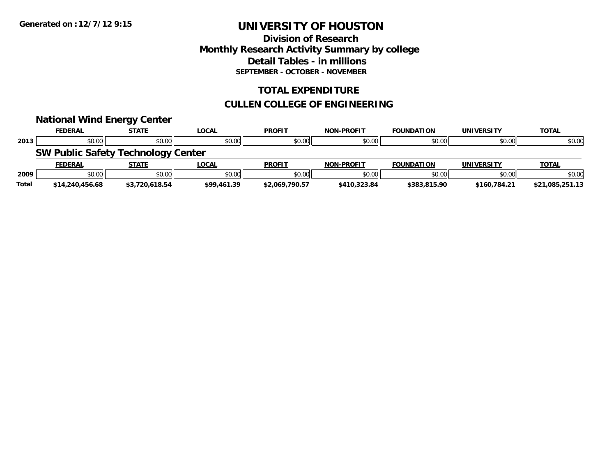## **Division of Research Monthly Research Activity Summary by college Detail Tables - in millions SEPTEMBER - OCTOBER - NOVEMBER**

#### **TOTAL EXPENDITURE**

## **CULLEN COLLEGE OF ENGINEERING**

|              | <b>National Wind Energy Center</b>        |                |              |                |                   |                   |                   |                 |
|--------------|-------------------------------------------|----------------|--------------|----------------|-------------------|-------------------|-------------------|-----------------|
|              | <b>FEDERAL</b>                            | <b>STATE</b>   | <u>LOCAL</u> | <b>PROFIT</b>  | <b>NON-PROFIT</b> | <b>FOUNDATION</b> | <b>UNIVERSITY</b> | <b>TOTAL</b>    |
| 2013         | \$0.00                                    | \$0.00         | \$0.00       | \$0.00         | \$0.00            | \$0.00            | \$0.00            | \$0.00          |
|              | <b>SW Public Safety Technology Center</b> |                |              |                |                   |                   |                   |                 |
|              | <b>FEDERAL</b>                            | <b>STATE</b>   | <u>LOCAL</u> | <b>PROFIT</b>  | <b>NON-PROFIT</b> | <b>FOUNDATION</b> | <b>UNIVERSITY</b> | <b>TOTAL</b>    |
| 2009         | \$0.00                                    | \$0.00         | \$0.00       | \$0.00         | \$0.00            | \$0.00            | \$0.00            | \$0.00          |
| <b>Total</b> | \$14,240,456.68                           | \$3,720,618.54 | \$99,461.39  | \$2.069.790.57 | \$410,323.84      | \$383,815.90      | \$160.784.21      | \$21.085.251.13 |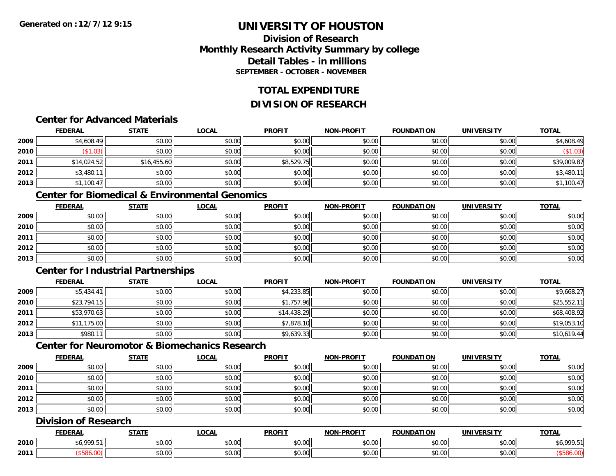## **Division of ResearchMonthly Research Activity Summary by college Detail Tables - in millionsSEPTEMBER - OCTOBER - NOVEMBER**

#### **TOTAL EXPENDITURE**

## **DIVISION OF RESEARCH**

#### **Center for Advanced Materials**

|      | <b>FEDERAL</b> | <b>STATE</b> | <u>LOCAL</u> | <b>PROFIT</b> | <b>NON-PROFIT</b> | <b>FOUNDATION</b> | <b>UNIVERSITY</b> | <b>TOTAL</b> |
|------|----------------|--------------|--------------|---------------|-------------------|-------------------|-------------------|--------------|
| 2009 | \$4,608.49     | \$0.00       | \$0.00       | \$0.00        | \$0.00            | \$0.00            | \$0.00            | \$4,608.49   |
| 2010 | \$1.03         | \$0.00       | \$0.00       | \$0.00        | \$0.00            | \$0.00            | \$0.00            | \$1.03)      |
| 2011 | \$14,024.52    | \$16,455.60  | \$0.00       | \$8,529.75    | \$0.00            | \$0.00            | \$0.00            | \$39,009.87  |
| 2012 | \$3,480.11     | \$0.00       | \$0.00       | \$0.00        | \$0.00            | \$0.00            | \$0.00            | \$3,480.11   |
| 2013 | \$1,100.47     | \$0.00       | \$0.00       | \$0.00        | \$0.00            | \$0.00            | \$0.00            | \$1,100.47   |

#### **Center for Biomedical & Environmental Genomics**

|      | <u>FEDERAL</u> | <u>STATE</u> | <u>LOCAL</u> | <b>PROFIT</b> | <b>NON-PROFIT</b> | <b>FOUNDATION</b> | <b>UNIVERSITY</b> | <b>TOTAL</b> |
|------|----------------|--------------|--------------|---------------|-------------------|-------------------|-------------------|--------------|
| 2009 | \$0.00         | \$0.00       | \$0.00       | \$0.00        | \$0.00            | \$0.00            | \$0.00            | \$0.00       |
| 2010 | \$0.00         | \$0.00       | \$0.00       | \$0.00        | \$0.00            | \$0.00            | \$0.00            | \$0.00       |
| 2011 | \$0.00         | \$0.00       | \$0.00       | \$0.00        | \$0.00            | \$0.00            | \$0.00            | \$0.00       |
| 2012 | \$0.00         | \$0.00       | \$0.00       | \$0.00        | \$0.00            | \$0.00            | \$0.00            | \$0.00       |
| 2013 | \$0.00         | \$0.00       | \$0.00       | \$0.00        | \$0.00            | \$0.00            | \$0.00            | \$0.00       |

## **Center for Industrial Partnerships**

|      | <u>FEDERAL</u> | <b>STATE</b> | <b>LOCAL</b> | <b>PROFIT</b> | <b>NON-PROFIT</b> | <b>FOUNDATION</b> | <b>UNIVERSITY</b> | <b>TOTAL</b> |
|------|----------------|--------------|--------------|---------------|-------------------|-------------------|-------------------|--------------|
| 2009 | \$5,434.41     | \$0.00       | \$0.00       | \$4,233.85    | \$0.00            | \$0.00            | \$0.00            | \$9,668.27   |
| 2010 | \$23,794.15    | \$0.00       | \$0.00       | \$1,757.96    | \$0.00            | \$0.00            | \$0.00            | \$25,552.11  |
| 2011 | \$53,970.63    | \$0.00       | \$0.00       | \$14,438.29   | \$0.00            | \$0.00            | \$0.00            | \$68,408.92  |
| 2012 | \$11,175.00    | \$0.00       | \$0.00       | \$7,878.10    | \$0.00            | \$0.00            | \$0.00            | \$19,053.10  |
| 2013 | \$980.11       | \$0.00       | \$0.00       | \$9,639.33    | \$0.00            | \$0.00            | \$0.00            | \$10,619.44  |

## **Center for Neuromotor & Biomechanics Research**

|      | <b>FEDERAL</b> | <u>STATE</u> | <u>LOCAL</u> | <b>PROFIT</b> | <b>NON-PROFIT</b> | <b>FOUNDATION</b> | <b>UNIVERSITY</b> | <b>TOTAL</b> |
|------|----------------|--------------|--------------|---------------|-------------------|-------------------|-------------------|--------------|
| 2009 | \$0.00         | \$0.00       | \$0.00       | \$0.00        | \$0.00            | \$0.00            | \$0.00            | \$0.00       |
| 2010 | \$0.00         | \$0.00       | \$0.00       | \$0.00        | \$0.00            | \$0.00            | \$0.00            | \$0.00       |
| 2011 | \$0.00         | \$0.00       | \$0.00       | \$0.00        | \$0.00            | \$0.00            | \$0.00            | \$0.00       |
| 2012 | \$0.00         | \$0.00       | \$0.00       | \$0.00        | \$0.00            | \$0.00            | \$0.00            | \$0.00       |
| 2013 | \$0.00         | \$0.00       | \$0.00       | \$0.00        | \$0.00            | \$0.00            | \$0.00            | \$0.00       |

## **Division of Research**

|      | <b>FEDERAL</b> | статі             | .OCAI              | <b>PROFIT</b>                                | <b>J-PROFIT</b><br><b>NON</b> | .<br><b>MINDAT.</b> | 100011<br>`INHV. | <b>TOTAL</b> |
|------|----------------|-------------------|--------------------|----------------------------------------------|-------------------------------|---------------------|------------------|--------------|
| 2010 | noo<br>ں .     | $\sim$<br>-⊌∪⊶    | $\sim$ 00<br>pv.uu | 0.00<br>DU.UU                                | 0.00<br><b>JU.UU</b>          | \$0.00              | \$0.00           | 000E         |
| 2011 |                | $\sim$ 00<br>JU.U | 0.00<br>PU.UU      | $\triangle$ $\triangle$ $\triangle$<br>DU.UU | 0.00<br><b>JU.UU</b>          | \$0.00              | \$0.00           |              |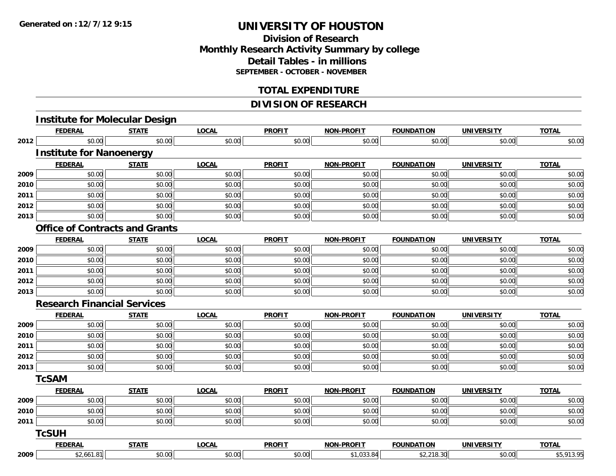### **Division of ResearchMonthly Research Activity Summary by college Detail Tables - in millions SEPTEMBER - OCTOBER - NOVEMBER**

#### **TOTAL EXPENDITURE**

### **DIVISION OF RESEARCH**

|      | <b>FEDERAL</b>                        | <b>STATE</b> | <b>LOCAL</b> | <b>PROFIT</b> | <b>NON-PROFIT</b> | <b>FOUNDATION</b> | <b>UNIVERSITY</b> | <b>TOTAL</b> |
|------|---------------------------------------|--------------|--------------|---------------|-------------------|-------------------|-------------------|--------------|
| 2012 | \$0.00                                | \$0.00       | \$0.00       | \$0.00        | \$0.00            | \$0.00            | \$0.00            | \$0.00       |
|      | <b>Institute for Nanoenergy</b>       |              |              |               |                   |                   |                   |              |
|      | <b>FEDERAL</b>                        | <b>STATE</b> | <b>LOCAL</b> | <b>PROFIT</b> | <b>NON-PROFIT</b> | <b>FOUNDATION</b> | <b>UNIVERSITY</b> | <b>TOTAL</b> |
| 2009 | \$0.00                                | \$0.00       | \$0.00       | \$0.00        | \$0.00            | \$0.00            | \$0.00            | \$0.00       |
| 2010 | \$0.00                                | \$0.00       | \$0.00       | \$0.00        | \$0.00            | \$0.00            | \$0.00            | \$0.00       |
| 2011 | \$0.00                                | \$0.00       | \$0.00       | \$0.00        | \$0.00            | \$0.00            | \$0.00            | \$0.00       |
| 2012 | \$0.00                                | \$0.00       | \$0.00       | \$0.00        | \$0.00            | \$0.00            | \$0.00            | \$0.00       |
| 2013 | \$0.00                                | \$0.00       | \$0.00       | \$0.00        | \$0.00            | \$0.00            | \$0.00            | \$0.00       |
|      | <b>Office of Contracts and Grants</b> |              |              |               |                   |                   |                   |              |
|      | <b>FEDERAL</b>                        | <b>STATE</b> | <b>LOCAL</b> | <b>PROFIT</b> | <b>NON-PROFIT</b> | <b>FOUNDATION</b> | <b>UNIVERSITY</b> | <b>TOTAL</b> |
| 2009 | \$0.00                                | \$0.00       | \$0.00       | \$0.00        | \$0.00            | \$0.00            | \$0.00            | \$0.00       |
| 2010 | \$0.00                                | \$0.00       | \$0.00       | \$0.00        | \$0.00            | \$0.00            | \$0.00            | \$0.00       |
| 2011 | \$0.00                                | \$0.00       | \$0.00       | \$0.00        | \$0.00            | \$0.00            | \$0.00            | \$0.00       |
| 2012 | \$0.00                                | \$0.00       | \$0.00       | \$0.00        | \$0.00            | \$0.00            | \$0.00            | \$0.00       |
| 2013 | \$0.00                                | \$0.00       | \$0.00       | \$0.00        | \$0.00            | \$0.00            | \$0.00            | \$0.00       |
|      | <b>Research Financial Services</b>    |              |              |               |                   |                   |                   |              |
|      | <b>FEDERAL</b>                        | <b>STATE</b> | <b>LOCAL</b> | <b>PROFIT</b> | <b>NON-PROFIT</b> | <b>FOUNDATION</b> | <b>UNIVERSITY</b> | <b>TOTAL</b> |
| 2009 | \$0.00                                | \$0.00       | \$0.00       | \$0.00        | \$0.00            | \$0.00            | \$0.00            | \$0.00       |
| 2010 | \$0.00                                | \$0.00       | \$0.00       | \$0.00        | \$0.00            | \$0.00            | \$0.00            | \$0.00       |
| 2011 | \$0.00                                | \$0.00       | \$0.00       | \$0.00        | \$0.00            | \$0.00            | \$0.00            | \$0.00       |
| 2012 | \$0.00                                | \$0.00       | \$0.00       | \$0.00        | \$0.00            | \$0.00            | \$0.00            | \$0.00       |
| 2013 | \$0.00                                | \$0.00       | \$0.00       | \$0.00        | \$0.00            | \$0.00            | \$0.00            | \$0.00       |
|      | <b>TcSAM</b>                          |              |              |               |                   |                   |                   |              |
|      | <b>FEDERAL</b>                        | <b>STATE</b> | <b>LOCAL</b> | <b>PROFIT</b> | <b>NON-PROFIT</b> | <b>FOUNDATION</b> | <b>UNIVERSITY</b> | <b>TOTAL</b> |
| 2009 | \$0.00                                | \$0.00       | \$0.00       | \$0.00        | \$0.00            | \$0.00            | \$0.00            | \$0.00       |
| 2010 | \$0.00                                | \$0.00       | \$0.00       | \$0.00        | \$0.00            | \$0.00            | \$0.00            | \$0.00       |
| 2011 | \$0.00                                | \$0.00       | \$0.00       | \$0.00        | \$0.00            | \$0.00            | \$0.00            | \$0.00       |
|      | <b>TcSUH</b>                          |              |              |               |                   |                   |                   |              |
|      | <b>FEDERAL</b>                        | <b>STATE</b> | <b>LOCAL</b> | <b>PROFIT</b> | <b>NON-PROFIT</b> | <b>FOUNDATION</b> | <b>UNIVERSITY</b> | <b>TOTAL</b> |
| 2009 | \$2,661.81                            | \$0.00       | \$0.00       | \$0.00        | \$1,033.84        | \$2,218.30        | \$0.00            | \$5,913.95   |

**2009**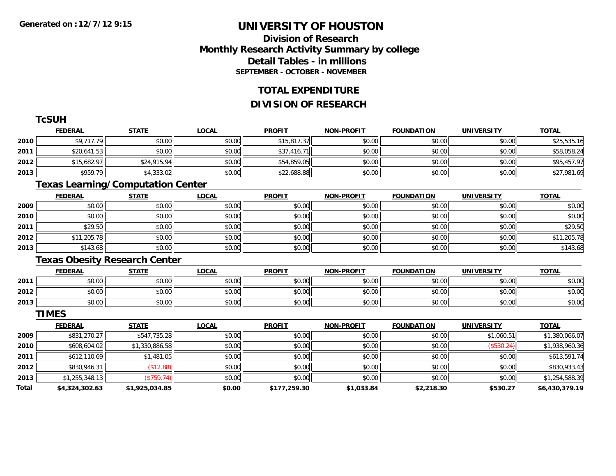### **Division of ResearchMonthly Research Activity Summary by college Detail Tables - in millions SEPTEMBER - OCTOBER - NOVEMBER**

#### **TOTAL EXPENDITURE**

### **DIVISION OF RESEARCH**

|       | <b>TcSUH</b>                             |                |              |               |                   |                   |                   |                |
|-------|------------------------------------------|----------------|--------------|---------------|-------------------|-------------------|-------------------|----------------|
|       | <b>FEDERAL</b>                           | <b>STATE</b>   | <b>LOCAL</b> | <b>PROFIT</b> | <b>NON-PROFIT</b> | <b>FOUNDATION</b> | <b>UNIVERSITY</b> | <b>TOTAL</b>   |
| 2010  | \$9,717.79                               | \$0.00         | \$0.00       | \$15,817.37   | \$0.00            | \$0.00            | \$0.00            | \$25,535.16    |
| 2011  | \$20,641.53                              | \$0.00         | \$0.00       | \$37,416.71   | \$0.00            | \$0.00            | \$0.00            | \$58,058.24    |
| 2012  | \$15,682.97                              | \$24,915.94    | \$0.00       | \$54,859.05   | \$0.00            | \$0.00            | \$0.00            | \$95,457.97    |
| 2013  | \$959.79                                 | \$4,333.02     | \$0.00       | \$22,688.88   | \$0.00            | \$0.00            | \$0.00            | \$27,981.69    |
|       | <b>Texas Learning/Computation Center</b> |                |              |               |                   |                   |                   |                |
|       | <b>FEDERAL</b>                           | <b>STATE</b>   | <b>LOCAL</b> | <b>PROFIT</b> | <b>NON-PROFIT</b> | <b>FOUNDATION</b> | <b>UNIVERSITY</b> | <b>TOTAL</b>   |
| 2009  | \$0.00                                   | \$0.00         | \$0.00       | \$0.00        | \$0.00            | \$0.00            | \$0.00            | \$0.00         |
| 2010  | \$0.00                                   | \$0.00         | \$0.00       | \$0.00        | \$0.00            | \$0.00            | \$0.00            | \$0.00         |
| 2011  | \$29.50                                  | \$0.00         | \$0.00       | \$0.00        | \$0.00            | \$0.00            | \$0.00            | \$29.50        |
| 2012  | \$11,205.78                              | \$0.00         | \$0.00       | \$0.00        | \$0.00            | \$0.00            | \$0.00            | \$11,205.78    |
| 2013  | \$143.68                                 | \$0.00         | \$0.00       | \$0.00        | \$0.00            | \$0.00            | \$0.00            | \$143.68       |
|       | <b>Texas Obesity Research Center</b>     |                |              |               |                   |                   |                   |                |
|       | <b>FEDERAL</b>                           | <b>STATE</b>   | <b>LOCAL</b> | <b>PROFIT</b> | <b>NON-PROFIT</b> | <b>FOUNDATION</b> | <b>UNIVERSITY</b> | <b>TOTAL</b>   |
| 2011  | \$0.00                                   | \$0.00         | \$0.00       | \$0.00        | \$0.00            | \$0.00            | \$0.00            | \$0.00         |
| 2012  | \$0.00                                   | \$0.00         | \$0.00       | \$0.00        | \$0.00            | \$0.00            | \$0.00            | \$0.00         |
| 2013  | \$0.00                                   | \$0.00         | \$0.00       | \$0.00        | \$0.00            | \$0.00            | \$0.00            | \$0.00         |
|       | <b>TIMES</b>                             |                |              |               |                   |                   |                   |                |
|       | <b>FEDERAL</b>                           | <b>STATE</b>   | <b>LOCAL</b> | <b>PROFIT</b> | <b>NON-PROFIT</b> | <b>FOUNDATION</b> | <b>UNIVERSITY</b> | <b>TOTAL</b>   |
| 2009  | \$831,270.27                             | \$547,735.28   | \$0.00       | \$0.00        | \$0.00            | \$0.00            | \$1,060.51        | \$1,380,066.07 |
| 2010  | \$608,604.02                             | \$1,330,886.58 | \$0.00       | \$0.00        | \$0.00            | \$0.00            | (\$530.24)        | \$1,938,960.36 |
| 2011  | \$612,110.69                             | \$1,481.05     | \$0.00       | \$0.00        | \$0.00            | \$0.00            | \$0.00            | \$613,591.74   |
| 2012  | \$830,946.31                             | (\$12.88)      | \$0.00       | \$0.00        | \$0.00            | \$0.00            | \$0.00            | \$830,933.43   |
| 2013  | \$1,255,348.13                           | (\$759.74)     | \$0.00       | \$0.00        | \$0.00            | \$0.00            | \$0.00            | \$1,254,588.39 |
| Total | \$4,324,302.63                           | \$1,925,034.85 | \$0.00       | \$177,259.30  | \$1,033.84        | \$2,218.30        | \$530.27          | \$6,430,379.19 |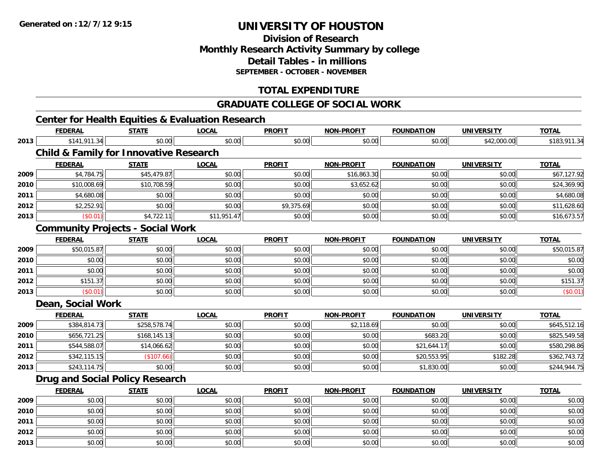### **Division of ResearchMonthly Research Activity Summary by college Detail Tables - in millions SEPTEMBER - OCTOBER - NOVEMBER**

### **TOTAL EXPENDITURE**

#### **GRADUATE COLLEGE OF SOCIAL WORK**

## **Center for Health Equities & Evaluation Research**

|      | <b>FEDERAL</b>    | <b>STATE</b>                                      | <b>LOCAL</b> | <b>PROFIT</b> | <b>NON-PROFIT</b> | <b>FOUNDATION</b> | <b>UNIVERSITY</b> | <b>TOTAL</b> |
|------|-------------------|---------------------------------------------------|--------------|---------------|-------------------|-------------------|-------------------|--------------|
| 2013 | \$141,911.34      | \$0.00                                            | \$0.00       | \$0.00        | \$0.00            | \$0.00            | \$42,000.00       | \$183,911.34 |
|      |                   | <b>Child &amp; Family for Innovative Research</b> |              |               |                   |                   |                   |              |
|      | <b>FEDERAL</b>    | <b>STATE</b>                                      | <b>LOCAL</b> | <b>PROFIT</b> | <b>NON-PROFIT</b> | <b>FOUNDATION</b> | <b>UNIVERSITY</b> | <b>TOTAL</b> |
| 2009 | \$4,784.75        | \$45,479.87                                       | \$0.00       | \$0.00        | \$16,863.30       | \$0.00            | \$0.00            | \$67,127.92  |
| 2010 | \$10,008.69       | \$10,708.59                                       | \$0.00       | \$0.00        | \$3,652.62        | \$0.00            | \$0.00            | \$24,369.90  |
| 2011 | \$4,680.08        | \$0.00                                            | \$0.00       | \$0.00        | \$0.00            | \$0.00            | \$0.00            | \$4,680.08   |
| 2012 | \$2,252.91        | \$0.00                                            | \$0.00       | \$9,375.69    | \$0.00            | \$0.00            | \$0.00            | \$11,628.60  |
| 2013 | (\$0.01)          | \$4,722.11                                        | \$11,951.47  | \$0.00        | \$0.00            | \$0.00            | \$0.00            | \$16,673.57  |
|      |                   | <b>Community Projects - Social Work</b>           |              |               |                   |                   |                   |              |
|      | <b>FEDERAL</b>    | <b>STATE</b>                                      | <b>LOCAL</b> | <b>PROFIT</b> | <b>NON-PROFIT</b> | <b>FOUNDATION</b> | <b>UNIVERSITY</b> | <b>TOTAL</b> |
| 2009 | \$50,015.87       | \$0.00                                            | \$0.00       | \$0.00        | \$0.00            | \$0.00            | \$0.00            | \$50,015.87  |
| 2010 | \$0.00            | \$0.00                                            | \$0.00       | \$0.00        | \$0.00            | \$0.00            | \$0.00            | \$0.00       |
| 2011 | \$0.00            | \$0.00                                            | \$0.00       | \$0.00        | \$0.00            | \$0.00            | \$0.00            | \$0.00       |
| 2012 | \$151.37          | \$0.00                                            | \$0.00       | \$0.00        | \$0.00            | \$0.00            | \$0.00            | \$151.37     |
| 2013 | (\$0.01)          | \$0.00                                            | \$0.00       | \$0.00        | \$0.00            | \$0.00            | \$0.00            | (\$0.01)     |
|      | Dean, Social Work |                                                   |              |               |                   |                   |                   |              |
|      | <b>FEDERAL</b>    | <b>STATE</b>                                      | <b>LOCAL</b> | <b>PROFIT</b> | <b>NON-PROFIT</b> | <b>FOUNDATION</b> | <b>UNIVERSITY</b> | <b>TOTAL</b> |
| 2009 | \$384,814.73      | \$258,578.74                                      | \$0.00       | \$0.00        | \$2,118.69        | \$0.00            | \$0.00            | \$645,512.16 |
| 2010 | \$656,721.25      | \$168,145.13                                      | \$0.00       | \$0.00        | \$0.00            | \$683.20          | \$0.00            | \$825,549.58 |
| 2011 | \$544,588.07      | \$14,066.62                                       | \$0.00       | \$0.00        | \$0.00            | \$21,644.17       | \$0.00            | \$580,298.86 |
| 2012 | \$342,115.15      | (\$107.66)                                        | \$0.00       | \$0.00        | \$0.00            | \$20,553.95       | \$182.28          | \$362,743.72 |
| 2013 | \$243,114.75      | \$0.00                                            | \$0.00       | \$0.00        | \$0.00            | \$1,830.00        | \$0.00            | \$244,944.75 |
|      |                   | <b>Drug and Social Policy Research</b>            |              |               |                   |                   |                   |              |
|      | <b>FEDERAL</b>    | <b>STATE</b>                                      | <b>LOCAL</b> | <b>PROFIT</b> | <b>NON-PROFIT</b> | <b>FOUNDATION</b> | <b>UNIVERSITY</b> | <b>TOTAL</b> |
| 2009 | \$0.00            | \$0.00                                            | \$0.00       | \$0.00        | \$0.00            | \$0.00            | \$0.00            | \$0.00       |
| 2010 | \$0.00            | \$0.00                                            | \$0.00       | \$0.00        | \$0.00            | \$0.00            | \$0.00            | \$0.00       |
| 2011 | \$0.00            | \$0.00                                            | \$0.00       | \$0.00        | \$0.00            | \$0.00            | \$0.00            | \$0.00       |
| 2012 | \$0.00            | \$0.00                                            | \$0.00       | \$0.00        | \$0.00            | \$0.00            | \$0.00            | \$0.00       |
| 2013 | \$0.00            | \$0.00                                            | \$0.00       | \$0.00        | \$0.00            | \$0.00            | \$0.00            | \$0.00       |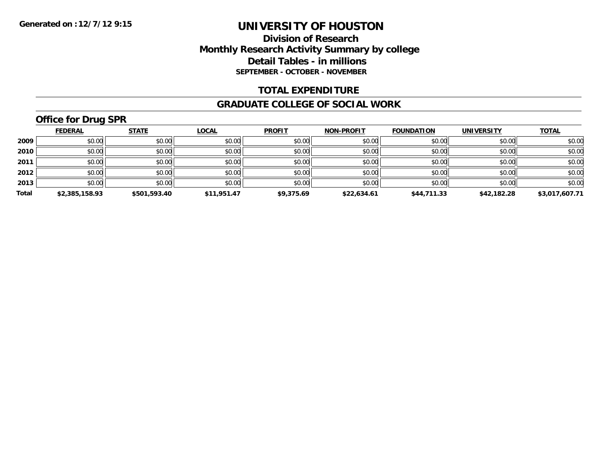### **Division of Research Monthly Research Activity Summary by college Detail Tables - in millions SEPTEMBER - OCTOBER - NOVEMBER**

#### **TOTAL EXPENDITURE**

#### **GRADUATE COLLEGE OF SOCIAL WORK**

## **Office for Drug SPR**

|       | <b>FEDERAL</b> | <b>STATE</b> | <b>LOCAL</b> | <b>PROFIT</b> | <b>NON-PROFIT</b> | <b>FOUNDATION</b> | <b>UNIVERSITY</b> | <b>TOTAL</b>   |
|-------|----------------|--------------|--------------|---------------|-------------------|-------------------|-------------------|----------------|
| 2009  | \$0.00         | \$0.00       | \$0.00       | \$0.00        | \$0.00            | \$0.00            | \$0.00            | \$0.00         |
| 2010  | \$0.00         | \$0.00       | \$0.00       | \$0.00        | \$0.00            | \$0.00            | \$0.00            | \$0.00         |
| 2011  | \$0.00         | \$0.00       | \$0.00       | \$0.00        | \$0.00            | \$0.00            | \$0.00            | \$0.00         |
| 2012  | \$0.00         | \$0.00       | \$0.00       | \$0.00        | \$0.00            | \$0.00            | \$0.00            | \$0.00         |
| 2013  | \$0.00         | \$0.00       | \$0.00       | \$0.00        | \$0.00            | \$0.00            | \$0.00            | \$0.00         |
| Total | \$2,385,158.93 | \$501,593.40 | \$11,951.47  | \$9,375.69    | \$22,634.61       | \$44,711.33       | \$42,182.28       | \$3,017,607.71 |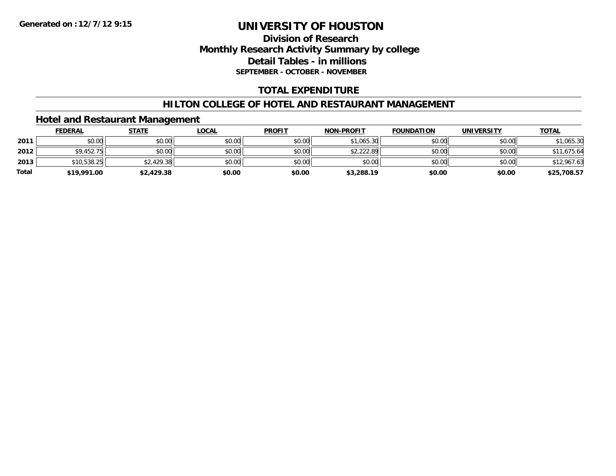### **Division of Research Monthly Research Activity Summary by college Detail Tables - in millions SEPTEMBER - OCTOBER - NOVEMBER**

### **TOTAL EXPENDITURE**

#### **HILTON COLLEGE OF HOTEL AND RESTAURANT MANAGEMENT**

#### **Hotel and Restaurant Management**

|              | <b>FEDERAL</b> | <u>STATE</u> | <u>LOCAL</u> | <b>PROFIT</b> | <b>NON-PROFIT</b> | <b>FOUNDATION</b> | <b>UNIVERSITY</b> | <b>TOTAL</b> |
|--------------|----------------|--------------|--------------|---------------|-------------------|-------------------|-------------------|--------------|
| 2011         | \$0.00         | \$0.00       | \$0.00       | \$0.00        | \$1.065.30        | \$0.00            | \$0.00            | \$1,065.30   |
| 2012         | \$9,452.75     | \$0.00       | \$0.00       | \$0.00        | \$2,222.89        | \$0.00            | \$0.00            | \$11,675.64  |
| 2013         | \$10,538.25    | \$2,429.38   | \$0.00       | \$0.00        | \$0.00            | \$0.00            | \$0.00            | \$12,967.63  |
| <b>Total</b> | \$19,991.00    | \$2,429.38   | \$0.00       | \$0.00        | \$3,288.19        | \$0.00            | \$0.00            | \$25,708.57  |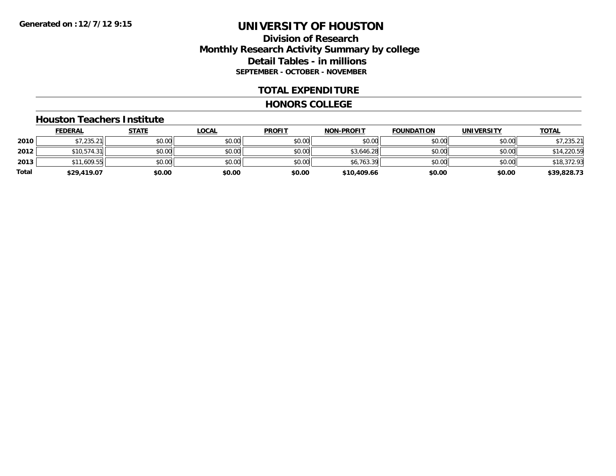### **Division of Research Monthly Research Activity Summary by college Detail Tables - in millions SEPTEMBER - OCTOBER - NOVEMBER**

#### **TOTAL EXPENDITURE**

#### **HONORS COLLEGE**

#### **Houston Teachers Institute**

|       | <b>FEDERAL</b> | <u>STATE</u> | <b>LOCAL</b> | <b>PROFIT</b> | <b>NON-PROFIT</b> | <b>FOUNDATION</b> | <b>UNIVERSITY</b> | <b>TOTAL</b> |
|-------|----------------|--------------|--------------|---------------|-------------------|-------------------|-------------------|--------------|
| 2010  | \$7,235.21     | \$0.00       | \$0.00       | \$0.00        | \$0.00            | \$0.00            | \$0.00            | \$7,235.21   |
| 2012  | \$10,574.31    | \$0.00       | \$0.00       | \$0.00        | \$3,646.28        | \$0.00            | \$0.00            | \$14,220.59  |
| 2013  | \$11,609.55    | \$0.00       | \$0.00       | \$0.00        | \$6,763.39        | \$0.00            | \$0.00            | \$18,372.93  |
| Total | \$29,419.07    | \$0.00       | \$0.00       | \$0.00        | \$10,409.66       | \$0.00            | \$0.00            | \$39,828.73  |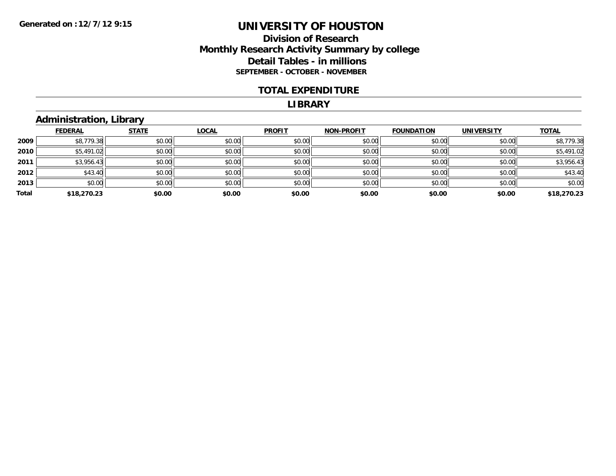#### **Division of Research Monthly Research Activity Summary by college Detail Tables - in millions SEPTEMBER - OCTOBER - NOVEMBER**

#### **TOTAL EXPENDITURE**

#### **LIBRARY**

### **Administration, Library**

|       |                | __           |              |               |                   |                   |                   |              |
|-------|----------------|--------------|--------------|---------------|-------------------|-------------------|-------------------|--------------|
|       | <b>FEDERAL</b> | <b>STATE</b> | <b>LOCAL</b> | <b>PROFIT</b> | <b>NON-PROFIT</b> | <b>FOUNDATION</b> | <b>UNIVERSITY</b> | <b>TOTAL</b> |
| 2009  | \$8,779.38     | \$0.00       | \$0.00       | \$0.00        | \$0.00            | \$0.00            | \$0.00            | \$8,779.38   |
| 2010  | \$5,491.02     | \$0.00       | \$0.00       | \$0.00        | \$0.00            | \$0.00            | \$0.00            | \$5,491.02   |
| 2011  | \$3,956.43     | \$0.00       | \$0.00       | \$0.00        | \$0.00            | \$0.00            | \$0.00            | \$3,956.43   |
| 2012  | \$43.40        | \$0.00       | \$0.00       | \$0.00        | \$0.00            | \$0.00            | \$0.00            | \$43.40      |
| 2013  | \$0.00         | \$0.00       | \$0.00       | \$0.00        | \$0.00            | \$0.00            | \$0.00            | \$0.00       |
| Total | \$18,270.23    | \$0.00       | \$0.00       | \$0.00        | \$0.00            | \$0.00            | \$0.00            | \$18,270.23  |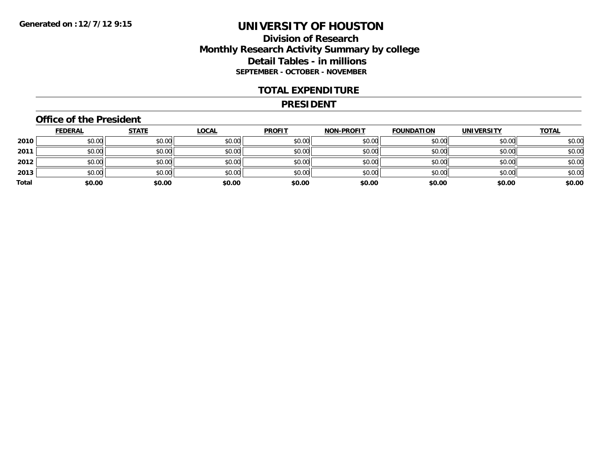### **Division of Research Monthly Research Activity Summary by college Detail Tables - in millions SEPTEMBER - OCTOBER - NOVEMBER**

#### **TOTAL EXPENDITURE**

#### **PRESIDENT**

#### **Office of the President**

|       | <b>FEDERAL</b> | <b>STATE</b> | <b>LOCAL</b> | <b>PROFIT</b> | <b>NON-PROFIT</b> | <b>FOUNDATION</b> | <b>UNIVERSITY</b> | <b>TOTAL</b> |
|-------|----------------|--------------|--------------|---------------|-------------------|-------------------|-------------------|--------------|
| 2010  | \$0.00         | \$0.00       | \$0.00       | \$0.00        | \$0.00            | \$0.00            | \$0.00            | \$0.00       |
| 2011  | \$0.00         | \$0.00       | \$0.00       | \$0.00        | \$0.00            | \$0.00            | \$0.00            | \$0.00       |
| 2012  | \$0.00         | \$0.00       | \$0.00       | \$0.00        | \$0.00            | \$0.00            | \$0.00            | \$0.00       |
| 2013  | \$0.00         | \$0.00       | \$0.00       | \$0.00        | \$0.00            | \$0.00            | \$0.00            | \$0.00       |
| Total | \$0.00         | \$0.00       | \$0.00       | \$0.00        | \$0.00            | \$0.00            | \$0.00            | \$0.00       |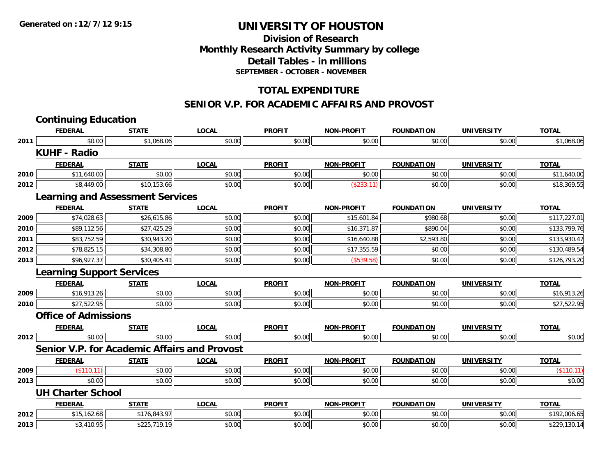### **Division of Research Monthly Research Activity Summary by college Detail Tables - in millions SEPTEMBER - OCTOBER - NOVEMBER**

### **TOTAL EXPENDITURE**

#### **SENIOR V.P. FOR ACADEMIC AFFAIRS AND PROVOST**

|      | <b>Continuing Education</b>             |              |                                                     |               |                   |                   |                   |              |
|------|-----------------------------------------|--------------|-----------------------------------------------------|---------------|-------------------|-------------------|-------------------|--------------|
|      | <b>FEDERAL</b>                          | <b>STATE</b> | <b>LOCAL</b>                                        | <b>PROFIT</b> | <b>NON-PROFIT</b> | <b>FOUNDATION</b> | <b>UNIVERSITY</b> | <b>TOTAL</b> |
| 2011 | \$0.00                                  | \$1,068.06   | \$0.00                                              | \$0.00        | \$0.00            | \$0.00            | \$0.00            | \$1,068.06   |
|      | <b>KUHF - Radio</b>                     |              |                                                     |               |                   |                   |                   |              |
|      | <b>FEDERAL</b>                          | <b>STATE</b> | <b>LOCAL</b>                                        | <b>PROFIT</b> | <b>NON-PROFIT</b> | <b>FOUNDATION</b> | <b>UNIVERSITY</b> | <b>TOTAL</b> |
| 2010 | \$11,640.00                             | \$0.00       | \$0.00                                              | \$0.00        | \$0.00            | \$0.00            | \$0.00            | \$11,640.00  |
| 2012 | \$8,449.00                              | \$10,153.66  | \$0.00                                              | \$0.00        | (\$233.11)        | \$0.00            | \$0.00            | \$18,369.55  |
|      | <b>Learning and Assessment Services</b> |              |                                                     |               |                   |                   |                   |              |
|      | <b>FEDERAL</b>                          | <b>STATE</b> | <b>LOCAL</b>                                        | <b>PROFIT</b> | <b>NON-PROFIT</b> | <b>FOUNDATION</b> | <b>UNIVERSITY</b> | <b>TOTAL</b> |
| 2009 | \$74,028.63                             | \$26,615.86  | \$0.00                                              | \$0.00        | \$15,601.84       | \$980.68          | \$0.00            | \$117,227.01 |
| 2010 | \$89,112.56                             | \$27,425.29  | \$0.00                                              | \$0.00        | \$16,371.87       | \$890.04          | \$0.00            | \$133,799.76 |
| 2011 | \$83,752.59                             | \$30,943.20  | \$0.00                                              | \$0.00        | \$16,640.88       | \$2,593.80        | \$0.00            | \$133,930.47 |
| 2012 | \$78,825.15                             | \$34,308.80  | \$0.00                                              | \$0.00        | \$17,355.59       | \$0.00            | \$0.00            | \$130,489.54 |
| 2013 | \$96,927.37                             | \$30,405.41  | \$0.00                                              | \$0.00        | (\$539.58)        | \$0.00            | \$0.00            | \$126,793.20 |
|      | <b>Learning Support Services</b>        |              |                                                     |               |                   |                   |                   |              |
|      | <b>FEDERAL</b>                          | <b>STATE</b> | <b>LOCAL</b>                                        | <b>PROFIT</b> | <b>NON-PROFIT</b> | <b>FOUNDATION</b> | <b>UNIVERSITY</b> | <b>TOTAL</b> |
| 2009 | \$16,913.26                             | \$0.00       | \$0.00                                              | \$0.00        | \$0.00            | \$0.00            | \$0.00            | \$16,913.26  |
| 2010 | \$27,522.95                             | \$0.00       | \$0.00                                              | \$0.00        | \$0.00            | \$0.00            | \$0.00            | \$27,522.95  |
|      | <b>Office of Admissions</b>             |              |                                                     |               |                   |                   |                   |              |
|      | <b>FEDERAL</b>                          | <b>STATE</b> | <b>LOCAL</b>                                        | <b>PROFIT</b> | <b>NON-PROFIT</b> | <b>FOUNDATION</b> | <b>UNIVERSITY</b> | <b>TOTAL</b> |
| 2012 | \$0.00                                  | \$0.00       | \$0.00                                              | \$0.00        | \$0.00            | \$0.00            | \$0.00            | \$0.00       |
|      |                                         |              | <b>Senior V.P. for Academic Affairs and Provost</b> |               |                   |                   |                   |              |
|      | <b>FEDERAL</b>                          | <b>STATE</b> | <b>LOCAL</b>                                        | <b>PROFIT</b> | <b>NON-PROFIT</b> | <b>FOUNDATION</b> | <b>UNIVERSITY</b> | <b>TOTAL</b> |
| 2009 | (\$110.11)                              | \$0.00       | \$0.00                                              | \$0.00        | \$0.00            | \$0.00            | \$0.00            | (\$110.11)   |
| 2013 | \$0.00                                  | \$0.00       | \$0.00                                              | \$0.00        | \$0.00            | \$0.00            | \$0.00            | \$0.00       |
|      | <b>UH Charter School</b>                |              |                                                     |               |                   |                   |                   |              |
|      | <b>FEDERAL</b>                          | <b>STATE</b> | <b>LOCAL</b>                                        | <b>PROFIT</b> | <b>NON-PROFIT</b> | <b>FOUNDATION</b> | <b>UNIVERSITY</b> | <b>TOTAL</b> |
| 2012 | \$15,162.68                             | \$176,843.97 | \$0.00                                              | \$0.00        | \$0.00            | \$0.00            | \$0.00            | \$192,006.65 |
| 2013 | \$3,410.95                              | \$225,719.19 | \$0.00                                              | \$0.00        | \$0.00            | \$0.00            | \$0.00            | \$229,130.14 |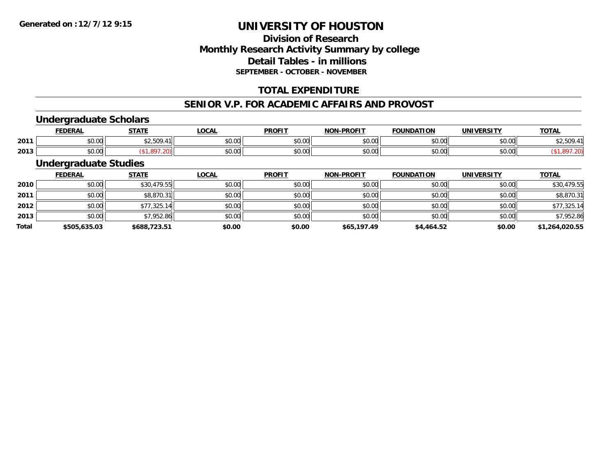### **Division of ResearchMonthly Research Activity Summary by college Detail Tables - in millions SEPTEMBER - OCTOBER - NOVEMBER**

### **TOTAL EXPENDITURE**

#### **SENIOR V.P. FOR ACADEMIC AFFAIRS AND PROVOST**

#### **Undergraduate Scholars**

|      | <b>FEDERAL</b> | <b>CTATE</b>                                                           | <b>OCAL</b> | <b>PROFIT</b> | <b>NIONI</b><br><b>LPROFIT</b>      | <b>FOUNDATION</b>                                     | <b>UNIVERSITY</b> | <b>TOTAL</b>                                |
|------|----------------|------------------------------------------------------------------------|-------------|---------------|-------------------------------------|-------------------------------------------------------|-------------------|---------------------------------------------|
| 2011 | 0.00<br>pu.uu  | $\uparrow$ $\uparrow$ $\uparrow$ $\uparrow$<br>$\overline{a}$<br>ر ں … | \$0.00      | 0000<br>vv.vv | $\theta$ $\theta$ $\theta$<br>JU.UU | $\mathsf{A} \cap \mathsf{A} \cap \mathsf{A}$<br>vv.vv | 0.001<br>JU.UU    | $\uparrow$ $\uparrow$ $\uparrow$ $\uparrow$ |
| 2013 | 0.00<br>DU.UU  |                                                                        | \$0.00      | 0000<br>JU.UU | 0000<br><b>DU.UU</b>                | $\sim$ 00<br>JU.UU                                    | 0.001<br>JU.UU    |                                             |

### **Undergraduate Studies**

|              | <b>FEDERAL</b> | <b>STATE</b> | <b>LOCAL</b> | <b>PROFIT</b> | <b>NON-PROFIT</b> | <b>FOUNDATION</b> | <b>UNIVERSITY</b> | <b>TOTAL</b>   |
|--------------|----------------|--------------|--------------|---------------|-------------------|-------------------|-------------------|----------------|
| 2010         | \$0.00         | \$30,479.55  | \$0.00       | \$0.00        | \$0.00            | \$0.00            | \$0.00            | \$30,479.55    |
| 2011         | \$0.00         | \$8,870.31   | \$0.00       | \$0.00        | \$0.00            | \$0.00            | \$0.00            | \$8,870.31     |
| 2012         | \$0.00         | \$77,325.14  | \$0.00       | \$0.00        | \$0.00            | \$0.00            | \$0.00            | \$77,325.14    |
| 2013         | \$0.00         | \$7,952.86   | \$0.00       | \$0.00        | \$0.00            | \$0.00            | \$0.00            | \$7,952.86     |
| <b>Total</b> | \$505,635.03   | \$688,723.51 | \$0.00       | \$0.00        | \$65,197.49       | \$4,464.52        | \$0.00            | \$1,264,020.55 |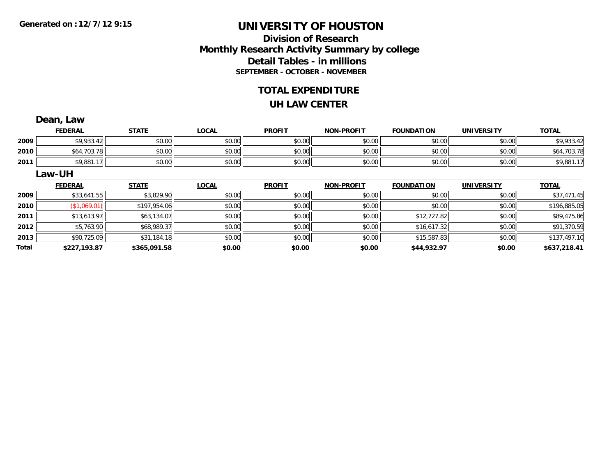### **Division of ResearchMonthly Research Activity Summary by college Detail Tables - in millions SEPTEMBER - OCTOBER - NOVEMBER**

#### **TOTAL EXPENDITURE**

#### **UH LAW CENTER**

|       | Dean, Law      |              |              |               |                   |                   |                   |              |
|-------|----------------|--------------|--------------|---------------|-------------------|-------------------|-------------------|--------------|
|       | <b>FEDERAL</b> | <b>STATE</b> | <b>LOCAL</b> | <b>PROFIT</b> | <b>NON-PROFIT</b> | <b>FOUNDATION</b> | <b>UNIVERSITY</b> | <b>TOTAL</b> |
| 2009  | \$9,933.42     | \$0.00       | \$0.00       | \$0.00        | \$0.00            | \$0.00            | \$0.00            | \$9,933.42   |
| 2010  | \$64,703.78    | \$0.00       | \$0.00       | \$0.00        | \$0.00            | \$0.00            | \$0.00            | \$64,703.78  |
| 2011  | \$9,881.17     | \$0.00       | \$0.00       | \$0.00        | \$0.00            | \$0.00            | \$0.00            | \$9,881.17   |
|       | Law-UH         |              |              |               |                   |                   |                   |              |
|       | <b>FEDERAL</b> | <b>STATE</b> | <b>LOCAL</b> | <b>PROFIT</b> | <b>NON-PROFIT</b> | <b>FOUNDATION</b> | <b>UNIVERSITY</b> | <b>TOTAL</b> |
| 2009  | \$33,641.55    | \$3,829.90   | \$0.00       | \$0.00        | \$0.00            | \$0.00            | \$0.00            | \$37,471.45  |
| 2010  | (\$1,069.01)   | \$197,954.06 | \$0.00       | \$0.00        | \$0.00            | \$0.00            | \$0.00            | \$196,885.05 |
| 2011  | \$13,613.97    | \$63,134.07  | \$0.00       | \$0.00        | \$0.00            | \$12,727.82       | \$0.00            | \$89,475.86  |
| 2012  | \$5,763.90     | \$68,989.37  | \$0.00       | \$0.00        | \$0.00            | \$16,617.32       | \$0.00            | \$91,370.59  |
| 2013  | \$90,725.09    | \$31,184.18  | \$0.00       | \$0.00        | \$0.00            | \$15,587.83       | \$0.00            | \$137,497.10 |
| Total | \$227,193.87   | \$365,091.58 | \$0.00       | \$0.00        | \$0.00            | \$44,932.97       | \$0.00            | \$637,218.41 |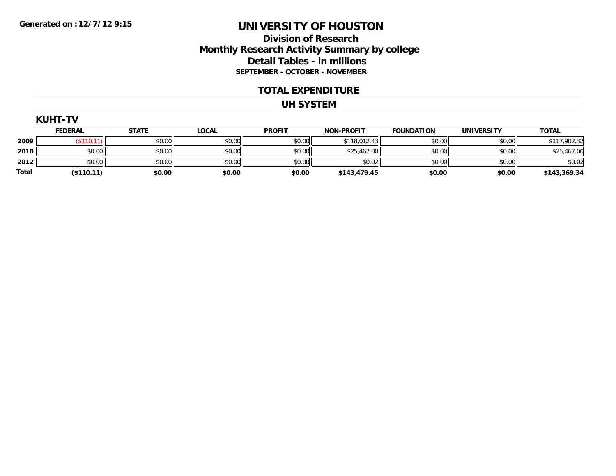### **Division of Research Monthly Research Activity Summary by college Detail Tables - in millions SEPTEMBER - OCTOBER - NOVEMBER**

#### **TOTAL EXPENDITURE**

#### **UH SYSTEM**

|              | <b>FEDERAL</b> | <b>STATE</b> | <u>LOCAL</u> | <b>PROFIT</b> | <b>NON-PROFIT</b> | <b>FOUNDATION</b> | <b>UNIVERSITY</b> | <b>TOTAL</b> |
|--------------|----------------|--------------|--------------|---------------|-------------------|-------------------|-------------------|--------------|
| 2009         | \$110.1        | \$0.00       | \$0.00       | \$0.00        | \$118,012.43      | \$0.00            | \$0.00            | \$117,902.32 |
| 2010         | \$0.00         | \$0.00       | \$0.00       | \$0.00        | \$25,467.00       | \$0.00            | \$0.00            | \$25,467.00  |
| 2012         | \$0.00         | \$0.00       | \$0.00       | \$0.00        | \$0.02            | \$0.00            | \$0.00            | \$0.02       |
| <b>Total</b> | (\$110.11)     | \$0.00       | \$0.00       | \$0.00        | \$143,479.45      | \$0.00            | \$0.00            | \$143,369.34 |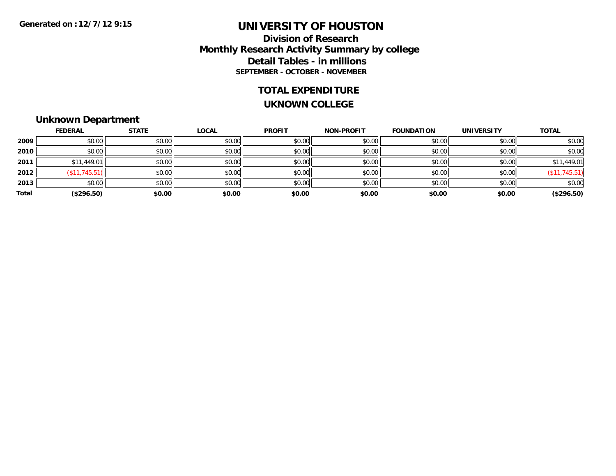#### **Division of Research Monthly Research Activity Summary by college Detail Tables - in millions SEPTEMBER - OCTOBER - NOVEMBER**

#### **TOTAL EXPENDITURE**

#### **UKNOWN COLLEGE**

# **Unknown Department**

|       | <b>FEDERAL</b>       | <b>STATE</b> | <b>LOCAL</b> | <b>PROFIT</b> | <b>NON-PROFIT</b> | <b>FOUNDATION</b> | <b>UNIVERSITY</b> | <b>TOTAL</b>     |
|-------|----------------------|--------------|--------------|---------------|-------------------|-------------------|-------------------|------------------|
| 2009  | \$0.00               | \$0.00       | \$0.00       | \$0.00        | \$0.00            | \$0.00            | \$0.00            | \$0.00           |
| 2010  | \$0.00               | \$0.00       | \$0.00       | \$0.00        | \$0.00            | \$0.00            | \$0.00            | \$0.00           |
| 2011  | \$11,449.01          | \$0.00       | \$0.00       | \$0.00        | \$0.00            | \$0.00            | \$0.00            | \$11,449.01      |
| 2012  | $($ \$11,745.51) $ $ | \$0.00       | \$0.00       | \$0.00        | \$0.00            | \$0.00            | \$0.00            | $($ \$11,745.51) |
| 2013  | \$0.00               | \$0.00       | \$0.00       | \$0.00        | \$0.00            | \$0.00            | \$0.00            | \$0.00           |
| Total | (\$296.50)           | \$0.00       | \$0.00       | \$0.00        | \$0.00            | \$0.00            | \$0.00            | (\$296.50)       |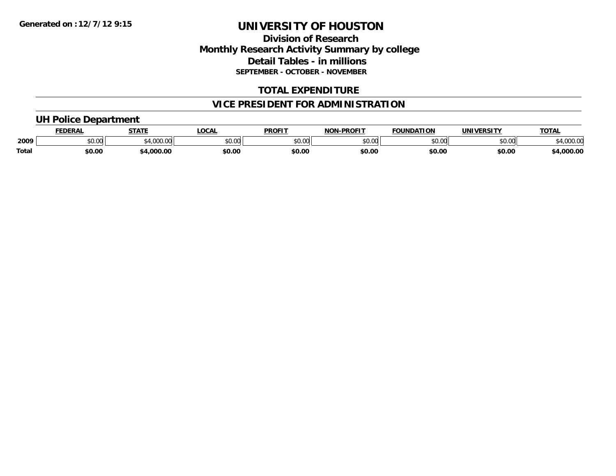### **Division of Research Monthly Research Activity Summary by college Detail Tables - in millions SEPTEMBER - OCTOBER - NOVEMBER**

### **TOTAL EXPENDITURE**

### **VICE PRESIDENT FOR ADMINISTRATION**

#### **UH Police Department**

|       | <b>FEDERAL</b> | <b>STATE</b>       | <b>LOCAL</b> | <b>PROFIT</b>            | <b>NON-PROFIT</b> | <b>FOUNDATION</b> | <b>UNIVERSITY</b> | <b>TOTAL</b>       |
|-------|----------------|--------------------|--------------|--------------------------|-------------------|-------------------|-------------------|--------------------|
| 2009  | <b>JU.UU</b>   | 0.0000<br>7,000.00 | \$0.00       | $n \cap \Omega$<br>pu.uu | \$0.00            | 0000<br>DU.UU     | \$0.00            | non no<br>4,000.00 |
| Total | \$0.00         | \$4,000.00         | \$0.00       | \$0.00                   | \$0.00            | \$0.00            | \$0.00            | \$4,000.00         |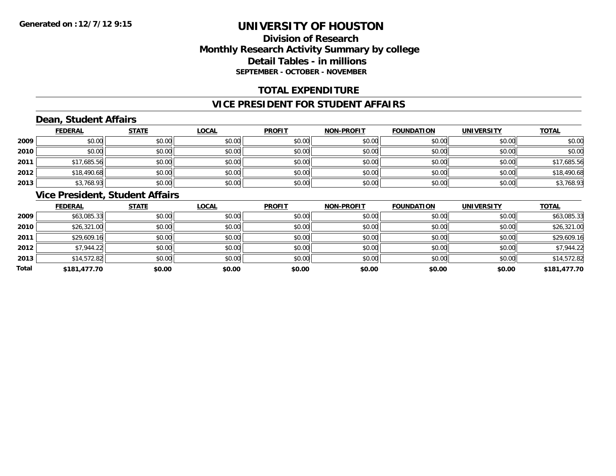### **Division of ResearchMonthly Research Activity Summary by college Detail Tables - in millions SEPTEMBER - OCTOBER - NOVEMBER**

### **TOTAL EXPENDITURE**

#### **VICE PRESIDENT FOR STUDENT AFFAIRS**

### **Dean, Student Affairs**

|      | <b>FEDERAL</b> | <b>STATE</b> | <b>LOCAL</b> | <b>PROFIT</b> | <b>NON-PROFIT</b> | <b>FOUNDATION</b> | <b>UNIVERSITY</b> | <b>TOTAL</b> |
|------|----------------|--------------|--------------|---------------|-------------------|-------------------|-------------------|--------------|
| 2009 | \$0.00         | \$0.00       | \$0.00       | \$0.00        | \$0.00            | \$0.00            | \$0.00            | \$0.00       |
| 2010 | \$0.00         | \$0.00       | \$0.00       | \$0.00        | \$0.00            | \$0.00            | \$0.00            | \$0.00       |
| 2011 | \$17,685.56    | \$0.00       | \$0.00       | \$0.00        | \$0.00            | \$0.00            | \$0.00            | \$17,685.56  |
| 2012 | \$18,490.68    | \$0.00       | \$0.00       | \$0.00        | \$0.00            | \$0.00            | \$0.00            | \$18,490.68  |
| 2013 | \$3,768.93     | \$0.00       | \$0.00       | \$0.00        | \$0.00            | \$0.00            | \$0.00            | \$3,768.93   |

### **Vice President, Student Affairs**

|       | <b>FEDERAL</b> | <b>STATE</b> | <b>LOCAL</b> | <b>PROFIT</b> | <b>NON-PROFIT</b> | <b>FOUNDATION</b> | <b>UNIVERSITY</b> | <b>TOTAL</b> |
|-------|----------------|--------------|--------------|---------------|-------------------|-------------------|-------------------|--------------|
| 2009  | \$63,085.33    | \$0.00       | \$0.00       | \$0.00        | \$0.00            | \$0.00            | \$0.00            | \$63,085.33  |
| 2010  | \$26,321.00    | \$0.00       | \$0.00       | \$0.00        | \$0.00            | \$0.00            | \$0.00            | \$26,321.00  |
| 2011  | \$29,609.16    | \$0.00       | \$0.00       | \$0.00        | \$0.00            | \$0.00            | \$0.00            | \$29,609.16  |
| 2012  | \$7,944.22     | \$0.00       | \$0.00       | \$0.00        | \$0.00            | \$0.00            | \$0.00            | \$7,944.22   |
| 2013  | \$14,572.82    | \$0.00       | \$0.00       | \$0.00        | \$0.00            | \$0.00            | \$0.00            | \$14,572.82  |
| Total | \$181,477.70   | \$0.00       | \$0.00       | \$0.00        | \$0.00            | \$0.00            | \$0.00            | \$181,477.70 |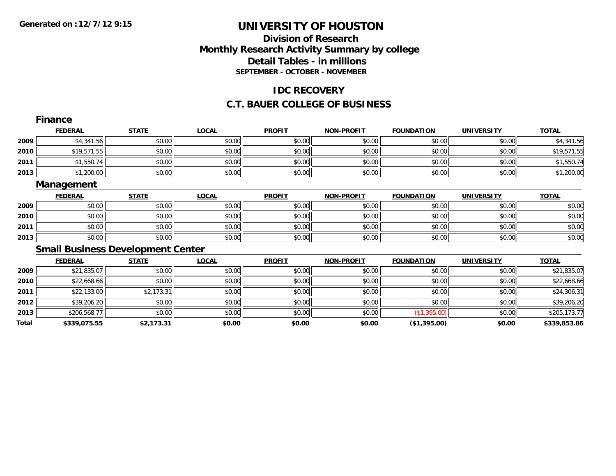### **Division of ResearchMonthly Research Activity Summary by college Detail Tables - in millions SEPTEMBER - OCTOBER - NOVEMBER**

#### **IDC RECOVERY**

#### **C.T. BAUER COLLEGE OF BUSINESS**

|       | <b>Finance</b>                           |              |              |               |                   |                   |                   |              |
|-------|------------------------------------------|--------------|--------------|---------------|-------------------|-------------------|-------------------|--------------|
|       | <b>FEDERAL</b>                           | <b>STATE</b> | <b>LOCAL</b> | <b>PROFIT</b> | <b>NON-PROFIT</b> | <b>FOUNDATION</b> | <b>UNIVERSITY</b> | <b>TOTAL</b> |
| 2009  | \$4,341.56                               | \$0.00       | \$0.00       | \$0.00        | \$0.00            | \$0.00            | \$0.00            | \$4,341.56   |
| 2010  | \$19,571.55                              | \$0.00       | \$0.00       | \$0.00        | \$0.00            | \$0.00            | \$0.00            | \$19,571.55  |
| 2011  | \$1,550.74                               | \$0.00       | \$0.00       | \$0.00        | \$0.00            | \$0.00            | \$0.00            | \$1,550.74   |
| 2013  | \$1,200.00                               | \$0.00       | \$0.00       | \$0.00        | \$0.00            | \$0.00            | \$0.00            | \$1,200.00   |
|       | Management                               |              |              |               |                   |                   |                   |              |
|       | <b>FEDERAL</b>                           | <b>STATE</b> | <b>LOCAL</b> | <b>PROFIT</b> | <b>NON-PROFIT</b> | <b>FOUNDATION</b> | <b>UNIVERSITY</b> | <b>TOTAL</b> |
| 2009  | \$0.00                                   | \$0.00       | \$0.00       | \$0.00        | \$0.00            | \$0.00            | \$0.00            | \$0.00       |
| 2010  | \$0.00                                   | \$0.00       | \$0.00       | \$0.00        | \$0.00            | \$0.00            | \$0.00            | \$0.00       |
| 2011  | \$0.00                                   | \$0.00       | \$0.00       | \$0.00        | \$0.00            | \$0.00            | \$0.00            | \$0.00       |
| 2013  | \$0.00                                   | \$0.00       | \$0.00       | \$0.00        | \$0.00            | \$0.00            | \$0.00            | \$0.00       |
|       | <b>Small Business Development Center</b> |              |              |               |                   |                   |                   |              |
|       | <b>FEDERAL</b>                           | <b>STATE</b> | <b>LOCAL</b> | <b>PROFIT</b> | <b>NON-PROFIT</b> | <b>FOUNDATION</b> | <b>UNIVERSITY</b> | <b>TOTAL</b> |
| 2009  | \$21,835.07                              | \$0.00       | \$0.00       | \$0.00        | \$0.00            | \$0.00            | \$0.00            | \$21,835.07  |
| 2010  | \$22,668.66                              | \$0.00       | \$0.00       | \$0.00        | \$0.00            | \$0.00            | \$0.00            | \$22,668.66  |
| 2011  | \$22,133.00                              | \$2,173.31   | \$0.00       | \$0.00        | \$0.00            | \$0.00            | \$0.00            | \$24,306.31  |
| 2012  | \$39,206.20                              | \$0.00       | \$0.00       | \$0.00        | \$0.00            | \$0.00            | \$0.00            | \$39,206.20  |
| 2013  | \$206,568.77                             | \$0.00       | \$0.00       | \$0.00        | \$0.00            | (\$1,395.00)      | \$0.00            | \$205,173.77 |
| Total | \$339,075.55                             | \$2,173.31   | \$0.00       | \$0.00        | \$0.00            | (\$1,395.00)      | \$0.00            | \$339,853.86 |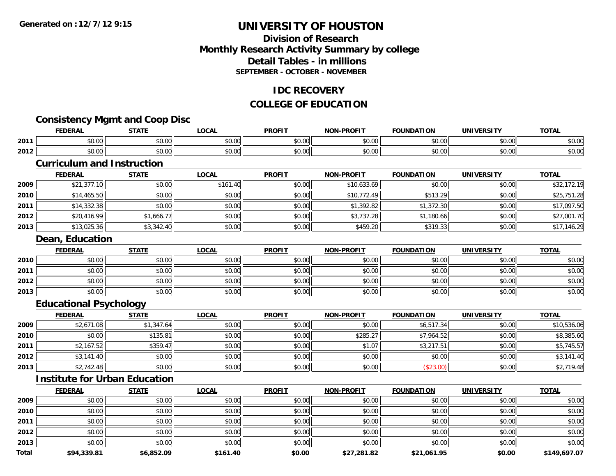### **Division of ResearchMonthly Research Activity Summary by college Detail Tables - in millionsSEPTEMBER - OCTOBER - NOVEMBER**

#### **IDC RECOVERY**

#### **COLLEGE OF EDUCATION**

## **Consistency Mgmt and Coop Disc**

|      | . IN F                 | <b>CTATE</b>           | 001<br>uuni          | <b>DDOEI</b><br>'RU                      | $\cdot$ DDAELT<br>וחו | חחו           | IINIVERSITV   | $T^{\prime}$<br>101 <sub>h</sub> |
|------|------------------------|------------------------|----------------------|------------------------------------------|-----------------------|---------------|---------------|----------------------------------|
| 2011 | $\sim$ $\sim$<br>JU.UU | ტი იი<br>JU.UU         | 0000<br>PO.OO        | 0000<br>JU.U                             | 0.00<br>vu.uu         | 0000<br>⊸JU.U | 0.00<br>JU.UU | \$U.U                            |
| 2012 | $\sim$ $\sim$<br>vv.vv | $\sim$ $\sim$<br>PU.UU | 0000<br><b>JU.UU</b> | $\uparrow$ $\uparrow$ $\uparrow$<br>JU.U | $\sim$ 00<br>vu.uu    | 0000          | 0000<br>JU.UU | $\sim$ $\sim$<br><b>DU.U</b>     |

#### **Curriculum and Instruction**

|      | <b>FEDERAL</b> | <u>STATE</u> | <b>LOCAL</b> | <b>PROFIT</b> | <b>NON-PROFIT</b> | <b>FOUNDATION</b> | <b>UNIVERSITY</b> | <b>TOTAL</b> |
|------|----------------|--------------|--------------|---------------|-------------------|-------------------|-------------------|--------------|
| 2009 | \$21,377.10    | \$0.00       | \$161.40     | \$0.00        | \$10,633.69       | \$0.00            | \$0.00            | \$32,172.19  |
| 2010 | \$14,465.50    | \$0.00       | \$0.00       | \$0.00        | \$10,772.49       | \$513.29          | \$0.00            | \$25,751.28  |
| 2011 | \$14,332.38    | \$0.00       | \$0.00       | \$0.00        | \$1,392.82        | \$1,372.30        | \$0.00            | \$17,097.50  |
| 2012 | \$20,416.99    | \$1,666.77   | \$0.00       | \$0.00        | \$3,737.28        | \$1,180.66        | \$0.00            | \$27,001.70  |
| 2013 | \$13,025.36    | \$3,342.40   | \$0.00       | \$0.00        | \$459.20          | \$319.33          | \$0.00            | \$17,146.29  |

#### **Dean, Education**

|      | <u>FEDERAL</u> | <b>STATE</b> | <u>LOCAL</u> | <b>PROFIT</b> | <b>NON-PROFIT</b> | <b>FOUNDATION</b> | <b>UNIVERSITY</b> | <b>TOTAL</b> |
|------|----------------|--------------|--------------|---------------|-------------------|-------------------|-------------------|--------------|
| 2010 | \$0.00         | \$0.00       | \$0.00       | \$0.00        | \$0.00            | \$0.00            | \$0.00            | \$0.00       |
| 2011 | \$0.00         | \$0.00       | \$0.00       | \$0.00        | \$0.00            | \$0.00            | \$0.00            | \$0.00       |
| 2012 | \$0.00         | \$0.00       | \$0.00       | \$0.00        | \$0.00            | \$0.00            | \$0.00            | \$0.00       |
| 2013 | \$0.00         | \$0.00       | \$0.00       | \$0.00        | \$0.00            | \$0.00            | \$0.00            | \$0.00       |

### **Educational Psychology**

|      | <u>FEDERAL</u> | <b>STATE</b> | <u>LOCAL</u> | <b>PROFIT</b> | <b>NON-PROFIT</b> | <b>FOUNDATION</b> | <b>UNIVERSITY</b> | <b>TOTAL</b> |
|------|----------------|--------------|--------------|---------------|-------------------|-------------------|-------------------|--------------|
| 2009 | \$2,671.08     | \$1,347.64   | \$0.00       | \$0.00        | \$0.00            | \$6,517.34        | \$0.00            | \$10,536.06  |
| 2010 | \$0.00         | \$135.81     | \$0.00       | \$0.00        | \$285.27          | \$7,964.52        | \$0.00            | \$8,385.60   |
| 2011 | \$2,167.52     | \$359.47     | \$0.00       | \$0.00        | \$1.07            | \$3,217.51        | \$0.00            | \$5,745.57   |
| 2012 | \$3,141.40     | \$0.00       | \$0.00       | \$0.00        | \$0.00            | \$0.00            | \$0.00            | \$3,141.40   |
| 2013 | \$2,742.48     | \$0.00       | \$0.00       | \$0.00        | \$0.00            | (\$23.00)         | \$0.00            | \$2,719.48   |

### **Institute for Urban Education**

|              | <b>FEDERAL</b> | <b>STATE</b> | LOCAL    | <b>PROFIT</b> | <b>NON-PROFIT</b> | <b>FOUNDATION</b> | <b>UNIVERSITY</b> | <b>TOTAL</b> |
|--------------|----------------|--------------|----------|---------------|-------------------|-------------------|-------------------|--------------|
| 2009         | \$0.00         | \$0.00       | \$0.00   | \$0.00        | \$0.00            | \$0.00            | \$0.00            | \$0.00       |
| 2010         | \$0.00         | \$0.00       | \$0.00   | \$0.00        | \$0.00            | \$0.00            | \$0.00            | \$0.00       |
| 2011         | \$0.00         | \$0.00       | \$0.00   | \$0.00        | \$0.00            | \$0.00            | \$0.00            | \$0.00       |
| 2012         | \$0.00         | \$0.00       | \$0.00   | \$0.00        | \$0.00            | \$0.00            | \$0.00            | \$0.00       |
| 2013         | \$0.00         | \$0.00       | \$0.00   | \$0.00        | \$0.00            | \$0.00            | \$0.00            | \$0.00       |
| <b>Total</b> | \$94,339.81    | \$6,852.09   | \$161.40 | \$0.00        | \$27,281.82       | \$21,061.95       | \$0.00            | \$149,697.07 |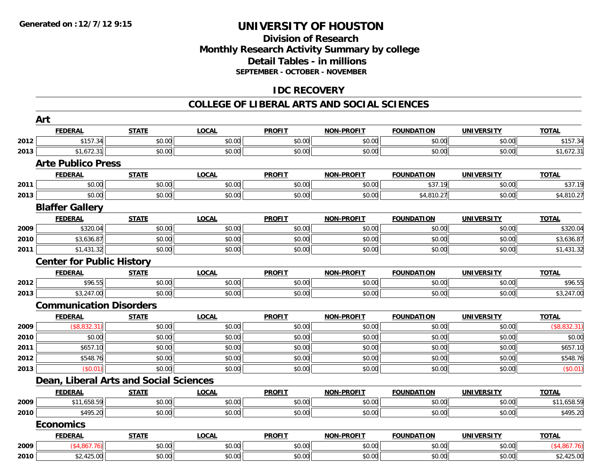### **Division of Research Monthly Research Activity Summary by college Detail Tables - in millions SEPTEMBER - OCTOBER - NOVEMBER**

### **IDC RECOVERY**

|      | Art                              |                                        |              |               |                   |                   |                   |              |
|------|----------------------------------|----------------------------------------|--------------|---------------|-------------------|-------------------|-------------------|--------------|
|      | <b>FEDERAL</b>                   | <b>STATE</b>                           | <b>LOCAL</b> | <b>PROFIT</b> | <b>NON-PROFIT</b> | <b>FOUNDATION</b> | <b>UNIVERSITY</b> | <b>TOTAL</b> |
| 2012 | \$157.34                         | \$0.00                                 | \$0.00       | \$0.00        | \$0.00            | \$0.00            | \$0.00            | \$157.34     |
| 2013 | \$1,672.31                       | \$0.00                                 | \$0.00       | \$0.00        | \$0.00            | \$0.00            | \$0.00            | \$1,672.31   |
|      | <b>Arte Publico Press</b>        |                                        |              |               |                   |                   |                   |              |
|      | <b>FEDERAL</b>                   | <b>STATE</b>                           | <b>LOCAL</b> | <b>PROFIT</b> | <b>NON-PROFIT</b> | <b>FOUNDATION</b> | <b>UNIVERSITY</b> | <b>TOTAL</b> |
| 2011 | \$0.00                           | \$0.00                                 | \$0.00       | \$0.00        | \$0.00            | \$37.19           | \$0.00            | \$37.19      |
| 2013 | \$0.00                           | \$0.00                                 | \$0.00       | \$0.00        | \$0.00            | \$4,810.27        | \$0.00            | \$4,810.27   |
|      | <b>Blaffer Gallery</b>           |                                        |              |               |                   |                   |                   |              |
|      | <b>FEDERAL</b>                   | <b>STATE</b>                           | <b>LOCAL</b> | <b>PROFIT</b> | <b>NON-PROFIT</b> | <b>FOUNDATION</b> | <b>UNIVERSITY</b> | <b>TOTAL</b> |
| 2009 | \$320.04                         | \$0.00                                 | \$0.00       | \$0.00        | \$0.00            | \$0.00            | \$0.00            | \$320.04     |
| 2010 | \$3,636.87                       | \$0.00                                 | \$0.00       | \$0.00        | \$0.00            | \$0.00            | \$0.00            | \$3,636.87   |
| 2011 | \$1,431.32                       | \$0.00                                 | \$0.00       | \$0.00        | \$0.00            | \$0.00            | \$0.00            | \$1,431.32   |
|      | <b>Center for Public History</b> |                                        |              |               |                   |                   |                   |              |
|      | <b>FEDERAL</b>                   | <b>STATE</b>                           | <b>LOCAL</b> | <b>PROFIT</b> | <b>NON-PROFIT</b> | <b>FOUNDATION</b> | <b>UNIVERSITY</b> | <b>TOTAL</b> |
| 2012 | \$96.55                          | \$0.00                                 | \$0.00       | \$0.00        | \$0.00            | \$0.00            | \$0.00            | \$96.55      |
| 2013 | \$3,247.00                       | \$0.00                                 | \$0.00       | \$0.00        | \$0.00            | \$0.00            | \$0.00            | \$3,247.00   |
|      | <b>Communication Disorders</b>   |                                        |              |               |                   |                   |                   |              |
|      | <b>FEDERAL</b>                   | <b>STATE</b>                           | <b>LOCAL</b> | <b>PROFIT</b> | <b>NON-PROFIT</b> | <b>FOUNDATION</b> | <b>UNIVERSITY</b> | <b>TOTAL</b> |
| 2009 | (\$8,832.31)                     | \$0.00                                 | \$0.00       | \$0.00        | \$0.00            | \$0.00            | \$0.00            | (\$8,832.31) |
| 2010 | \$0.00                           | \$0.00                                 | \$0.00       | \$0.00        | \$0.00            | \$0.00            | \$0.00            | \$0.00       |
| 2011 | \$657.10                         | \$0.00                                 | \$0.00       | \$0.00        | \$0.00            | \$0.00            | \$0.00            | \$657.10     |
| 2012 | \$548.76                         | \$0.00                                 | \$0.00       | \$0.00        | \$0.00            | \$0.00            | \$0.00            | \$548.76     |
| 2013 | (\$0.01)                         | \$0.00                                 | \$0.00       | \$0.00        | \$0.00            | \$0.00            | \$0.00            | (\$0.01)     |
|      |                                  | Dean, Liberal Arts and Social Sciences |              |               |                   |                   |                   |              |
|      | <b>FEDERAL</b>                   | <b>STATE</b>                           | <b>LOCAL</b> | <b>PROFIT</b> | <b>NON-PROFIT</b> | <b>FOUNDATION</b> | <b>UNIVERSITY</b> | <b>TOTAL</b> |
| 2009 | \$11,658.59                      | \$0.00                                 | \$0.00       | \$0.00        | \$0.00            | \$0.00            | \$0.00            | \$11,658.59  |
| 2010 | \$495.20                         | \$0.00                                 | \$0.00       | \$0.00        | \$0.00            | \$0.00            | \$0.00            | \$495.20     |
|      | <b>Economics</b>                 |                                        |              |               |                   |                   |                   |              |
|      | <b>FEDERAL</b>                   | <b>STATE</b>                           | <b>LOCAL</b> | <b>PROFIT</b> | <b>NON-PROFIT</b> | <b>FOUNDATION</b> | <b>UNIVERSITY</b> | <b>TOTAL</b> |
| 2009 | (\$4,867.76)                     | \$0.00                                 | \$0.00       | \$0.00        | \$0.00            | \$0.00            | \$0.00            | (\$4,867.76) |
| 2010 | \$2,425.00                       | \$0.00                                 | \$0.00       | \$0.00        | \$0.00            | \$0.00            | \$0.00            | \$2,425.00   |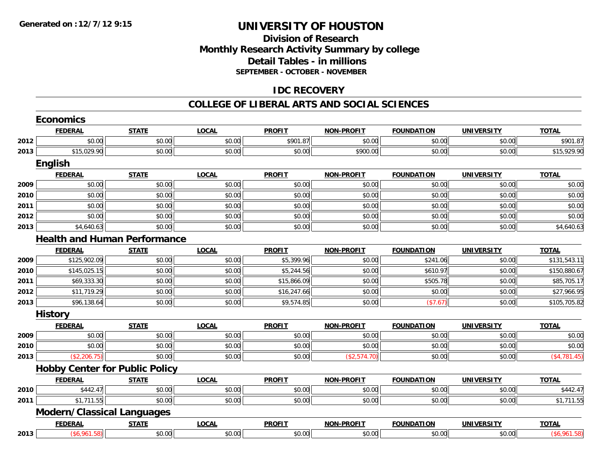### **Division of Research Monthly Research Activity Summary by college Detail Tables - in millions SEPTEMBER - OCTOBER - NOVEMBER**

### **IDC RECOVERY**

|      | <b>Economics</b>                      |              |              |               |                   |                   |                   |               |
|------|---------------------------------------|--------------|--------------|---------------|-------------------|-------------------|-------------------|---------------|
|      | <b>FEDERAL</b>                        | <b>STATE</b> | <b>LOCAL</b> | <b>PROFIT</b> | NON-PROFIT        | <b>FOUNDATION</b> | <b>UNIVERSITY</b> | <b>TOTAL</b>  |
| 2012 | \$0.00                                | \$0.00       | \$0.00       | \$901.87      | \$0.00            | \$0.00            | \$0.00            | \$901.87      |
| 2013 | \$15,029.90                           | \$0.00       | \$0.00       | \$0.00        | \$900.00          | \$0.00            | \$0.00            | \$15,929.90   |
|      | English                               |              |              |               |                   |                   |                   |               |
|      | <b>FEDERAL</b>                        | <b>STATE</b> | <b>LOCAL</b> | <b>PROFIT</b> | <b>NON-PROFIT</b> | <b>FOUNDATION</b> | <b>UNIVERSITY</b> | <b>TOTAL</b>  |
| 2009 | \$0.00                                | \$0.00       | \$0.00       | \$0.00        | \$0.00            | \$0.00            | \$0.00            | \$0.00        |
| 2010 | \$0.00                                | \$0.00       | \$0.00       | \$0.00        | \$0.00            | \$0.00            | \$0.00            | \$0.00        |
| 2011 | \$0.00                                | \$0.00       | \$0.00       | \$0.00        | \$0.00            | \$0.00            | \$0.00            | \$0.00        |
| 2012 | \$0.00                                | \$0.00       | \$0.00       | \$0.00        | \$0.00            | \$0.00            | \$0.00            | \$0.00        |
| 2013 | \$4,640.63                            | \$0.00       | \$0.00       | \$0.00        | \$0.00            | \$0.00            | \$0.00            | \$4,640.63    |
|      | <b>Health and Human Performance</b>   |              |              |               |                   |                   |                   |               |
|      | <b>FEDERAL</b>                        | <b>STATE</b> | <b>LOCAL</b> | <b>PROFIT</b> | <b>NON-PROFIT</b> | <b>FOUNDATION</b> | <b>UNIVERSITY</b> | <b>TOTAL</b>  |
| 2009 | \$125,902.09                          | \$0.00       | \$0.00       | \$5,399.96    | \$0.00            | \$241.06          | \$0.00            | \$131,543.11  |
| 2010 | \$145,025.15                          | \$0.00       | \$0.00       | \$5,244.56    | \$0.00            | \$610.97          | \$0.00            | \$150,880.67  |
| 2011 | \$69,333.30                           | \$0.00       | \$0.00       | \$15,866.09   | \$0.00            | \$505.78          | \$0.00            | \$85,705.17   |
| 2012 | \$11,719.29                           | \$0.00       | \$0.00       | \$16,247.66   | \$0.00            | \$0.00            | \$0.00            | \$27,966.95   |
| 2013 | \$96,138.64                           | \$0.00       | \$0.00       | \$9,574.85    | \$0.00            | (\$7.67)          | \$0.00            | \$105,705.82  |
|      | <b>History</b>                        |              |              |               |                   |                   |                   |               |
|      | <b>FEDERAL</b>                        | <b>STATE</b> | <b>LOCAL</b> | <b>PROFIT</b> | <b>NON-PROFIT</b> | <b>FOUNDATION</b> | <b>UNIVERSITY</b> | <b>TOTAL</b>  |
| 2009 | \$0.00                                | \$0.00       | \$0.00       | \$0.00        | \$0.00            | \$0.00            | \$0.00            | \$0.00        |
| 2010 | \$0.00                                | \$0.00       | \$0.00       | \$0.00        | \$0.00            | \$0.00            | \$0.00            | \$0.00        |
| 2013 | (\$2,206.75)                          | \$0.00       | \$0.00       | \$0.00        | (\$2,574.70)      | \$0.00            | \$0.00            | ( \$4,781.45) |
|      | <b>Hobby Center for Public Policy</b> |              |              |               |                   |                   |                   |               |
|      | <b>FEDERAL</b>                        | <b>STATE</b> | <b>LOCAL</b> | <b>PROFIT</b> | <b>NON-PROFIT</b> | <b>FOUNDATION</b> | <b>UNIVERSITY</b> | <b>TOTAL</b>  |
| 2010 | \$442.47                              | \$0.00       | \$0.00       | \$0.00        | \$0.00            | \$0.00            | \$0.00            | \$442.47      |
| 2011 | \$1,711.55                            | \$0.00       | \$0.00       | \$0.00        | \$0.00            | \$0.00            | \$0.00            | \$1,711.55    |
|      | <b>Modern/Classical Languages</b>     |              |              |               |                   |                   |                   |               |
|      | <b>FEDERAL</b>                        | <b>STATE</b> | <b>LOCAL</b> | <b>PROFIT</b> | <b>NON-PROFIT</b> | <b>FOUNDATION</b> | <b>UNIVERSITY</b> | <b>TOTAL</b>  |
| 2013 | (\$6,961.58)                          | \$0.00       | \$0.00       | \$0.00        | \$0.00            | \$0.00            | \$0.00            | (\$6,961.58)  |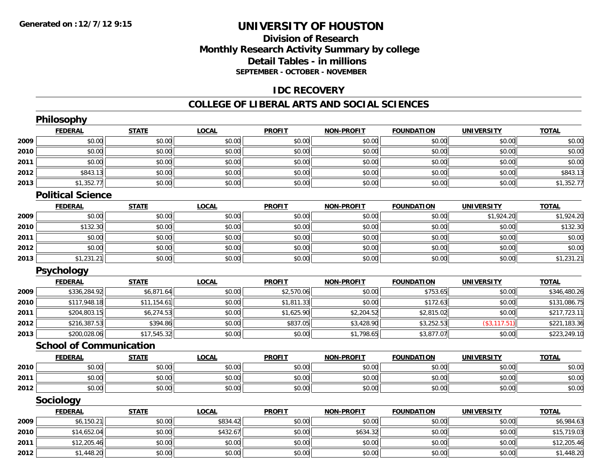### **Division of ResearchMonthly Research Activity Summary by college Detail Tables - in millions SEPTEMBER - OCTOBER - NOVEMBER**

#### **IDC RECOVERY**

|      | <b>Philosophy</b>              |              |              |               |                   |                   |                   |              |
|------|--------------------------------|--------------|--------------|---------------|-------------------|-------------------|-------------------|--------------|
|      | <b>FEDERAL</b>                 | <b>STATE</b> | <b>LOCAL</b> | <b>PROFIT</b> | <b>NON-PROFIT</b> | <b>FOUNDATION</b> | <b>UNIVERSITY</b> | <b>TOTAL</b> |
| 2009 | \$0.00                         | \$0.00       | \$0.00       | \$0.00        | \$0.00            | \$0.00            | \$0.00            | \$0.00       |
| 2010 | \$0.00                         | \$0.00       | \$0.00       | \$0.00        | \$0.00            | \$0.00            | \$0.00            | \$0.00       |
| 2011 | \$0.00                         | \$0.00       | \$0.00       | \$0.00        | \$0.00            | \$0.00            | \$0.00            | \$0.00       |
| 2012 | \$843.13                       | \$0.00       | \$0.00       | \$0.00        | \$0.00            | \$0.00            | \$0.00            | \$843.13     |
| 2013 | \$1,352.77                     | \$0.00       | \$0.00       | \$0.00        | \$0.00            | \$0.00            | \$0.00            | \$1,352.77   |
|      | <b>Political Science</b>       |              |              |               |                   |                   |                   |              |
|      | <b>FEDERAL</b>                 | <b>STATE</b> | <b>LOCAL</b> | <b>PROFIT</b> | <b>NON-PROFIT</b> | <b>FOUNDATION</b> | <b>UNIVERSITY</b> | <b>TOTAL</b> |
| 2009 | \$0.00                         | \$0.00       | \$0.00       | \$0.00        | \$0.00            | \$0.00            | \$1,924.20        | \$1,924.20   |
| 2010 | \$132.30                       | \$0.00       | \$0.00       | \$0.00        | \$0.00            | \$0.00            | \$0.00            | \$132.30     |
| 2011 | \$0.00                         | \$0.00       | \$0.00       | \$0.00        | \$0.00            | \$0.00            | \$0.00            | \$0.00       |
| 2012 | \$0.00                         | \$0.00       | \$0.00       | \$0.00        | \$0.00            | \$0.00            | \$0.00            | \$0.00       |
| 2013 | \$1,231.21                     | \$0.00       | \$0.00       | \$0.00        | \$0.00            | \$0.00            | \$0.00            | \$1,231.21   |
|      | <b>Psychology</b>              |              |              |               |                   |                   |                   |              |
|      | <b>FEDERAL</b>                 | <b>STATE</b> | <b>LOCAL</b> | <b>PROFIT</b> | <b>NON-PROFIT</b> | <b>FOUNDATION</b> | <b>UNIVERSITY</b> | <b>TOTAL</b> |
| 2009 | \$336,284.92                   | \$6,871.64   | \$0.00       | \$2,570.06    | \$0.00            | \$753.65          | \$0.00            | \$346,480.26 |
| 2010 | \$117,948.18                   | \$11,154.61  | \$0.00       | \$1,811.33    | \$0.00            | \$172.63          | \$0.00            | \$131,086.75 |
| 2011 | \$204,803.15                   | \$6,274.53   | \$0.00       | \$1,625.90    | \$2,204.52        | \$2,815.02        | \$0.00            | \$217,723.11 |
| 2012 | \$216,387.53                   | \$394.86     | \$0.00       | \$837.05      | \$3,428.90        | \$3,252.53        | (\$3,117.51)      | \$221,183.36 |
| 2013 | \$200,028.06                   | \$17,545.32  | \$0.00       | \$0.00        | \$1,798.65        | \$3,877.07        | \$0.00            | \$223,249.10 |
|      | <b>School of Communication</b> |              |              |               |                   |                   |                   |              |
|      | <b>FEDERAL</b>                 | <b>STATE</b> | <b>LOCAL</b> | <b>PROFIT</b> | <b>NON-PROFIT</b> | <b>FOUNDATION</b> | <b>UNIVERSITY</b> | <b>TOTAL</b> |
| 2010 | \$0.00                         | \$0.00       | \$0.00       | \$0.00        | \$0.00            | \$0.00            | \$0.00            | \$0.00       |
| 2011 | \$0.00                         | \$0.00       | \$0.00       | \$0.00        | \$0.00            | \$0.00            | \$0.00            | \$0.00       |
| 2012 | \$0.00                         | \$0.00       | \$0.00       | \$0.00        | \$0.00            | \$0.00            | \$0.00            | \$0.00       |
|      | Sociology                      |              |              |               |                   |                   |                   |              |
|      | <b>FEDERAL</b>                 | <b>STATE</b> | <b>LOCAL</b> | <b>PROFIT</b> | <b>NON-PROFIT</b> | <b>FOUNDATION</b> | <b>UNIVERSITY</b> | <b>TOTAL</b> |
| 2009 | \$6,150.21                     | \$0.00       | \$834.42     | \$0.00        | \$0.00            | \$0.00            | \$0.00            | \$6,984.63   |
| 2010 | \$14,652.04                    | \$0.00       | \$432.67     | \$0.00        | \$634.32          | \$0.00            | \$0.00            | \$15,719.03  |
| 2011 | \$12,205.46                    | \$0.00       | \$0.00       | \$0.00        | \$0.00            | \$0.00            | \$0.00            | \$12,205.46  |
| 2012 | \$1,448.20                     | \$0.00       | \$0.00       | \$0.00        | \$0.00            | \$0.00            | \$0.00            | \$1,448.20   |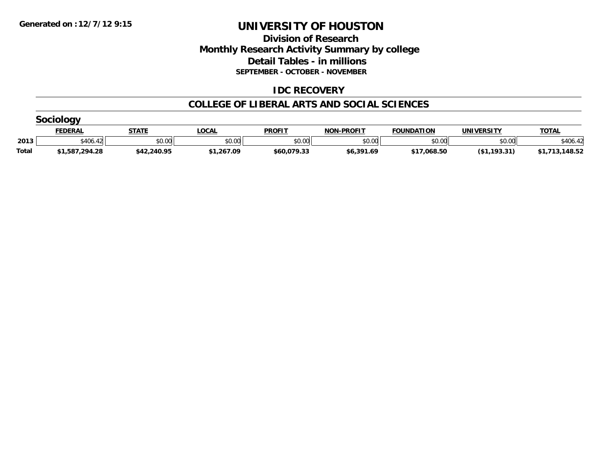### **Division of Research Monthly Research Activity Summary by college Detail Tables - in millions SEPTEMBER - OCTOBER - NOVEMBER**

#### **IDC RECOVERY**

|              | 5001000        |              |              |               |                   |                   |                   |              |  |  |  |
|--------------|----------------|--------------|--------------|---------------|-------------------|-------------------|-------------------|--------------|--|--|--|
|              | <b>FEDERAL</b> | <b>STATE</b> | <u>_OCAL</u> | <b>PROFIT</b> | <b>NON-PROFIT</b> | <b>FOUNDATION</b> | <b>UNIVERSITY</b> | <b>TOTAL</b> |  |  |  |
| 2013         | \$406.42       | \$0.00       | \$0.00       | \$0.00        | \$0.00            | \$0.00            | \$0.00 l          | \$406.42     |  |  |  |
| <b>Total</b> | \$1,587,294.28 | \$42,240.95  | \$1,267.09   | \$60,079.33   | \$6,391.69        | \$17,068.50       | (\$1,193.31)      | 148.52       |  |  |  |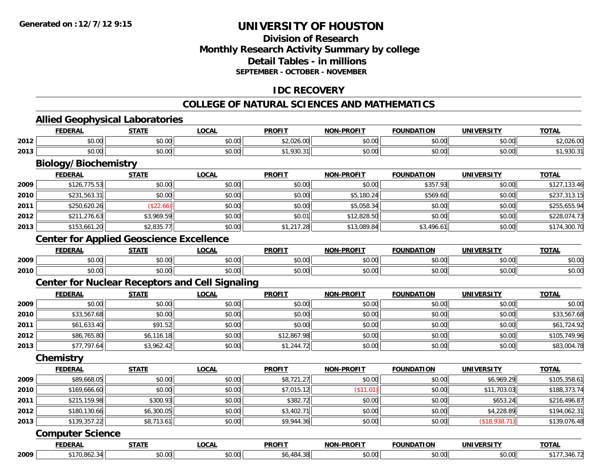### **Division of ResearchMonthly Research Activity Summary by college Detail Tables - in millions SEPTEMBER - OCTOBER - NOVEMBER**

### **IDC RECOVERY**

#### **COLLEGE OF NATURAL SCIENCES AND MATHEMATICS**

### **Allied Geophysical Laboratories**

|      | <b>FEDERAL</b>                                         | <b>STATE</b> | <b>LOCAL</b> | <b>PROFIT</b> | <b>NON-PROFIT</b> | <b>FOUNDATION</b> | <b>UNIVERSITY</b> | <b>TOTAL</b> |
|------|--------------------------------------------------------|--------------|--------------|---------------|-------------------|-------------------|-------------------|--------------|
| 2012 | \$0.00                                                 | \$0.00       | \$0.00       | \$2,026.00    | \$0.00            | \$0.00            | \$0.00            | \$2,026.00   |
| 2013 | \$0.00                                                 | \$0.00       | \$0.00       | \$1,930.31    | \$0.00            | \$0.00            | \$0.00            | \$1,930.31   |
|      | <b>Biology/Biochemistry</b>                            |              |              |               |                   |                   |                   |              |
|      | <b>FEDERAL</b>                                         | <b>STATE</b> | <b>LOCAL</b> | <b>PROFIT</b> | <b>NON-PROFIT</b> | <b>FOUNDATION</b> | <b>UNIVERSITY</b> | <b>TOTAL</b> |
| 2009 | \$126,775.53                                           | \$0.00       | \$0.00       | \$0.00        | \$0.00            | \$357.93          | \$0.00            | \$127,133.46 |
| 2010 | \$231,563.31                                           | \$0.00       | \$0.00       | \$0.00        | \$5,180.24        | \$569.60          | \$0.00            | \$237,313.15 |
| 2011 | \$250,620.26                                           | (\$22.66)    | \$0.00       | \$0.00        | \$5,058.34        | \$0.00            | \$0.00            | \$255,655.94 |
| 2012 | \$211,276.63                                           | \$3,969.59   | \$0.00       | \$0.01        | \$12,828.50       | \$0.00            | \$0.00            | \$228,074.73 |
| 2013 | \$153,661.20                                           | \$2,835.77   | \$0.00       | \$1,217.28    | \$13,089.84       | \$3,496.61        | \$0.00            | \$174,300.70 |
|      | <b>Center for Applied Geoscience Excellence</b>        |              |              |               |                   |                   |                   |              |
|      | <b>FEDERAL</b>                                         | <b>STATE</b> | <b>LOCAL</b> | <b>PROFIT</b> | <b>NON-PROFIT</b> | <b>FOUNDATION</b> | <b>UNIVERSITY</b> | <b>TOTAL</b> |
| 2009 | \$0.00                                                 | \$0.00       | \$0.00       | \$0.00        | \$0.00            | \$0.00            | \$0.00            | \$0.00       |
| 2010 | \$0.00                                                 | \$0.00       | \$0.00       | \$0.00        | \$0.00            | \$0.00            | \$0.00            | \$0.00       |
|      | <b>Center for Nuclear Receptors and Cell Signaling</b> |              |              |               |                   |                   |                   |              |
|      | <b>FEDERAL</b>                                         | <b>STATE</b> | <b>LOCAL</b> | <b>PROFIT</b> | <b>NON-PROFIT</b> | <b>FOUNDATION</b> | <b>UNIVERSITY</b> | <b>TOTAL</b> |
| 2009 | \$0.00                                                 | \$0.00       | \$0.00       | \$0.00        | \$0.00            | \$0.00            | \$0.00            | \$0.00       |
| 2010 | \$33,567.68                                            | \$0.00       | \$0.00       | \$0.00        | \$0.00            | \$0.00            | \$0.00            | \$33,567.68  |
| 2011 | \$61,633.40                                            | \$91.52      | \$0.00       | \$0.00        | \$0.00            | \$0.00            | \$0.00            | \$61,724.92  |
| 2012 | \$86,765.80                                            | \$6,116.18   | \$0.00       | \$12,867.98   | \$0.00            | \$0.00            | \$0.00            | \$105,749.96 |
| 2013 | \$77,797.64                                            | \$3,962.42   | \$0.00       | \$1,244.72    | \$0.00            | \$0.00            | \$0.00            | \$83,004.78  |
|      | Chemistry                                              |              |              |               |                   |                   |                   |              |
|      | <b>FEDERAL</b>                                         | <b>STATE</b> | <b>LOCAL</b> | <b>PROFIT</b> | <b>NON-PROFIT</b> | <b>FOUNDATION</b> | <b>UNIVERSITY</b> | <b>TOTAL</b> |
| 2009 | \$89,668.05                                            | \$0.00       | \$0.00       | \$8,721.27    | \$0.00            | \$0.00            | \$6,969.29        | \$105,358.61 |
| 2010 | \$169,666.60                                           | \$0.00       | \$0.00       | \$7,015.12    | (\$11.01)         | \$0.00            | \$11,703.03       | \$188,373.74 |
| 2011 | \$215,159.98                                           | \$300.93     | \$0.00       | \$382.72      | \$0.00            | \$0.00            | \$653.24          | \$216,496.87 |
| 2012 | \$180,130.66                                           | \$6,300.05   | \$0.00       | \$3,402.71    | \$0.00            | \$0.00            | \$4,228.89        | \$194,062.31 |
| 2013 | \$139,357.22                                           | \$8,713.61   | \$0.00       | \$9,944.36    | \$0.00            | \$0.00            | (\$18,938.71)     | \$139,076.48 |
|      | <b>Computer Science</b>                                |              |              |               |                   |                   |                   |              |
|      | <b>FEDERAL</b>                                         | <b>STATE</b> | <b>LOCAL</b> | <b>PROFIT</b> | <b>NON-PROFIT</b> | <b>FOUNDATION</b> | <b>UNIVERSITY</b> | <b>TOTAL</b> |
| 2009 | \$170,862.34                                           | \$0.00       | \$0.00       | \$6,484.38    | \$0.00            | \$0.00            | \$0.00            | \$177,346.72 |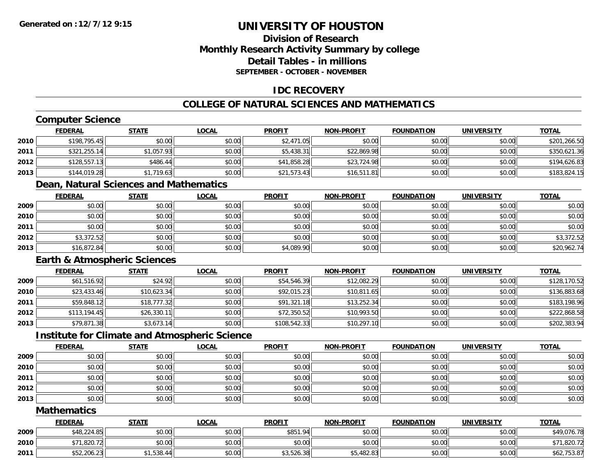### **Division of ResearchMonthly Research Activity Summary by college Detail Tables - in millionsSEPTEMBER - OCTOBER - NOVEMBER**

### **IDC RECOVERY**

### **COLLEGE OF NATURAL SCIENCES AND MATHEMATICS**

### **Computer Science**

|      | <b>FEDERAL</b> | <u>STATE</u> | <u>LOCAL</u> | <b>PROFIT</b> | <b>NON-PROFIT</b> | <b>FOUNDATION</b> | <b>UNIVERSITY</b> | <b>TOTAL</b> |
|------|----------------|--------------|--------------|---------------|-------------------|-------------------|-------------------|--------------|
| 2010 | \$198,795.45   | \$0.00       | \$0.00       | \$2,471.05    | \$0.00            | \$0.00            | \$0.00            | \$201,266.50 |
| 2011 | \$321,255.14   | \$1,057.93   | \$0.00       | \$5,438.31    | \$22,869.98       | \$0.00            | \$0.00            | \$350,621.36 |
| 2012 | \$128,557.13   | \$486.44     | \$0.00       | \$41,858.28   | \$23,724.98       | \$0.00            | \$0.00            | \$194,626.83 |
| 2013 | \$144,019.28   | \$1,719.63   | \$0.00       | \$21,573.43   | \$16,511.81       | \$0.00            | \$0.00            | \$183,824.15 |

#### **Dean, Natural Sciences and Mathematics**

|      | <b>FEDERAL</b> | <b>STATE</b> | <b>LOCAL</b> | <b>PROFIT</b> | <b>NON-PROFIT</b> | <b>FOUNDATION</b> | <b>UNIVERSITY</b> | <b>TOTAL</b> |
|------|----------------|--------------|--------------|---------------|-------------------|-------------------|-------------------|--------------|
| 2009 | \$0.00         | \$0.00       | \$0.00       | \$0.00        | \$0.00            | \$0.00            | \$0.00            | \$0.00       |
| 2010 | \$0.00         | \$0.00       | \$0.00       | \$0.00        | \$0.00            | \$0.00            | \$0.00            | \$0.00       |
| 2011 | \$0.00         | \$0.00       | \$0.00       | \$0.00        | \$0.00            | \$0.00            | \$0.00            | \$0.00       |
| 2012 | \$3,372.52     | \$0.00       | \$0.00       | \$0.00        | \$0.00            | \$0.00            | \$0.00            | \$3,372.52   |
| 2013 | \$16,872.84    | \$0.00       | \$0.00       | \$4,089.90    | \$0.00            | \$0.00            | \$0.00            | \$20,962.74  |

#### **Earth & Atmospheric Sciences**

|      | <b>FEDERAL</b> | <b>STATE</b> | <u>LOCAL</u> | <b>PROFIT</b> | <b>NON-PROFIT</b> | <b>FOUNDATION</b> | <b>UNIVERSITY</b> | <b>TOTAL</b> |
|------|----------------|--------------|--------------|---------------|-------------------|-------------------|-------------------|--------------|
| 2009 | \$61,516.92    | \$24.92      | \$0.00       | \$54,546.39   | \$12,082.29       | \$0.00            | \$0.00            | \$128,170.52 |
| 2010 | \$23,433.46    | \$10,623.34  | \$0.00       | \$92,015.23   | \$10,811.65       | \$0.00            | \$0.00            | \$136,883.68 |
| 2011 | \$59,848.12    | \$18,777.32  | \$0.00       | \$91,321.18   | \$13,252.34       | \$0.00            | \$0.00            | \$183,198.96 |
| 2012 | \$113,194.45   | \$26,330.11  | \$0.00       | \$72,350.52   | \$10,993.50       | \$0.00            | \$0.00            | \$222,868.58 |
| 2013 | \$79,871.38    | \$3,673.14   | \$0.00       | \$108,542.33  | \$10,297.10       | \$0.00            | \$0.00            | \$202,383.94 |

#### **Institute for Climate and Atmospheric Science**

|      | <b>FEDERAL</b> | <b>STATE</b> | <b>LOCAL</b> | <b>PROFIT</b> | <b>NON-PROFIT</b> | <b>FOUNDATION</b> | <b>UNIVERSITY</b> | <b>TOTAL</b> |
|------|----------------|--------------|--------------|---------------|-------------------|-------------------|-------------------|--------------|
| 2009 | \$0.00         | \$0.00       | \$0.00       | \$0.00        | \$0.00            | \$0.00            | \$0.00            | \$0.00       |
| 2010 | \$0.00         | \$0.00       | \$0.00       | \$0.00        | \$0.00            | \$0.00            | \$0.00            | \$0.00       |
| 2011 | \$0.00         | \$0.00       | \$0.00       | \$0.00        | \$0.00            | \$0.00            | \$0.00            | \$0.00       |
| 2012 | \$0.00         | \$0.00       | \$0.00       | \$0.00        | \$0.00            | \$0.00            | \$0.00            | \$0.00       |
| 2013 | \$0.00         | \$0.00       | \$0.00       | \$0.00        | \$0.00            | \$0.00            | \$0.00            | \$0.00       |

#### **Mathematics**

|      | <u>FEDERAL</u> | <b>STATE</b> | <u>LOCAL</u> | <b>PROFIT</b> | <b>NON-PROFIT</b> | <b>FOUNDATION</b> | <b>UNIVERSITY</b> | <b>TOTAL</b> |
|------|----------------|--------------|--------------|---------------|-------------------|-------------------|-------------------|--------------|
| 2009 | \$48,224.85    | \$0.00       | \$0.00       | \$851.94      | \$0.00            | \$0.00            | \$0.00            | \$49,076.78  |
| 2010 | \$71,820.72    | \$0.00       | \$0.00       | \$0.00        | \$0.00            | \$0.00            | \$0.00            | 11,820.72    |
| 2011 | \$52,206.23    | \$1,538.44   | \$0.00       | \$3,526.38    | \$5,482.83        | \$0.00            | \$0.00            | \$62,753.87  |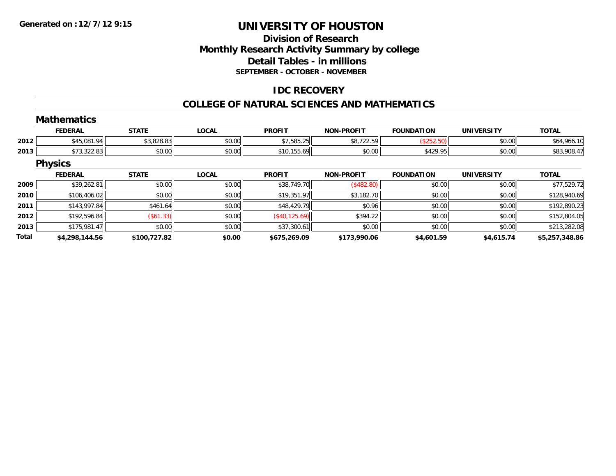### **Division of ResearchMonthly Research Activity Summary by college Detail Tables - in millions SEPTEMBER - OCTOBER - NOVEMBER**

### **IDC RECOVERY**

#### **COLLEGE OF NATURAL SCIENCES AND MATHEMATICS**

|       | <b>Mathematics</b> |              |              |                |                   |                   |                   |                |
|-------|--------------------|--------------|--------------|----------------|-------------------|-------------------|-------------------|----------------|
|       | <b>FEDERAL</b>     | <b>STATE</b> | <b>LOCAL</b> | <b>PROFIT</b>  | <b>NON-PROFIT</b> | <b>FOUNDATION</b> | <b>UNIVERSITY</b> | <b>TOTAL</b>   |
| 2012  | \$45,081.94        | \$3,828.83   | \$0.00       | \$7,585.25     | \$8,722.59        | (\$252.50)        | \$0.00            | \$64,966.10    |
| 2013  | \$73,322.83        | \$0.00       | \$0.00       | \$10,155.69    | \$0.00            | \$429.95          | \$0.00            | \$83,908.47    |
|       | <b>Physics</b>     |              |              |                |                   |                   |                   |                |
|       | <b>FEDERAL</b>     | <b>STATE</b> | <b>LOCAL</b> | <b>PROFIT</b>  | <b>NON-PROFIT</b> | <b>FOUNDATION</b> | <b>UNIVERSITY</b> | <b>TOTAL</b>   |
| 2009  | \$39,262.81        | \$0.00       | \$0.00       | \$38,749.70    | (\$482.80)        | \$0.00            | \$0.00            | \$77,529.72    |
| 2010  | \$106,406.02       | \$0.00       | \$0.00       | \$19,351.97    | \$3,182.70        | \$0.00            | \$0.00            | \$128,940.69   |
| 2011  | \$143,997.84       | \$461.64     | \$0.00       | \$48,429.79    | \$0.96            | \$0.00            | \$0.00            | \$192,890.23   |
| 2012  | \$192,596.84       | (\$61.33)    | \$0.00       | (\$40, 125.69) | \$394.22          | \$0.00            | \$0.00            | \$152,804.05   |
| 2013  | \$175,981.47       | \$0.00       | \$0.00       | \$37,300.61    | \$0.00            | \$0.00            | \$0.00            | \$213,282.08   |
| Total | \$4,298,144.56     | \$100,727.82 | \$0.00       | \$675,269.09   | \$173,990.06      | \$4,601.59        | \$4,615.74        | \$5,257,348.86 |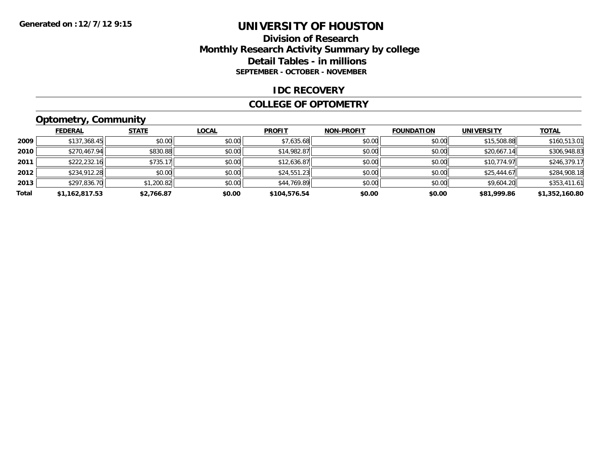#### **Division of Research Monthly Research Activity Summary by college Detail Tables - in millions SEPTEMBER - OCTOBER - NOVEMBER**

#### **IDC RECOVERY**

#### **COLLEGE OF OPTOMETRY**

### **Optometry, Community**

|       | ___            |              |              |               |                   |                   |                   |                |
|-------|----------------|--------------|--------------|---------------|-------------------|-------------------|-------------------|----------------|
|       | <b>FEDERAL</b> | <b>STATE</b> | <u>LOCAL</u> | <b>PROFIT</b> | <b>NON-PROFIT</b> | <b>FOUNDATION</b> | <b>UNIVERSITY</b> | <b>TOTAL</b>   |
| 2009  | \$137,368.45   | \$0.00       | \$0.00       | \$7,635.68    | \$0.00            | \$0.00            | \$15,508.88       | \$160,513.01   |
| 2010  | \$270,467.94   | \$830.88     | \$0.00       | \$14,982.87   | \$0.00            | \$0.00            | \$20,667.14       | \$306,948.83   |
| 2011  | \$222,232.16   | \$735.17     | \$0.00       | \$12,636.87   | \$0.00            | \$0.00            | \$10,774.97       | \$246,379.17   |
| 2012  | \$234,912.28   | \$0.00       | \$0.00       | \$24,551.23   | \$0.00            | \$0.00            | \$25,444.67       | \$284,908.18   |
| 2013  | \$297,836.70   | \$1,200.82   | \$0.00       | \$44,769.89   | \$0.00            | \$0.00            | \$9,604.20        | \$353,411.61   |
| Total | \$1,162,817.53 | \$2.766.87   | \$0.00       | \$104,576.54  | \$0.00            | \$0.00            | \$81,999.86       | \$1,352,160.80 |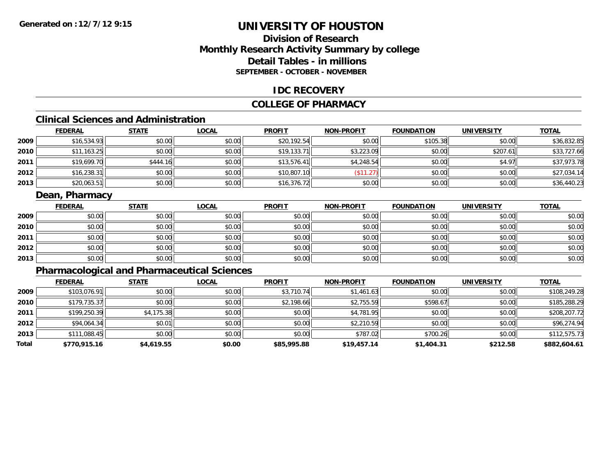### **Division of ResearchMonthly Research Activity Summary by college Detail Tables - in millions SEPTEMBER - OCTOBER - NOVEMBER**

#### **IDC RECOVERY**

#### **COLLEGE OF PHARMACY**

### **Clinical Sciences and Administration**

|      | <b>FEDERAL</b> | <b>STATE</b> | <b>LOCAL</b> | <b>PROFIT</b> | <b>NON-PROFIT</b> | <b>FOUNDATION</b> | <b>UNIVERSITY</b> | <b>TOTAL</b> |
|------|----------------|--------------|--------------|---------------|-------------------|-------------------|-------------------|--------------|
| 2009 | \$16,534.93    | \$0.00       | \$0.00       | \$20,192.54   | \$0.00            | \$105.38          | \$0.00            | \$36,832.85  |
| 2010 | \$11,163.25    | \$0.00       | \$0.00       | \$19.133.71   | \$3,223.09        | \$0.00            | \$207.61          | \$33,727.66  |
| 2011 | \$19,699.70    | \$444.16     | \$0.00       | \$13,576.41   | \$4,248.54        | \$0.00            | \$4.97            | \$37,973.78  |
| 2012 | \$16,238.31    | \$0.00       | \$0.00       | \$10,807.10   | $A - A$<br>ن کے ا | \$0.00            | \$0.00            | \$27,034.14  |
| 2013 | \$20,063.51    | \$0.00       | \$0.00       | \$16,376.72   | \$0.00            | \$0.00            | \$0.00            | \$36,440.23  |

### **Dean, Pharmacy**

|      | <u>FEDERAL</u> | <b>STATE</b> | <b>LOCAL</b> | <b>PROFIT</b> | <b>NON-PROFIT</b> | <b>FOUNDATION</b> | <b>UNIVERSITY</b> | <b>TOTAL</b> |
|------|----------------|--------------|--------------|---------------|-------------------|-------------------|-------------------|--------------|
| 2009 | \$0.00         | \$0.00       | \$0.00       | \$0.00        | \$0.00            | \$0.00            | \$0.00            | \$0.00       |
| 2010 | \$0.00         | \$0.00       | \$0.00       | \$0.00        | \$0.00            | \$0.00            | \$0.00            | \$0.00       |
| 2011 | \$0.00         | \$0.00       | \$0.00       | \$0.00        | \$0.00            | \$0.00            | \$0.00            | \$0.00       |
| 2012 | \$0.00         | \$0.00       | \$0.00       | \$0.00        | \$0.00            | \$0.00            | \$0.00            | \$0.00       |
| 2013 | \$0.00         | \$0.00       | \$0.00       | \$0.00        | \$0.00            | \$0.00            | \$0.00            | \$0.00       |

### **Pharmacological and Pharmaceutical Sciences**

|       | <b>FEDERAL</b> | <b>STATE</b> | <b>LOCAL</b> | <b>PROFIT</b> | <b>NON-PROFIT</b> | <b>FOUNDATION</b> | <b>UNIVERSITY</b> | <b>TOTAL</b> |
|-------|----------------|--------------|--------------|---------------|-------------------|-------------------|-------------------|--------------|
| 2009  | \$103,076.91   | \$0.00       | \$0.00       | \$3,710.74    | \$1,461.63        | \$0.00            | \$0.00            | \$108,249.28 |
| 2010  | \$179,735.37   | \$0.00       | \$0.00       | \$2,198.66    | \$2,755.59        | \$598.67          | \$0.00            | \$185,288.29 |
| 2011  | \$199,250.39   | \$4,175.38   | \$0.00       | \$0.00        | \$4,781.95        | \$0.00            | \$0.00            | \$208,207.72 |
| 2012  | \$94,064.34    | \$0.01       | \$0.00       | \$0.00        | \$2,210.59        | \$0.00            | \$0.00            | \$96,274.94  |
| 2013  | \$111,088.45   | \$0.00       | \$0.00       | \$0.00        | \$787.02          | \$700.26          | \$0.00            | \$112,575.73 |
| Total | \$770,915.16   | \$4,619.55   | \$0.00       | \$85,995.88   | \$19,457.14       | \$1,404.31        | \$212.58          | \$882,604.61 |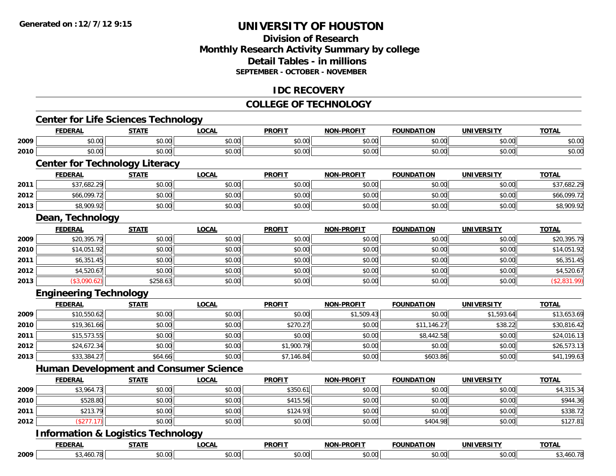#### **Division of Research Monthly Research Activity Summary by college Detail Tables - in millions SEPTEMBER - OCTOBER - NOVEMBER**

#### **IDC RECOVERY**

### **COLLEGE OF TECHNOLOGY**

|      | <b>FEDERAL</b>                                                  | <b>STATE</b> | <b>LOCAL</b> | <b>PROFIT</b> | <b>NON-PROFIT</b> | <b>FOUNDATION</b> | <b>UNIVERSITY</b> | <b>TOTAL</b> |
|------|-----------------------------------------------------------------|--------------|--------------|---------------|-------------------|-------------------|-------------------|--------------|
| 2009 | \$0.00                                                          | \$0.00       | \$0.00       | \$0.00        | \$0.00            | \$0.00            | \$0.00            | \$0.00       |
| 2010 | \$0.00                                                          | \$0.00       | \$0.00       | \$0.00        | \$0.00            | \$0.00            | \$0.00            | \$0.00       |
|      | <b>Center for Technology Literacy</b>                           |              |              |               |                   |                   |                   |              |
|      | <b>FEDERAL</b>                                                  | <b>STATE</b> | <b>LOCAL</b> | <b>PROFIT</b> | <b>NON-PROFIT</b> | <b>FOUNDATION</b> | <b>UNIVERSITY</b> | <b>TOTAL</b> |
| 2011 | \$37,682.29                                                     | \$0.00       | \$0.00       | \$0.00        | \$0.00            | \$0.00            | \$0.00            | \$37,682.29  |
| 2012 | \$66,099.72                                                     | \$0.00       | \$0.00       | \$0.00        | \$0.00            | \$0.00            | \$0.00            | \$66,099.72  |
| 2013 | \$8,909.92                                                      | \$0.00       | \$0.00       | \$0.00        | \$0.00            | \$0.00            | \$0.00            | \$8,909.92   |
|      | Dean, Technology                                                |              |              |               |                   |                   |                   |              |
|      | <b>FEDERAL</b>                                                  | <b>STATE</b> | <b>LOCAL</b> | <b>PROFIT</b> | <b>NON-PROFIT</b> | <b>FOUNDATION</b> | <b>UNIVERSITY</b> | <b>TOTAL</b> |
| 2009 | \$20,395.79                                                     | \$0.00       | \$0.00       | \$0.00        | \$0.00            | \$0.00            | \$0.00            | \$20,395.79  |
| 2010 | \$14,051.92                                                     | \$0.00       | \$0.00       | \$0.00        | \$0.00            | \$0.00            | \$0.00            | \$14,051.92  |
| 2011 | \$6,351.45                                                      | \$0.00       | \$0.00       | \$0.00        | \$0.00            | \$0.00            | \$0.00            | \$6,351.45   |
| 2012 | \$4,520.67                                                      | \$0.00       | \$0.00       | \$0.00        | \$0.00            | \$0.00            | \$0.00            | \$4,520.67   |
| 2013 | (\$3,090.62)                                                    | \$258.63     | \$0.00       | \$0.00        | \$0.00            | \$0.00            | \$0.00            | (\$2,831.99) |
|      | <b>Engineering Technology</b>                                   |              |              |               |                   |                   |                   |              |
|      | <b>FEDERAL</b>                                                  | <b>STATE</b> | <b>LOCAL</b> | <b>PROFIT</b> | <b>NON-PROFIT</b> | <b>FOUNDATION</b> | <b>UNIVERSITY</b> | <b>TOTAL</b> |
| 2009 | \$10,550.62                                                     | \$0.00       | \$0.00       | \$0.00        | \$1,509.43        | \$0.00            | \$1,593.64        | \$13,653.69  |
| 2010 | \$19,361.66                                                     | \$0.00       | \$0.00       | \$270.27      | \$0.00            | \$11,146.27       | \$38.22           | \$30,816.42  |
| 2011 | \$15,573.55                                                     | \$0.00       | \$0.00       | \$0.00        | \$0.00            | \$8,442.58        | \$0.00            | \$24,016.13  |
| 2012 | \$24,672.34                                                     | \$0.00       | \$0.00       | \$1,900.79    | \$0.00            | \$0.00            | \$0.00            | \$26,573.13  |
| 2013 | \$33,384.27                                                     | \$64.66      | \$0.00       | \$7,146.84    | \$0.00            | \$603.86          | \$0.00            | \$41,199.63  |
|      | <b>Human Development and Consumer Science</b>                   |              |              |               |                   |                   |                   |              |
|      | <b>FEDERAL</b>                                                  | <b>STATE</b> | <b>LOCAL</b> | <b>PROFIT</b> | <b>NON-PROFIT</b> | <b>FOUNDATION</b> | <b>UNIVERSITY</b> | <b>TOTAL</b> |
| 2009 | \$3,964.73                                                      | \$0.00       | \$0.00       | \$350.61      | \$0.00            | \$0.00            | \$0.00            | \$4,315.34   |
| 2010 | \$528.80                                                        | \$0.00       | \$0.00       | \$415.56      | \$0.00            | \$0.00            | \$0.00            | \$944.36     |
| 2011 | \$213.79                                                        | \$0.00       | \$0.00       | \$124.93      | \$0.00            | \$0.00            | \$0.00            | \$338.72     |
| 2012 | (\$277.17)                                                      | \$0.00       | \$0.00       | \$0.00        | \$0.00            | \$404.98          | \$0.00            | \$127.81     |
|      |                                                                 |              |              |               |                   |                   |                   |              |
|      |                                                                 |              |              |               |                   |                   |                   |              |
|      | <b>Information &amp; Logistics Technology</b><br><b>FEDERAL</b> | <b>STATE</b> | <b>LOCAL</b> | <b>PROFIT</b> | <b>NON-PROFIT</b> | <b>FOUNDATION</b> | <b>UNIVERSITY</b> | <b>TOTAL</b> |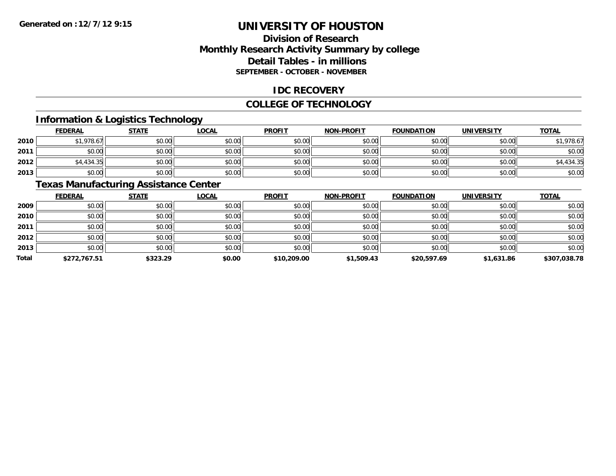### **Division of ResearchMonthly Research Activity Summary by college Detail Tables - in millions SEPTEMBER - OCTOBER - NOVEMBER**

#### **IDC RECOVERY**

#### **COLLEGE OF TECHNOLOGY**

### **Information & Logistics Technology**

|      | <b>FEDERAL</b> | <b>STATE</b> | <u>LOCAL</u> | <b>PROFIT</b> | <b>NON-PROFIT</b> | <b>FOUNDATION</b> | <b>UNIVERSITY</b> | <b>TOTAL</b> |
|------|----------------|--------------|--------------|---------------|-------------------|-------------------|-------------------|--------------|
| 2010 | \$1,978.67     | \$0.00       | \$0.00       | \$0.00        | \$0.00            | \$0.00            | \$0.00            | \$1,978.67   |
| 2011 | \$0.00         | \$0.00       | \$0.00       | \$0.00        | \$0.00            | \$0.00            | \$0.00            | \$0.00       |
| 2012 | \$4,434.35     | \$0.00       | \$0.00       | \$0.00        | \$0.00            | \$0.00            | \$0.00            | \$4,434.35   |
| 2013 | \$0.00         | \$0.00       | \$0.00       | \$0.00        | \$0.00            | \$0.00            | \$0.00            | \$0.00       |

#### **Texas Manufacturing Assistance Center**

|              | <b>FEDERAL</b> | <b>STATE</b> | <b>LOCAL</b> | <b>PROFIT</b> | <b>NON-PROFIT</b> | <b>FOUNDATION</b> | <b>UNIVERSITY</b> | <b>TOTAL</b> |
|--------------|----------------|--------------|--------------|---------------|-------------------|-------------------|-------------------|--------------|
| 2009         | \$0.00         | \$0.00       | \$0.00       | \$0.00        | \$0.00            | \$0.00            | \$0.00            | \$0.00       |
| 2010         | \$0.00         | \$0.00       | \$0.00       | \$0.00        | \$0.00            | \$0.00            | \$0.00            | \$0.00       |
| 2011         | \$0.00         | \$0.00       | \$0.00       | \$0.00        | \$0.00            | \$0.00            | \$0.00            | \$0.00       |
| 2012         | \$0.00         | \$0.00       | \$0.00       | \$0.00        | \$0.00            | \$0.00            | \$0.00            | \$0.00       |
| 2013         | \$0.00         | \$0.00       | \$0.00       | \$0.00        | \$0.00            | \$0.00            | \$0.00            | \$0.00       |
| <b>Total</b> | \$272,767.51   | \$323.29     | \$0.00       | \$10,209.00   | \$1,509.43        | \$20,597.69       | \$1,631.86        | \$307,038.78 |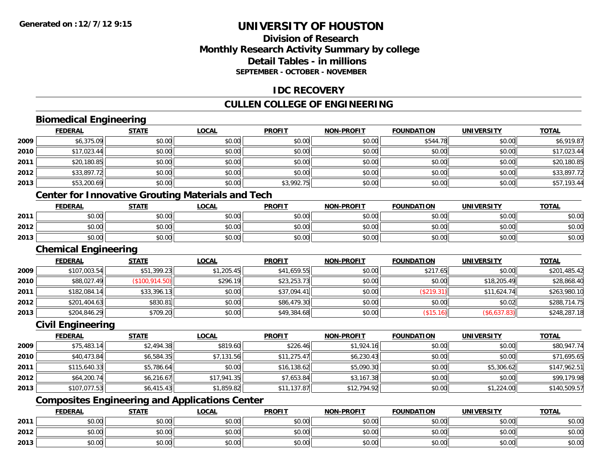### **Division of ResearchMonthly Research Activity Summary by college Detail Tables - in millions SEPTEMBER - OCTOBER - NOVEMBER**

#### **IDC RECOVERY**

### **CULLEN COLLEGE OF ENGINEERING**

### **Biomedical Engineering**

|      | <b>FEDERAL</b>              | <b>STATE</b>    | <b>LOCAL</b>                                             | <b>PROFIT</b> | <b>NON-PROFIT</b> | <b>FOUNDATION</b> | <b>UNIVERSITY</b> | <b>TOTAL</b> |
|------|-----------------------------|-----------------|----------------------------------------------------------|---------------|-------------------|-------------------|-------------------|--------------|
| 2009 | \$6,375.09                  | \$0.00          | \$0.00                                                   | \$0.00        | \$0.00            | \$544.78          | \$0.00            | \$6,919.87   |
| 2010 | \$17,023.44                 | \$0.00          | \$0.00                                                   | \$0.00        | \$0.00            | \$0.00            | \$0.00            | \$17,023.44  |
| 2011 | \$20,180.85                 | \$0.00          | \$0.00                                                   | \$0.00        | \$0.00            | \$0.00            | \$0.00            | \$20,180.85  |
| 2012 | \$33,897.72                 | \$0.00          | \$0.00                                                   | \$0.00        | \$0.00            | \$0.00            | \$0.00            | \$33,897.72  |
| 2013 | \$53,200.69                 | \$0.00          | \$0.00                                                   | \$3,992.75    | \$0.00            | \$0.00            | \$0.00            | \$57,193.44  |
|      |                             |                 | <b>Center for Innovative Grouting Materials and Tech</b> |               |                   |                   |                   |              |
|      | <b>FEDERAL</b>              | <b>STATE</b>    | <u>LOCAL</u>                                             | <b>PROFIT</b> | <b>NON-PROFIT</b> | <b>FOUNDATION</b> | <b>UNIVERSITY</b> | <b>TOTAL</b> |
| 2011 | \$0.00                      | \$0.00          | \$0.00                                                   | \$0.00        | \$0.00            | \$0.00            | \$0.00            | \$0.00       |
| 2012 | \$0.00                      | \$0.00          | \$0.00                                                   | \$0.00        | \$0.00            | \$0.00            | \$0.00            | \$0.00       |
| 2013 | \$0.00                      | \$0.00          | \$0.00                                                   | \$0.00        | \$0.00            | \$0.00            | \$0.00            | \$0.00       |
|      | <b>Chemical Engineering</b> |                 |                                                          |               |                   |                   |                   |              |
|      | <b>FEDERAL</b>              | <b>STATE</b>    | <b>LOCAL</b>                                             | <b>PROFIT</b> | <b>NON-PROFIT</b> | <b>FOUNDATION</b> | <b>UNIVERSITY</b> | <b>TOTAL</b> |
| 2009 | \$107,003.54                | \$51,399.23     | \$1,205.45                                               | \$41,659.55   | \$0.00            | \$217.65          | \$0.00            | \$201,485.42 |
| 2010 | \$88,027.49                 | (\$100, 914.50) | \$296.19                                                 | \$23,253.73   | \$0.00            | \$0.00            | \$18,205.49       | \$28,868.40  |
| 2011 | \$182,084.14                | \$33,396.13     | \$0.00                                                   | \$37,094.41   | \$0.00            | (\$219.31)        | \$11,624.74       | \$263,980.10 |
| 2012 | \$201,404.63                | \$830.81        | \$0.00                                                   | \$86,479.30   | \$0.00            | \$0.00            | \$0.02            | \$288,714.75 |
| 2013 | \$204,846.29                | \$709.20        | \$0.00                                                   | \$49,384.68   | \$0.00            | (\$15.16)         | ( \$6,637.83)     | \$248,287.18 |
|      | Civil Engineering           |                 |                                                          |               |                   |                   |                   |              |

#### **Civil Engineering**

|      | <u>FEDERAL</u> | <u>STATE</u> | <u>LOCAL</u> | <b>PROFIT</b> | <b>NON-PROFIT</b> | <b>FOUNDATION</b> | <b>UNIVERSITY</b> | <b>TOTAL</b> |
|------|----------------|--------------|--------------|---------------|-------------------|-------------------|-------------------|--------------|
| 2009 | \$75,483.14    | \$2,494.38   | \$819.60     | \$226.46      | \$1,924.16        | \$0.00            | \$0.00            | \$80,947.74  |
| 2010 | \$40,473.84    | \$6,584.35   | \$7,131.56   | \$11,275.47   | \$6,230.43        | \$0.00            | \$0.00            | \$71,695.65  |
| 2011 | \$115,640.33   | \$5,786.64   | \$0.00       | \$16,138.62   | \$5,090.30        | \$0.00            | \$5,306.62        | \$147,962.51 |
| 2012 | \$64,200.74    | \$6,216.67   | \$17,941.35  | \$7,653.84    | \$3,167.38        | \$0.00            | \$0.00            | \$99,179.98  |
| 2013 | \$107,077.53   | \$6,415.43   | \$1,859.82   | \$11,137.87   | \$12,794.92       | \$0.00            | \$1,224.00        | \$140,509.57 |

### **Composites Engineering and Applications Center**

|      | <b>FEDERAL</b>               | <b>STATE</b> | _OCAL          | <b>PROFIT</b> | MON-PROFIT | <b>FOUNDATION</b> | <b>UNIVERSITY</b> | <b>TOTAL</b> |
|------|------------------------------|--------------|----------------|---------------|------------|-------------------|-------------------|--------------|
| 2011 | טע.טע                        | \$0.00       | ስስ ስስ<br>JU.UU | \$0.00        | \$0.00     | \$0.00            | \$0.00            | \$0.00       |
| 2012 | <b>↑∩</b><br>$\sim$<br>וטטוע | \$0.00       | ስስ ስስ<br>DU.UU | \$0.00        | \$0.00     | \$0.00            | \$0.00            | \$0.00       |
| 2013 | <b>↑^</b><br>$\sim$<br>וטטוע | \$0.00       | \$0.00         | \$0.00        | \$0.00     | \$0.00            | \$0.00            | \$0.00       |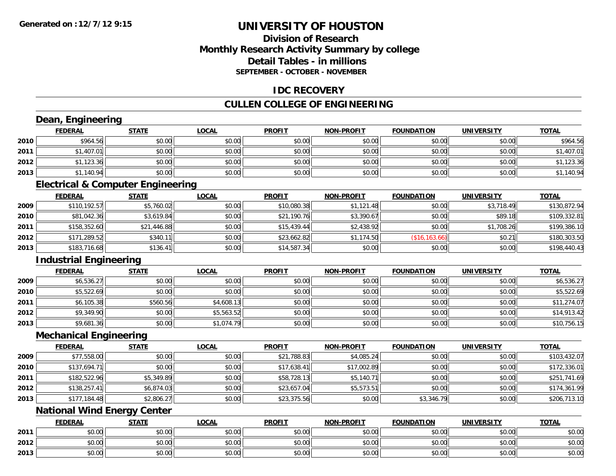### **Division of ResearchMonthly Research Activity Summary by college Detail Tables - in millions SEPTEMBER - OCTOBER - NOVEMBER**

#### **IDC RECOVERY**

### **CULLEN COLLEGE OF ENGINEERING**

|      | Dean, Engineering                            |              |              |               |                   |                   |                   |              |
|------|----------------------------------------------|--------------|--------------|---------------|-------------------|-------------------|-------------------|--------------|
|      | <b>FEDERAL</b>                               | <b>STATE</b> | <b>LOCAL</b> | <b>PROFIT</b> | <b>NON-PROFIT</b> | <b>FOUNDATION</b> | <b>UNIVERSITY</b> | <b>TOTAL</b> |
| 2010 | \$964.56                                     | \$0.00       | \$0.00       | \$0.00        | \$0.00            | \$0.00            | \$0.00            | \$964.56     |
| 2011 | \$1,407.01                                   | \$0.00       | \$0.00       | \$0.00        | \$0.00            | \$0.00            | \$0.00            | \$1,407.01   |
| 2012 | \$1,123.36                                   | \$0.00       | \$0.00       | \$0.00        | \$0.00            | \$0.00            | \$0.00            | \$1,123.36   |
| 2013 | \$1,140.94                                   | \$0.00       | \$0.00       | \$0.00        | \$0.00            | \$0.00            | \$0.00            | \$1,140.94   |
|      | <b>Electrical &amp; Computer Engineering</b> |              |              |               |                   |                   |                   |              |
|      | <b>FEDERAL</b>                               | <b>STATE</b> | <b>LOCAL</b> | <b>PROFIT</b> | <b>NON-PROFIT</b> | <b>FOUNDATION</b> | <b>UNIVERSITY</b> | <b>TOTAL</b> |
| 2009 | \$110,192.57                                 | \$5,760.02   | \$0.00       | \$10,080.38   | \$1,121.48        | \$0.00            | \$3,718.49        | \$130,872.94 |
| 2010 | \$81,042.36                                  | \$3,619.84   | \$0.00       | \$21,190.76   | \$3,390.67        | \$0.00            | \$89.18           | \$109,332.81 |
| 2011 | \$158,352.60                                 | \$21,446.88  | \$0.00       | \$15,439.44   | \$2,438.92        | \$0.00            | \$1,708.26        | \$199,386.10 |
| 2012 | \$171,289.52                                 | \$340.11     | \$0.00       | \$23,662.82   | \$1,174.50        | (\$16, 163.66)    | \$0.21            | \$180,303.50 |
| 2013 | \$183,716.68                                 | \$136.41     | \$0.00       | \$14,587.34   | \$0.00            | \$0.00            | \$0.00            | \$198,440.43 |
|      | <b>Industrial Engineering</b>                |              |              |               |                   |                   |                   |              |
|      | <b>FEDERAL</b>                               | <b>STATE</b> | <b>LOCAL</b> | <b>PROFIT</b> | <b>NON-PROFIT</b> | <b>FOUNDATION</b> | <b>UNIVERSITY</b> | <b>TOTAL</b> |
| 2009 | \$6,536.27                                   | \$0.00       | \$0.00       | \$0.00        | \$0.00            | \$0.00            | \$0.00            | \$6,536.27   |
| 2010 | \$5,522.69                                   | \$0.00       | \$0.00       | \$0.00        | \$0.00            | \$0.00            | \$0.00            | \$5,522.69   |
| 2011 | \$6,105.38                                   | \$560.56     | \$4,608.13   | \$0.00        | \$0.00            | \$0.00            | \$0.00            | \$11,274.07  |
| 2012 | \$9,349.90                                   | \$0.00       | \$5,563.52   | \$0.00        | \$0.00            | \$0.00            | \$0.00            | \$14,913.42  |
| 2013 | \$9,681.36                                   | \$0.00       | \$1,074.79   | \$0.00        | \$0.00            | \$0.00            | \$0.00            | \$10,756.15  |
|      | <b>Mechanical Engineering</b>                |              |              |               |                   |                   |                   |              |
|      | <b>FEDERAL</b>                               | <b>STATE</b> | <b>LOCAL</b> | <b>PROFIT</b> | <b>NON-PROFIT</b> | <b>FOUNDATION</b> | <b>UNIVERSITY</b> | <b>TOTAL</b> |
| 2009 | \$77,558.00                                  | \$0.00       | \$0.00       | \$21,788.83   | \$4,085.24        | \$0.00            | \$0.00            | \$103,432.07 |
| 2010 | \$137,694.71                                 | \$0.00       | \$0.00       | \$17,638.41   | \$17,002.89       | \$0.00            | \$0.00            | \$172,336.01 |
| 2011 | \$182,522.96                                 | \$5,349.89   | \$0.00       | \$58,728.13   | \$5,140.71        | \$0.00            | \$0.00            | \$251,741.69 |
| 2012 | \$138,257.41                                 | \$6,874.03   | \$0.00       | \$23,657.04   | \$5,573.51        | \$0.00            | \$0.00            | \$174,361.99 |
| 2013 | \$177,184.48                                 | \$2,806.27   | \$0.00       | \$23,375.56   | \$0.00            | \$3,346.79        | \$0.00            | \$206,713.10 |
|      | <b>National Wind Energy Center</b>           |              |              |               |                   |                   |                   |              |
|      | <b>FEDERAL</b>                               | <b>STATE</b> | <b>LOCAL</b> | <b>PROFIT</b> | <b>NON-PROFIT</b> | <b>FOUNDATION</b> | <b>UNIVERSITY</b> | <b>TOTAL</b> |
| 2011 | \$0.00                                       | \$0.00       | \$0.00       | \$0.00        | \$0.00            | \$0.00            | \$0.00            | \$0.00       |
| 2012 | \$0.00                                       | \$0.00       | \$0.00       | \$0.00        | \$0.00            | \$0.00            | \$0.00            | \$0.00       |
| 2013 | \$0.00                                       | \$0.00       | \$0.00       | \$0.00        | \$0.00            | \$0.00            | \$0.00            | \$0.00       |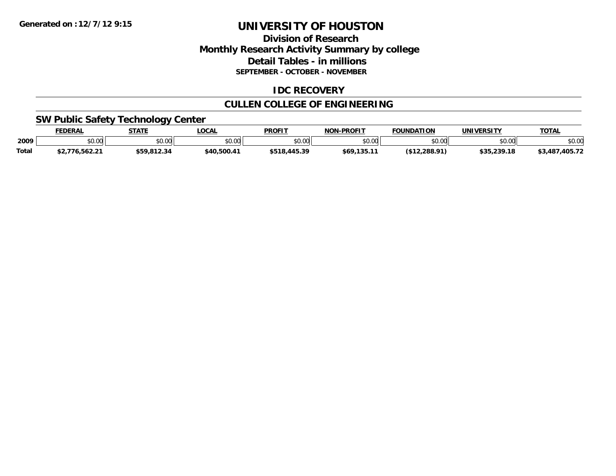### **Division of Research Monthly Research Activity Summary by college Detail Tables - in millions SEPTEMBER - OCTOBER - NOVEMBER**

### **IDC RECOVERY**

### **CULLEN COLLEGE OF ENGINEERING**

### **SW Public Safety Technology Center**

|       | <b>FEDERAL</b>         | <b>STATE</b> | LOCAL       | <b>PROFIT</b>  | <b>NON-PROFIT</b> | <b>FOUNDATION</b> | UNIVERSITY  | <b>TOTAL</b>   |
|-------|------------------------|--------------|-------------|----------------|-------------------|-------------------|-------------|----------------|
| 2009  | ልስ ሰሰ<br>JU.UU         | \$0.00       | \$0.00      | nn no<br>DU.UU | \$0.00            | \$0.00            | \$0.00      | \$0.00         |
| Total | \$2,776,562.21<br>72.I | \$59,812.34  | \$40,500.41 | \$518,445.39   | \$69,135.11       | (\$12.288.91)     | \$35,239.18 | \$3,487,405.72 |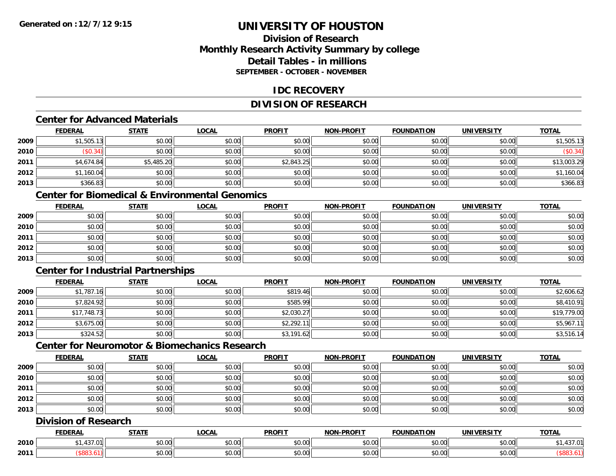### **Division of ResearchMonthly Research Activity Summary by college Detail Tables - in millionsSEPTEMBER - OCTOBER - NOVEMBER**

#### **IDC RECOVERY**

### **DIVISION OF RESEARCH**

#### **Center for Advanced Materials**

|      | <b>FEDERAL</b> | <b>STATE</b> | <b>LOCAL</b> | <b>PROFIT</b> | <b>NON-PROFIT</b> | <b>FOUNDATION</b> | <b>UNIVERSITY</b> | <b>TOTAL</b> |
|------|----------------|--------------|--------------|---------------|-------------------|-------------------|-------------------|--------------|
| 2009 | \$1,505.13     | \$0.00       | \$0.00       | \$0.00        | \$0.00            | \$0.00            | \$0.00            | \$1,505.13   |
| 2010 | \$0.34)        | \$0.00       | \$0.00       | \$0.00        | \$0.00            | \$0.00            | \$0.00            | (\$0.34)     |
| 2011 | \$4,674.84     | \$5,485.20   | \$0.00       | \$2,843.25    | \$0.00            | \$0.00            | \$0.00            | \$13,003.29  |
| 2012 | \$1,160.04     | \$0.00       | \$0.00       | \$0.00        | \$0.00            | \$0.00            | \$0.00            | \$1,160.04   |
| 2013 | \$366.83       | \$0.00       | \$0.00       | \$0.00        | \$0.00            | \$0.00            | \$0.00            | \$366.83     |

## **Center for Biomedical & Environmental Genomics**

|      | <u>FEDERAL</u> | <u>STATE</u> | <u>LOCAL</u> | <b>PROFIT</b> | <b>NON-PROFIT</b> | <b>FOUNDATION</b> | <b>UNIVERSITY</b> | <b>TOTAL</b> |
|------|----------------|--------------|--------------|---------------|-------------------|-------------------|-------------------|--------------|
| 2009 | \$0.00         | \$0.00       | \$0.00       | \$0.00        | \$0.00            | \$0.00            | \$0.00            | \$0.00       |
| 2010 | \$0.00         | \$0.00       | \$0.00       | \$0.00        | \$0.00            | \$0.00            | \$0.00            | \$0.00       |
| 2011 | \$0.00         | \$0.00       | \$0.00       | \$0.00        | \$0.00            | \$0.00            | \$0.00            | \$0.00       |
| 2012 | \$0.00         | \$0.00       | \$0.00       | \$0.00        | \$0.00            | \$0.00            | \$0.00            | \$0.00       |
| 2013 | \$0.00         | \$0.00       | \$0.00       | \$0.00        | \$0.00            | \$0.00            | \$0.00            | \$0.00       |

### **Center for Industrial Partnerships**

|      | <u>FEDERAL</u> | <b>STATE</b> | <b>LOCAL</b> | <b>PROFIT</b> | <b>NON-PROFIT</b> | <b>FOUNDATION</b> | <b>UNIVERSITY</b> | <b>TOTAL</b> |
|------|----------------|--------------|--------------|---------------|-------------------|-------------------|-------------------|--------------|
| 2009 | \$1,787.16     | \$0.00       | \$0.00       | \$819.46      | \$0.00            | \$0.00            | \$0.00            | \$2,606.62   |
| 2010 | \$7,824.92     | \$0.00       | \$0.00       | \$585.99      | \$0.00            | \$0.00            | \$0.00            | \$8,410.91   |
| 2011 | \$17,748.73    | \$0.00       | \$0.00       | \$2,030.27    | \$0.00            | \$0.00            | \$0.00            | \$19,779.00  |
| 2012 | \$3,675.00     | \$0.00       | \$0.00       | \$2,292.1     | \$0.00            | \$0.00            | \$0.00            | \$5,967.11   |
| 2013 | \$324.52       | \$0.00       | \$0.00       | \$3,191.62    | \$0.00            | \$0.00            | \$0.00            | \$3,516.14   |

### **Center for Neuromotor & Biomechanics Research**

|      | <b>FEDERAL</b> | <u>STATE</u> | <u>LOCAL</u> | <b>PROFIT</b> | <b>NON-PROFIT</b> | <b>FOUNDATION</b> | <b>UNIVERSITY</b> | <b>TOTAL</b> |
|------|----------------|--------------|--------------|---------------|-------------------|-------------------|-------------------|--------------|
| 2009 | \$0.00         | \$0.00       | \$0.00       | \$0.00        | \$0.00            | \$0.00            | \$0.00            | \$0.00       |
| 2010 | \$0.00         | \$0.00       | \$0.00       | \$0.00        | \$0.00            | \$0.00            | \$0.00            | \$0.00       |
| 2011 | \$0.00         | \$0.00       | \$0.00       | \$0.00        | \$0.00            | \$0.00            | \$0.00            | \$0.00       |
| 2012 | \$0.00         | \$0.00       | \$0.00       | \$0.00        | \$0.00            | \$0.00            | \$0.00            | \$0.00       |
| 2013 | \$0.00         | \$0.00       | \$0.00       | \$0.00        | \$0.00            | \$0.00            | \$0.00            | \$0.00       |

### **Division of Research**

|      | <b>FEDERAL</b> | <b>CTATI</b>      | .OCAI              | <b>PROFIT</b>                                 | $M$ -DDOE!<br>.        | <b>FOUNDATION</b> | JNIV                                                               | <b>TOTAL</b> |
|------|----------------|-------------------|--------------------|-----------------------------------------------|------------------------|-------------------|--------------------------------------------------------------------|--------------|
| 2010 | ٠ν             | ÷0.<br>₽∪.∪∪      | 0000<br>DU.UU      | 0.00<br><b>DU.UU</b>                          | $\sim$ $\sim$<br>vv.vv | \$0.00            | 0000<br>PO.OO                                                      | − ∪ ∙        |
| 2011 |                | $\sim$ 00<br>vv.v | $\sim$ 00<br>JU.UU | $\mathbb{R}^n$ $\mathbb{R}^n$<br><b>DU.UU</b> | JU.UU                  | \$0.00            | $\mathfrak{g} \cap \mathfrak{g} \cap \mathfrak{g}$<br><b>JU.UU</b> |              |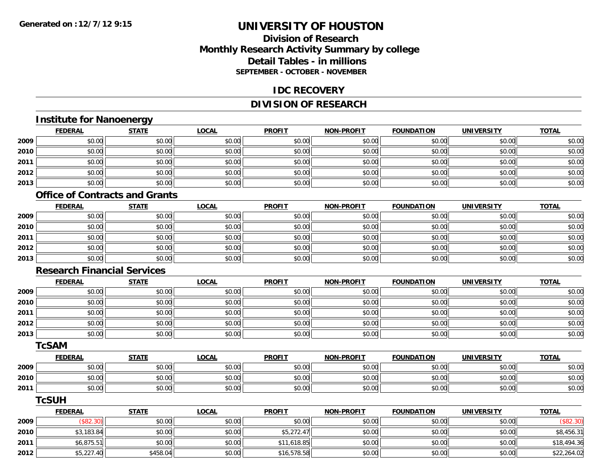### **Division of ResearchMonthly Research Activity Summary by college Detail Tables - in millionsSEPTEMBER - OCTOBER - NOVEMBER**

#### **IDC RECOVERY**

### **DIVISION OF RESEARCH**

## **Institute for Nanoenergy**

|      | <b>FEDERAL</b> | <b>STATE</b> | <b>LOCAL</b> | <b>PROFIT</b> | <b>NON-PROFIT</b> | <b>FOUNDATION</b> | <b>UNIVERSITY</b> | <b>TOTAL</b> |
|------|----------------|--------------|--------------|---------------|-------------------|-------------------|-------------------|--------------|
| 2009 | \$0.00         | \$0.00       | \$0.00       | \$0.00        | \$0.00            | \$0.00            | \$0.00            | \$0.00       |
| 2010 | \$0.00         | \$0.00       | \$0.00       | \$0.00        | \$0.00            | \$0.00            | \$0.00            | \$0.00       |
| 2011 | \$0.00         | \$0.00       | \$0.00       | \$0.00        | \$0.00            | \$0.00            | \$0.00            | \$0.00       |
| 2012 | \$0.00         | \$0.00       | \$0.00       | \$0.00        | \$0.00            | \$0.00            | \$0.00            | \$0.00       |
| 2013 | \$0.00         | \$0.00       | \$0.00       | \$0.00        | \$0.00            | \$0.00            | \$0.00            | \$0.00       |

#### **Office of Contracts and Grants**

|      | <u>FEDERAL</u> | <b>STATE</b> | <u>LOCAL</u> | <b>PROFIT</b> | <b>NON-PROFIT</b> | <b>FOUNDATION</b> | <b>UNIVERSITY</b> | <b>TOTAL</b> |
|------|----------------|--------------|--------------|---------------|-------------------|-------------------|-------------------|--------------|
| 2009 | \$0.00         | \$0.00       | \$0.00       | \$0.00        | \$0.00            | \$0.00            | \$0.00            | \$0.00       |
| 2010 | \$0.00         | \$0.00       | \$0.00       | \$0.00        | \$0.00            | \$0.00            | \$0.00            | \$0.00       |
| 2011 | \$0.00         | \$0.00       | \$0.00       | \$0.00        | \$0.00            | \$0.00            | \$0.00            | \$0.00       |
| 2012 | \$0.00         | \$0.00       | \$0.00       | \$0.00        | \$0.00            | \$0.00            | \$0.00            | \$0.00       |
| 2013 | \$0.00         | \$0.00       | \$0.00       | \$0.00        | \$0.00            | \$0.00            | \$0.00            | \$0.00       |

#### **Research Financial Services**

|      | <b>FEDERAL</b> | <b>STATE</b> | <b>LOCAL</b> | <b>PROFIT</b> | <b>NON-PROFIT</b> | <b>FOUNDATION</b> | <b>UNIVERSITY</b> | <b>TOTAL</b> |
|------|----------------|--------------|--------------|---------------|-------------------|-------------------|-------------------|--------------|
| 2009 | \$0.00         | \$0.00       | \$0.00       | \$0.00        | \$0.00            | \$0.00            | \$0.00            | \$0.00       |
| 2010 | \$0.00         | \$0.00       | \$0.00       | \$0.00        | \$0.00            | \$0.00            | \$0.00            | \$0.00       |
| 2011 | \$0.00         | \$0.00       | \$0.00       | \$0.00        | \$0.00            | \$0.00            | \$0.00            | \$0.00       |
| 2012 | \$0.00         | \$0.00       | \$0.00       | \$0.00        | \$0.00            | \$0.00            | \$0.00            | \$0.00       |
| 2013 | \$0.00         | \$0.00       | \$0.00       | \$0.00        | \$0.00            | \$0.00            | \$0.00            | \$0.00       |

#### **TcSAM**

|      | <b>FEDERAL</b> | <b>STATE</b> | <u>LOCAL</u> | <b>PROFIT</b> | <b>NON-PROFIT</b> | <b>FOUNDATION</b> | UNIVERSITY | <b>TOTAL</b> |
|------|----------------|--------------|--------------|---------------|-------------------|-------------------|------------|--------------|
| 2009 | 0000<br>DU.UG  | \$0.00       | \$0.00       | \$0.00        | \$0.00            | \$0.00            | \$0.00     | \$0.00       |
| 2010 | \$0.00         | \$0.00       | \$0.00       | \$0.00        | \$0.00            | \$0.00            | \$0.00     | \$0.00       |
| 2011 | \$0.00         | \$0.00       | \$0.00       | \$0.00        | \$0.00            | \$0.00            | \$0.00     | \$0.00       |

#### **TcSUH**

|      | <b>FEDERAL</b> | <b>STATE</b> | <u>LOCAL</u> | <b>PROFIT</b> | <b>NON-PROFIT</b> | <b>FOUNDATION</b> | <b>UNIVERSITY</b> | <b>TOTAL</b> |
|------|----------------|--------------|--------------|---------------|-------------------|-------------------|-------------------|--------------|
| 2009 | (\$82.30)      | \$0.00       | \$0.00       | \$0.00        | \$0.00            | \$0.00            | \$0.00            | \$82.3c      |
| 2010 | \$3,183.84     | \$0.00       | \$0.00       | \$5,272.47    | \$0.00            | \$0.00            | \$0.00            | \$8,456.31   |
| 2011 | \$6,875.51     | \$0.00       | \$0.00       | \$11,618.85   | \$0.00            | \$0.00            | \$0.00            | \$18,494.36  |
| 2012 | \$5,227.40     | \$458.04     | \$0.00       | \$16,578.58   | \$0.00            | \$0.00            | \$0.00            | \$22,264.02  |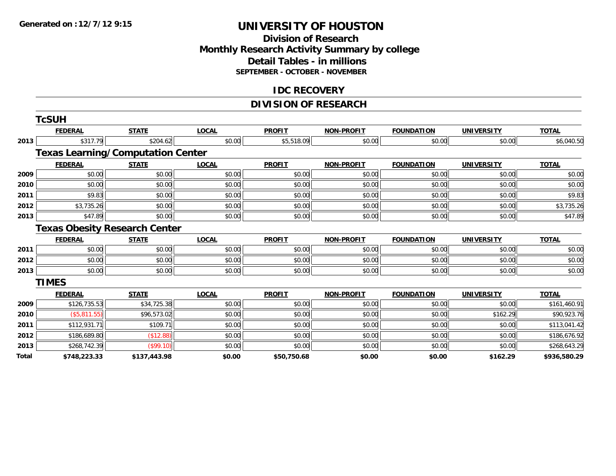### **Division of Research Monthly Research Activity Summary by college Detail Tables - in millions SEPTEMBER - OCTOBER - NOVEMBER**

#### **IDC RECOVERY**

### **DIVISION OF RESEARCH**

|       | <b>TcSUH</b>                             |              |              |               |                   |                   |                   |              |
|-------|------------------------------------------|--------------|--------------|---------------|-------------------|-------------------|-------------------|--------------|
|       | <b>FEDERAL</b>                           | <b>STATE</b> | <b>LOCAL</b> | <b>PROFIT</b> | <b>NON-PROFIT</b> | <b>FOUNDATION</b> | <b>UNIVERSITY</b> | <b>TOTAL</b> |
| 2013  | \$317.79                                 | \$204.62     | \$0.00       | \$5,518.09    | \$0.00            | \$0.00            | \$0.00            | \$6,040.50   |
|       | <b>Texas Learning/Computation Center</b> |              |              |               |                   |                   |                   |              |
|       | <b>FEDERAL</b>                           | <b>STATE</b> | <b>LOCAL</b> | <b>PROFIT</b> | <b>NON-PROFIT</b> | <b>FOUNDATION</b> | <b>UNIVERSITY</b> | <b>TOTAL</b> |
| 2009  | \$0.00                                   | \$0.00       | \$0.00       | \$0.00        | \$0.00            | \$0.00            | \$0.00            | \$0.00       |
| 2010  | \$0.00                                   | \$0.00       | \$0.00       | \$0.00        | \$0.00            | \$0.00            | \$0.00            | \$0.00       |
| 2011  | \$9.83                                   | \$0.00       | \$0.00       | \$0.00        | \$0.00            | \$0.00            | \$0.00            | \$9.83       |
| 2012  | \$3,735.26                               | \$0.00       | \$0.00       | \$0.00        | \$0.00            | \$0.00            | \$0.00            | \$3,735.26   |
| 2013  | \$47.89                                  | \$0.00       | \$0.00       | \$0.00        | \$0.00            | \$0.00            | \$0.00            | \$47.89      |
|       | <b>Texas Obesity Research Center</b>     |              |              |               |                   |                   |                   |              |
|       | <b>FEDERAL</b>                           | <b>STATE</b> | <b>LOCAL</b> | <b>PROFIT</b> | <b>NON-PROFIT</b> | <b>FOUNDATION</b> | <b>UNIVERSITY</b> | <b>TOTAL</b> |
| 2011  | \$0.00                                   | \$0.00       | \$0.00       | \$0.00        | \$0.00            | \$0.00            | \$0.00            | \$0.00       |
| 2012  | \$0.00                                   | \$0.00       | \$0.00       | \$0.00        | \$0.00            | \$0.00            | \$0.00            | \$0.00       |
| 2013  | \$0.00                                   | \$0.00       | \$0.00       | \$0.00        | \$0.00            | \$0.00            | \$0.00            | \$0.00       |
|       | <b>TIMES</b>                             |              |              |               |                   |                   |                   |              |
|       | <b>FEDERAL</b>                           | <b>STATE</b> | <b>LOCAL</b> | <b>PROFIT</b> | <b>NON-PROFIT</b> | <b>FOUNDATION</b> | <b>UNIVERSITY</b> | <b>TOTAL</b> |
| 2009  | \$126,735.53                             | \$34,725.38  | \$0.00       | \$0.00        | \$0.00            | \$0.00            | \$0.00            | \$161,460.91 |
| 2010  | (\$5,811.55)                             | \$96,573.02  | \$0.00       | \$0.00        | \$0.00            | \$0.00            | \$162.29          | \$90,923.76  |
| 2011  | \$112,931.71                             | \$109.71     | \$0.00       | \$0.00        | \$0.00            | \$0.00            | \$0.00            | \$113,041.42 |
| 2012  | \$186,689.80                             | (\$12.88)    | \$0.00       | \$0.00        | \$0.00            | \$0.00            | \$0.00            | \$186,676.92 |
| 2013  | \$268,742.39                             | (\$99.10)    | \$0.00       | \$0.00        | \$0.00            | \$0.00            | \$0.00            | \$268,643.29 |
| Total | \$748,223.33                             | \$137,443.98 | \$0.00       | \$50,750.68   | \$0.00            | \$0.00            | \$162.29          | \$936,580.29 |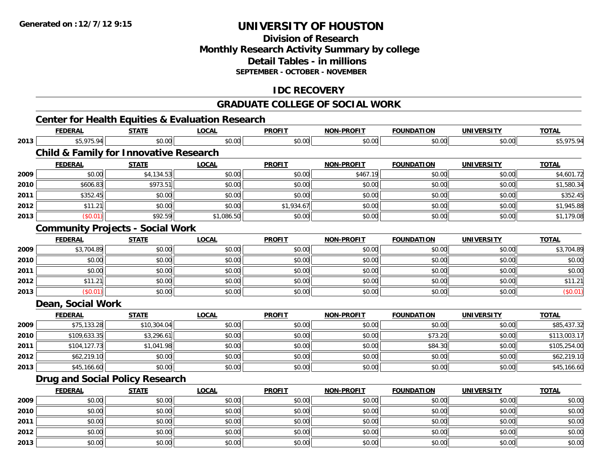**2013**

## **UNIVERSITY OF HOUSTON**

### **Division of ResearchMonthly Research Activity Summary by college Detail Tables - in millionsSEPTEMBER - OCTOBER - NOVEMBER**

### **IDC RECOVERY**

#### **GRADUATE COLLEGE OF SOCIAL WORK**

#### **Center for Health Equities & Evaluation Research FEDERAL STATE LOCAL PROFIT NON-PROFIT FOUNDATION UNIVERSITY TOTALTOTAL 2013** \$5,975.94 \$0.00 \$0.00 \$0.00 \$0.00 \$0.00 \$0.00 \$5,975.94 **Child & Family for Innovative Research FEDERAL STATE LOCAL PROFIT NON-PROFIT FOUNDATION UNIVERSITY TOTALTOTAL 2009**9 \$0.00| \$4,134.53| \$0.00| \$0.00| \$467.19| \$0.00| \$0.00| \$4,601.72| **2010**0 \$606.83 \$606.83 \$973.51 \$973.51 \$0.00 \$0.00 \$0.00 \$0.00 \$0.00 \$0.00 \$0.00 \$1,580.34 **2011** \$352.45 \$0.00 \$0.00 \$0.00 \$0.00 \$0.00 \$0.00 \$352.45 **2012**2 | \$11.21|| \$0.00|| \$0.00|| \$0.00|| \$1,934.67|| \$0.00|| \$0.00|| \$1,9000|| \$1,945.88| **2013**3 | (\$0.01)|| \$92.59|| \$1,086.50|| \$0.00|| \$1,179.08| **Community Projects - Social Work FEDERAL STATE LOCAL PROFIT NON-PROFIT FOUNDATION UNIVERSITY TOTAL2009** \$3,704.89 \$0.00 \$0.00 \$0.00 \$0.00 \$0.00 \$0.00 \$3,704.89 **2010**0 \$0.00 \$0.00 \$0.00 \$0.00 \$0.00 \$0.00 \$0.00 \$0.00 \$0.00 \$0.00 \$0.00 \$0.00 \$0.00 \$0.00 \$0.00 \$0.00 \$0.00 **2011** \$0.00 \$0.00 \$0.00 \$0.00 \$0.00 \$0.00 \$0.00 \$0.00 **2012** $\textbf{2} \hspace{1.5mm} | \hspace{1.5mm} \text{$0.00]} \hspace{1.5mm} \text{$0.1.21} \hspace{1.5mm} | \hspace{1.5mm} \text{$0.00]} \hspace{1.5mm} \text{$11.21}$ **2013** $\textbf{3} \hspace{14mm} |\hspace{14mm} \text{ $60.01]} |\hspace{14mm} \text{ $50.00]} |\hspace{14mm} \text{ $50.00]} |\hspace{14mm} \text{ $60.01]} |\hspace{14mm} \text{ $60.01]} |\hspace{14mm} \text{ $60.01]} |\hspace{14mm} \text{ $60.02]} |\hspace{14mm} \text{ $60.03]} |\hspace{14mm} \text{ $60.01]} |\hspace{14mm} \text{ $60.03]} |\hspace{14mm} \text{ $60.01]} |\hspace{14mm}$ **Dean, Social Work FEDERAL STATE LOCAL PROFIT NON-PROFIT FOUNDATION UNIVERSITY TOTALTOTAL 2009** \$75,133.28 \$10,304.04 \$0.00 \$0.00 \$0.00 \$0.00 \$0.00 \$85,437.32 **2010** \$109,633.35 \$3,296.61 \$0.00 \$0.00 \$0.00 \$73.20 \$0.00 \$113,003.17 **2011** \$104,127.73 \$1,041.98 \$0.00 \$0.00 \$0.00 \$84.30 \$0.00 \$105,254.00 **2012**2 \$62,219.10 \$62,219.10 \$0.00 \$0.00 \$0.00 \$0.00 \$0.00 \$0.00 \$0.00 \$0.00 \$0.00 \$0.00 \$0.00 \$62,219.10 **2013** $\textbf{3} \quad \textbf{\textcolor{blue}{85.00}} \quad \textbf{\textcolor{blue}{89.00}} \quad \textbf{\textcolor{blue}{89.00}} \quad \textbf{\textcolor{blue}{89.00}} \quad \textbf{\textcolor{blue}{89.00}} \quad \textbf{\textcolor{blue}{89.00}} \quad \textbf{\textcolor{blue}{89.00}} \quad \textbf{\textcolor{blue}{89.00}} \quad \textbf{\textcolor{blue}{89.00}} \quad \textbf{\textcolor{blue}{89.00}} \quad \textbf{\textcolor{blue}{89.00}} \quad \textbf{\textcolor{blue}{89.00}} \quad \textbf{\textcolor{blue$ **Drug and Social Policy Research FEDERAL STATE LOCAL PROFIT NON-PROFIT FOUNDATION UNIVERSITY TOTALTOTAL 2009** \$0.00 \$0.00 \$0.00 \$0.00 \$0.00 \$0.00 \$0.00 \$0.00 **2010**0 \$0.00 \$0.00 \$0.00 \$0.00 \$0.00 \$0.00 \$0.00 \$0.00 \$0.00 \$0.00 \$0.00 \$0.00 \$0.00 \$0.00 \$0.00 \$0.00 \$0.00 **2011** \$0.00 \$0.00 \$0.00 \$0.00 \$0.00 \$0.00 \$0.00 \$0.00 **2012**2 | \$0.00 \$0.00 \$0.00 \$0.00 \$0.00 \$0.00 \$0.00 \$0.00 \$0.00 \$0.00 \$0.00 \$0.00 \$0.00 \$0.00 \$0.00 \$0.00 \$0.00

\$0.00 \$0.00 \$0.00 \$0.00 \$0.00 \$0.00 \$0.00 \$0.00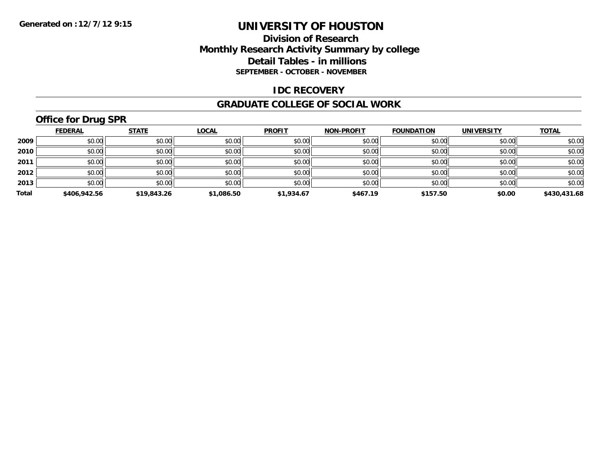### **Division of Research Monthly Research Activity Summary by college Detail Tables - in millions SEPTEMBER - OCTOBER - NOVEMBER**

#### **IDC RECOVERY**

#### **GRADUATE COLLEGE OF SOCIAL WORK**

## **Office for Drug SPR**

|       | <b>FEDERAL</b> | <b>STATE</b> | <b>LOCAL</b> | <b>PROFIT</b> | <b>NON-PROFIT</b> | <b>FOUNDATION</b> | <b>UNIVERSITY</b> | <b>TOTAL</b> |
|-------|----------------|--------------|--------------|---------------|-------------------|-------------------|-------------------|--------------|
| 2009  | \$0.00         | \$0.00       | \$0.00       | \$0.00        | \$0.00            | \$0.00            | \$0.00            | \$0.00       |
| 2010  | \$0.00         | \$0.00       | \$0.00       | \$0.00        | \$0.00            | \$0.00            | \$0.00            | \$0.00       |
| 2011  | \$0.00         | \$0.00       | \$0.00       | \$0.00        | \$0.00            | \$0.00            | \$0.00            | \$0.00       |
| 2012  | \$0.00         | \$0.00       | \$0.00       | \$0.00        | \$0.00            | \$0.00            | \$0.00            | \$0.00       |
| 2013  | \$0.00         | \$0.00       | \$0.00       | \$0.00        | \$0.00            | \$0.00            | \$0.00            | \$0.00       |
| Total | \$406,942.56   | \$19,843.26  | \$1,086.50   | \$1,934.67    | \$467.19          | \$157.50          | \$0.00            | \$430,431.68 |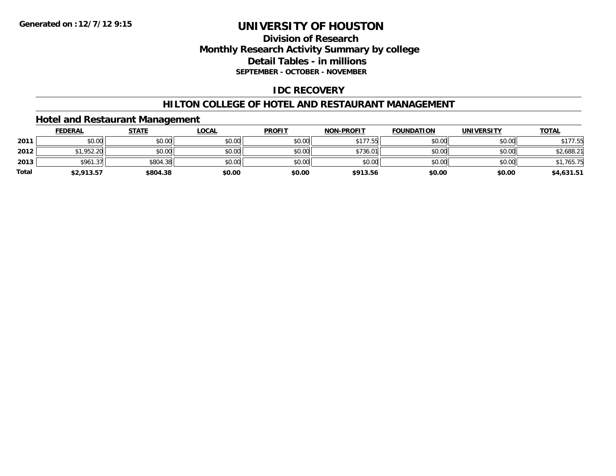## **Division of Research Monthly Research Activity Summary by college Detail Tables - in millions SEPTEMBER - OCTOBER - NOVEMBER**

## **IDC RECOVERY**

### **HILTON COLLEGE OF HOTEL AND RESTAURANT MANAGEMENT**

## **Hotel and Restaurant Management**

|              | <b>FEDERAL</b> | <b>STATE</b> | <u>LOCAL</u> | <b>PROFIT</b> | <b>NON-PROFIT</b> | <b>FOUNDATION</b> | <b>UNIVERSITY</b> | <b>TOTAL</b> |
|--------------|----------------|--------------|--------------|---------------|-------------------|-------------------|-------------------|--------------|
| 2011         | \$0.00         | \$0.00       | \$0.00       | \$0.00        | \$177.55          | \$0.00            | \$0.00            | \$177.55     |
| 2012         | 51.952.20      | \$0.00       | \$0.00       | \$0.00        | \$736.01          | \$0.00            | \$0.00            | \$2,688.21   |
| 2013         | \$961.37       | \$804.38     | \$0.00       | \$0.00        | \$0.00            | \$0.00            | \$0.00            | \$1,765.75   |
| <b>Total</b> | \$2,913.57     | \$804.38     | \$0.00       | \$0.00        | \$913.56          | \$0.00            | \$0.00            | \$4,631.51   |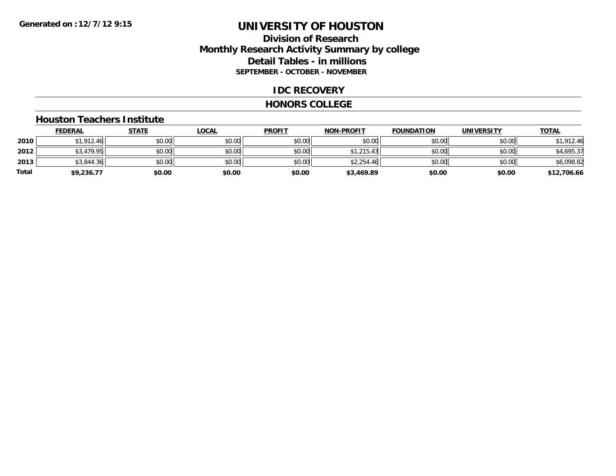## **Division of Research Monthly Research Activity Summary by college Detail Tables - in millions SEPTEMBER - OCTOBER - NOVEMBER**

### **IDC RECOVERY**

#### **HONORS COLLEGE**

#### **Houston Teachers Institute**

|       | <b>FEDERAL</b> | <b>STATE</b> | <b>LOCAL</b> | <b>PROFIT</b> | <b>NON-PROFIT</b> | <b>FOUNDATION</b> | <b>UNIVERSITY</b> | <b>TOTAL</b> |
|-------|----------------|--------------|--------------|---------------|-------------------|-------------------|-------------------|--------------|
| 2010  | \$1,912.46     | \$0.00       | \$0.00       | \$0.00        | \$0.00            | \$0.00            | \$0.00            | \$1,912.46   |
| 2012  | \$3,479.95     | \$0.00       | \$0.00       | \$0.00        | \$1,215.43        | \$0.00            | \$0.00            | \$4,695.37   |
| 2013  | \$3,844.36     | \$0.00       | \$0.00       | \$0.00        | \$2,254.46        | \$0.00            | \$0.00            | \$6,098.82   |
| Total | \$9,236.77     | \$0.00       | \$0.00       | \$0.00        | \$3,469.89        | \$0.00            | \$0.00            | \$12,706.66  |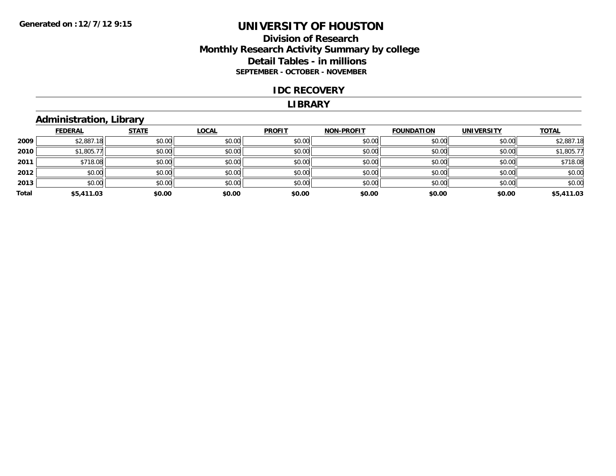## **Division of Research Monthly Research Activity Summary by college Detail Tables - in millions SEPTEMBER - OCTOBER - NOVEMBER**

#### **IDC RECOVERY**

#### **LIBRARY**

# **Administration, Library**

|       | <b>FEDERAL</b> | <b>STATE</b> | <b>LOCAL</b> | <b>PROFIT</b> | <b>NON-PROFIT</b> | <b>FOUNDATION</b> | <b>UNIVERSITY</b> | <b>TOTAL</b> |
|-------|----------------|--------------|--------------|---------------|-------------------|-------------------|-------------------|--------------|
| 2009  | \$2,887.18     | \$0.00       | \$0.00       | \$0.00        | \$0.00            | \$0.00            | \$0.00            | \$2,887.18   |
| 2010  | \$1,805.77     | \$0.00       | \$0.00       | \$0.00        | \$0.00            | \$0.00            | \$0.00            | \$1,805.77   |
| 2011  | \$718.08       | \$0.00       | \$0.00       | \$0.00        | \$0.00            | \$0.00            | \$0.00            | \$718.08     |
| 2012  | \$0.00         | \$0.00       | \$0.00       | \$0.00        | \$0.00            | \$0.00            | \$0.00            | \$0.00       |
| 2013  | \$0.00         | \$0.00       | \$0.00       | \$0.00        | \$0.00            | \$0.00            | \$0.00            | \$0.00       |
| Total | \$5,411.03     | \$0.00       | \$0.00       | \$0.00        | \$0.00            | \$0.00            | \$0.00            | \$5,411.03   |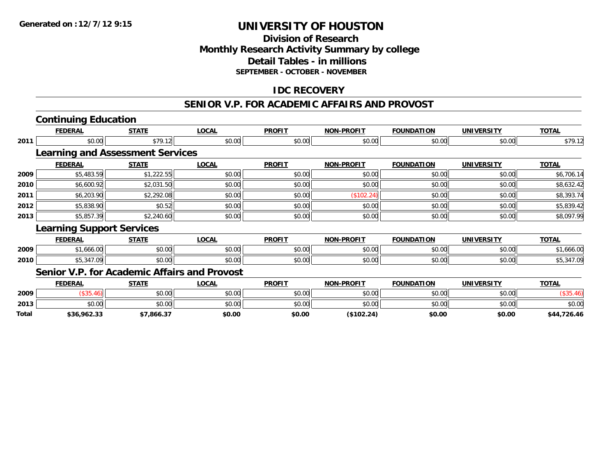# **Division of ResearchMonthly Research Activity Summary by college Detail Tables - in millions SEPTEMBER - OCTOBER - NOVEMBER**

## **IDC RECOVERY**

### **SENIOR V.P. FOR ACADEMIC AFFAIRS AND PROVOST**

|              | <b>Continuing Education</b>                  |              |              |               |                   |                   |                   |              |
|--------------|----------------------------------------------|--------------|--------------|---------------|-------------------|-------------------|-------------------|--------------|
|              | <b>FEDERAL</b>                               | <b>STATE</b> | <b>LOCAL</b> | <b>PROFIT</b> | <b>NON-PROFIT</b> | <b>FOUNDATION</b> | <b>UNIVERSITY</b> | <b>TOTAL</b> |
| 2011         | \$0.00                                       | \$79.12      | \$0.00       | \$0.00        | \$0.00            | \$0.00            | \$0.00            | \$79.12      |
|              | <b>Learning and Assessment Services</b>      |              |              |               |                   |                   |                   |              |
|              | <b>FEDERAL</b>                               | <b>STATE</b> | <b>LOCAL</b> | <b>PROFIT</b> | <b>NON-PROFIT</b> | <b>FOUNDATION</b> | <b>UNIVERSITY</b> | <b>TOTAL</b> |
| 2009         | \$5,483.59                                   | \$1,222.55   | \$0.00       | \$0.00        | \$0.00            | \$0.00            | \$0.00            | \$6,706.14   |
| 2010         | \$6,600.92                                   | \$2,031.50   | \$0.00       | \$0.00        | \$0.00            | \$0.00            | \$0.00            | \$8,632.42   |
| 2011         | \$6,203.90                                   | \$2,292.08   | \$0.00       | \$0.00        | (\$102.24)        | \$0.00            | \$0.00            | \$8,393.74   |
| 2012         | \$5,838.90                                   | \$0.52       | \$0.00       | \$0.00        | \$0.00            | \$0.00            | \$0.00            | \$5,839.42   |
| 2013         | \$5,857.39                                   | \$2,240.60   | \$0.00       | \$0.00        | \$0.00            | \$0.00            | \$0.00            | \$8,097.99   |
|              | <b>Learning Support Services</b>             |              |              |               |                   |                   |                   |              |
|              | <b>FEDERAL</b>                               | <b>STATE</b> | <b>LOCAL</b> | <b>PROFIT</b> | <b>NON-PROFIT</b> | <b>FOUNDATION</b> | <b>UNIVERSITY</b> | <b>TOTAL</b> |
| 2009         | \$1,666.00                                   | \$0.00       | \$0.00       | \$0.00        | \$0.00            | \$0.00            | \$0.00            | \$1,666.00   |
| 2010         | \$5,347.09                                   | \$0.00       | \$0.00       | \$0.00        | \$0.00            | \$0.00            | \$0.00            | \$5,347.09   |
|              | Senior V.P. for Academic Affairs and Provost |              |              |               |                   |                   |                   |              |
|              | <b>FEDERAL</b>                               | <b>STATE</b> | <b>LOCAL</b> | <b>PROFIT</b> | <b>NON-PROFIT</b> | <b>FOUNDATION</b> | <b>UNIVERSITY</b> | <b>TOTAL</b> |
| 2009         | (\$35.46)                                    | \$0.00       | \$0.00       | \$0.00        | \$0.00            | \$0.00            | \$0.00            | (\$35.46)    |
| 2013         | \$0.00                                       | \$0.00       | \$0.00       | \$0.00        | \$0.00            | \$0.00            | \$0.00            | \$0.00       |
| <b>Total</b> | \$36.962.33                                  | \$7.866.37   | \$0.00       | \$0.00        | (S102.24)         | \$0.00            | \$0.00            | \$44.726.46  |

**\$36,962.33 \$7,866.37 \$0.00 \$0.00 (\$102.24) \$0.00 \$0.00 \$44,726.46**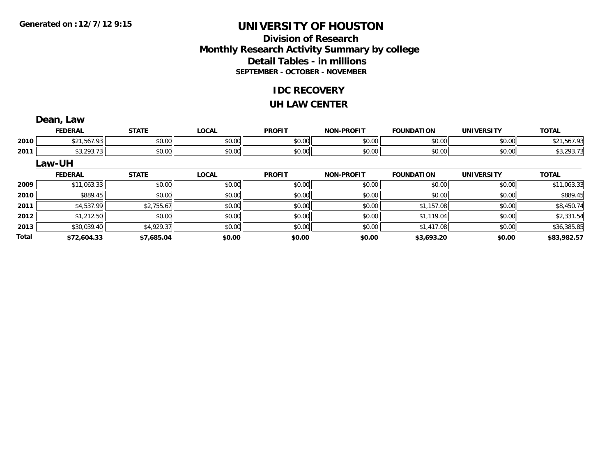**Total**

# **UNIVERSITY OF HOUSTON**

# **Division of ResearchMonthly Research Activity Summary by college Detail Tables - in millions SEPTEMBER - OCTOBER - NOVEMBER**

## **IDC RECOVERY**

### **UH LAW CENTER**

|      | Dean, Law      |              |              |               |                   |                   |                   |              |
|------|----------------|--------------|--------------|---------------|-------------------|-------------------|-------------------|--------------|
|      | <b>FEDERAL</b> | <b>STATE</b> | <b>LOCAL</b> | <b>PROFIT</b> | <b>NON-PROFIT</b> | <b>FOUNDATION</b> | <b>UNIVERSITY</b> | <b>TOTAL</b> |
| 2010 | \$21,567.93    | \$0.00       | \$0.00       | \$0.00        | \$0.00            | \$0.00            | \$0.00            | \$21,567.93  |
| 2011 | \$3,293.73     | \$0.00       | \$0.00       | \$0.00        | \$0.00            | \$0.00            | \$0.00            | \$3,293.73   |
|      | Law-UH         |              |              |               |                   |                   |                   |              |
|      | <b>FEDERAL</b> | <b>STATE</b> | <b>LOCAL</b> | <b>PROFIT</b> | <b>NON-PROFIT</b> | <b>FOUNDATION</b> | <b>UNIVERSITY</b> | <b>TOTAL</b> |
| 2009 | \$11,063.33    | \$0.00       | \$0.00       | \$0.00        | \$0.00            | \$0.00            | \$0.00            | \$11,063.33  |
| 2010 | \$889.45       | \$0.00       | \$0.00       | \$0.00        | \$0.00            | \$0.00            | \$0.00            | \$889.45     |
| 2011 | \$4,537.99     | \$2,755.67   | \$0.00       | \$0.00        | \$0.00            | \$1,157.08        | \$0.00            | \$8,450.74   |
| 2012 | \$1,212.50     | \$0.00       | \$0.00       | \$0.00        | \$0.00            | \$1,119.04        | \$0.00            | \$2,331.54   |
|      |                |              |              |               |                   |                   |                   |              |

**\$72,604.33 \$7,685.04 \$0.00 \$0.00 \$0.00 \$3,693.20 \$0.00 \$83,982.57**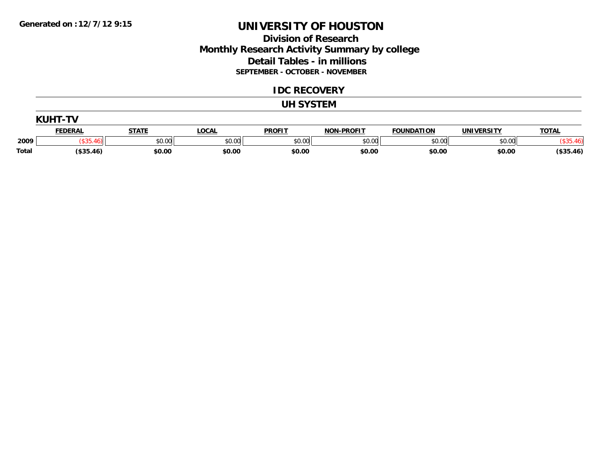## **Division of Research Monthly Research Activity Summary by college Detail Tables - in millions SEPTEMBER - OCTOBER - NOVEMBER**

### **IDC RECOVERY**

#### **UH SYSTEM**

|       | KIJHT.     |        |              |               |                   |                   |                   |              |
|-------|------------|--------|--------------|---------------|-------------------|-------------------|-------------------|--------------|
|       | FEDERAL    | STATE  | <b>LOCAL</b> | <b>PROFIT</b> | <b>NON-PROFIT</b> | <b>FOUNDATION</b> | <b>UNIVERSITY</b> | <b>TOTAL</b> |
| 2009  |            | \$0.00 | \$0.00       | \$0.00        | \$0.00            | \$0.00            | \$0.00            |              |
| Total | ( \$35.46) | \$0.00 | \$0.00       | \$0.00        | \$0.00            | \$0.00            | \$0.00            | \$35.46      |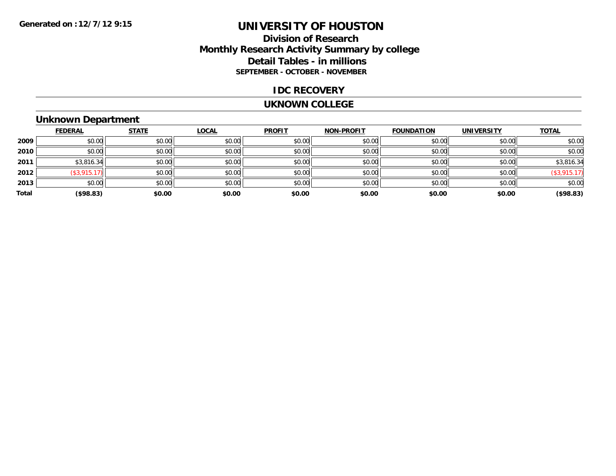## **Division of Research Monthly Research Activity Summary by college Detail Tables - in millions SEPTEMBER - OCTOBER - NOVEMBER**

### **IDC RECOVERY**

#### **UKNOWN COLLEGE**

## **Unknown Department**

|       | <b>FEDERAL</b> | <b>STATE</b> | <b>LOCAL</b> | <b>PROFIT</b> | <b>NON-PROFIT</b> | <b>FOUNDATION</b> | <b>UNIVERSITY</b> | <b>TOTAL</b> |
|-------|----------------|--------------|--------------|---------------|-------------------|-------------------|-------------------|--------------|
| 2009  | \$0.00         | \$0.00       | \$0.00       | \$0.00        | \$0.00            | \$0.00            | \$0.00            | \$0.00       |
| 2010  | \$0.00         | \$0.00       | \$0.00       | \$0.00        | \$0.00            | \$0.00            | \$0.00            | \$0.00       |
| 2011  | \$3,816.34     | \$0.00       | \$0.00       | \$0.00        | \$0.00            | \$0.00            | \$0.00            | \$3,816.34   |
| 2012  | (\$3,915.17)   | \$0.00       | \$0.00       | \$0.00        | \$0.00            | \$0.00            | \$0.00            | (\$3,915.17) |
| 2013  | \$0.00         | \$0.00       | \$0.00       | \$0.00        | \$0.00            | \$0.00            | \$0.00            | \$0.00       |
| Total | (\$98.83)      | \$0.00       | \$0.00       | \$0.00        | \$0.00            | \$0.00            | \$0.00            | (\$98.83)    |